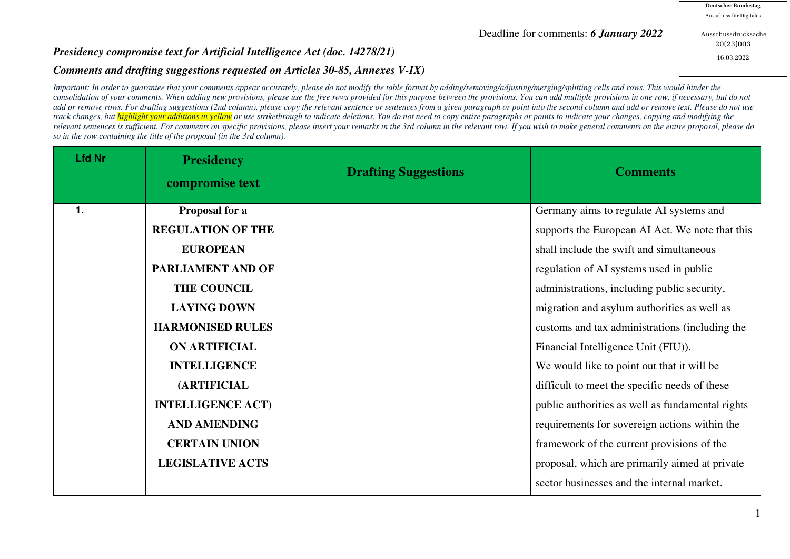## Deadline for comments: *6 January 2022*

Ausschussdrucksache 20(23)003 16.03.2022

## *Presidency compromise text for Artificial Intelligence Act (doc. 14278/21)*

## *Comments and drafting suggestions requested on Articles 30-85, Annexes V-IX)*

*Important: In order to guarantee that your comments appear accurately, please do not modify the table format by adding/removing/adjusting/merging/splitting cells and rows. This would hinder the consolidation of your comments. When adding new provisions, please use the free rows provided for this purpose between the provisions. You can add multiple provisions in one row, if necessary, but do not*  add or remove rows. For drafting suggestions (2nd column), please copy the relevant sentence or sentences from a given paragraph or point into the second column and add or remove text. Please do not use track changes, but *highlight your additions in yellow* or use strikethrough to indicate deletions. You do not need to copy entire paragraphs or points to indicate your changes, copying and modifying the *relevant sentences is sufficient. For comments on specific provisions, please insert your remarks in the 3rd column in the relevant row. If you wish to make general comments on the entire proposal, please do so in the row containing the title of the proposal (in the 3rd column).* 

| <b>Lfd Nr</b>  | <b>Presidency</b><br>compromise text | <b>Drafting Suggestions</b> | <b>Comments</b>                                  |
|----------------|--------------------------------------|-----------------------------|--------------------------------------------------|
| $\mathbf{1}$ . | Proposal for a                       |                             | Germany aims to regulate AI systems and          |
|                | <b>REGULATION OF THE</b>             |                             | supports the European AI Act. We note that this  |
|                | <b>EUROPEAN</b>                      |                             | shall include the swift and simultaneous         |
|                | PARLIAMENT AND OF                    |                             | regulation of AI systems used in public          |
|                | THE COUNCIL                          |                             | administrations, including public security,      |
|                | <b>LAYING DOWN</b>                   |                             | migration and asylum authorities as well as      |
|                | <b>HARMONISED RULES</b>              |                             | customs and tax administrations (including the   |
|                | <b>ON ARTIFICIAL</b>                 |                             | Financial Intelligence Unit (FIU)).              |
|                | <b>INTELLIGENCE</b>                  |                             | We would like to point out that it will be       |
|                | <b>(ARTIFICIAL</b>                   |                             | difficult to meet the specific needs of these    |
|                | <b>INTELLIGENCE ACT)</b>             |                             | public authorities as well as fundamental rights |
|                | <b>AND AMENDING</b>                  |                             | requirements for sovereign actions within the    |
|                | <b>CERTAIN UNION</b>                 |                             | framework of the current provisions of the       |
|                | <b>LEGISLATIVE ACTS</b>              |                             | proposal, which are primarily aimed at private   |
|                |                                      |                             | sector businesses and the internal market.       |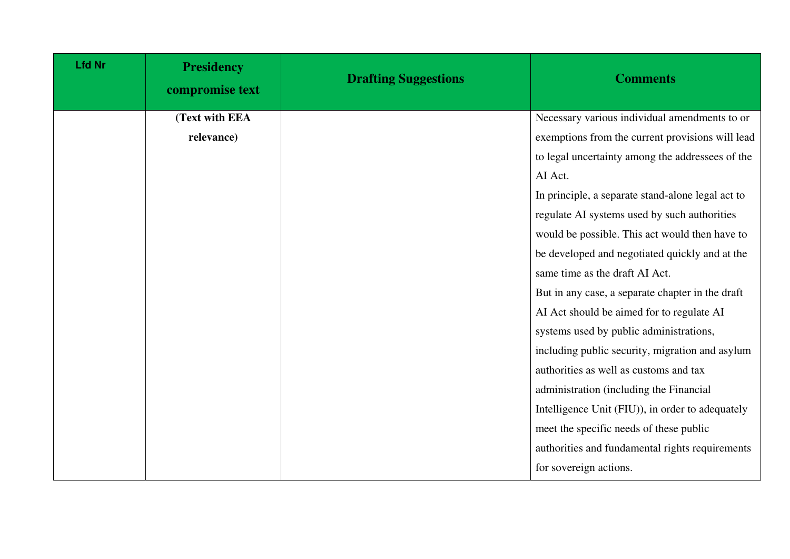| <b>Lfd Nr</b> | <b>Presidency</b><br>compromise text | <b>Drafting Suggestions</b> | <b>Comments</b>                                   |
|---------------|--------------------------------------|-----------------------------|---------------------------------------------------|
|               | (Text with EEA                       |                             | Necessary various individual amendments to or     |
|               | relevance)                           |                             | exemptions from the current provisions will lead  |
|               |                                      |                             | to legal uncertainty among the addressees of the  |
|               |                                      |                             | AI Act.                                           |
|               |                                      |                             | In principle, a separate stand-alone legal act to |
|               |                                      |                             | regulate AI systems used by such authorities      |
|               |                                      |                             | would be possible. This act would then have to    |
|               |                                      |                             | be developed and negotiated quickly and at the    |
|               |                                      |                             | same time as the draft AI Act.                    |
|               |                                      |                             | But in any case, a separate chapter in the draft  |
|               |                                      |                             | AI Act should be aimed for to regulate AI         |
|               |                                      |                             | systems used by public administrations,           |
|               |                                      |                             | including public security, migration and asylum   |
|               |                                      |                             | authorities as well as customs and tax            |
|               |                                      |                             | administration (including the Financial           |
|               |                                      |                             | Intelligence Unit (FIU)), in order to adequately  |
|               |                                      |                             | meet the specific needs of these public           |
|               |                                      |                             | authorities and fundamental rights requirements   |
|               |                                      |                             | for sovereign actions.                            |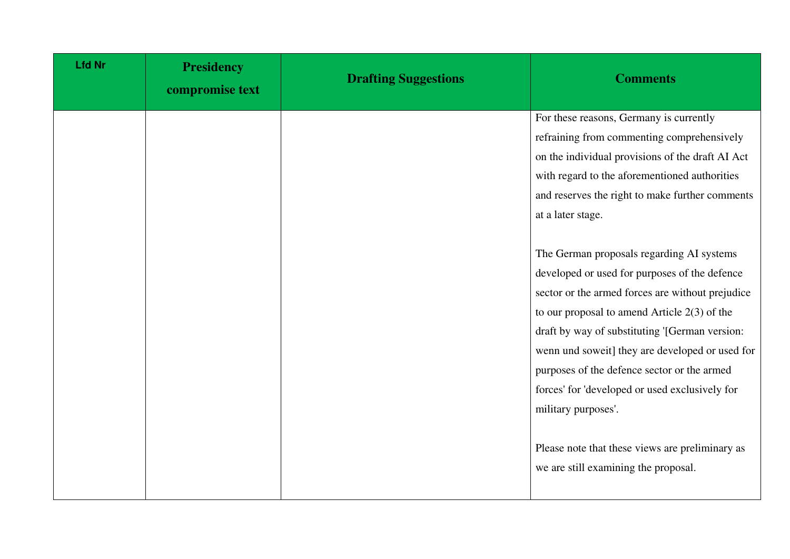| <b>Lfd Nr</b> | <b>Presidency</b><br>compromise text | <b>Drafting Suggestions</b> | <b>Comments</b>                                  |
|---------------|--------------------------------------|-----------------------------|--------------------------------------------------|
|               |                                      |                             | For these reasons, Germany is currently          |
|               |                                      |                             | refraining from commenting comprehensively       |
|               |                                      |                             | on the individual provisions of the draft AI Act |
|               |                                      |                             | with regard to the aforementioned authorities    |
|               |                                      |                             | and reserves the right to make further comments  |
|               |                                      |                             | at a later stage.                                |
|               |                                      |                             |                                                  |
|               |                                      |                             | The German proposals regarding AI systems        |
|               |                                      |                             | developed or used for purposes of the defence    |
|               |                                      |                             | sector or the armed forces are without prejudice |
|               |                                      |                             | to our proposal to amend Article $2(3)$ of the   |
|               |                                      |                             | draft by way of substituting '[German version:   |
|               |                                      |                             | wenn und soweit] they are developed or used for  |
|               |                                      |                             | purposes of the defence sector or the armed      |
|               |                                      |                             | forces' for 'developed or used exclusively for   |
|               |                                      |                             | military purposes'.                              |
|               |                                      |                             |                                                  |
|               |                                      |                             | Please note that these views are preliminary as  |
|               |                                      |                             | we are still examining the proposal.             |
|               |                                      |                             |                                                  |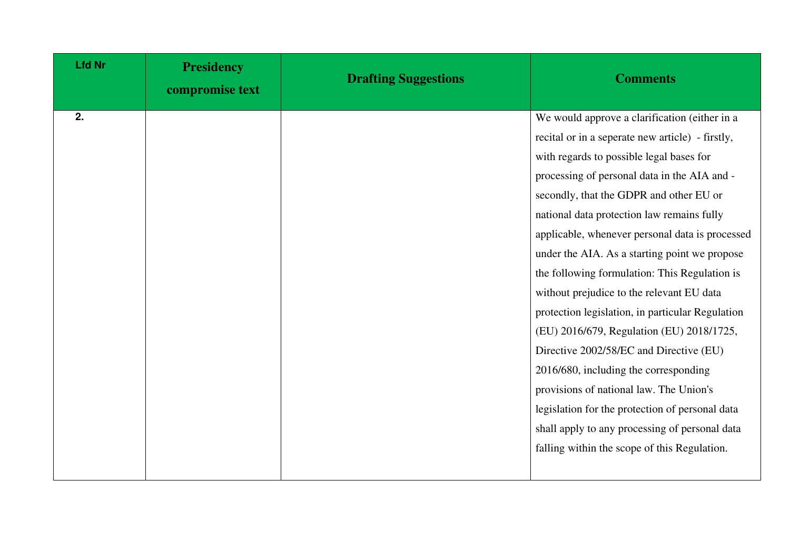| <b>Lfd Nr</b> | <b>Presidency</b><br>compromise text | <b>Drafting Suggestions</b> | <b>Comments</b>                                  |
|---------------|--------------------------------------|-----------------------------|--------------------------------------------------|
| 2.            |                                      |                             | We would approve a clarification (either in a    |
|               |                                      |                             | recital or in a seperate new article) - firstly, |
|               |                                      |                             | with regards to possible legal bases for         |
|               |                                      |                             | processing of personal data in the AIA and -     |
|               |                                      |                             | secondly, that the GDPR and other EU or          |
|               |                                      |                             | national data protection law remains fully       |
|               |                                      |                             | applicable, whenever personal data is processed  |
|               |                                      |                             | under the AIA. As a starting point we propose    |
|               |                                      |                             | the following formulation: This Regulation is    |
|               |                                      |                             | without prejudice to the relevant EU data        |
|               |                                      |                             | protection legislation, in particular Regulation |
|               |                                      |                             | (EU) 2016/679, Regulation (EU) 2018/1725,        |
|               |                                      |                             | Directive 2002/58/EC and Directive (EU)          |
|               |                                      |                             | 2016/680, including the corresponding            |
|               |                                      |                             | provisions of national law. The Union's          |
|               |                                      |                             | legislation for the protection of personal data  |
|               |                                      |                             | shall apply to any processing of personal data   |
|               |                                      |                             | falling within the scope of this Regulation.     |
|               |                                      |                             |                                                  |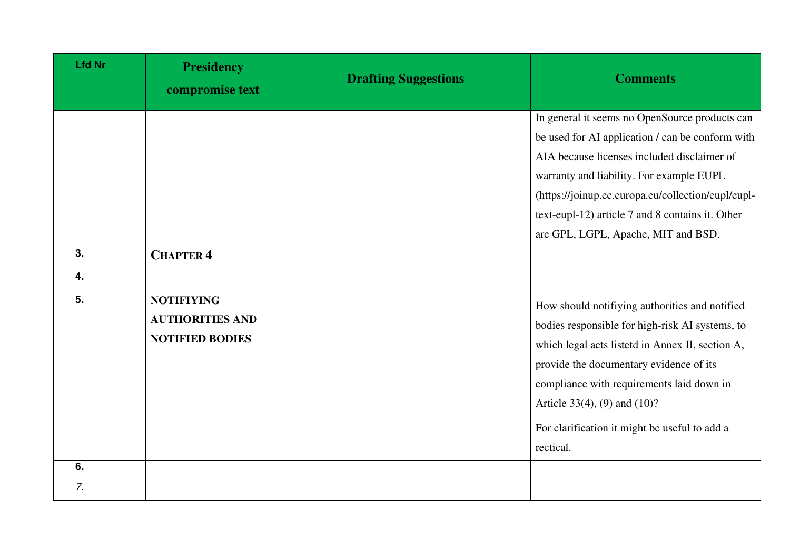| <b>Lfd Nr</b>          | <b>Presidency</b><br>compromise text                                  | <b>Drafting Suggestions</b> | <b>Comments</b>                                                                                                                                                                                                                                                                                                                                |
|------------------------|-----------------------------------------------------------------------|-----------------------------|------------------------------------------------------------------------------------------------------------------------------------------------------------------------------------------------------------------------------------------------------------------------------------------------------------------------------------------------|
|                        |                                                                       |                             | In general it seems no OpenSource products can<br>be used for AI application / can be conform with<br>AIA because licenses included disclaimer of<br>warranty and liability. For example EUPL<br>(https://joinup.ec.europa.eu/collection/eupl/eupl-<br>text-eupl-12) article 7 and 8 contains it. Other<br>are GPL, LGPL, Apache, MIT and BSD. |
| 3.<br>$\overline{4}$ . | <b>CHAPTER 4</b>                                                      |                             |                                                                                                                                                                                                                                                                                                                                                |
| 5.                     | <b>NOTIFIYING</b><br><b>AUTHORITIES AND</b><br><b>NOTIFIED BODIES</b> |                             | How should notifiying authorities and notified<br>bodies responsible for high-risk AI systems, to<br>which legal acts listetd in Annex II, section A,<br>provide the documentary evidence of its<br>compliance with requirements laid down in<br>Article 33(4), (9) and $(10)$ ?<br>For clarification it might be useful to add a<br>rectical. |
| 6.                     |                                                                       |                             |                                                                                                                                                                                                                                                                                                                                                |
| 7.                     |                                                                       |                             |                                                                                                                                                                                                                                                                                                                                                |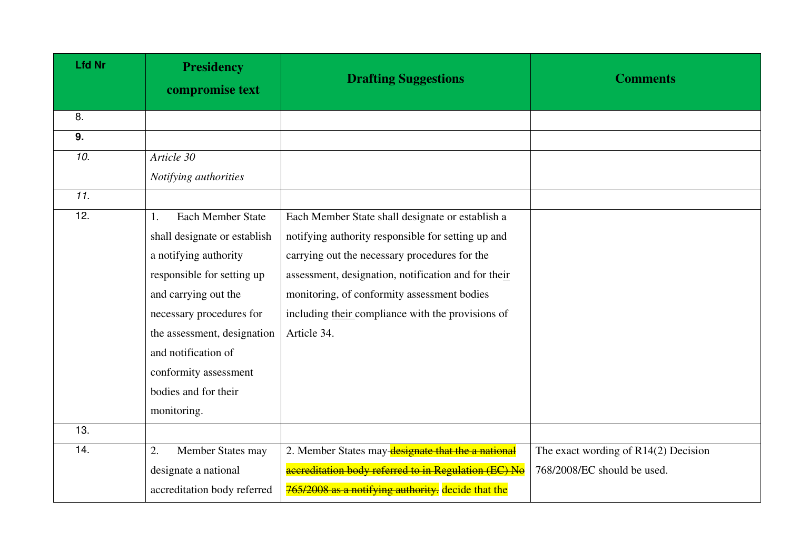| <b>Lfd Nr</b>   | <b>Presidency</b><br>compromise text | <b>Drafting Suggestions</b>                          | <b>Comments</b>                        |
|-----------------|--------------------------------------|------------------------------------------------------|----------------------------------------|
| 8.              |                                      |                                                      |                                        |
| 9.              |                                      |                                                      |                                        |
| 10.             | Article 30                           |                                                      |                                        |
|                 | Notifying authorities                |                                                      |                                        |
| $\overline{11}$ |                                      |                                                      |                                        |
| 12.             | <b>Each Member State</b><br>1.       | Each Member State shall designate or establish a     |                                        |
|                 | shall designate or establish         | notifying authority responsible for setting up and   |                                        |
|                 | a notifying authority                | carrying out the necessary procedures for the        |                                        |
|                 | responsible for setting up           | assessment, designation, notification and for their  |                                        |
|                 | and carrying out the                 | monitoring, of conformity assessment bodies          |                                        |
|                 | necessary procedures for             | including their compliance with the provisions of    |                                        |
|                 | the assessment, designation          | Article 34.                                          |                                        |
|                 | and notification of                  |                                                      |                                        |
|                 | conformity assessment                |                                                      |                                        |
|                 | bodies and for their                 |                                                      |                                        |
|                 | monitoring.                          |                                                      |                                        |
| 13.             |                                      |                                                      |                                        |
| 14.             | 2.<br>Member States may              | 2. Member States may designate that the a national   | The exact wording of $R14(2)$ Decision |
|                 | designate a national                 | accreditation body referred to in Regulation (EC) No | 768/2008/EC should be used.            |
|                 | accreditation body referred          | 765/2008 as a notifying authority. decide that the   |                                        |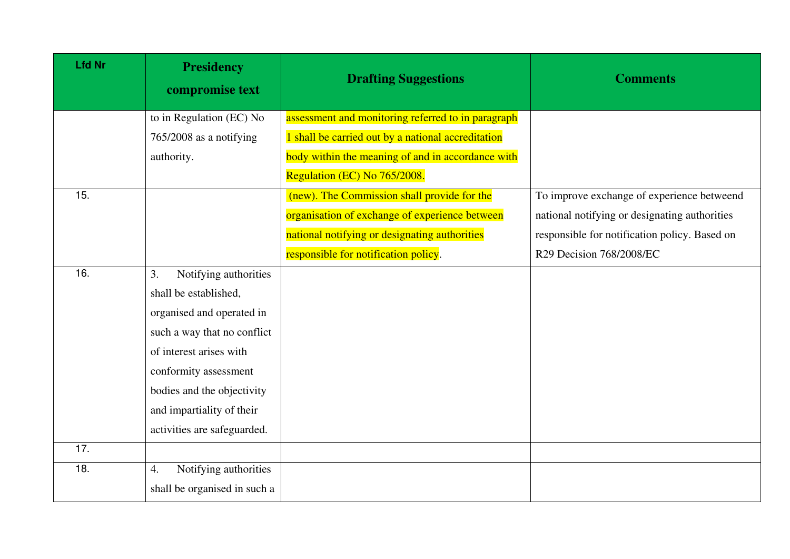| <b>Lfd Nr</b> | <b>Presidency</b><br>compromise text      | <b>Drafting Suggestions</b>                        | <b>Comments</b>                               |
|---------------|-------------------------------------------|----------------------------------------------------|-----------------------------------------------|
|               | to in Regulation (EC) No                  | assessment and monitoring referred to in paragraph |                                               |
|               | 765/2008 as a notifying                   | 1 shall be carried out by a national accreditation |                                               |
|               | authority.                                | body within the meaning of and in accordance with  |                                               |
|               |                                           | Regulation (EC) No 765/2008.                       |                                               |
| 15.           |                                           | (new). The Commission shall provide for the        | To improve exchange of experience betweend    |
|               |                                           | organisation of exchange of experience between     | national notifying or designating authorities |
|               |                                           | national notifying or designating authorities      | responsible for notification policy. Based on |
|               |                                           | responsible for notification policy.               | R29 Decision 768/2008/EC                      |
| 16.           | Notifying authorities<br>3.               |                                                    |                                               |
|               | shall be established,                     |                                                    |                                               |
|               | organised and operated in                 |                                                    |                                               |
|               | such a way that no conflict               |                                                    |                                               |
|               | of interest arises with                   |                                                    |                                               |
|               | conformity assessment                     |                                                    |                                               |
|               | bodies and the objectivity                |                                                    |                                               |
|               | and impartiality of their                 |                                                    |                                               |
|               | activities are safeguarded.               |                                                    |                                               |
| 17.           |                                           |                                                    |                                               |
| 18.           | Notifying authorities<br>$\overline{4}$ . |                                                    |                                               |
|               | shall be organised in such a              |                                                    |                                               |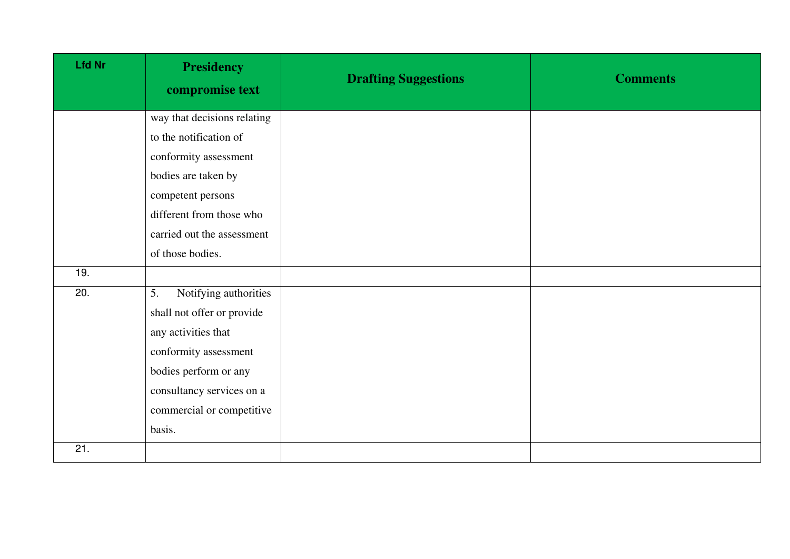| <b>Lfd Nr</b> | <b>Presidency</b><br>compromise text | <b>Drafting Suggestions</b> | <b>Comments</b> |
|---------------|--------------------------------------|-----------------------------|-----------------|
|               | way that decisions relating          |                             |                 |
|               | to the notification of               |                             |                 |
|               | conformity assessment                |                             |                 |
|               | bodies are taken by                  |                             |                 |
|               | competent persons                    |                             |                 |
|               | different from those who             |                             |                 |
|               | carried out the assessment           |                             |                 |
|               | of those bodies.                     |                             |                 |
| 19.           |                                      |                             |                 |
| 20.           | Notifying authorities<br>5.          |                             |                 |
|               | shall not offer or provide           |                             |                 |
|               | any activities that                  |                             |                 |
|               | conformity assessment                |                             |                 |
|               | bodies perform or any                |                             |                 |
|               | consultancy services on a            |                             |                 |
|               | commercial or competitive            |                             |                 |
|               | basis.                               |                             |                 |
| 21.           |                                      |                             |                 |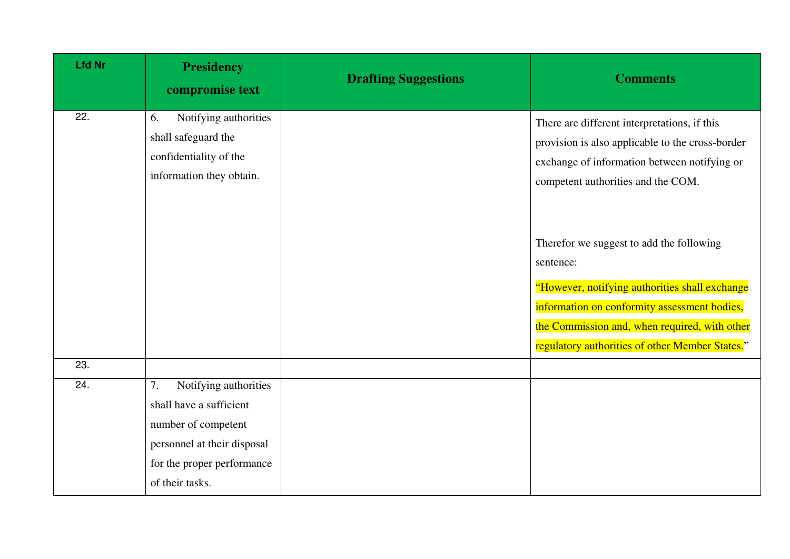| <b>Lfd Nr</b>     | <b>Presidency</b><br>compromise text                                                                                                                          | <b>Drafting Suggestions</b> | <b>Comments</b>                                                                                                                                                                                                                                             |
|-------------------|---------------------------------------------------------------------------------------------------------------------------------------------------------------|-----------------------------|-------------------------------------------------------------------------------------------------------------------------------------------------------------------------------------------------------------------------------------------------------------|
| 22.               | Notifying authorities<br>6.<br>shall safeguard the<br>confidentiality of the<br>information they obtain.                                                      |                             | There are different interpretations, if this<br>provision is also applicable to the cross-border<br>exchange of information between notifying or<br>competent authorities and the COM.                                                                      |
|                   |                                                                                                                                                               |                             | Therefor we suggest to add the following<br>sentence:<br>"However, notifying authorities shall exchange<br>information on conformity assessment bodies,<br>the Commission and, when required, with other<br>regulatory authorities of other Member States." |
| $\overline{23}$ . |                                                                                                                                                               |                             |                                                                                                                                                                                                                                                             |
| 24.               | Notifying authorities<br>7.<br>shall have a sufficient<br>number of competent<br>personnel at their disposal<br>for the proper performance<br>of their tasks. |                             |                                                                                                                                                                                                                                                             |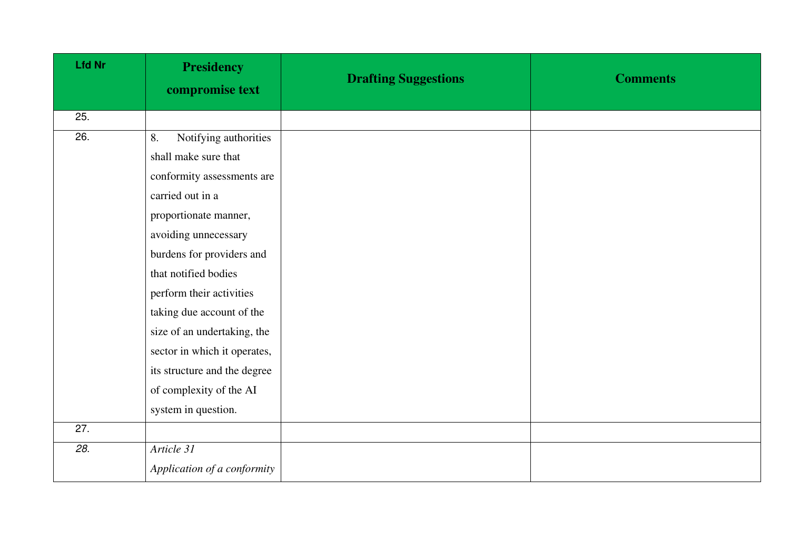| <b>Lfd Nr</b> | <b>Presidency</b><br>compromise text | <b>Drafting Suggestions</b> | <b>Comments</b> |
|---------------|--------------------------------------|-----------------------------|-----------------|
| 25.           |                                      |                             |                 |
| 26.           | Notifying authorities<br>8.          |                             |                 |
|               | shall make sure that                 |                             |                 |
|               | conformity assessments are           |                             |                 |
|               | carried out in a                     |                             |                 |
|               | proportionate manner,                |                             |                 |
|               | avoiding unnecessary                 |                             |                 |
|               | burdens for providers and            |                             |                 |
|               | that notified bodies                 |                             |                 |
|               | perform their activities             |                             |                 |
|               | taking due account of the            |                             |                 |
|               | size of an undertaking, the          |                             |                 |
|               | sector in which it operates,         |                             |                 |
|               | its structure and the degree         |                             |                 |
|               | of complexity of the AI              |                             |                 |
|               | system in question.                  |                             |                 |
| 27.           |                                      |                             |                 |
| 28.           | Article 31                           |                             |                 |
|               | Application of a conformity          |                             |                 |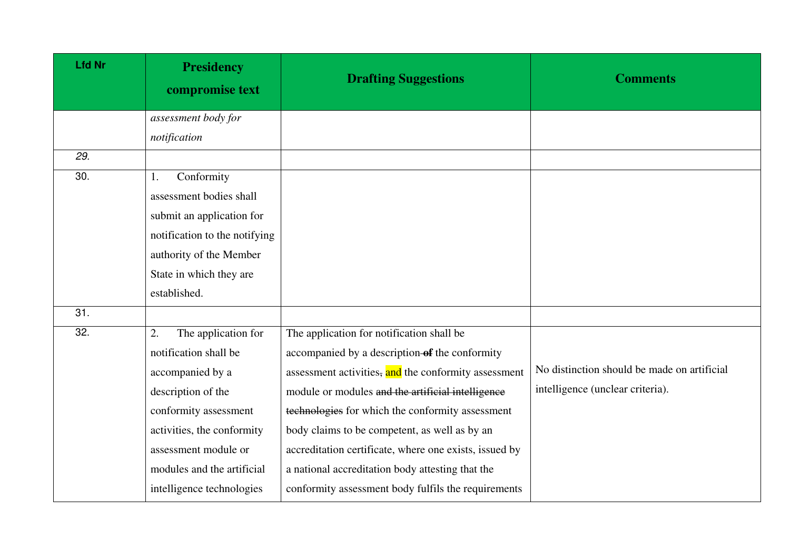| <b>Lfd Nr</b> | <b>Presidency</b><br>compromise text | <b>Drafting Suggestions</b>                            | <b>Comments</b>                             |
|---------------|--------------------------------------|--------------------------------------------------------|---------------------------------------------|
|               | assessment body for                  |                                                        |                                             |
|               | notification                         |                                                        |                                             |
| 29.           |                                      |                                                        |                                             |
| 30.           | Conformity<br>1.                     |                                                        |                                             |
|               | assessment bodies shall              |                                                        |                                             |
|               | submit an application for            |                                                        |                                             |
|               | notification to the notifying        |                                                        |                                             |
|               | authority of the Member              |                                                        |                                             |
|               | State in which they are              |                                                        |                                             |
|               | established.                         |                                                        |                                             |
| 31.           |                                      |                                                        |                                             |
| 32.           | The application for<br>2.            | The application for notification shall be              |                                             |
|               | notification shall be                | accompanied by a description-of the conformity         |                                             |
|               | accompanied by a                     | assessment activities, and the conformity assessment   | No distinction should be made on artificial |
|               | description of the                   | module or modules and the artificial intelligence      | intelligence (unclear criteria).            |
|               | conformity assessment                | technologies for which the conformity assessment       |                                             |
|               | activities, the conformity           | body claims to be competent, as well as by an          |                                             |
|               | assessment module or                 | accreditation certificate, where one exists, issued by |                                             |
|               | modules and the artificial           | a national accreditation body attesting that the       |                                             |
|               | intelligence technologies            | conformity assessment body fulfils the requirements    |                                             |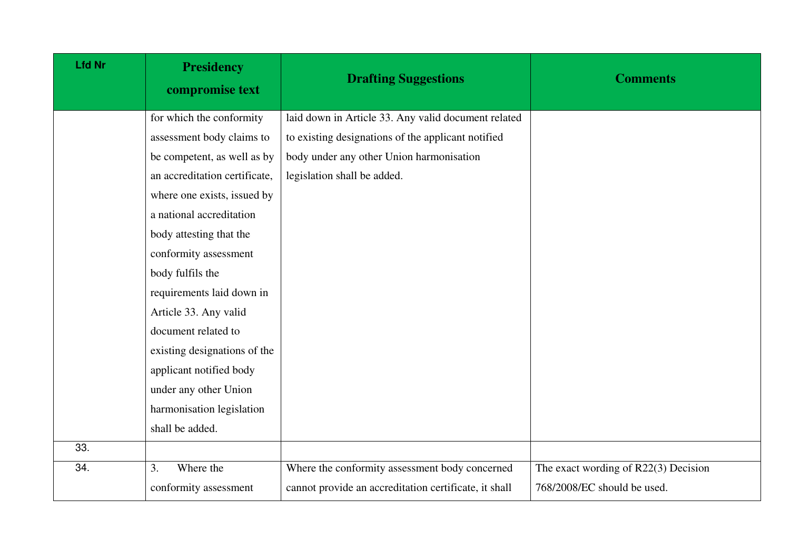| <b>Lfd Nr</b> | <b>Presidency</b><br>compromise text | <b>Drafting Suggestions</b>                           | <b>Comments</b>                      |
|---------------|--------------------------------------|-------------------------------------------------------|--------------------------------------|
|               | for which the conformity             | laid down in Article 33. Any valid document related   |                                      |
|               | assessment body claims to            | to existing designations of the applicant notified    |                                      |
|               | be competent, as well as by          | body under any other Union harmonisation              |                                      |
|               | an accreditation certificate,        | legislation shall be added.                           |                                      |
|               | where one exists, issued by          |                                                       |                                      |
|               | a national accreditation             |                                                       |                                      |
|               | body attesting that the              |                                                       |                                      |
|               | conformity assessment                |                                                       |                                      |
|               | body fulfils the                     |                                                       |                                      |
|               | requirements laid down in            |                                                       |                                      |
|               | Article 33. Any valid                |                                                       |                                      |
|               | document related to                  |                                                       |                                      |
|               | existing designations of the         |                                                       |                                      |
|               | applicant notified body              |                                                       |                                      |
|               | under any other Union                |                                                       |                                      |
|               | harmonisation legislation            |                                                       |                                      |
|               | shall be added.                      |                                                       |                                      |
| 33.           |                                      |                                                       |                                      |
| 34.           | Where the<br>3.                      | Where the conformity assessment body concerned        | The exact wording of R22(3) Decision |
|               | conformity assessment                | cannot provide an accreditation certificate, it shall | 768/2008/EC should be used.          |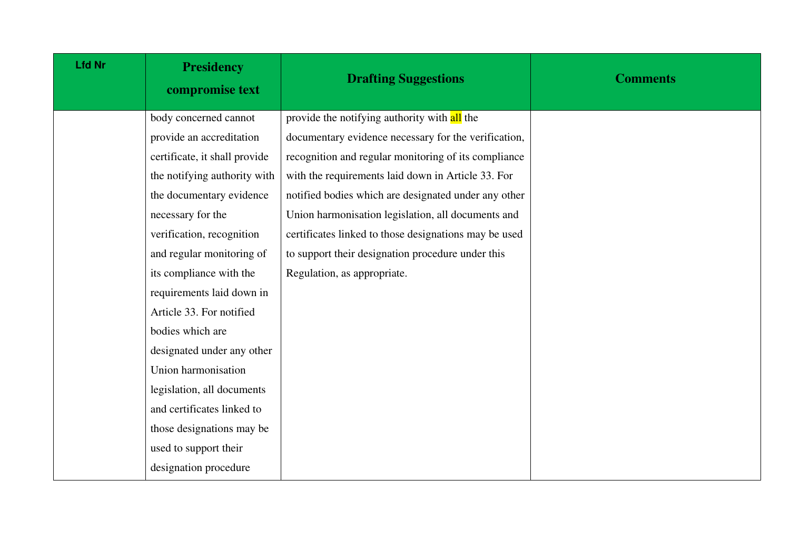| <b>Lfd Nr</b> | <b>Presidency</b><br>compromise text | <b>Drafting Suggestions</b>                           | <b>Comments</b> |
|---------------|--------------------------------------|-------------------------------------------------------|-----------------|
|               | body concerned cannot                | provide the notifying authority with all the          |                 |
|               | provide an accreditation             | documentary evidence necessary for the verification,  |                 |
|               | certificate, it shall provide        | recognition and regular monitoring of its compliance  |                 |
|               | the notifying authority with         | with the requirements laid down in Article 33. For    |                 |
|               | the documentary evidence             | notified bodies which are designated under any other  |                 |
|               | necessary for the                    | Union harmonisation legislation, all documents and    |                 |
|               | verification, recognition            | certificates linked to those designations may be used |                 |
|               | and regular monitoring of            | to support their designation procedure under this     |                 |
|               | its compliance with the              | Regulation, as appropriate.                           |                 |
|               | requirements laid down in            |                                                       |                 |
|               | Article 33. For notified             |                                                       |                 |
|               | bodies which are                     |                                                       |                 |
|               | designated under any other           |                                                       |                 |
|               | Union harmonisation                  |                                                       |                 |
|               | legislation, all documents           |                                                       |                 |
|               | and certificates linked to           |                                                       |                 |
|               | those designations may be            |                                                       |                 |
|               | used to support their                |                                                       |                 |
|               | designation procedure                |                                                       |                 |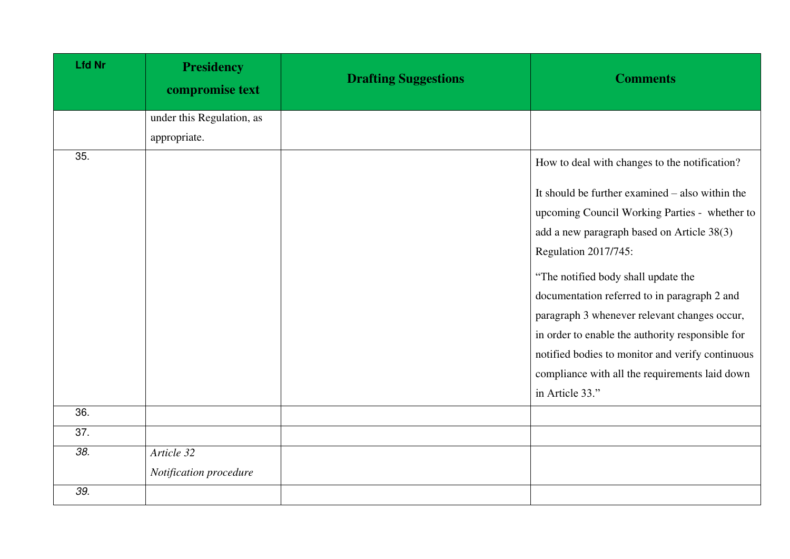| <b>Lfd Nr</b>     | <b>Presidency</b><br>compromise text | <b>Drafting Suggestions</b> | <b>Comments</b>                                   |
|-------------------|--------------------------------------|-----------------------------|---------------------------------------------------|
|                   | under this Regulation, as            |                             |                                                   |
|                   | appropriate.                         |                             |                                                   |
| 35.               |                                      |                             | How to deal with changes to the notification?     |
|                   |                                      |                             | It should be further examined $-$ also within the |
|                   |                                      |                             | upcoming Council Working Parties - whether to     |
|                   |                                      |                             | add a new paragraph based on Article 38(3)        |
|                   |                                      |                             | Regulation 2017/745:                              |
|                   |                                      |                             | "The notified body shall update the               |
|                   |                                      |                             | documentation referred to in paragraph 2 and      |
|                   |                                      |                             | paragraph 3 whenever relevant changes occur,      |
|                   |                                      |                             | in order to enable the authority responsible for  |
|                   |                                      |                             | notified bodies to monitor and verify continuous  |
|                   |                                      |                             | compliance with all the requirements laid down    |
|                   |                                      |                             | in Article 33."                                   |
| 36.               |                                      |                             |                                                   |
| $\overline{37}$ . |                                      |                             |                                                   |
| 38.               | Article 32                           |                             |                                                   |
|                   | Notification procedure               |                             |                                                   |
| 39.               |                                      |                             |                                                   |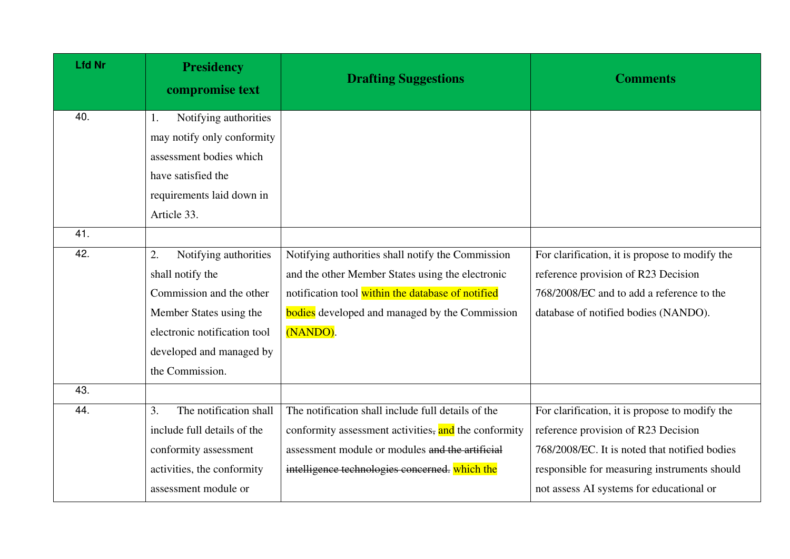| <b>Lfd Nr</b> | <b>Presidency</b><br>compromise text | <b>Drafting Suggestions</b>                           | <b>Comments</b>                                |
|---------------|--------------------------------------|-------------------------------------------------------|------------------------------------------------|
| 40.           | Notifying authorities<br>1.          |                                                       |                                                |
|               | may notify only conformity           |                                                       |                                                |
|               | assessment bodies which              |                                                       |                                                |
|               | have satisfied the                   |                                                       |                                                |
|               | requirements laid down in            |                                                       |                                                |
|               | Article 33.                          |                                                       |                                                |
| 41.           |                                      |                                                       |                                                |
| 42.           | Notifying authorities<br>2.          | Notifying authorities shall notify the Commission     | For clarification, it is propose to modify the |
|               | shall notify the                     | and the other Member States using the electronic      | reference provision of R23 Decision            |
|               | Commission and the other             | notification tool within the database of notified     | 768/2008/EC and to add a reference to the      |
|               | Member States using the              | <b>bodies</b> developed and managed by the Commission | database of notified bodies (NANDO).           |
|               | electronic notification tool         | (NANDO).                                              |                                                |
|               | developed and managed by             |                                                       |                                                |
|               | the Commission.                      |                                                       |                                                |
| 43.           |                                      |                                                       |                                                |
| 44.           | The notification shall<br>3.         | The notification shall include full details of the    | For clarification, it is propose to modify the |
|               | include full details of the          | conformity assessment activities, and the conformity  | reference provision of R23 Decision            |
|               | conformity assessment                | assessment module or modules and the artificial       | 768/2008/EC. It is noted that notified bodies  |
|               | activities, the conformity           | intelligence technologies concerned. which the        | responsible for measuring instruments should   |
|               | assessment module or                 |                                                       | not assess AI systems for educational or       |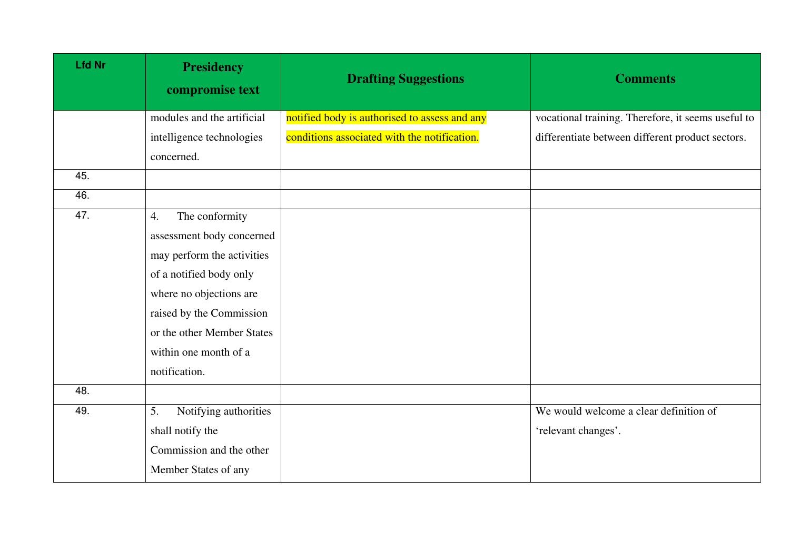| <b>Lfd Nr</b> | <b>Presidency</b><br>compromise text | <b>Drafting Suggestions</b>                   | <b>Comments</b>                                    |
|---------------|--------------------------------------|-----------------------------------------------|----------------------------------------------------|
|               | modules and the artificial           | notified body is authorised to assess and any | vocational training. Therefore, it seems useful to |
|               | intelligence technologies            | conditions associated with the notification.  | differentiate between different product sectors.   |
|               | concerned.                           |                                               |                                                    |
| 45.           |                                      |                                               |                                                    |
| 46.           |                                      |                                               |                                                    |
| 47.           | 4.<br>The conformity                 |                                               |                                                    |
|               | assessment body concerned            |                                               |                                                    |
|               | may perform the activities           |                                               |                                                    |
|               | of a notified body only              |                                               |                                                    |
|               | where no objections are              |                                               |                                                    |
|               | raised by the Commission             |                                               |                                                    |
|               | or the other Member States           |                                               |                                                    |
|               | within one month of a                |                                               |                                                    |
|               | notification.                        |                                               |                                                    |
| 48.           |                                      |                                               |                                                    |
| 49.           | 5.<br>Notifying authorities          |                                               | We would welcome a clear definition of             |
|               | shall notify the                     |                                               | 'relevant changes'.                                |
|               | Commission and the other             |                                               |                                                    |
|               | Member States of any                 |                                               |                                                    |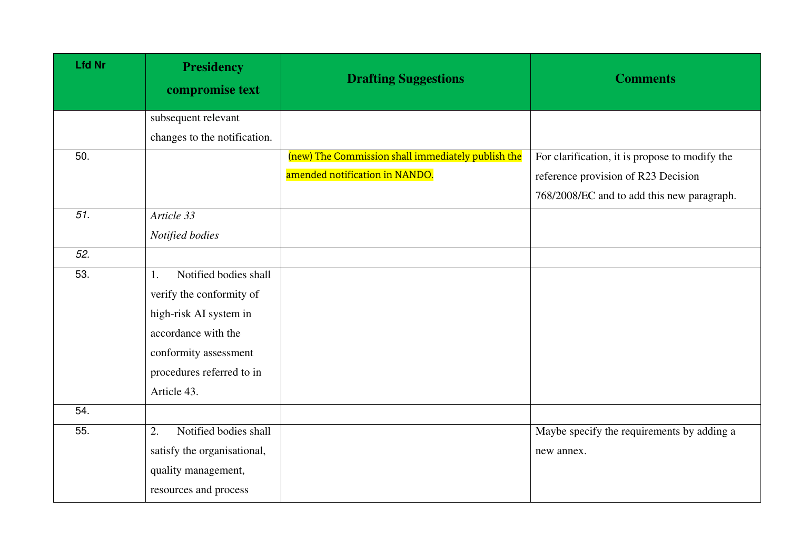| <b>Lfd Nr</b>   | <b>Presidency</b><br>compromise text | <b>Drafting Suggestions</b>                        | <b>Comments</b>                                |
|-----------------|--------------------------------------|----------------------------------------------------|------------------------------------------------|
|                 | subsequent relevant                  |                                                    |                                                |
|                 | changes to the notification.         |                                                    |                                                |
| 50.             |                                      | (new) The Commission shall immediately publish the | For clarification, it is propose to modify the |
|                 |                                      | amended notification in NANDO.                     | reference provision of R23 Decision            |
|                 |                                      |                                                    | 768/2008/EC and to add this new paragraph.     |
| $\overline{51}$ | Article 33                           |                                                    |                                                |
|                 | Notified bodies                      |                                                    |                                                |
| 52.             |                                      |                                                    |                                                |
| 53.             | Notified bodies shall<br>1.          |                                                    |                                                |
|                 | verify the conformity of             |                                                    |                                                |
|                 | high-risk AI system in               |                                                    |                                                |
|                 | accordance with the                  |                                                    |                                                |
|                 | conformity assessment                |                                                    |                                                |
|                 | procedures referred to in            |                                                    |                                                |
|                 | Article 43.                          |                                                    |                                                |
| 54.             |                                      |                                                    |                                                |
| 55.             | Notified bodies shall<br>2.          |                                                    | Maybe specify the requirements by adding a     |
|                 | satisfy the organisational,          |                                                    | new annex.                                     |
|                 | quality management,                  |                                                    |                                                |
|                 | resources and process                |                                                    |                                                |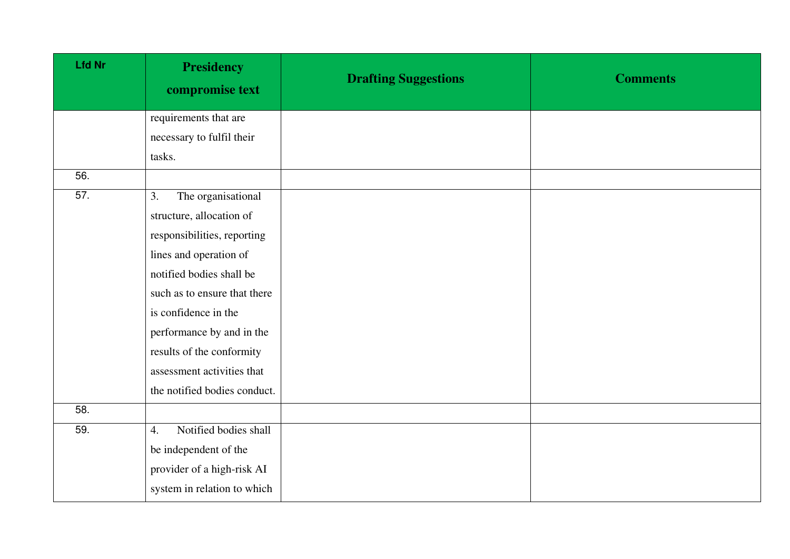| <b>Lfd Nr</b>     | <b>Presidency</b><br>compromise text | <b>Drafting Suggestions</b> | <b>Comments</b> |
|-------------------|--------------------------------------|-----------------------------|-----------------|
|                   | requirements that are                |                             |                 |
|                   | necessary to fulfil their            |                             |                 |
|                   | tasks.                               |                             |                 |
| 56.               |                                      |                             |                 |
| $\overline{57}$ . | The organisational<br>3.             |                             |                 |
|                   | structure, allocation of             |                             |                 |
|                   | responsibilities, reporting          |                             |                 |
|                   | lines and operation of               |                             |                 |
|                   | notified bodies shall be             |                             |                 |
|                   | such as to ensure that there         |                             |                 |
|                   | is confidence in the                 |                             |                 |
|                   | performance by and in the            |                             |                 |
|                   | results of the conformity            |                             |                 |
|                   | assessment activities that           |                             |                 |
|                   | the notified bodies conduct.         |                             |                 |
| 58.               |                                      |                             |                 |
| 59.               | Notified bodies shall<br>4.          |                             |                 |
|                   | be independent of the                |                             |                 |
|                   | provider of a high-risk AI           |                             |                 |
|                   | system in relation to which          |                             |                 |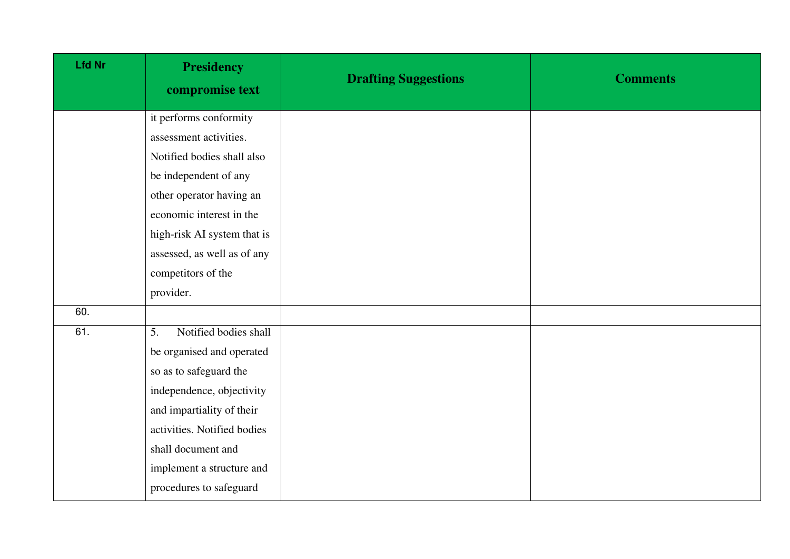| <b>Lfd Nr</b> | <b>Presidency</b><br>compromise text | <b>Drafting Suggestions</b> | <b>Comments</b> |
|---------------|--------------------------------------|-----------------------------|-----------------|
|               | it performs conformity               |                             |                 |
|               | assessment activities.               |                             |                 |
|               | Notified bodies shall also           |                             |                 |
|               | be independent of any                |                             |                 |
|               | other operator having an             |                             |                 |
|               | economic interest in the             |                             |                 |
|               | high-risk AI system that is          |                             |                 |
|               | assessed, as well as of any          |                             |                 |
|               | competitors of the                   |                             |                 |
|               | provider.                            |                             |                 |
| 60.           |                                      |                             |                 |
| 61.           | Notified bodies shall<br>5.          |                             |                 |
|               | be organised and operated            |                             |                 |
|               | so as to safeguard the               |                             |                 |
|               | independence, objectivity            |                             |                 |
|               | and impartiality of their            |                             |                 |
|               | activities. Notified bodies          |                             |                 |
|               | shall document and                   |                             |                 |
|               | implement a structure and            |                             |                 |
|               | procedures to safeguard              |                             |                 |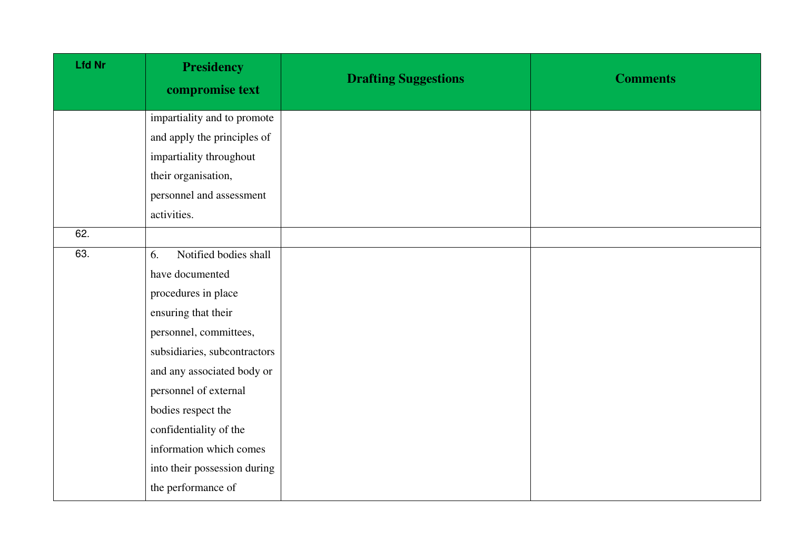| <b>Lfd Nr</b> | <b>Presidency</b><br>compromise text | <b>Drafting Suggestions</b> | <b>Comments</b> |
|---------------|--------------------------------------|-----------------------------|-----------------|
|               | impartiality and to promote          |                             |                 |
|               | and apply the principles of          |                             |                 |
|               | impartiality throughout              |                             |                 |
|               | their organisation,                  |                             |                 |
|               | personnel and assessment             |                             |                 |
|               | activities.                          |                             |                 |
| 62.           |                                      |                             |                 |
| 63.           | Notified bodies shall<br>6.          |                             |                 |
|               | have documented                      |                             |                 |
|               | procedures in place                  |                             |                 |
|               | ensuring that their                  |                             |                 |
|               | personnel, committees,               |                             |                 |
|               | subsidiaries, subcontractors         |                             |                 |
|               | and any associated body or           |                             |                 |
|               | personnel of external                |                             |                 |
|               | bodies respect the                   |                             |                 |
|               | confidentiality of the               |                             |                 |
|               | information which comes              |                             |                 |
|               | into their possession during         |                             |                 |
|               | the performance of                   |                             |                 |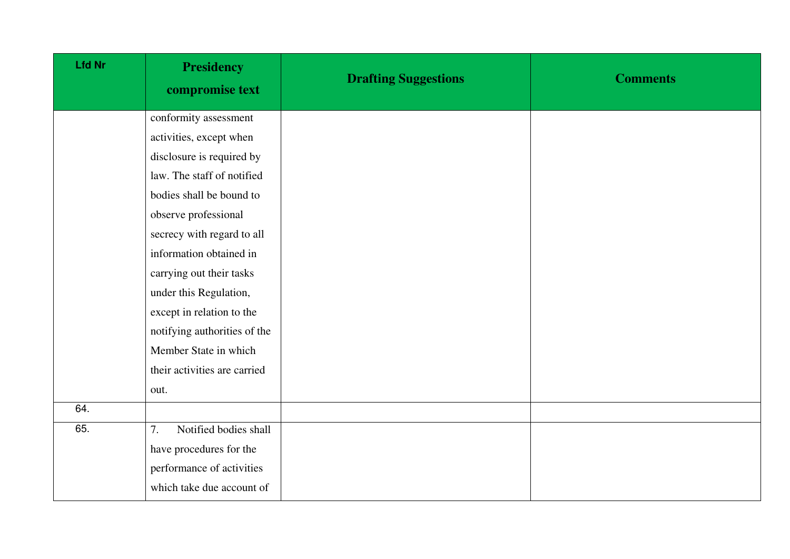| Lfd Nr | <b>Presidency</b><br>compromise text | <b>Drafting Suggestions</b> | <b>Comments</b> |
|--------|--------------------------------------|-----------------------------|-----------------|
|        | conformity assessment                |                             |                 |
|        | activities, except when              |                             |                 |
|        | disclosure is required by            |                             |                 |
|        | law. The staff of notified           |                             |                 |
|        | bodies shall be bound to             |                             |                 |
|        | observe professional                 |                             |                 |
|        | secrecy with regard to all           |                             |                 |
|        | information obtained in              |                             |                 |
|        | carrying out their tasks             |                             |                 |
|        | under this Regulation,               |                             |                 |
|        | except in relation to the            |                             |                 |
|        | notifying authorities of the         |                             |                 |
|        | Member State in which                |                             |                 |
|        | their activities are carried         |                             |                 |
|        | out.                                 |                             |                 |
| 64.    |                                      |                             |                 |
| 65.    | Notified bodies shall<br>7.          |                             |                 |
|        | have procedures for the              |                             |                 |
|        | performance of activities            |                             |                 |
|        | which take due account of            |                             |                 |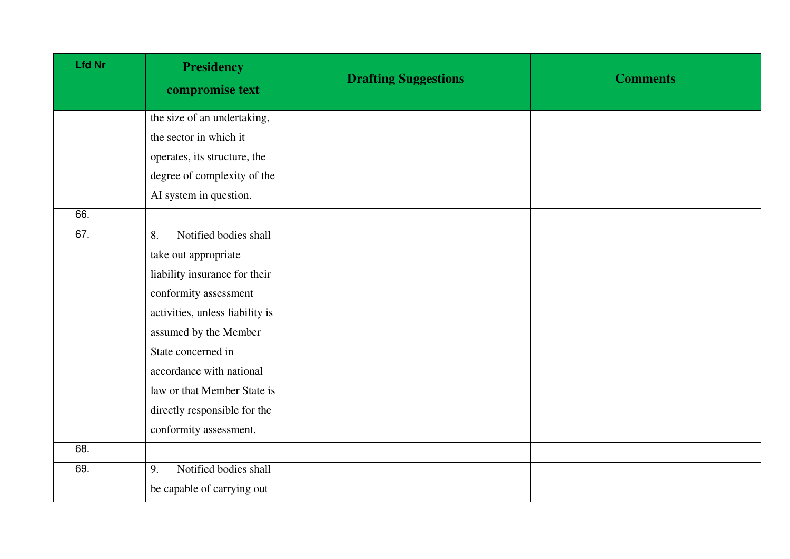| <b>Lfd Nr</b> | <b>Presidency</b><br>compromise text | <b>Drafting Suggestions</b> | <b>Comments</b> |
|---------------|--------------------------------------|-----------------------------|-----------------|
|               | the size of an undertaking,          |                             |                 |
|               | the sector in which it               |                             |                 |
|               | operates, its structure, the         |                             |                 |
|               | degree of complexity of the          |                             |                 |
|               | AI system in question.               |                             |                 |
| 66.           |                                      |                             |                 |
| 67.           | Notified bodies shall<br>8.          |                             |                 |
|               | take out appropriate                 |                             |                 |
|               | liability insurance for their        |                             |                 |
|               | conformity assessment                |                             |                 |
|               | activities, unless liability is      |                             |                 |
|               | assumed by the Member                |                             |                 |
|               | State concerned in                   |                             |                 |
|               | accordance with national             |                             |                 |
|               | law or that Member State is          |                             |                 |
|               | directly responsible for the         |                             |                 |
|               | conformity assessment.               |                             |                 |
| 68.           |                                      |                             |                 |
| 69.           | Notified bodies shall<br>9.          |                             |                 |
|               | be capable of carrying out           |                             |                 |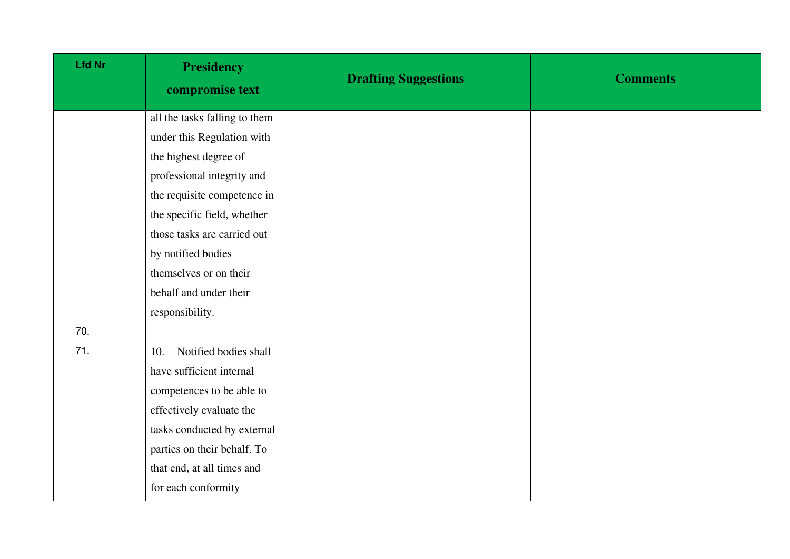| <b>Lfd Nr</b>     | <b>Presidency</b><br>compromise text | <b>Drafting Suggestions</b> | <b>Comments</b> |
|-------------------|--------------------------------------|-----------------------------|-----------------|
|                   | all the tasks falling to them        |                             |                 |
|                   | under this Regulation with           |                             |                 |
|                   | the highest degree of                |                             |                 |
|                   | professional integrity and           |                             |                 |
|                   | the requisite competence in          |                             |                 |
|                   | the specific field, whether          |                             |                 |
|                   | those tasks are carried out          |                             |                 |
|                   | by notified bodies                   |                             |                 |
|                   | themselves or on their               |                             |                 |
|                   | behalf and under their               |                             |                 |
|                   | responsibility.                      |                             |                 |
| $\overline{70}$ . |                                      |                             |                 |
| 71.               | Notified bodies shall<br>10.         |                             |                 |
|                   | have sufficient internal             |                             |                 |
|                   | competences to be able to            |                             |                 |
|                   | effectively evaluate the             |                             |                 |
|                   | tasks conducted by external          |                             |                 |
|                   | parties on their behalf. To          |                             |                 |
|                   | that end, at all times and           |                             |                 |
|                   | for each conformity                  |                             |                 |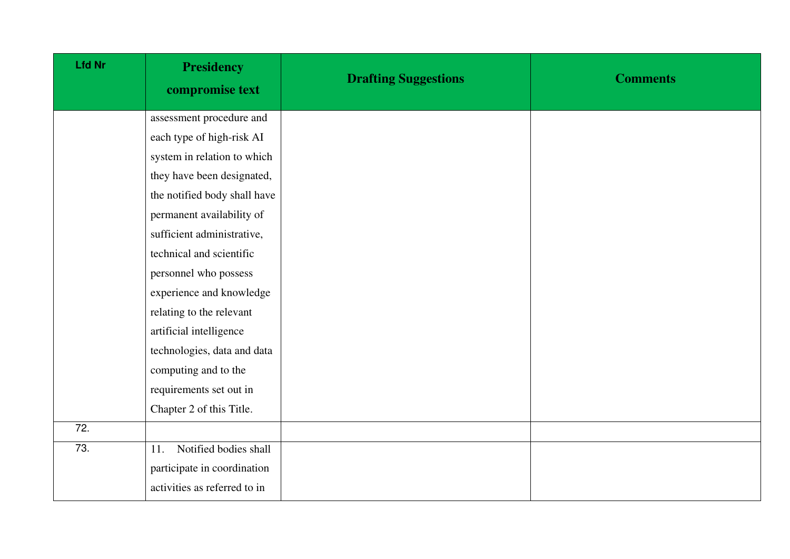| <b>Lfd Nr</b> | <b>Presidency</b><br>compromise text | <b>Drafting Suggestions</b> | <b>Comments</b> |
|---------------|--------------------------------------|-----------------------------|-----------------|
|               | assessment procedure and             |                             |                 |
|               | each type of high-risk AI            |                             |                 |
|               | system in relation to which          |                             |                 |
|               | they have been designated,           |                             |                 |
|               | the notified body shall have         |                             |                 |
|               | permanent availability of            |                             |                 |
|               | sufficient administrative,           |                             |                 |
|               | technical and scientific             |                             |                 |
|               | personnel who possess                |                             |                 |
|               | experience and knowledge             |                             |                 |
|               | relating to the relevant             |                             |                 |
|               | artificial intelligence              |                             |                 |
|               | technologies, data and data          |                             |                 |
|               | computing and to the                 |                             |                 |
|               | requirements set out in              |                             |                 |
|               | Chapter 2 of this Title.             |                             |                 |
| 72.           |                                      |                             |                 |
| 73.           | Notified bodies shall<br>11.         |                             |                 |
|               | participate in coordination          |                             |                 |
|               | activities as referred to in         |                             |                 |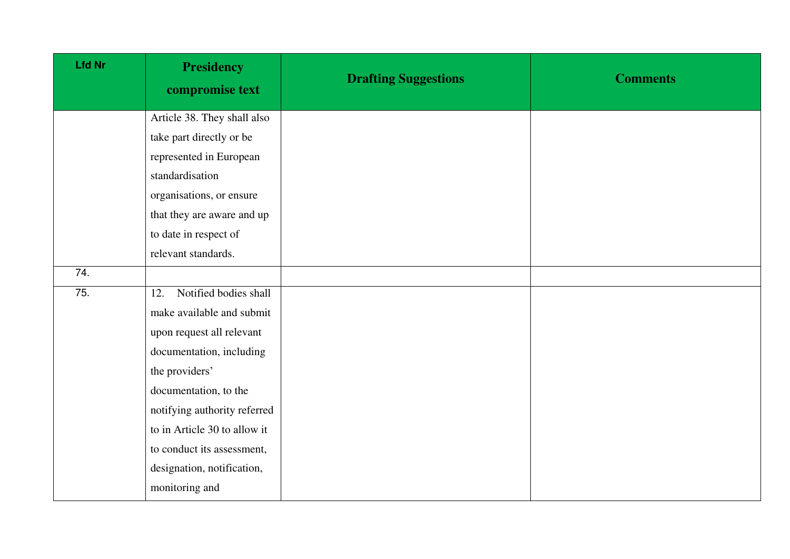| <b>Lfd Nr</b> | <b>Presidency</b><br>compromise text | <b>Drafting Suggestions</b> | <b>Comments</b> |
|---------------|--------------------------------------|-----------------------------|-----------------|
|               | Article 38. They shall also          |                             |                 |
|               | take part directly or be             |                             |                 |
|               | represented in European              |                             |                 |
|               | standardisation                      |                             |                 |
|               | organisations, or ensure             |                             |                 |
|               | that they are aware and up           |                             |                 |
|               | to date in respect of                |                             |                 |
|               | relevant standards.                  |                             |                 |
| 74.           |                                      |                             |                 |
| 75.           | Notified bodies shall<br>12.         |                             |                 |
|               | make available and submit            |                             |                 |
|               | upon request all relevant            |                             |                 |
|               | documentation, including             |                             |                 |
|               | the providers'                       |                             |                 |
|               | documentation, to the                |                             |                 |
|               | notifying authority referred         |                             |                 |
|               | to in Article 30 to allow it         |                             |                 |
|               | to conduct its assessment,           |                             |                 |
|               | designation, notification,           |                             |                 |
|               | monitoring and                       |                             |                 |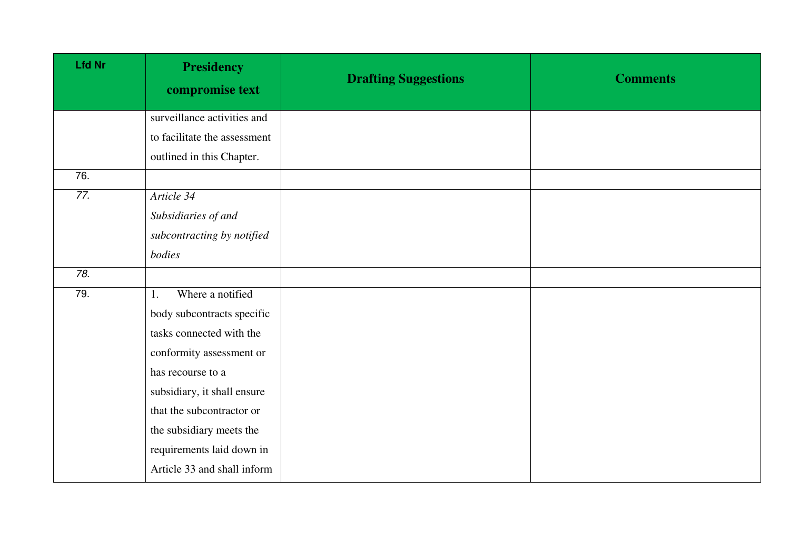| <b>Lfd Nr</b> | <b>Presidency</b><br>compromise text | <b>Drafting Suggestions</b> | <b>Comments</b> |
|---------------|--------------------------------------|-----------------------------|-----------------|
|               | surveillance activities and          |                             |                 |
|               | to facilitate the assessment         |                             |                 |
|               | outlined in this Chapter.            |                             |                 |
| 76.           |                                      |                             |                 |
| 77.           | Article 34                           |                             |                 |
|               | Subsidiaries of and                  |                             |                 |
|               | subcontracting by notified           |                             |                 |
|               | bodies                               |                             |                 |
| 78.           |                                      |                             |                 |
| 79.           | Where a notified<br>1.               |                             |                 |
|               | body subcontracts specific           |                             |                 |
|               | tasks connected with the             |                             |                 |
|               | conformity assessment or             |                             |                 |
|               | has recourse to a                    |                             |                 |
|               | subsidiary, it shall ensure          |                             |                 |
|               | that the subcontractor or            |                             |                 |
|               | the subsidiary meets the             |                             |                 |
|               | requirements laid down in            |                             |                 |
|               | Article 33 and shall inform          |                             |                 |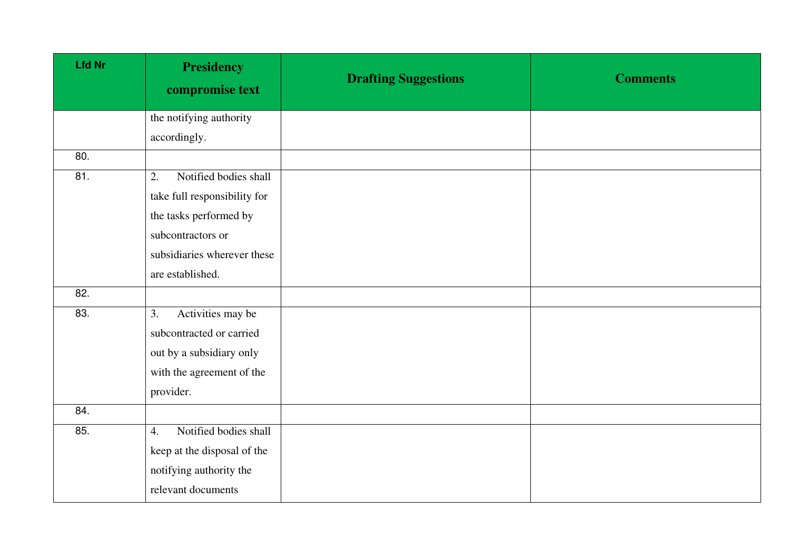| <b>Lfd Nr</b> | <b>Presidency</b><br>compromise text | <b>Drafting Suggestions</b> | <b>Comments</b> |
|---------------|--------------------------------------|-----------------------------|-----------------|
|               | the notifying authority              |                             |                 |
|               | accordingly.                         |                             |                 |
| 80.           |                                      |                             |                 |
| 81.           | Notified bodies shall<br>2.          |                             |                 |
|               | take full responsibility for         |                             |                 |
|               | the tasks performed by               |                             |                 |
|               | subcontractors or                    |                             |                 |
|               | subsidiaries wherever these          |                             |                 |
|               | are established.                     |                             |                 |
| 82.           |                                      |                             |                 |
| 83.           | Activities may be<br>3.              |                             |                 |
|               | subcontracted or carried             |                             |                 |
|               | out by a subsidiary only             |                             |                 |
|               | with the agreement of the            |                             |                 |
|               | provider.                            |                             |                 |
| 84.           |                                      |                             |                 |
| 85.           | Notified bodies shall<br>4.          |                             |                 |
|               | keep at the disposal of the          |                             |                 |
|               | notifying authority the              |                             |                 |
|               | relevant documents                   |                             |                 |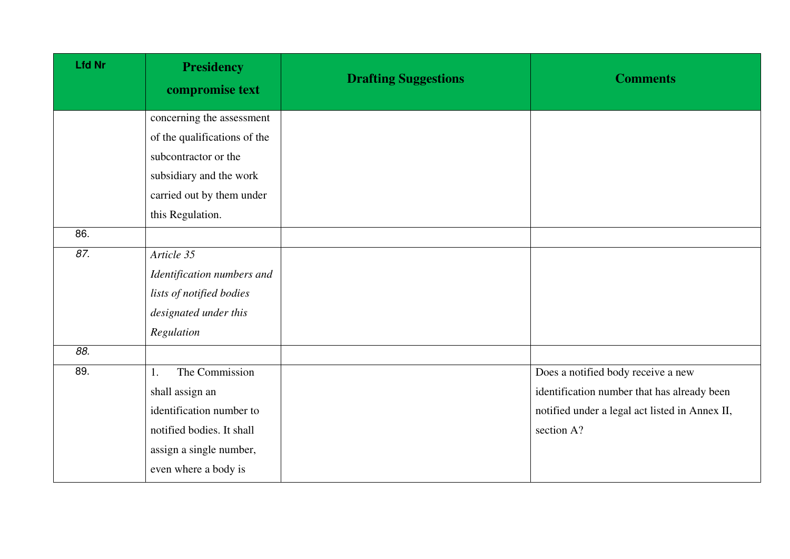| <b>Presidency</b><br>compromise text | <b>Drafting Suggestions</b> | <b>Comments</b>                                |
|--------------------------------------|-----------------------------|------------------------------------------------|
| concerning the assessment            |                             |                                                |
| of the qualifications of the         |                             |                                                |
| subcontractor or the                 |                             |                                                |
| subsidiary and the work              |                             |                                                |
| carried out by them under            |                             |                                                |
| this Regulation.                     |                             |                                                |
|                                      |                             |                                                |
| Article 35                           |                             |                                                |
| Identification numbers and           |                             |                                                |
| lists of notified bodies             |                             |                                                |
| designated under this                |                             |                                                |
| Regulation                           |                             |                                                |
|                                      |                             |                                                |
| The Commission<br>1.                 |                             | Does a notified body receive a new             |
| shall assign an                      |                             | identification number that has already been    |
| identification number to             |                             | notified under a legal act listed in Annex II, |
| notified bodies. It shall            |                             | section A?                                     |
| assign a single number,              |                             |                                                |
| even where a body is                 |                             |                                                |
|                                      |                             |                                                |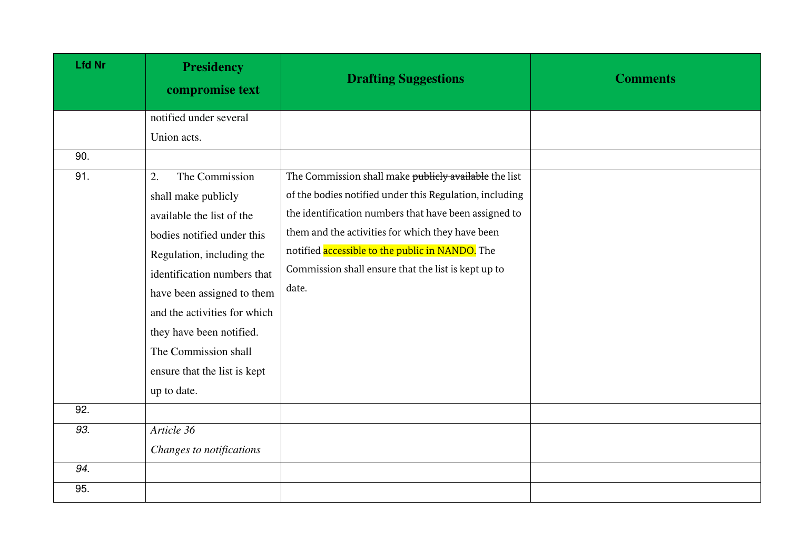| <b>Lfd Nr</b> | <b>Presidency</b><br>compromise text | <b>Drafting Suggestions</b>                             | <b>Comments</b> |
|---------------|--------------------------------------|---------------------------------------------------------|-----------------|
|               | notified under several               |                                                         |                 |
|               | Union acts.                          |                                                         |                 |
| 90.           |                                      |                                                         |                 |
| 91.           | The Commission<br>2.                 | The Commission shall make publicly available the list   |                 |
|               | shall make publicly                  | of the bodies notified under this Regulation, including |                 |
|               | available the list of the            | the identification numbers that have been assigned to   |                 |
|               | bodies notified under this           | them and the activities for which they have been        |                 |
|               | Regulation, including the            | notified accessible to the public in NANDO. The         |                 |
|               | identification numbers that          | Commission shall ensure that the list is kept up to     |                 |
|               | have been assigned to them           | date.                                                   |                 |
|               | and the activities for which         |                                                         |                 |
|               | they have been notified.             |                                                         |                 |
|               | The Commission shall                 |                                                         |                 |
|               | ensure that the list is kept         |                                                         |                 |
|               | up to date.                          |                                                         |                 |
| 92.           |                                      |                                                         |                 |
| 93.           | Article 36                           |                                                         |                 |
|               | Changes to notifications             |                                                         |                 |
| 94.           |                                      |                                                         |                 |
| 95.           |                                      |                                                         |                 |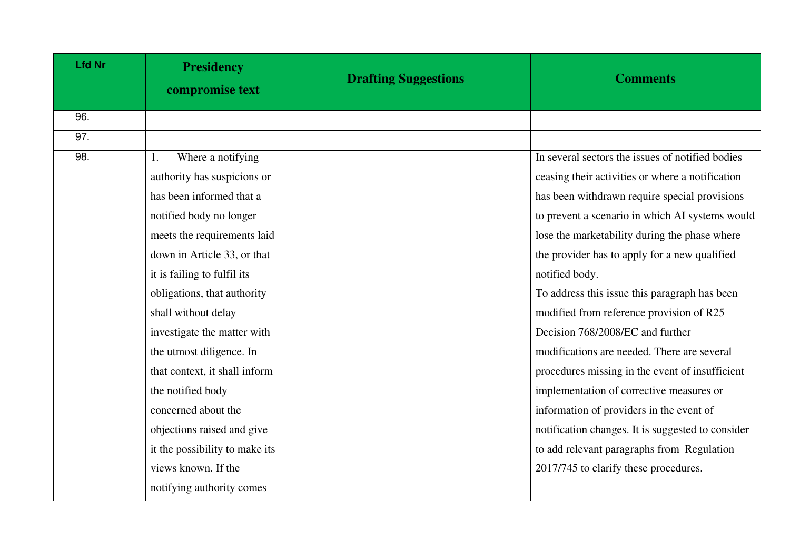| <b>Lfd Nr</b> | <b>Presidency</b><br>compromise text | <b>Drafting Suggestions</b> | <b>Comments</b>                                   |
|---------------|--------------------------------------|-----------------------------|---------------------------------------------------|
| 96.           |                                      |                             |                                                   |
| 97.           |                                      |                             |                                                   |
| 98.           | Where a notifying<br>1.              |                             | In several sectors the issues of notified bodies  |
|               | authority has suspicions or          |                             | ceasing their activities or where a notification  |
|               | has been informed that a             |                             | has been withdrawn require special provisions     |
|               | notified body no longer              |                             | to prevent a scenario in which AI systems would   |
|               | meets the requirements laid          |                             | lose the marketability during the phase where     |
|               | down in Article 33, or that          |                             | the provider has to apply for a new qualified     |
|               | it is failing to fulfil its          |                             | notified body.                                    |
|               | obligations, that authority          |                             | To address this issue this paragraph has been     |
|               | shall without delay                  |                             | modified from reference provision of R25          |
|               | investigate the matter with          |                             | Decision 768/2008/EC and further                  |
|               | the utmost diligence. In             |                             | modifications are needed. There are several       |
|               | that context, it shall inform        |                             | procedures missing in the event of insufficient   |
|               | the notified body                    |                             | implementation of corrective measures or          |
|               | concerned about the                  |                             | information of providers in the event of          |
|               | objections raised and give           |                             | notification changes. It is suggested to consider |
|               | it the possibility to make its       |                             | to add relevant paragraphs from Regulation        |
|               | views known. If the                  |                             | 2017/745 to clarify these procedures.             |
|               | notifying authority comes            |                             |                                                   |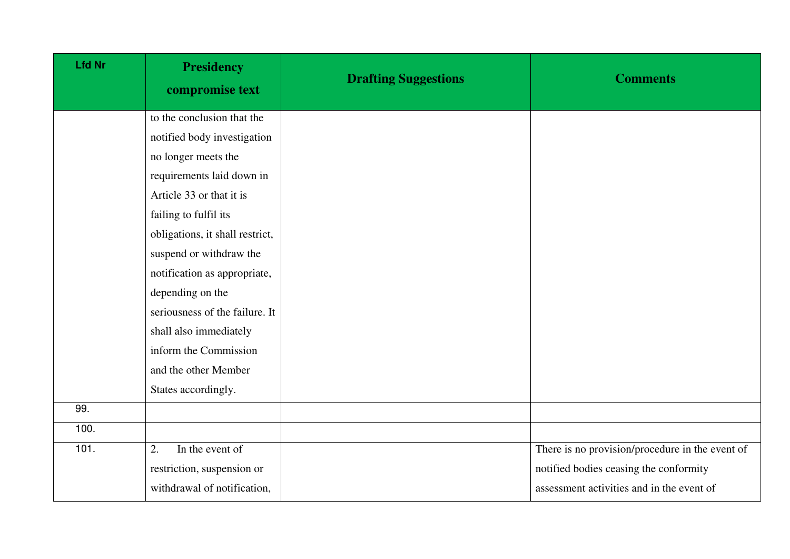| <b>Lfd Nr</b> | <b>Presidency</b><br>compromise text | <b>Drafting Suggestions</b> | <b>Comments</b>                                 |
|---------------|--------------------------------------|-----------------------------|-------------------------------------------------|
|               | to the conclusion that the           |                             |                                                 |
|               | notified body investigation          |                             |                                                 |
|               | no longer meets the                  |                             |                                                 |
|               | requirements laid down in            |                             |                                                 |
|               | Article 33 or that it is             |                             |                                                 |
|               | failing to fulfil its                |                             |                                                 |
|               | obligations, it shall restrict,      |                             |                                                 |
|               | suspend or withdraw the              |                             |                                                 |
|               | notification as appropriate,         |                             |                                                 |
|               | depending on the                     |                             |                                                 |
|               | seriousness of the failure. It       |                             |                                                 |
|               | shall also immediately               |                             |                                                 |
|               | inform the Commission                |                             |                                                 |
|               | and the other Member                 |                             |                                                 |
|               | States accordingly.                  |                             |                                                 |
| 99.           |                                      |                             |                                                 |
| 100.          |                                      |                             |                                                 |
| 101.          | In the event of<br>2.                |                             | There is no provision/procedure in the event of |
|               | restriction, suspension or           |                             | notified bodies ceasing the conformity          |
|               | withdrawal of notification,          |                             | assessment activities and in the event of       |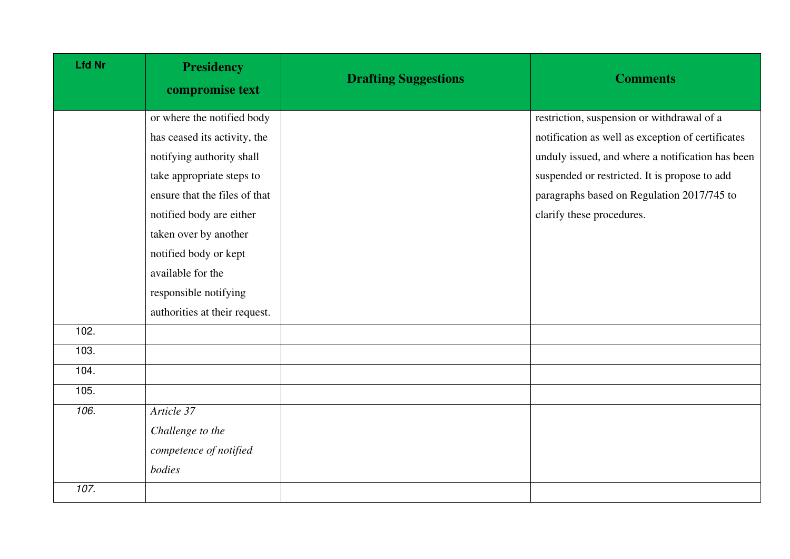| <b>Lfd Nr</b> | <b>Presidency</b><br>compromise text | <b>Drafting Suggestions</b> | <b>Comments</b>                                   |
|---------------|--------------------------------------|-----------------------------|---------------------------------------------------|
|               | or where the notified body           |                             | restriction, suspension or withdrawal of a        |
|               | has ceased its activity, the         |                             | notification as well as exception of certificates |
|               | notifying authority shall            |                             | unduly issued, and where a notification has been  |
|               | take appropriate steps to            |                             | suspended or restricted. It is propose to add     |
|               | ensure that the files of that        |                             | paragraphs based on Regulation 2017/745 to        |
|               | notified body are either             |                             | clarify these procedures.                         |
|               | taken over by another                |                             |                                                   |
|               | notified body or kept                |                             |                                                   |
|               | available for the                    |                             |                                                   |
|               | responsible notifying                |                             |                                                   |
|               | authorities at their request.        |                             |                                                   |
| 102.          |                                      |                             |                                                   |
| 103.          |                                      |                             |                                                   |
| 104.          |                                      |                             |                                                   |
| 105.          |                                      |                             |                                                   |
| 106.          | Article 37                           |                             |                                                   |
|               | Challenge to the                     |                             |                                                   |
|               | competence of notified               |                             |                                                   |
|               | bodies                               |                             |                                                   |
| 107.          |                                      |                             |                                                   |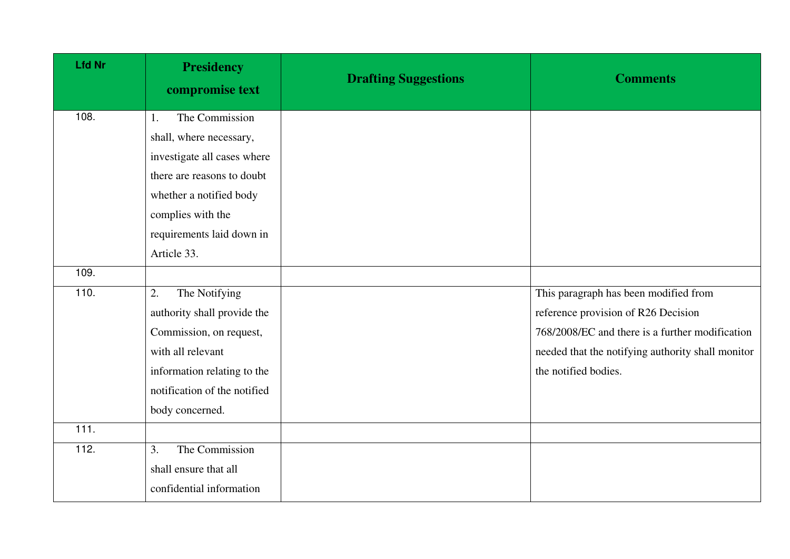| <b>Lfd Nr</b> | <b>Presidency</b><br>compromise text | <b>Drafting Suggestions</b> | <b>Comments</b>                                   |
|---------------|--------------------------------------|-----------------------------|---------------------------------------------------|
| 108.          | The Commission<br>1.                 |                             |                                                   |
|               | shall, where necessary,              |                             |                                                   |
|               | investigate all cases where          |                             |                                                   |
|               | there are reasons to doubt           |                             |                                                   |
|               | whether a notified body              |                             |                                                   |
|               | complies with the                    |                             |                                                   |
|               | requirements laid down in            |                             |                                                   |
|               | Article 33.                          |                             |                                                   |
| 109.          |                                      |                             |                                                   |
| 110.          | 2.<br>The Notifying                  |                             | This paragraph has been modified from             |
|               | authority shall provide the          |                             | reference provision of R26 Decision               |
|               | Commission, on request,              |                             | 768/2008/EC and there is a further modification   |
|               | with all relevant                    |                             | needed that the notifying authority shall monitor |
|               | information relating to the          |                             | the notified bodies.                              |
|               | notification of the notified         |                             |                                                   |
|               | body concerned.                      |                             |                                                   |
| 111.          |                                      |                             |                                                   |
| 112.          | The Commission<br>3.                 |                             |                                                   |
|               | shall ensure that all                |                             |                                                   |
|               | confidential information             |                             |                                                   |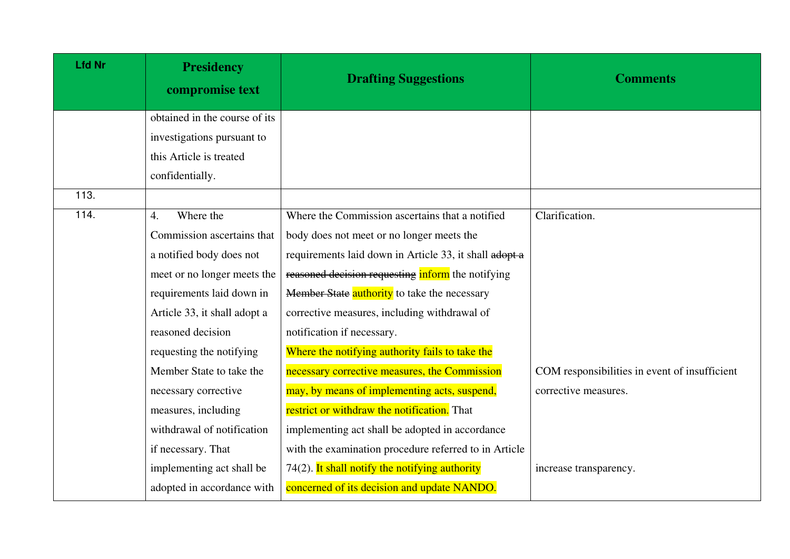| <b>Lfd Nr</b> | <b>Presidency</b><br>compromise text | <b>Drafting Suggestions</b>                            | <b>Comments</b>                               |
|---------------|--------------------------------------|--------------------------------------------------------|-----------------------------------------------|
|               | obtained in the course of its        |                                                        |                                               |
|               | investigations pursuant to           |                                                        |                                               |
|               | this Article is treated              |                                                        |                                               |
|               | confidentially.                      |                                                        |                                               |
| 113.          |                                      |                                                        |                                               |
| 114.          | Where the<br>$\overline{4}$ .        | Where the Commission ascertains that a notified        | Clarification.                                |
|               | Commission ascertains that           | body does not meet or no longer meets the              |                                               |
|               | a notified body does not             | requirements laid down in Article 33, it shall adopt a |                                               |
|               | meet or no longer meets the          | reasoned decision requesting inform the notifying      |                                               |
|               | requirements laid down in            | Member State authority to take the necessary           |                                               |
|               | Article 33, it shall adopt a         | corrective measures, including withdrawal of           |                                               |
|               | reasoned decision                    | notification if necessary.                             |                                               |
|               | requesting the notifying             | Where the notifying authority fails to take the        |                                               |
|               | Member State to take the             | necessary corrective measures, the Commission          | COM responsibilities in event of insufficient |
|               | necessary corrective                 | may, by means of implementing acts, suspend,           | corrective measures.                          |
|               | measures, including                  | restrict or withdraw the notification. That            |                                               |
|               | withdrawal of notification           | implementing act shall be adopted in accordance        |                                               |
|               | if necessary. That                   | with the examination procedure referred to in Article  |                                               |
|               | implementing act shall be            | $74(2)$ . It shall notify the notifying authority      | increase transparency.                        |
|               | adopted in accordance with           | concerned of its decision and update NANDO.            |                                               |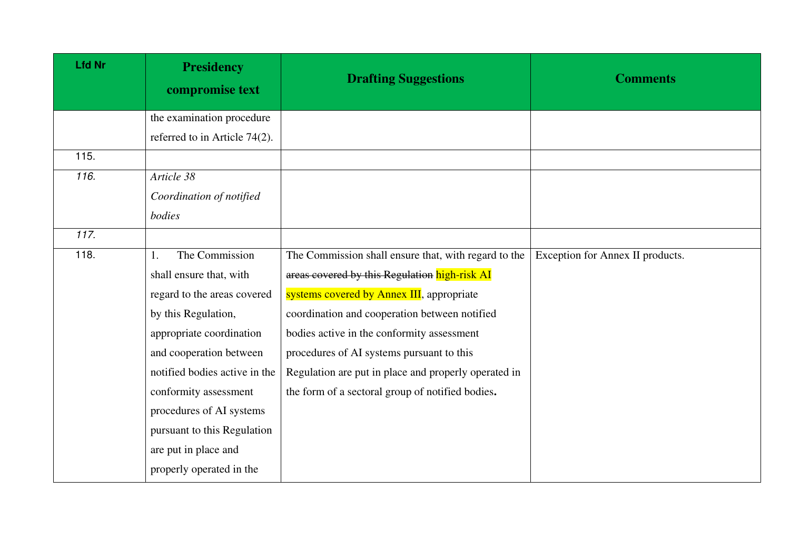| <b>Lfd Nr</b> | <b>Presidency</b><br>compromise text | <b>Drafting Suggestions</b>                          | <b>Comments</b>                  |
|---------------|--------------------------------------|------------------------------------------------------|----------------------------------|
|               | the examination procedure            |                                                      |                                  |
|               | referred to in Article 74(2).        |                                                      |                                  |
| 115.          |                                      |                                                      |                                  |
| 116.          | Article 38                           |                                                      |                                  |
|               | Coordination of notified             |                                                      |                                  |
|               | bodies                               |                                                      |                                  |
| 117.          |                                      |                                                      |                                  |
| 118.          | The Commission<br>Ι.                 | The Commission shall ensure that, with regard to the | Exception for Annex II products. |
|               | shall ensure that, with              | areas covered by this Regulation high-risk AI        |                                  |
|               | regard to the areas covered          | systems covered by Annex III, appropriate            |                                  |
|               | by this Regulation,                  | coordination and cooperation between notified        |                                  |
|               | appropriate coordination             | bodies active in the conformity assessment           |                                  |
|               | and cooperation between              | procedures of AI systems pursuant to this            |                                  |
|               | notified bodies active in the        | Regulation are put in place and properly operated in |                                  |
|               | conformity assessment                | the form of a sectoral group of notified bodies.     |                                  |
|               | procedures of AI systems             |                                                      |                                  |
|               | pursuant to this Regulation          |                                                      |                                  |
|               | are put in place and                 |                                                      |                                  |
|               | properly operated in the             |                                                      |                                  |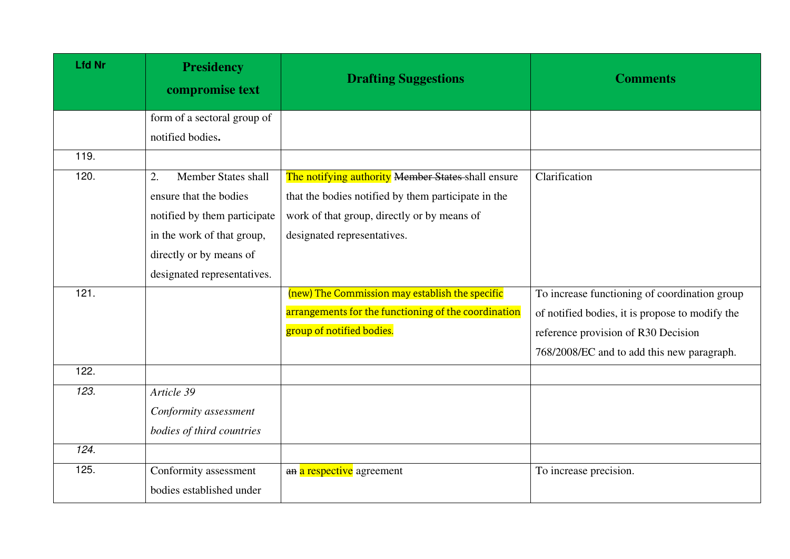| <b>Lfd Nr</b> | <b>Presidency</b><br>compromise text | <b>Drafting Suggestions</b>                          | <b>Comments</b>                                 |
|---------------|--------------------------------------|------------------------------------------------------|-------------------------------------------------|
|               | form of a sectoral group of          |                                                      |                                                 |
|               | notified bodies.                     |                                                      |                                                 |
| 119.          |                                      |                                                      |                                                 |
| 120.          | <b>Member States shall</b><br>2.     | The notifying authority Member States shall ensure   | Clarification                                   |
|               | ensure that the bodies               | that the bodies notified by them participate in the  |                                                 |
|               | notified by them participate         | work of that group, directly or by means of          |                                                 |
|               | in the work of that group,           | designated representatives.                          |                                                 |
|               | directly or by means of              |                                                      |                                                 |
|               | designated representatives.          |                                                      |                                                 |
| 121.          |                                      | (new) The Commission may establish the specific      | To increase functioning of coordination group   |
|               |                                      | arrangements for the functioning of the coordination | of notified bodies, it is propose to modify the |
|               |                                      | group of notified bodies.                            | reference provision of R30 Decision             |
|               |                                      |                                                      | 768/2008/EC and to add this new paragraph.      |
| 122.          |                                      |                                                      |                                                 |
| 123.          | Article 39                           |                                                      |                                                 |
|               | Conformity assessment                |                                                      |                                                 |
|               | bodies of third countries            |                                                      |                                                 |
| 124.          |                                      |                                                      |                                                 |
| 125.          | Conformity assessment                | an a respective agreement                            | To increase precision.                          |
|               | bodies established under             |                                                      |                                                 |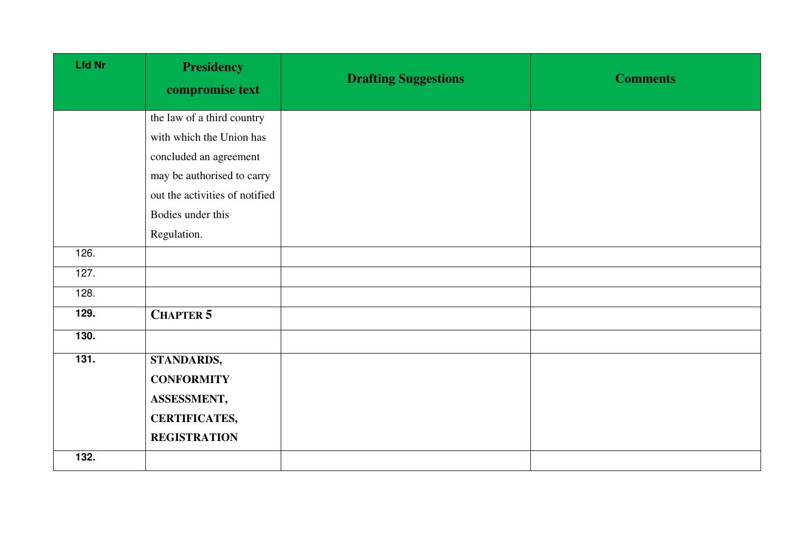| <b>Lfd Nr</b>   | <b>Presidency</b><br>compromise text | <b>Drafting Suggestions</b> | <b>Comments</b> |
|-----------------|--------------------------------------|-----------------------------|-----------------|
|                 | the law of a third country           |                             |                 |
|                 | with which the Union has             |                             |                 |
|                 | concluded an agreement               |                             |                 |
|                 | may be authorised to carry           |                             |                 |
|                 | out the activities of notified       |                             |                 |
|                 | Bodies under this                    |                             |                 |
|                 | Regulation.                          |                             |                 |
| 126.            |                                      |                             |                 |
| 127.            |                                      |                             |                 |
| 128.            |                                      |                             |                 |
| 129.            | <b>CHAPTER 5</b>                     |                             |                 |
| 130.            |                                      |                             |                 |
| $\frac{1}{131}$ | <b>STANDARDS,</b>                    |                             |                 |
|                 | <b>CONFORMITY</b>                    |                             |                 |
|                 | ASSESSMENT,                          |                             |                 |
|                 | <b>CERTIFICATES,</b>                 |                             |                 |
|                 | <b>REGISTRATION</b>                  |                             |                 |
| 132.            |                                      |                             |                 |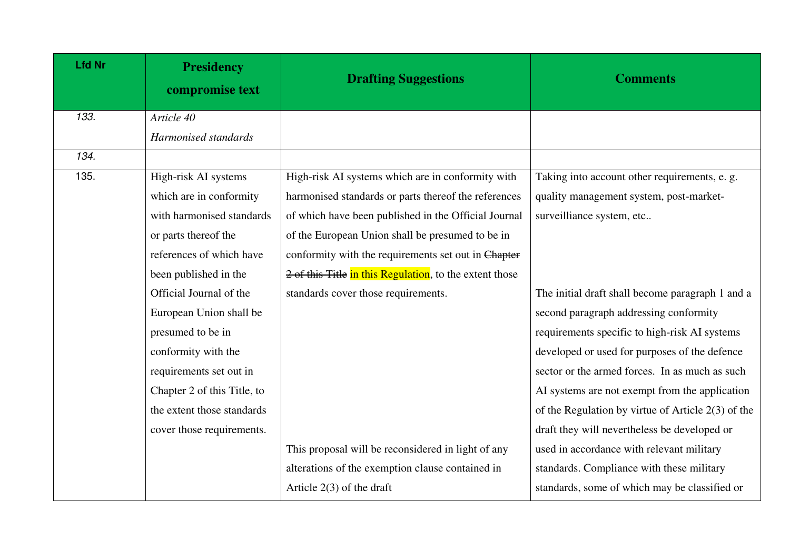| <b>Lfd Nr</b> | <b>Presidency</b><br>compromise text | <b>Drafting Suggestions</b>                             | <b>Comments</b>                                      |
|---------------|--------------------------------------|---------------------------------------------------------|------------------------------------------------------|
| 133.          | Article 40                           |                                                         |                                                      |
|               | Harmonised standards                 |                                                         |                                                      |
| 134.          |                                      |                                                         |                                                      |
| 135.          | High-risk AI systems                 | High-risk AI systems which are in conformity with       | Taking into account other requirements, e. g.        |
|               | which are in conformity              | harmonised standards or parts thereof the references    | quality management system, post-market-              |
|               | with harmonised standards            | of which have been published in the Official Journal    | surveilliance system, etc                            |
|               | or parts thereof the                 | of the European Union shall be presumed to be in        |                                                      |
|               | references of which have             | conformity with the requirements set out in Chapter     |                                                      |
|               | been published in the                | 2 of this Title in this Regulation, to the extent those |                                                      |
|               | Official Journal of the              | standards cover those requirements.                     | The initial draft shall become paragraph 1 and a     |
|               | European Union shall be              |                                                         | second paragraph addressing conformity               |
|               | presumed to be in                    |                                                         | requirements specific to high-risk AI systems        |
|               | conformity with the                  |                                                         | developed or used for purposes of the defence        |
|               | requirements set out in              |                                                         | sector or the armed forces. In as much as such       |
|               | Chapter 2 of this Title, to          |                                                         | AI systems are not exempt from the application       |
|               | the extent those standards           |                                                         | of the Regulation by virtue of Article $2(3)$ of the |
|               | cover those requirements.            |                                                         | draft they will nevertheless be developed or         |
|               |                                      | This proposal will be reconsidered in light of any      | used in accordance with relevant military            |
|               |                                      | alterations of the exemption clause contained in        | standards. Compliance with these military            |
|               |                                      | Article $2(3)$ of the draft                             | standards, some of which may be classified or        |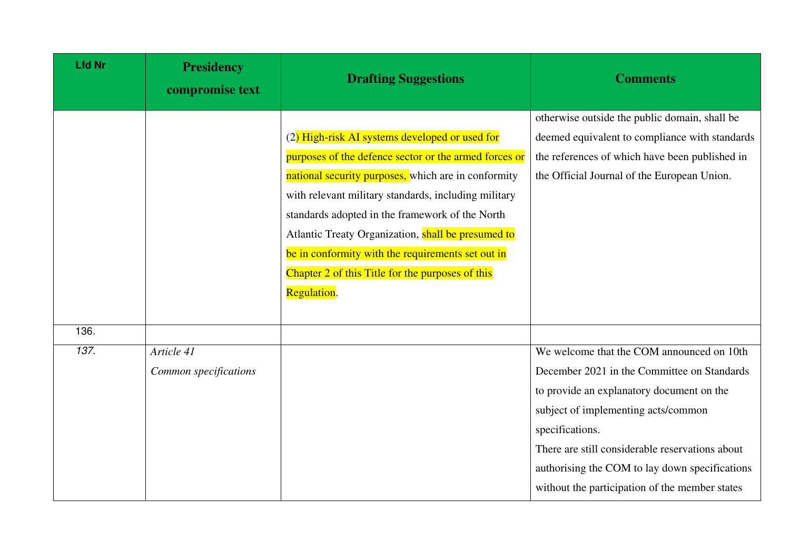| <b>Lfd Nr</b> | <b>Presidency</b><br>compromise text | <b>Drafting Suggestions</b>                                                                                                                                                                                                                                                                                                     | <b>Comments</b>                                                                                                                                                                                                                                                                                                                                        |
|---------------|--------------------------------------|---------------------------------------------------------------------------------------------------------------------------------------------------------------------------------------------------------------------------------------------------------------------------------------------------------------------------------|--------------------------------------------------------------------------------------------------------------------------------------------------------------------------------------------------------------------------------------------------------------------------------------------------------------------------------------------------------|
|               |                                      | (2) High-risk AI systems developed or used for<br>purposes of the defence sector or the armed forces or<br>national security purposes, which are in conformity<br>with relevant military standards, including military<br>standards adopted in the framework of the North<br>Atlantic Treaty Organization, shall be presumed to | otherwise outside the public domain, shall be<br>deemed equivalent to compliance with standards<br>the references of which have been published in<br>the Official Journal of the European Union.                                                                                                                                                       |
| 136.          |                                      | be in conformity with the requirements set out in<br>Chapter 2 of this Title for the purposes of this<br>Regulation.                                                                                                                                                                                                            |                                                                                                                                                                                                                                                                                                                                                        |
| 137.          | Article 41<br>Common specifications  |                                                                                                                                                                                                                                                                                                                                 | We welcome that the COM announced on 10th<br>December 2021 in the Committee on Standards<br>to provide an explanatory document on the<br>subject of implementing acts/common<br>specifications.<br>There are still considerable reservations about<br>authorising the COM to lay down specifications<br>without the participation of the member states |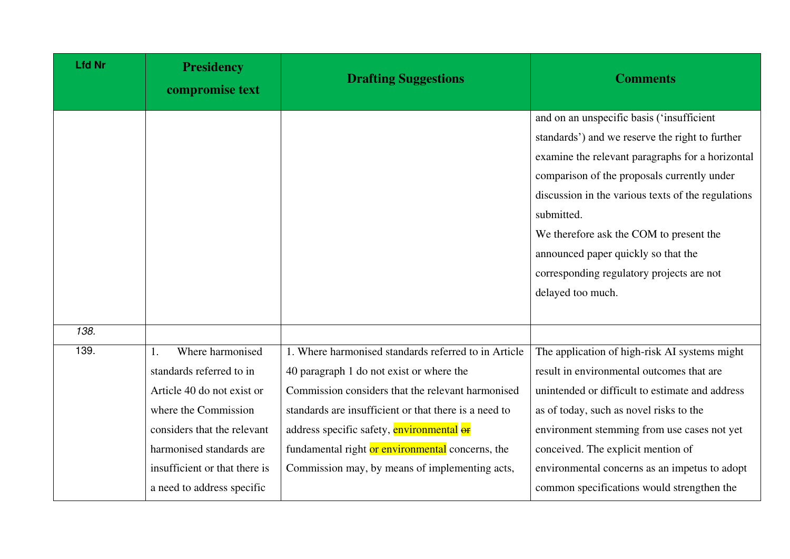| <b>Lfd Nr</b> | <b>Presidency</b><br>compromise text                                                                                                                                                                                         | <b>Drafting Suggestions</b>                                                                                                                                                                                                                                                                                                                                       | <b>Comments</b>                                                                                                                                                                                                                                                                                                                                                                                                         |
|---------------|------------------------------------------------------------------------------------------------------------------------------------------------------------------------------------------------------------------------------|-------------------------------------------------------------------------------------------------------------------------------------------------------------------------------------------------------------------------------------------------------------------------------------------------------------------------------------------------------------------|-------------------------------------------------------------------------------------------------------------------------------------------------------------------------------------------------------------------------------------------------------------------------------------------------------------------------------------------------------------------------------------------------------------------------|
|               |                                                                                                                                                                                                                              |                                                                                                                                                                                                                                                                                                                                                                   | and on an unspecific basis ('insufficient<br>standards') and we reserve the right to further<br>examine the relevant paragraphs for a horizontal<br>comparison of the proposals currently under<br>discussion in the various texts of the regulations<br>submitted.<br>We therefore ask the COM to present the<br>announced paper quickly so that the<br>corresponding regulatory projects are not<br>delayed too much. |
| 138.          |                                                                                                                                                                                                                              |                                                                                                                                                                                                                                                                                                                                                                   |                                                                                                                                                                                                                                                                                                                                                                                                                         |
| 139.          | Where harmonised<br>standards referred to in<br>Article 40 do not exist or<br>where the Commission<br>considers that the relevant<br>harmonised standards are<br>insufficient or that there is<br>a need to address specific | 1. Where harmonised standards referred to in Article<br>40 paragraph 1 do not exist or where the<br>Commission considers that the relevant harmonised<br>standards are insufficient or that there is a need to<br>address specific safety, environmental or<br>fundamental right or environmental concerns, the<br>Commission may, by means of implementing acts, | The application of high-risk AI systems might<br>result in environmental outcomes that are<br>unintended or difficult to estimate and address<br>as of today, such as novel risks to the<br>environment stemming from use cases not yet<br>conceived. The explicit mention of<br>environmental concerns as an impetus to adopt<br>common specifications would strengthen the                                            |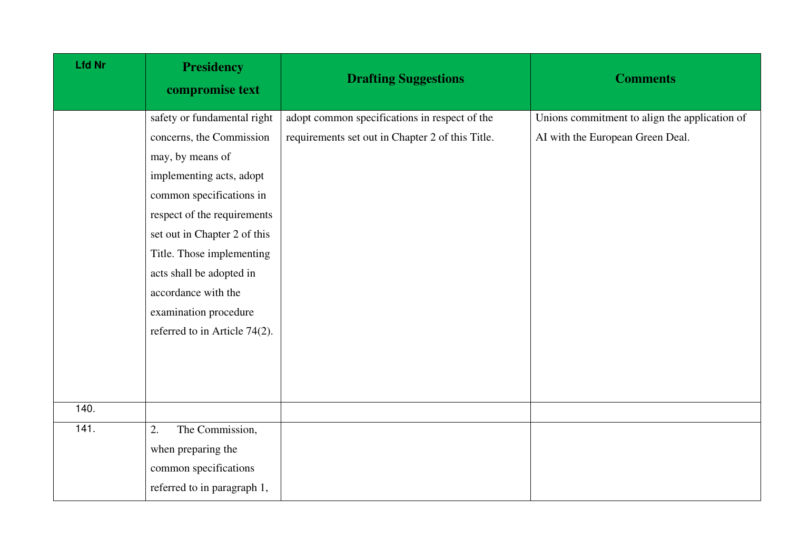| <b>Lfd Nr</b> | <b>Presidency</b><br>compromise text | <b>Drafting Suggestions</b>                      | <b>Comments</b>                               |
|---------------|--------------------------------------|--------------------------------------------------|-----------------------------------------------|
|               | safety or fundamental right          | adopt common specifications in respect of the    | Unions commitment to align the application of |
|               | concerns, the Commission             | requirements set out in Chapter 2 of this Title. | AI with the European Green Deal.              |
|               | may, by means of                     |                                                  |                                               |
|               | implementing acts, adopt             |                                                  |                                               |
|               | common specifications in             |                                                  |                                               |
|               | respect of the requirements          |                                                  |                                               |
|               | set out in Chapter 2 of this         |                                                  |                                               |
|               | Title. Those implementing            |                                                  |                                               |
|               | acts shall be adopted in             |                                                  |                                               |
|               | accordance with the                  |                                                  |                                               |
|               | examination procedure                |                                                  |                                               |
|               | referred to in Article 74(2).        |                                                  |                                               |
|               |                                      |                                                  |                                               |
|               |                                      |                                                  |                                               |
|               |                                      |                                                  |                                               |
| 140.          |                                      |                                                  |                                               |
| 141.          | The Commission,<br>2.                |                                                  |                                               |
|               | when preparing the                   |                                                  |                                               |
|               | common specifications                |                                                  |                                               |
|               | referred to in paragraph 1,          |                                                  |                                               |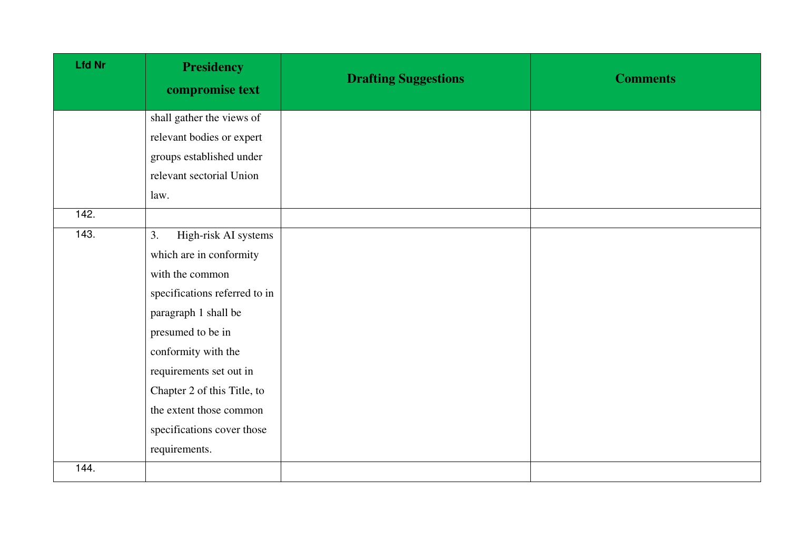| <b>Lfd Nr</b> | <b>Presidency</b><br>compromise text | <b>Drafting Suggestions</b> | <b>Comments</b> |
|---------------|--------------------------------------|-----------------------------|-----------------|
|               | shall gather the views of            |                             |                 |
|               | relevant bodies or expert            |                             |                 |
|               | groups established under             |                             |                 |
|               | relevant sectorial Union             |                             |                 |
|               | law.                                 |                             |                 |
| 142.          |                                      |                             |                 |
| 143.          | High-risk AI systems<br>3.           |                             |                 |
|               | which are in conformity              |                             |                 |
|               | with the common                      |                             |                 |
|               | specifications referred to in        |                             |                 |
|               | paragraph 1 shall be                 |                             |                 |
|               | presumed to be in                    |                             |                 |
|               | conformity with the                  |                             |                 |
|               | requirements set out in              |                             |                 |
|               | Chapter 2 of this Title, to          |                             |                 |
|               | the extent those common              |                             |                 |
|               | specifications cover those           |                             |                 |
|               | requirements.                        |                             |                 |
| 144.          |                                      |                             |                 |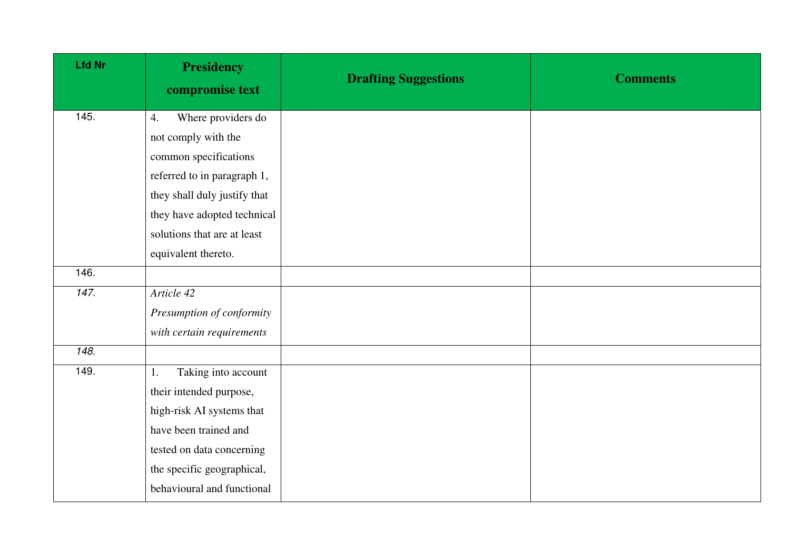| <b>Lfd Nr</b> | <b>Presidency</b><br>compromise text | <b>Drafting Suggestions</b> | <b>Comments</b> |
|---------------|--------------------------------------|-----------------------------|-----------------|
| 145.          | Where providers do<br>4.             |                             |                 |
|               | not comply with the                  |                             |                 |
|               | common specifications                |                             |                 |
|               | referred to in paragraph 1,          |                             |                 |
|               | they shall duly justify that         |                             |                 |
|               | they have adopted technical          |                             |                 |
|               | solutions that are at least          |                             |                 |
|               | equivalent thereto.                  |                             |                 |
| 146.          |                                      |                             |                 |
| 147.          | Article 42                           |                             |                 |
|               | Presumption of conformity            |                             |                 |
|               | with certain requirements            |                             |                 |
| 148.          |                                      |                             |                 |
| 149.          | Taking into account<br>1.            |                             |                 |
|               | their intended purpose,              |                             |                 |
|               | high-risk AI systems that            |                             |                 |
|               | have been trained and                |                             |                 |
|               | tested on data concerning            |                             |                 |
|               | the specific geographical,           |                             |                 |
|               | behavioural and functional           |                             |                 |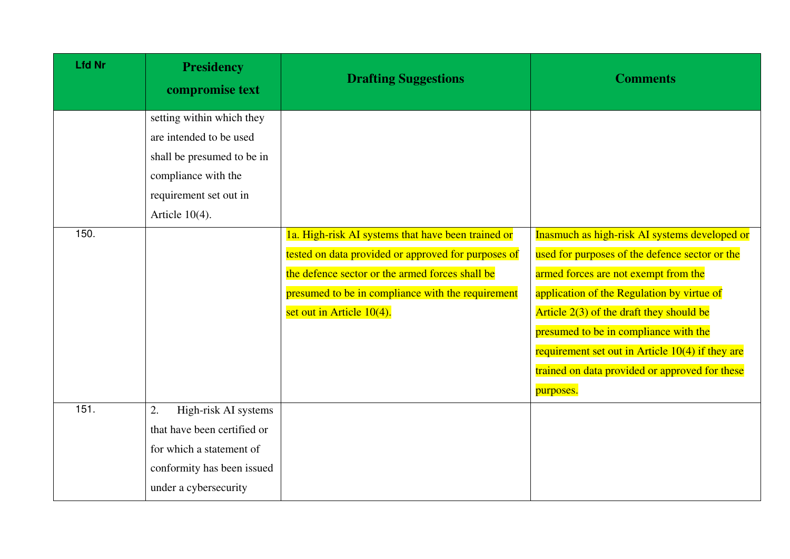| <b>Lfd Nr</b> | <b>Presidency</b><br>compromise text | <b>Drafting Suggestions</b>                         | <b>Comments</b>                                    |
|---------------|--------------------------------------|-----------------------------------------------------|----------------------------------------------------|
|               | setting within which they            |                                                     |                                                    |
|               | are intended to be used              |                                                     |                                                    |
|               | shall be presumed to be in           |                                                     |                                                    |
|               | compliance with the                  |                                                     |                                                    |
|               | requirement set out in               |                                                     |                                                    |
|               | Article $10(4)$ .                    |                                                     |                                                    |
| 150.          |                                      | 1a. High-risk AI systems that have been trained or  | Inasmuch as high-risk AI systems developed or      |
|               |                                      | tested on data provided or approved for purposes of | used for purposes of the defence sector or the     |
|               |                                      | the defence sector or the armed forces shall be     | armed forces are not exempt from the               |
|               |                                      | presumed to be in compliance with the requirement   | application of the Regulation by virtue of         |
|               |                                      | set out in Article 10(4).                           | Article $2(3)$ of the draft they should be         |
|               |                                      |                                                     | presumed to be in compliance with the              |
|               |                                      |                                                     | requirement set out in Article $10(4)$ if they are |
|               |                                      |                                                     | trained on data provided or approved for these     |
|               |                                      |                                                     | purposes.                                          |
| 151.          | High-risk AI systems<br>2.           |                                                     |                                                    |
|               | that have been certified or          |                                                     |                                                    |
|               | for which a statement of             |                                                     |                                                    |
|               | conformity has been issued           |                                                     |                                                    |
|               | under a cybersecurity                |                                                     |                                                    |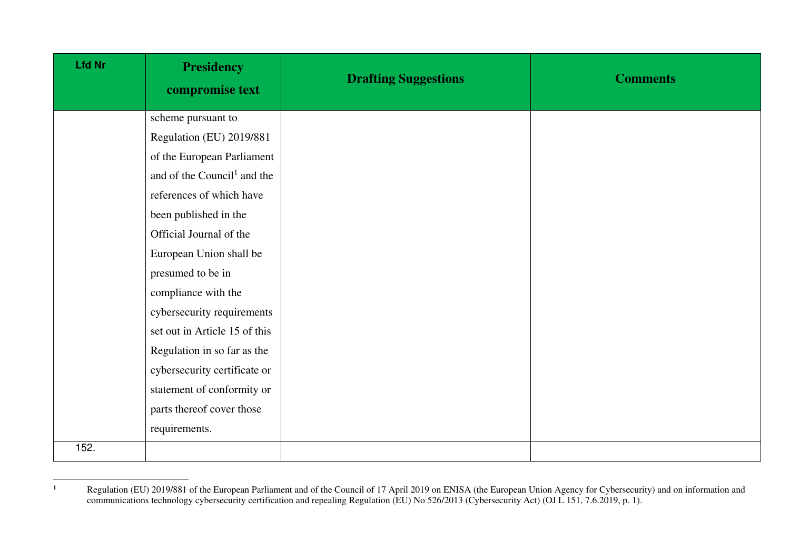| <b>Lfd Nr</b> | <b>Presidency</b><br>compromise text    | <b>Drafting Suggestions</b> | <b>Comments</b> |
|---------------|-----------------------------------------|-----------------------------|-----------------|
|               | scheme pursuant to                      |                             |                 |
|               | Regulation (EU) 2019/881                |                             |                 |
|               | of the European Parliament              |                             |                 |
|               | and of the Council <sup>1</sup> and the |                             |                 |
|               | references of which have                |                             |                 |
|               | been published in the                   |                             |                 |
|               | Official Journal of the                 |                             |                 |
|               | European Union shall be                 |                             |                 |
|               | presumed to be in                       |                             |                 |
|               | compliance with the                     |                             |                 |
|               | cybersecurity requirements              |                             |                 |
|               | set out in Article 15 of this           |                             |                 |
|               | Regulation in so far as the             |                             |                 |
|               | cybersecurity certificate or            |                             |                 |
|               | statement of conformity or              |                             |                 |
|               | parts thereof cover those               |                             |                 |
|               | requirements.                           |                             |                 |
| 152.          |                                         |                             |                 |

 **1** Regulation (EU) 2019/881 of the European Parliament and of the Council of 17 April 2019 on ENISA (the European Union Agency for Cybersecurity) and on information and communications technology cybersecurity certification and repealing Regulation (EU) No 526/2013 (Cybersecurity Act) (OJ L 151, 7.6.2019, p. 1).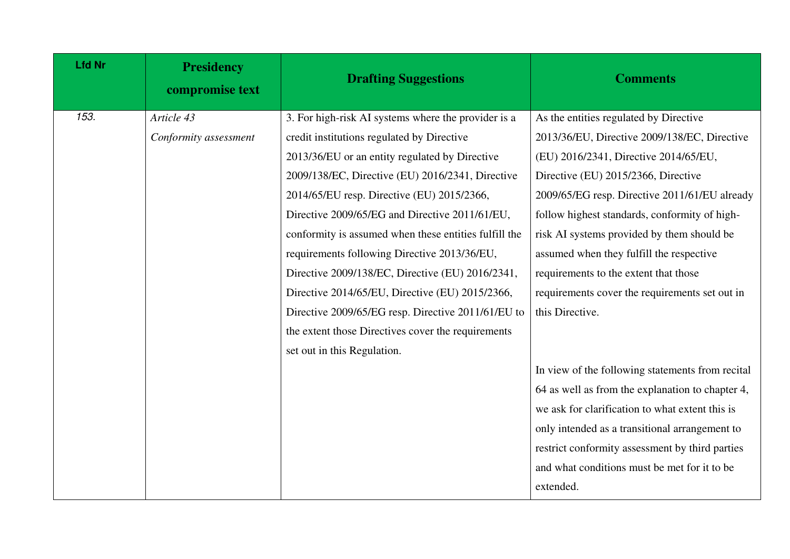| <b>Lfd Nr</b> | <b>Presidency</b><br>compromise text | <b>Drafting Suggestions</b>                           | <b>Comments</b>                                  |
|---------------|--------------------------------------|-------------------------------------------------------|--------------------------------------------------|
| 153.          | Article 43                           | 3. For high-risk AI systems where the provider is a   | As the entities regulated by Directive           |
|               | Conformity assessment                | credit institutions regulated by Directive            | 2013/36/EU, Directive 2009/138/EC, Directive     |
|               |                                      | 2013/36/EU or an entity regulated by Directive        | (EU) 2016/2341, Directive 2014/65/EU,            |
|               |                                      | 2009/138/EC, Directive (EU) 2016/2341, Directive      | Directive (EU) 2015/2366, Directive              |
|               |                                      | 2014/65/EU resp. Directive (EU) 2015/2366,            | 2009/65/EG resp. Directive 2011/61/EU already    |
|               |                                      | Directive 2009/65/EG and Directive 2011/61/EU,        | follow highest standards, conformity of high-    |
|               |                                      | conformity is assumed when these entities fulfill the | risk AI systems provided by them should be       |
|               |                                      | requirements following Directive 2013/36/EU,          | assumed when they fulfill the respective         |
|               |                                      | Directive 2009/138/EC, Directive (EU) 2016/2341,      | requirements to the extent that those            |
|               |                                      | Directive 2014/65/EU, Directive (EU) 2015/2366,       | requirements cover the requirements set out in   |
|               |                                      | Directive 2009/65/EG resp. Directive 2011/61/EU to    | this Directive.                                  |
|               |                                      | the extent those Directives cover the requirements    |                                                  |
|               |                                      | set out in this Regulation.                           |                                                  |
|               |                                      |                                                       | In view of the following statements from recital |
|               |                                      |                                                       | 64 as well as from the explanation to chapter 4, |
|               |                                      |                                                       | we ask for clarification to what extent this is  |
|               |                                      |                                                       | only intended as a transitional arrangement to   |
|               |                                      |                                                       | restrict conformity assessment by third parties  |
|               |                                      |                                                       | and what conditions must be met for it to be     |
|               |                                      |                                                       | extended.                                        |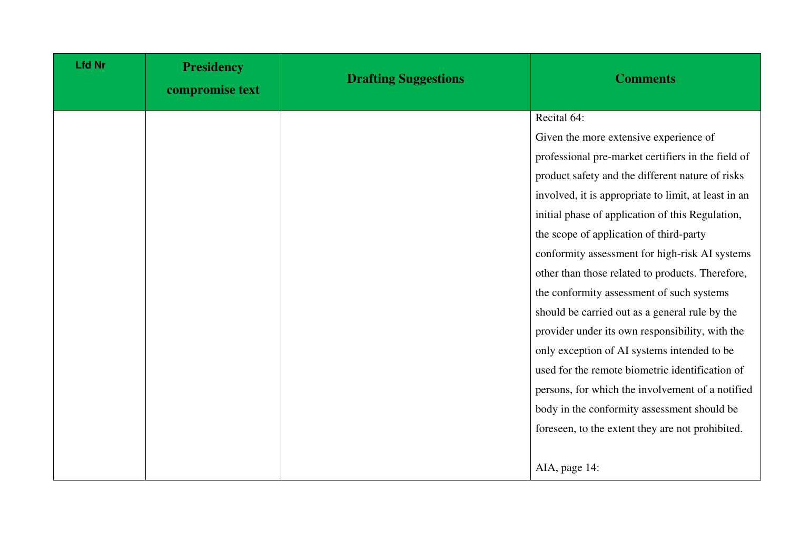| <b>Lfd Nr</b> | <b>Presidency</b><br>compromise text | <b>Drafting Suggestions</b> | <b>Comments</b>                                      |
|---------------|--------------------------------------|-----------------------------|------------------------------------------------------|
|               |                                      |                             | Recital 64:                                          |
|               |                                      |                             | Given the more extensive experience of               |
|               |                                      |                             | professional pre-market certifiers in the field of   |
|               |                                      |                             | product safety and the different nature of risks     |
|               |                                      |                             | involved, it is appropriate to limit, at least in an |
|               |                                      |                             | initial phase of application of this Regulation,     |
|               |                                      |                             | the scope of application of third-party              |
|               |                                      |                             | conformity assessment for high-risk AI systems       |
|               |                                      |                             | other than those related to products. Therefore,     |
|               |                                      |                             | the conformity assessment of such systems            |
|               |                                      |                             | should be carried out as a general rule by the       |
|               |                                      |                             | provider under its own responsibility, with the      |
|               |                                      |                             | only exception of AI systems intended to be          |
|               |                                      |                             | used for the remote biometric identification of      |
|               |                                      |                             | persons, for which the involvement of a notified     |
|               |                                      |                             | body in the conformity assessment should be          |
|               |                                      |                             | foreseen, to the extent they are not prohibited.     |
|               |                                      |                             |                                                      |
|               |                                      |                             | AIA, page 14:                                        |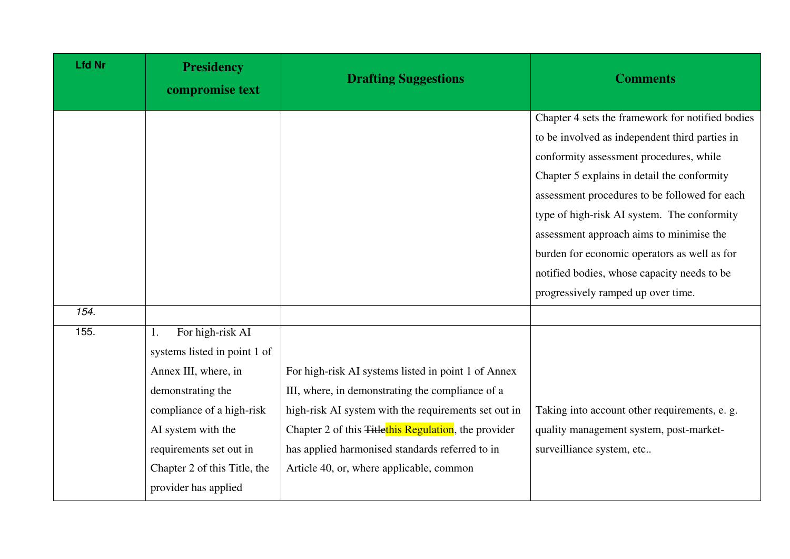| <b>Lfd Nr</b> | <b>Presidency</b><br>compromise text                                                                                                                                                                                                      | <b>Drafting Suggestions</b>                                                                                                                                                                                                                                                                                                        | <b>Comments</b>                                                                                                                                                                                                                                                                        |
|---------------|-------------------------------------------------------------------------------------------------------------------------------------------------------------------------------------------------------------------------------------------|------------------------------------------------------------------------------------------------------------------------------------------------------------------------------------------------------------------------------------------------------------------------------------------------------------------------------------|----------------------------------------------------------------------------------------------------------------------------------------------------------------------------------------------------------------------------------------------------------------------------------------|
|               |                                                                                                                                                                                                                                           |                                                                                                                                                                                                                                                                                                                                    | Chapter 4 sets the framework for notified bodies<br>to be involved as independent third parties in<br>conformity assessment procedures, while                                                                                                                                          |
|               |                                                                                                                                                                                                                                           |                                                                                                                                                                                                                                                                                                                                    | Chapter 5 explains in detail the conformity<br>assessment procedures to be followed for each<br>type of high-risk AI system. The conformity<br>assessment approach aims to minimise the<br>burden for economic operators as well as for<br>notified bodies, whose capacity needs to be |
| 154.          |                                                                                                                                                                                                                                           |                                                                                                                                                                                                                                                                                                                                    | progressively ramped up over time.                                                                                                                                                                                                                                                     |
| 155.          | For high-risk AI<br>1.<br>systems listed in point 1 of<br>Annex III, where, in<br>demonstrating the<br>compliance of a high-risk<br>AI system with the<br>requirements set out in<br>Chapter 2 of this Title, the<br>provider has applied | For high-risk AI systems listed in point 1 of Annex<br>III, where, in demonstrating the compliance of a<br>high-risk AI system with the requirements set out in<br>Chapter 2 of this <del>Titlethis Regulation</del> , the provider<br>has applied harmonised standards referred to in<br>Article 40, or, where applicable, common | Taking into account other requirements, e. g.<br>quality management system, post-market-<br>surveilliance system, etc                                                                                                                                                                  |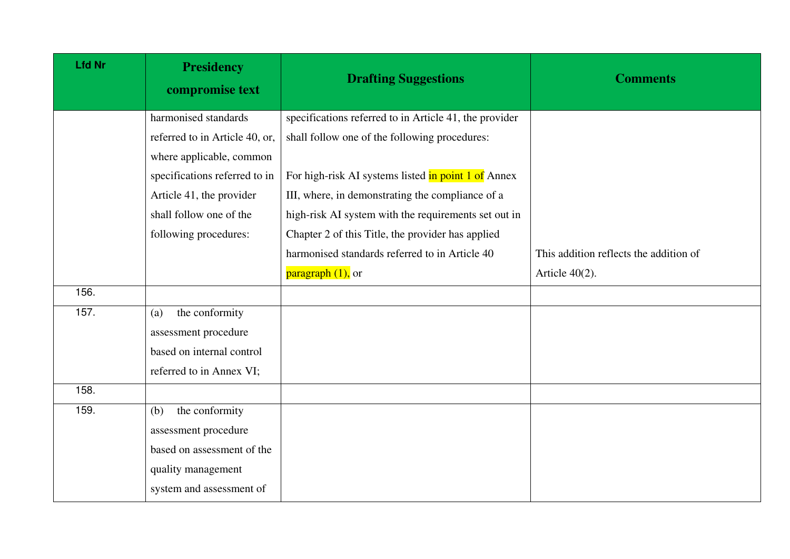| <b>Lfd Nr</b> | <b>Presidency</b><br>compromise text | <b>Drafting Suggestions</b>                            | <b>Comments</b>                        |
|---------------|--------------------------------------|--------------------------------------------------------|----------------------------------------|
|               | harmonised standards                 | specifications referred to in Article 41, the provider |                                        |
|               | referred to in Article 40, or,       | shall follow one of the following procedures:          |                                        |
|               | where applicable, common             |                                                        |                                        |
|               | specifications referred to in        | For high-risk AI systems listed in point 1 of Annex    |                                        |
|               | Article 41, the provider             | III, where, in demonstrating the compliance of a       |                                        |
|               | shall follow one of the              | high-risk AI system with the requirements set out in   |                                        |
|               | following procedures:                | Chapter 2 of this Title, the provider has applied      |                                        |
|               |                                      | harmonised standards referred to in Article 40         | This addition reflects the addition of |
|               |                                      | $\frac{\text{pargraph }(1)}{\text{parg}}$              | Article $40(2)$ .                      |
| 156.          |                                      |                                                        |                                        |
| 157.          | the conformity<br>(a)                |                                                        |                                        |
|               | assessment procedure                 |                                                        |                                        |
|               | based on internal control            |                                                        |                                        |
|               | referred to in Annex VI;             |                                                        |                                        |
| 158.          |                                      |                                                        |                                        |
| 159.          | the conformity<br>(b)                |                                                        |                                        |
|               | assessment procedure                 |                                                        |                                        |
|               | based on assessment of the           |                                                        |                                        |
|               | quality management                   |                                                        |                                        |
|               | system and assessment of             |                                                        |                                        |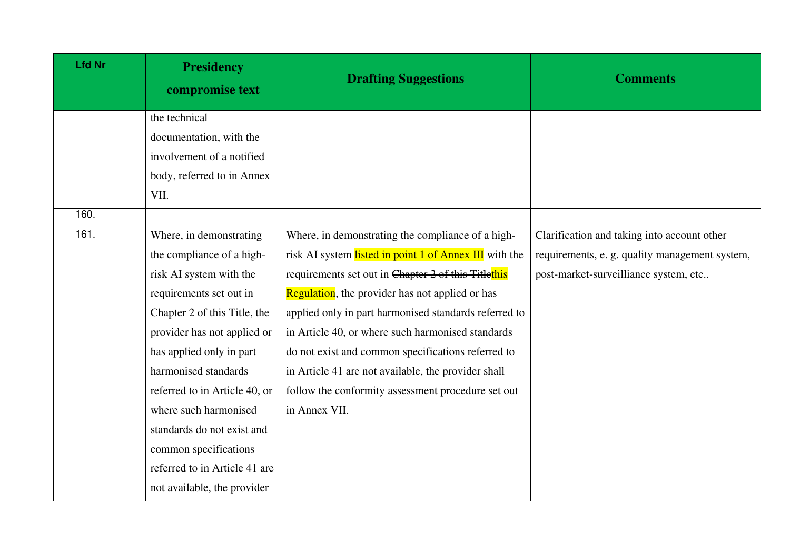| <b>Lfd Nr</b> | <b>Presidency</b><br>compromise text | <b>Drafting Suggestions</b>                             | <b>Comments</b>                                |
|---------------|--------------------------------------|---------------------------------------------------------|------------------------------------------------|
|               | the technical                        |                                                         |                                                |
|               | documentation, with the              |                                                         |                                                |
|               | involvement of a notified            |                                                         |                                                |
|               | body, referred to in Annex           |                                                         |                                                |
|               | VII.                                 |                                                         |                                                |
| 160.          |                                      |                                                         |                                                |
| 161.          | Where, in demonstrating              | Where, in demonstrating the compliance of a high-       | Clarification and taking into account other    |
|               | the compliance of a high-            | risk AI system listed in point 1 of Annex III with the  | requirements, e. g. quality management system, |
|               | risk AI system with the              | requirements set out in Chapter 2 of this Titlethis     | post-market-surveilliance system, etc          |
|               | requirements set out in              | <b>Regulation</b> , the provider has not applied or has |                                                |
|               | Chapter 2 of this Title, the         | applied only in part harmonised standards referred to   |                                                |
|               | provider has not applied or          | in Article 40, or where such harmonised standards       |                                                |
|               | has applied only in part             | do not exist and common specifications referred to      |                                                |
|               | harmonised standards                 | in Article 41 are not available, the provider shall     |                                                |
|               | referred to in Article 40, or        | follow the conformity assessment procedure set out      |                                                |
|               | where such harmonised                | in Annex VII.                                           |                                                |
|               | standards do not exist and           |                                                         |                                                |
|               | common specifications                |                                                         |                                                |
|               | referred to in Article 41 are        |                                                         |                                                |
|               | not available, the provider          |                                                         |                                                |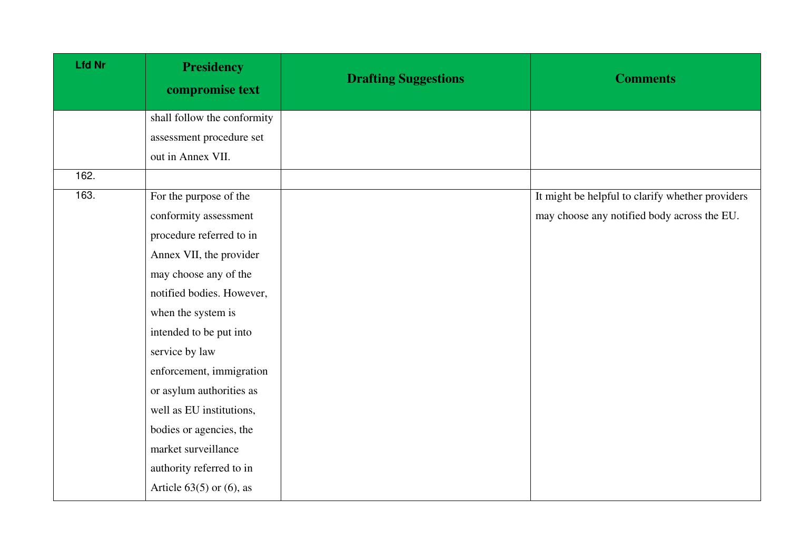| <b>Lfd Nr</b> | <b>Presidency</b><br>compromise text | <b>Drafting Suggestions</b> | <b>Comments</b>                                  |
|---------------|--------------------------------------|-----------------------------|--------------------------------------------------|
|               | shall follow the conformity          |                             |                                                  |
|               | assessment procedure set             |                             |                                                  |
|               | out in Annex VII.                    |                             |                                                  |
| 162.          |                                      |                             |                                                  |
| 163.          | For the purpose of the               |                             | It might be helpful to clarify whether providers |
|               | conformity assessment                |                             | may choose any notified body across the EU.      |
|               | procedure referred to in             |                             |                                                  |
|               | Annex VII, the provider              |                             |                                                  |
|               | may choose any of the                |                             |                                                  |
|               | notified bodies. However,            |                             |                                                  |
|               | when the system is                   |                             |                                                  |
|               | intended to be put into              |                             |                                                  |
|               | service by law                       |                             |                                                  |
|               | enforcement, immigration             |                             |                                                  |
|               | or asylum authorities as             |                             |                                                  |
|               | well as EU institutions,             |                             |                                                  |
|               | bodies or agencies, the              |                             |                                                  |
|               | market surveillance                  |                             |                                                  |
|               | authority referred to in             |                             |                                                  |
|               | Article $63(5)$ or $(6)$ , as        |                             |                                                  |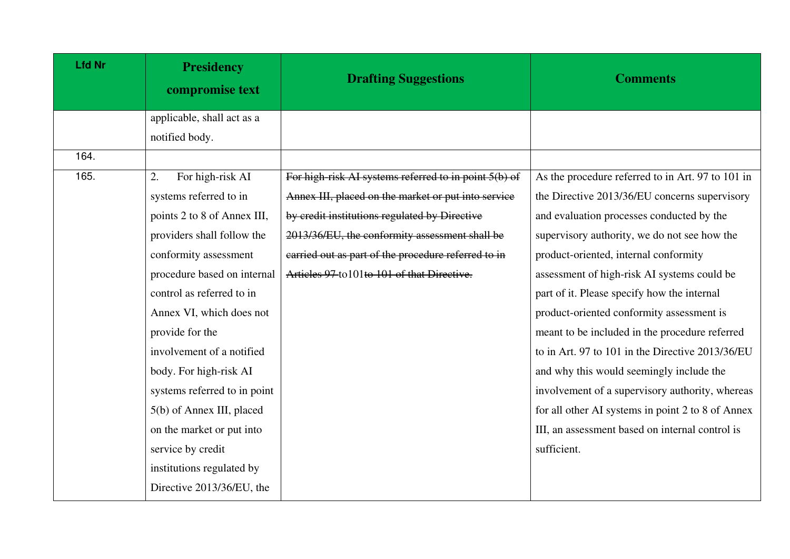| <b>Lfd Nr</b> | <b>Presidency</b><br>compromise text | <b>Drafting Suggestions</b>                           | <b>Comments</b>                                   |
|---------------|--------------------------------------|-------------------------------------------------------|---------------------------------------------------|
|               | applicable, shall act as a           |                                                       |                                                   |
|               | notified body.                       |                                                       |                                                   |
| 164.          |                                      |                                                       |                                                   |
| 165.          | For high-risk AI<br>2.               | For high-risk AI systems referred to in point 5(b) of | As the procedure referred to in Art. 97 to 101 in |
|               | systems referred to in               | Annex III, placed on the market or put into service   | the Directive 2013/36/EU concerns supervisory     |
|               | points 2 to 8 of Annex III,          | by credit institutions regulated by Directive         | and evaluation processes conducted by the         |
|               | providers shall follow the           | 2013/36/EU, the conformity assessment shall be        | supervisory authority, we do not see how the      |
|               | conformity assessment                | carried out as part of the procedure referred to in   | product-oriented, internal conformity             |
|               | procedure based on internal          | Articles 97 to 101 to 101 of that Directive.          | assessment of high-risk AI systems could be       |
|               | control as referred to in            |                                                       | part of it. Please specify how the internal       |
|               | Annex VI, which does not             |                                                       | product-oriented conformity assessment is         |
|               | provide for the                      |                                                       | meant to be included in the procedure referred    |
|               | involvement of a notified            |                                                       | to in Art. 97 to 101 in the Directive 2013/36/EU  |
|               | body. For high-risk AI               |                                                       | and why this would seemingly include the          |
|               | systems referred to in point         |                                                       | involvement of a supervisory authority, whereas   |
|               | 5(b) of Annex III, placed            |                                                       | for all other AI systems in point 2 to 8 of Annex |
|               | on the market or put into            |                                                       | III, an assessment based on internal control is   |
|               | service by credit                    |                                                       | sufficient.                                       |
|               | institutions regulated by            |                                                       |                                                   |
|               | Directive 2013/36/EU, the            |                                                       |                                                   |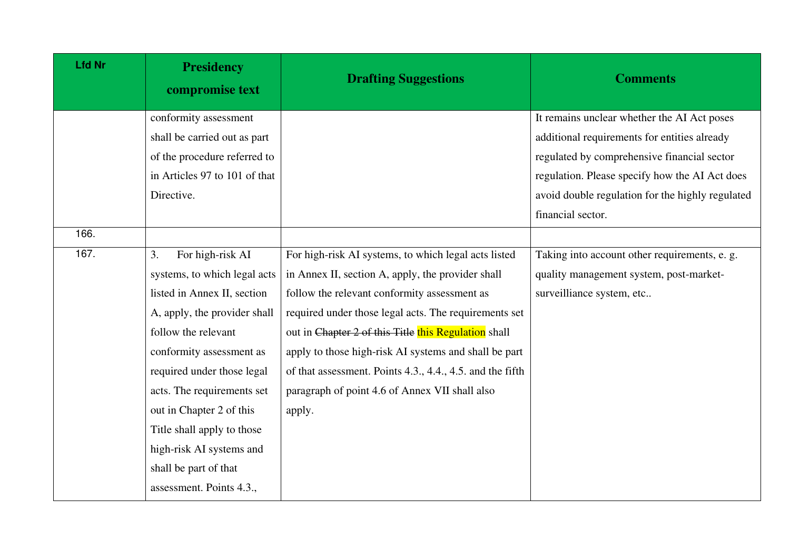| <b>Lfd Nr</b> | <b>Presidency</b><br>compromise text | <b>Drafting Suggestions</b>                               | <b>Comments</b>                                  |
|---------------|--------------------------------------|-----------------------------------------------------------|--------------------------------------------------|
|               | conformity assessment                |                                                           | It remains unclear whether the AI Act poses      |
|               | shall be carried out as part         |                                                           | additional requirements for entities already     |
|               | of the procedure referred to         |                                                           | regulated by comprehensive financial sector      |
|               | in Articles 97 to 101 of that        |                                                           | regulation. Please specify how the AI Act does   |
|               | Directive.                           |                                                           | avoid double regulation for the highly regulated |
|               |                                      |                                                           | financial sector.                                |
| 166.          |                                      |                                                           |                                                  |
| 167.          | For high-risk AI<br>3.               | For high-risk AI systems, to which legal acts listed      | Taking into account other requirements, e. g.    |
|               | systems, to which legal acts         | in Annex II, section A, apply, the provider shall         | quality management system, post-market-          |
|               | listed in Annex II, section          | follow the relevant conformity assessment as              | surveilliance system, etc                        |
|               | A, apply, the provider shall         | required under those legal acts. The requirements set     |                                                  |
|               | follow the relevant                  | out in Chapter 2 of this Title this Regulation shall      |                                                  |
|               | conformity assessment as             | apply to those high-risk AI systems and shall be part     |                                                  |
|               | required under those legal           | of that assessment. Points 4.3., 4.4., 4.5. and the fifth |                                                  |
|               | acts. The requirements set           | paragraph of point 4.6 of Annex VII shall also            |                                                  |
|               | out in Chapter 2 of this             | apply.                                                    |                                                  |
|               | Title shall apply to those           |                                                           |                                                  |
|               | high-risk AI systems and             |                                                           |                                                  |
|               | shall be part of that                |                                                           |                                                  |
|               | assessment. Points 4.3.,             |                                                           |                                                  |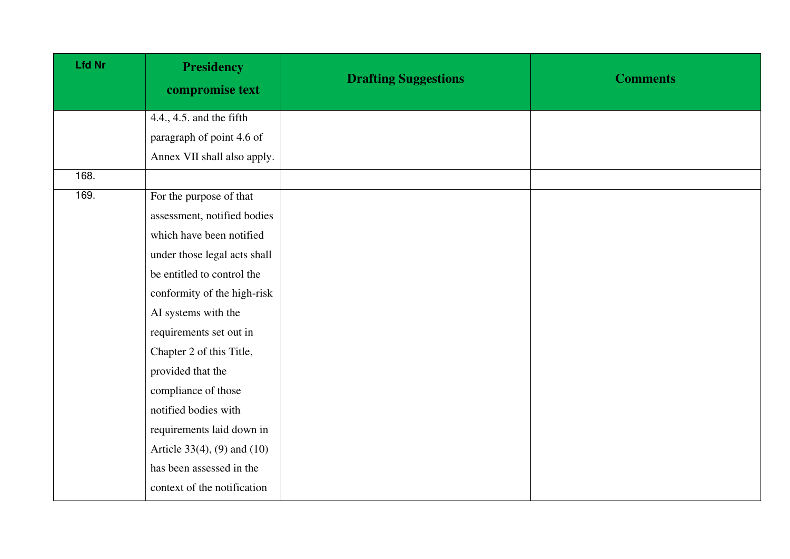| <b>Lfd Nr</b> | <b>Presidency</b><br>compromise text | <b>Drafting Suggestions</b> | <b>Comments</b> |
|---------------|--------------------------------------|-----------------------------|-----------------|
|               | 4.4., 4.5. and the fifth             |                             |                 |
|               | paragraph of point 4.6 of            |                             |                 |
|               | Annex VII shall also apply.          |                             |                 |
| 168.          |                                      |                             |                 |
| 169.          | For the purpose of that              |                             |                 |
|               | assessment, notified bodies          |                             |                 |
|               | which have been notified             |                             |                 |
|               | under those legal acts shall         |                             |                 |
|               | be entitled to control the           |                             |                 |
|               | conformity of the high-risk          |                             |                 |
|               | AI systems with the                  |                             |                 |
|               | requirements set out in              |                             |                 |
|               | Chapter 2 of this Title,             |                             |                 |
|               | provided that the                    |                             |                 |
|               | compliance of those                  |                             |                 |
|               | notified bodies with                 |                             |                 |
|               | requirements laid down in            |                             |                 |
|               | Article 33(4), (9) and $(10)$        |                             |                 |
|               | has been assessed in the             |                             |                 |
|               | context of the notification          |                             |                 |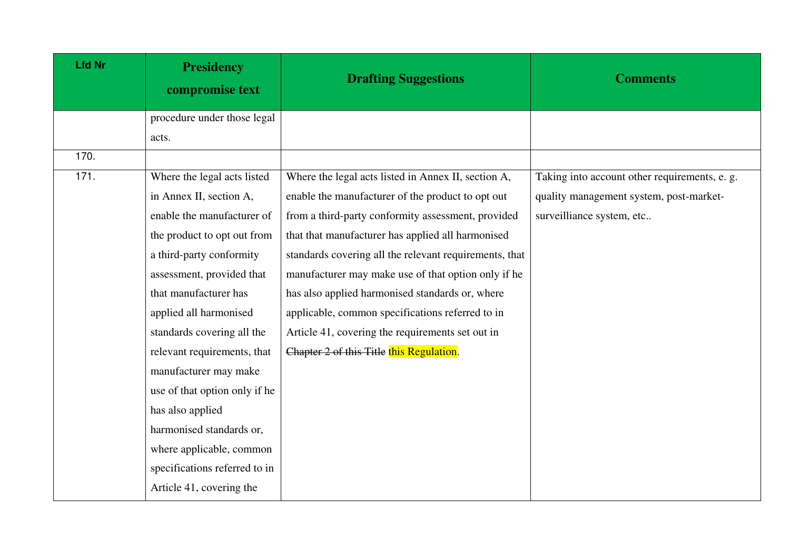| <b>Lfd Nr</b> | <b>Presidency</b><br>compromise text | <b>Drafting Suggestions</b>                            | <b>Comments</b>                               |
|---------------|--------------------------------------|--------------------------------------------------------|-----------------------------------------------|
|               | procedure under those legal          |                                                        |                                               |
|               | acts.                                |                                                        |                                               |
| 170.          |                                      |                                                        |                                               |
| 171.          | Where the legal acts listed          | Where the legal acts listed in Annex II, section A,    | Taking into account other requirements, e. g. |
|               | in Annex II, section A,              | enable the manufacturer of the product to opt out      | quality management system, post-market-       |
|               | enable the manufacturer of           | from a third-party conformity assessment, provided     | surveilliance system, etc                     |
|               | the product to opt out from          | that that manufacturer has applied all harmonised      |                                               |
|               | a third-party conformity             | standards covering all the relevant requirements, that |                                               |
|               | assessment, provided that            | manufacturer may make use of that option only if he    |                                               |
|               | that manufacturer has                | has also applied harmonised standards or, where        |                                               |
|               | applied all harmonised               | applicable, common specifications referred to in       |                                               |
|               | standards covering all the           | Article 41, covering the requirements set out in       |                                               |
|               | relevant requirements, that          | Chapter 2 of this Title this Regulation.               |                                               |
|               | manufacturer may make                |                                                        |                                               |
|               | use of that option only if he        |                                                        |                                               |
|               | has also applied                     |                                                        |                                               |
|               | harmonised standards or,             |                                                        |                                               |
|               | where applicable, common             |                                                        |                                               |
|               | specifications referred to in        |                                                        |                                               |
|               | Article 41, covering the             |                                                        |                                               |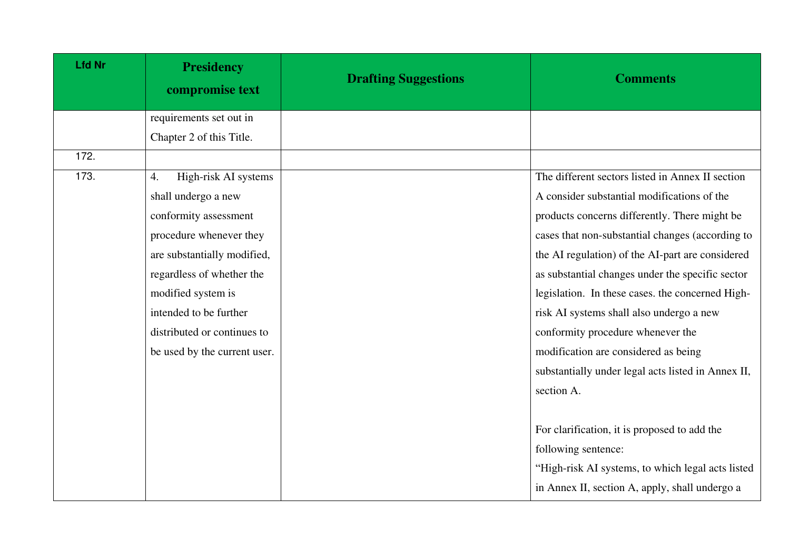| <b>Lfd Nr</b> | <b>Presidency</b><br>compromise text | <b>Drafting Suggestions</b> | <b>Comments</b>                                    |
|---------------|--------------------------------------|-----------------------------|----------------------------------------------------|
|               | requirements set out in              |                             |                                                    |
|               | Chapter 2 of this Title.             |                             |                                                    |
| 172.          |                                      |                             |                                                    |
| 173.          | High-risk AI systems<br>4.           |                             | The different sectors listed in Annex II section   |
|               | shall undergo a new                  |                             | A consider substantial modifications of the        |
|               | conformity assessment                |                             | products concerns differently. There might be      |
|               | procedure whenever they              |                             | cases that non-substantial changes (according to   |
|               | are substantially modified,          |                             | the AI regulation) of the AI-part are considered   |
|               | regardless of whether the            |                             | as substantial changes under the specific sector   |
|               | modified system is                   |                             | legislation. In these cases, the concerned High-   |
|               | intended to be further               |                             | risk AI systems shall also undergo a new           |
|               | distributed or continues to          |                             | conformity procedure whenever the                  |
|               | be used by the current user.         |                             | modification are considered as being               |
|               |                                      |                             | substantially under legal acts listed in Annex II, |
|               |                                      |                             | section A.                                         |
|               |                                      |                             |                                                    |
|               |                                      |                             | For clarification, it is proposed to add the       |
|               |                                      |                             | following sentence:                                |
|               |                                      |                             | "High-risk AI systems, to which legal acts listed  |
|               |                                      |                             | in Annex II, section A, apply, shall undergo a     |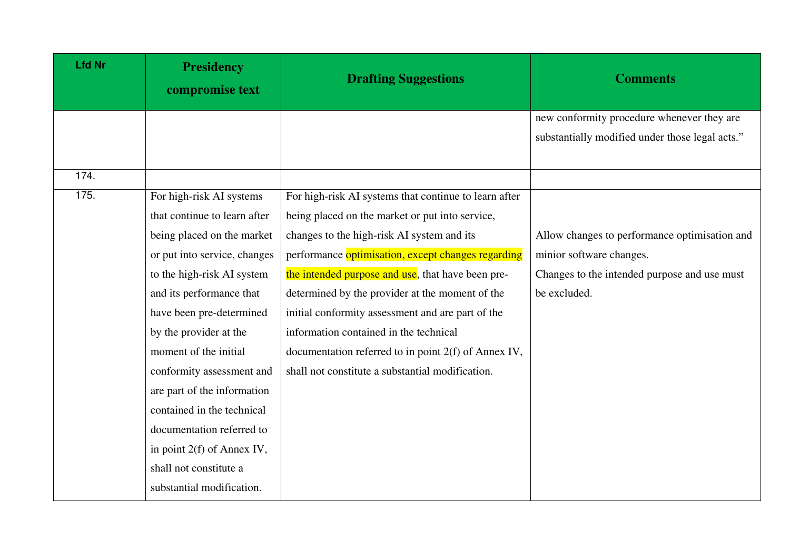| <b>Lfd Nr</b> | <b>Presidency</b><br>compromise text | <b>Drafting Suggestions</b>                           | <b>Comments</b>                                 |
|---------------|--------------------------------------|-------------------------------------------------------|-------------------------------------------------|
|               |                                      |                                                       | new conformity procedure whenever they are      |
|               |                                      |                                                       | substantially modified under those legal acts." |
|               |                                      |                                                       |                                                 |
| 174.          |                                      |                                                       |                                                 |
| 175.          | For high-risk AI systems             | For high-risk AI systems that continue to learn after |                                                 |
|               | that continue to learn after         | being placed on the market or put into service,       |                                                 |
|               | being placed on the market           | changes to the high-risk AI system and its            | Allow changes to performance optimisation and   |
|               | or put into service, changes         | performance optimisation, except changes regarding    | minior software changes.                        |
|               | to the high-risk AI system           | the intended purpose and use, that have been pre-     | Changes to the intended purpose and use must    |
|               | and its performance that             | determined by the provider at the moment of the       | be excluded.                                    |
|               | have been pre-determined             | initial conformity assessment and are part of the     |                                                 |
|               | by the provider at the               | information contained in the technical                |                                                 |
|               | moment of the initial                | documentation referred to in point 2(f) of Annex IV,  |                                                 |
|               | conformity assessment and            | shall not constitute a substantial modification.      |                                                 |
|               | are part of the information          |                                                       |                                                 |
|               | contained in the technical           |                                                       |                                                 |
|               | documentation referred to            |                                                       |                                                 |
|               | in point 2(f) of Annex IV,           |                                                       |                                                 |
|               | shall not constitute a               |                                                       |                                                 |
|               | substantial modification.            |                                                       |                                                 |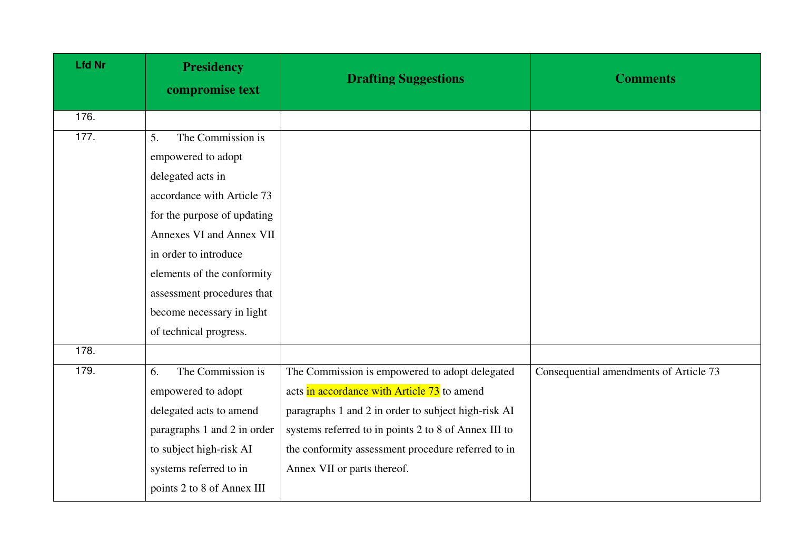| <b>Lfd Nr</b> | <b>Presidency</b><br>compromise text | <b>Drafting Suggestions</b>                          | <b>Comments</b>                        |
|---------------|--------------------------------------|------------------------------------------------------|----------------------------------------|
| 176.          |                                      |                                                      |                                        |
| 177.          | The Commission is<br>5.              |                                                      |                                        |
|               | empowered to adopt                   |                                                      |                                        |
|               | delegated acts in                    |                                                      |                                        |
|               | accordance with Article 73           |                                                      |                                        |
|               | for the purpose of updating          |                                                      |                                        |
|               | <b>Annexes VI and Annex VII</b>      |                                                      |                                        |
|               | in order to introduce                |                                                      |                                        |
|               | elements of the conformity           |                                                      |                                        |
|               | assessment procedures that           |                                                      |                                        |
|               | become necessary in light            |                                                      |                                        |
|               | of technical progress.               |                                                      |                                        |
| 178.          |                                      |                                                      |                                        |
| 179.          | The Commission is<br>6.              | The Commission is empowered to adopt delegated       | Consequential amendments of Article 73 |
|               | empowered to adopt                   | acts in accordance with Article 73 to amend          |                                        |
|               | delegated acts to amend              | paragraphs 1 and 2 in order to subject high-risk AI  |                                        |
|               | paragraphs 1 and 2 in order          | systems referred to in points 2 to 8 of Annex III to |                                        |
|               | to subject high-risk AI              | the conformity assessment procedure referred to in   |                                        |
|               | systems referred to in               | Annex VII or parts thereof.                          |                                        |
|               | points 2 to 8 of Annex III           |                                                      |                                        |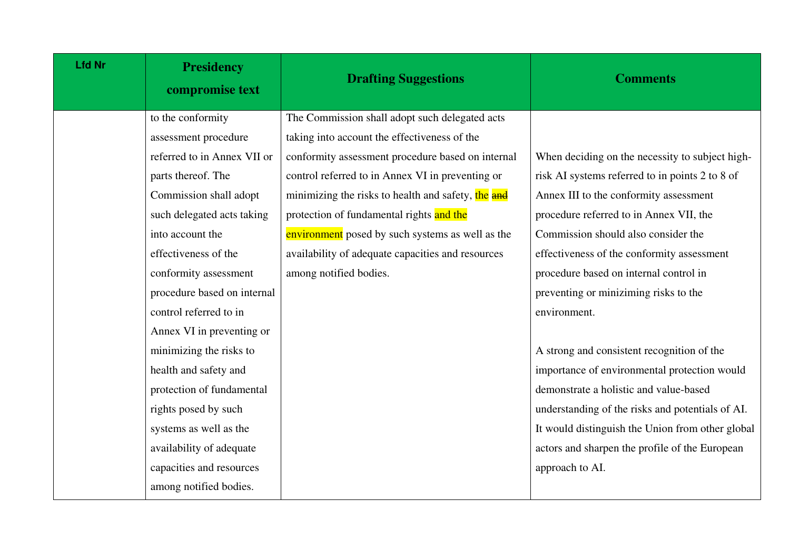| <b>Lfd Nr</b> | <b>Presidency</b><br>compromise text | <b>Drafting Suggestions</b>                        | <b>Comments</b>                                  |
|---------------|--------------------------------------|----------------------------------------------------|--------------------------------------------------|
|               | to the conformity                    | The Commission shall adopt such delegated acts     |                                                  |
|               | assessment procedure                 | taking into account the effectiveness of the       |                                                  |
|               | referred to in Annex VII or          | conformity assessment procedure based on internal  | When deciding on the necessity to subject high-  |
|               | parts thereof. The                   | control referred to in Annex VI in preventing or   | risk AI systems referred to in points 2 to 8 of  |
|               | Commission shall adopt               | minimizing the risks to health and safety, the and | Annex III to the conformity assessment           |
|               | such delegated acts taking           | protection of fundamental rights and the           | procedure referred to in Annex VII, the          |
|               | into account the                     | environment posed by such systems as well as the   | Commission should also consider the              |
|               | effectiveness of the                 | availability of adequate capacities and resources  | effectiveness of the conformity assessment       |
|               | conformity assessment                | among notified bodies.                             | procedure based on internal control in           |
|               | procedure based on internal          |                                                    | preventing or miniziming risks to the            |
|               | control referred to in               |                                                    | environment.                                     |
|               | Annex VI in preventing or            |                                                    |                                                  |
|               | minimizing the risks to              |                                                    | A strong and consistent recognition of the       |
|               | health and safety and                |                                                    | importance of environmental protection would     |
|               | protection of fundamental            |                                                    | demonstrate a holistic and value-based           |
|               | rights posed by such                 |                                                    | understanding of the risks and potentials of AI. |
|               | systems as well as the               |                                                    | It would distinguish the Union from other global |
|               | availability of adequate             |                                                    | actors and sharpen the profile of the European   |
|               | capacities and resources             |                                                    | approach to AI.                                  |
|               | among notified bodies.               |                                                    |                                                  |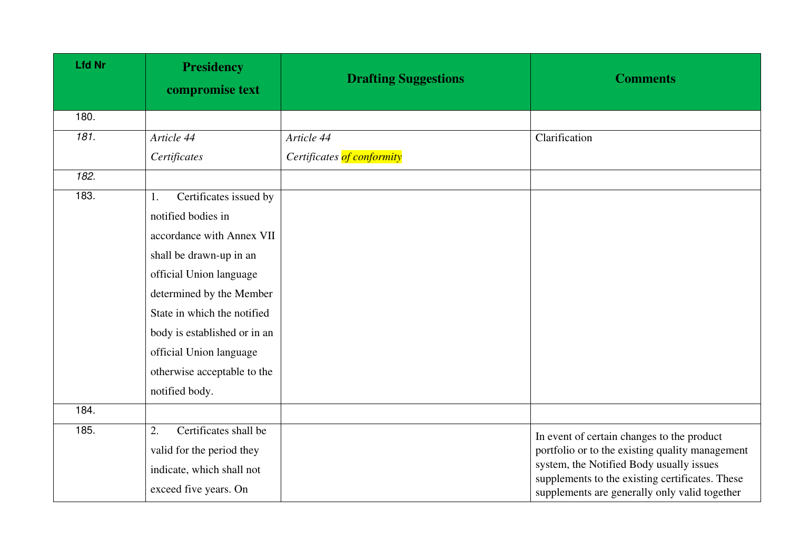| <b>Lfd Nr</b> | <b>Presidency</b><br>compromise text | <b>Drafting Suggestions</b> | <b>Comments</b>                                                                                  |
|---------------|--------------------------------------|-----------------------------|--------------------------------------------------------------------------------------------------|
| 180.          |                                      |                             |                                                                                                  |
| 181.          | Article 44                           | Article 44                  | Clarification                                                                                    |
|               | Certificates                         | Certificates of conformity  |                                                                                                  |
| 182.          |                                      |                             |                                                                                                  |
| 183.          | Certificates issued by<br>1.         |                             |                                                                                                  |
|               | notified bodies in                   |                             |                                                                                                  |
|               | accordance with Annex VII            |                             |                                                                                                  |
|               | shall be drawn-up in an              |                             |                                                                                                  |
|               | official Union language              |                             |                                                                                                  |
|               | determined by the Member             |                             |                                                                                                  |
|               | State in which the notified          |                             |                                                                                                  |
|               | body is established or in an         |                             |                                                                                                  |
|               | official Union language              |                             |                                                                                                  |
|               | otherwise acceptable to the          |                             |                                                                                                  |
|               | notified body.                       |                             |                                                                                                  |
| 184.          |                                      |                             |                                                                                                  |
| 185.          | Certificates shall be<br>2.          |                             | In event of certain changes to the product                                                       |
|               | valid for the period they            |                             | portfolio or to the existing quality management                                                  |
|               | indicate, which shall not            |                             | system, the Notified Body usually issues                                                         |
|               | exceed five years. On                |                             | supplements to the existing certificates. These<br>supplements are generally only valid together |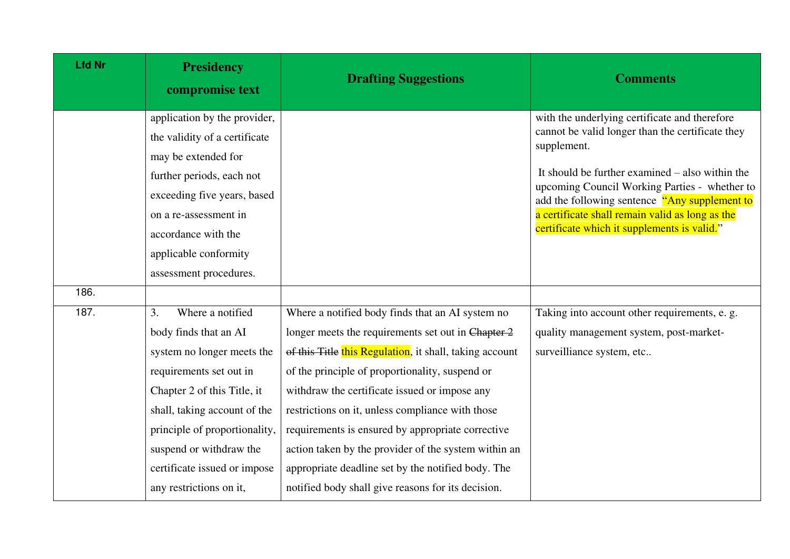| <b>Lfd Nr</b> | <b>Presidency</b><br>compromise text                                                                                                                                                                                                                                                           | <b>Drafting Suggestions</b>                                                                                                                                                                                                                                                                                                                                                                                                                                                                                                                        | <b>Comments</b>                                                                                                                                                                                                                                                                                                                                                           |
|---------------|------------------------------------------------------------------------------------------------------------------------------------------------------------------------------------------------------------------------------------------------------------------------------------------------|----------------------------------------------------------------------------------------------------------------------------------------------------------------------------------------------------------------------------------------------------------------------------------------------------------------------------------------------------------------------------------------------------------------------------------------------------------------------------------------------------------------------------------------------------|---------------------------------------------------------------------------------------------------------------------------------------------------------------------------------------------------------------------------------------------------------------------------------------------------------------------------------------------------------------------------|
|               | application by the provider,<br>the validity of a certificate<br>may be extended for<br>further periods, each not<br>exceeding five years, based<br>on a re-assessment in<br>accordance with the<br>applicable conformity<br>assessment procedures.                                            |                                                                                                                                                                                                                                                                                                                                                                                                                                                                                                                                                    | with the underlying certificate and therefore<br>cannot be valid longer than the certificate they<br>supplement.<br>It should be further examined $-$ also within the<br>upcoming Council Working Parties - whether to<br>add the following sentence "Any supplement to<br>a certificate shall remain valid as long as the<br>certificate which it supplements is valid." |
| 186.          |                                                                                                                                                                                                                                                                                                |                                                                                                                                                                                                                                                                                                                                                                                                                                                                                                                                                    |                                                                                                                                                                                                                                                                                                                                                                           |
| 187.          | Where a notified<br>3.<br>body finds that an AI<br>system no longer meets the<br>requirements set out in<br>Chapter 2 of this Title, it<br>shall, taking account of the<br>principle of proportionality,<br>suspend or withdraw the<br>certificate issued or impose<br>any restrictions on it, | Where a notified body finds that an AI system no<br>longer meets the requirements set out in Chapter 2<br>of this Title this Regulation, it shall, taking account<br>of the principle of proportionality, suspend or<br>withdraw the certificate issued or impose any<br>restrictions on it, unless compliance with those<br>requirements is ensured by appropriate corrective<br>action taken by the provider of the system within an<br>appropriate deadline set by the notified body. The<br>notified body shall give reasons for its decision. | Taking into account other requirements, e. g.<br>quality management system, post-market-<br>surveilliance system, etc                                                                                                                                                                                                                                                     |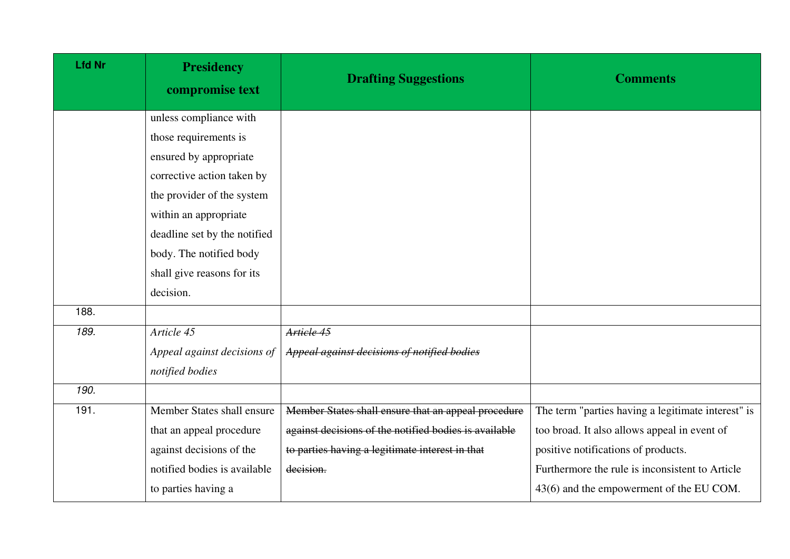| <b>Lfd Nr</b> | <b>Presidency</b><br>compromise text | <b>Drafting Suggestions</b>                           | <b>Comments</b>                                    |
|---------------|--------------------------------------|-------------------------------------------------------|----------------------------------------------------|
|               | unless compliance with               |                                                       |                                                    |
|               | those requirements is                |                                                       |                                                    |
|               | ensured by appropriate               |                                                       |                                                    |
|               | corrective action taken by           |                                                       |                                                    |
|               | the provider of the system           |                                                       |                                                    |
|               | within an appropriate                |                                                       |                                                    |
|               | deadline set by the notified         |                                                       |                                                    |
|               | body. The notified body              |                                                       |                                                    |
|               | shall give reasons for its           |                                                       |                                                    |
|               | decision.                            |                                                       |                                                    |
| 188.          |                                      |                                                       |                                                    |
| 189.          | Article 45                           | Article 45                                            |                                                    |
|               | Appeal against decisions of          | Appeal against decisions of notified bodies           |                                                    |
|               | notified bodies                      |                                                       |                                                    |
| 190.          |                                      |                                                       |                                                    |
| 191.          | Member States shall ensure           | Member States shall ensure that an appeal procedure   | The term "parties having a legitimate interest" is |
|               | that an appeal procedure             | against decisions of the notified bodies is available | too broad. It also allows appeal in event of       |
|               | against decisions of the             | to parties having a legitimate interest in that       | positive notifications of products.                |
|               | notified bodies is available         | decision.                                             | Furthermore the rule is inconsistent to Article    |
|               | to parties having a                  |                                                       | 43(6) and the empowerment of the EU COM.           |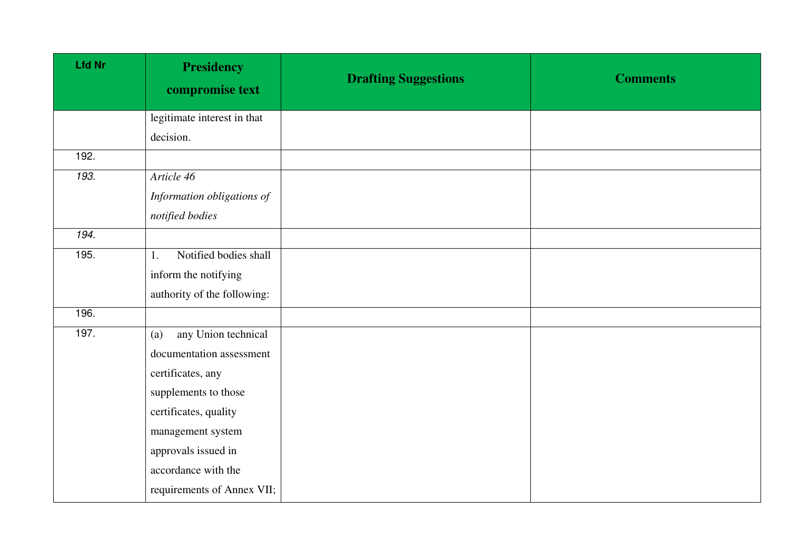| <b>Lfd Nr</b> | <b>Presidency</b><br>compromise text | <b>Drafting Suggestions</b> | <b>Comments</b> |
|---------------|--------------------------------------|-----------------------------|-----------------|
|               | legitimate interest in that          |                             |                 |
|               | decision.                            |                             |                 |
| 192.          |                                      |                             |                 |
| 193.          | Article 46                           |                             |                 |
|               | Information obligations of           |                             |                 |
|               | notified bodies                      |                             |                 |
| 194.          |                                      |                             |                 |
| 195.          | Notified bodies shall<br>1.          |                             |                 |
|               | inform the notifying                 |                             |                 |
|               | authority of the following:          |                             |                 |
| 196.          |                                      |                             |                 |
| 197.          | any Union technical<br>(a)           |                             |                 |
|               | documentation assessment             |                             |                 |
|               | certificates, any                    |                             |                 |
|               | supplements to those                 |                             |                 |
|               | certificates, quality                |                             |                 |
|               | management system                    |                             |                 |
|               | approvals issued in                  |                             |                 |
|               | accordance with the                  |                             |                 |
|               | requirements of Annex VII;           |                             |                 |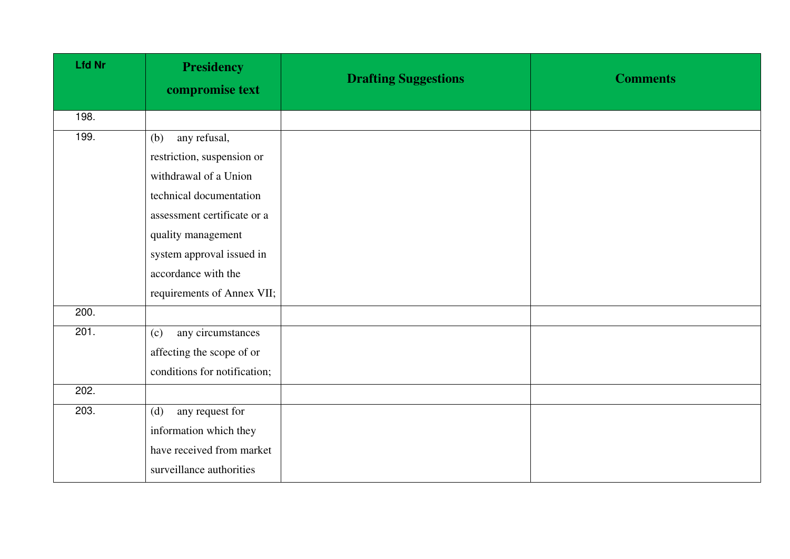| <b>Lfd Nr</b> | <b>Presidency</b><br>compromise text | <b>Drafting Suggestions</b> | <b>Comments</b> |
|---------------|--------------------------------------|-----------------------------|-----------------|
| 198.          |                                      |                             |                 |
| 199.          | any refusal,<br>(b)                  |                             |                 |
|               | restriction, suspension or           |                             |                 |
|               | withdrawal of a Union                |                             |                 |
|               | technical documentation              |                             |                 |
|               | assessment certificate or a          |                             |                 |
|               | quality management                   |                             |                 |
|               | system approval issued in            |                             |                 |
|               | accordance with the                  |                             |                 |
|               | requirements of Annex VII;           |                             |                 |
| 200.          |                                      |                             |                 |
| 201.          | any circumstances<br>(c)             |                             |                 |
|               | affecting the scope of or            |                             |                 |
|               | conditions for notification;         |                             |                 |
| 202.          |                                      |                             |                 |
| 203.          | any request for<br>(d)               |                             |                 |
|               | information which they               |                             |                 |
|               | have received from market            |                             |                 |
|               | surveillance authorities             |                             |                 |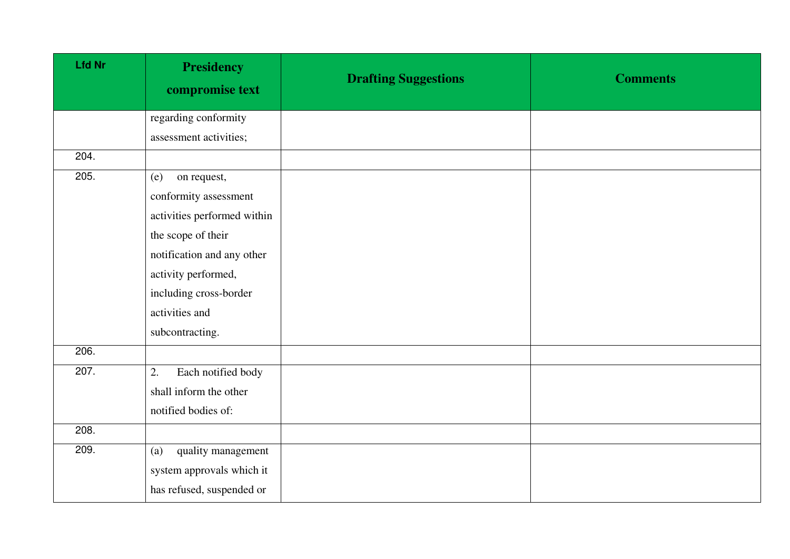| <b>Lfd Nr</b> | <b>Presidency</b><br>compromise text | <b>Drafting Suggestions</b> | <b>Comments</b> |
|---------------|--------------------------------------|-----------------------------|-----------------|
|               | regarding conformity                 |                             |                 |
|               | assessment activities;               |                             |                 |
| 204.          |                                      |                             |                 |
| 205.          | (e)<br>on request,                   |                             |                 |
|               | conformity assessment                |                             |                 |
|               | activities performed within          |                             |                 |
|               | the scope of their                   |                             |                 |
|               | notification and any other           |                             |                 |
|               | activity performed,                  |                             |                 |
|               | including cross-border               |                             |                 |
|               | activities and                       |                             |                 |
|               | subcontracting.                      |                             |                 |
| 206.          |                                      |                             |                 |
| 207.          | Each notified body<br>2.             |                             |                 |
|               | shall inform the other               |                             |                 |
|               | notified bodies of:                  |                             |                 |
| 208.          |                                      |                             |                 |
| 209.          | quality management<br>(a)            |                             |                 |
|               | system approvals which it            |                             |                 |
|               | has refused, suspended or            |                             |                 |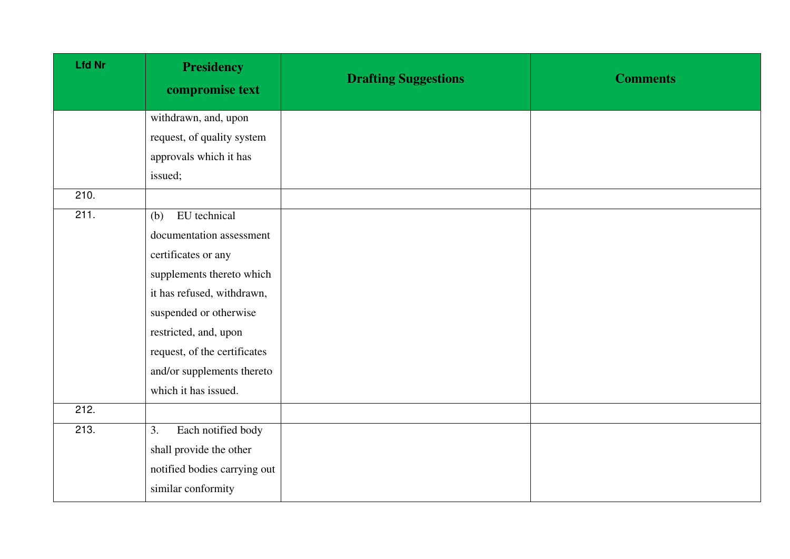| <b>Lfd Nr</b> | <b>Presidency</b><br>compromise text | <b>Drafting Suggestions</b> | <b>Comments</b> |
|---------------|--------------------------------------|-----------------------------|-----------------|
|               | withdrawn, and, upon                 |                             |                 |
|               | request, of quality system           |                             |                 |
|               | approvals which it has               |                             |                 |
|               | issued;                              |                             |                 |
| 210.          |                                      |                             |                 |
| 211.          | EU technical<br>(b)                  |                             |                 |
|               | documentation assessment             |                             |                 |
|               | certificates or any                  |                             |                 |
|               | supplements thereto which            |                             |                 |
|               | it has refused, withdrawn,           |                             |                 |
|               | suspended or otherwise               |                             |                 |
|               | restricted, and, upon                |                             |                 |
|               | request, of the certificates         |                             |                 |
|               | and/or supplements thereto           |                             |                 |
|               | which it has issued.                 |                             |                 |
| 212.          |                                      |                             |                 |
| 213.          | Each notified body<br>3.             |                             |                 |
|               | shall provide the other              |                             |                 |
|               | notified bodies carrying out         |                             |                 |
|               | similar conformity                   |                             |                 |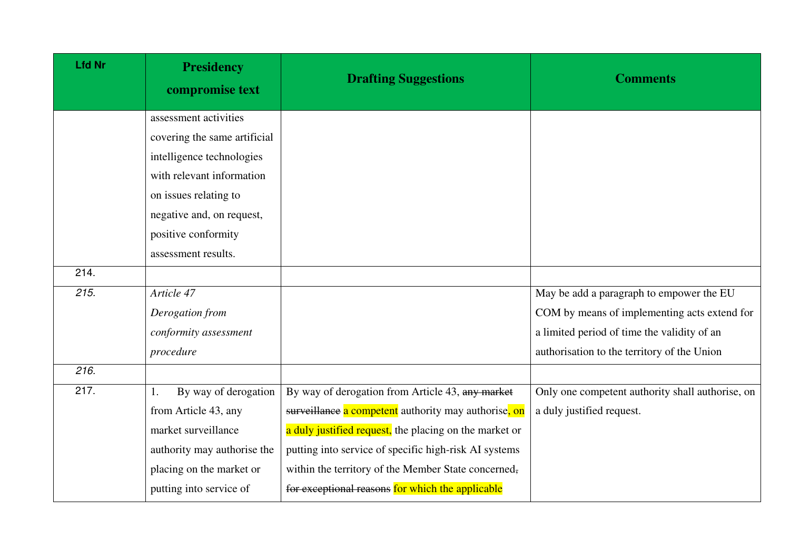| <b>Lfd Nr</b> | <b>Presidency</b><br>compromise text | <b>Drafting Suggestions</b>                            | <b>Comments</b>                                  |
|---------------|--------------------------------------|--------------------------------------------------------|--------------------------------------------------|
|               | assessment activities                |                                                        |                                                  |
|               | covering the same artificial         |                                                        |                                                  |
|               | intelligence technologies            |                                                        |                                                  |
|               | with relevant information            |                                                        |                                                  |
|               | on issues relating to                |                                                        |                                                  |
|               | negative and, on request,            |                                                        |                                                  |
|               | positive conformity                  |                                                        |                                                  |
|               | assessment results.                  |                                                        |                                                  |
| 214.          |                                      |                                                        |                                                  |
| 215.          | Article 47                           |                                                        | May be add a paragraph to empower the EU         |
|               | Derogation from                      |                                                        | COM by means of implementing acts extend for     |
|               | conformity assessment                |                                                        | a limited period of time the validity of an      |
|               | procedure                            |                                                        | authorisation to the territory of the Union      |
| 216.          |                                      |                                                        |                                                  |
| 217.          | By way of derogation<br>1.           | By way of derogation from Article 43, any market       | Only one competent authority shall authorise, on |
|               | from Article 43, any                 | surveillance a competent authority may authorise, on   | a duly justified request.                        |
|               | market surveillance                  | a duly justified request, the placing on the market or |                                                  |
|               | authority may authorise the          | putting into service of specific high-risk AI systems  |                                                  |
|               | placing on the market or             | within the territory of the Member State concerned,    |                                                  |
|               | putting into service of              | for exceptional reasons for which the applicable       |                                                  |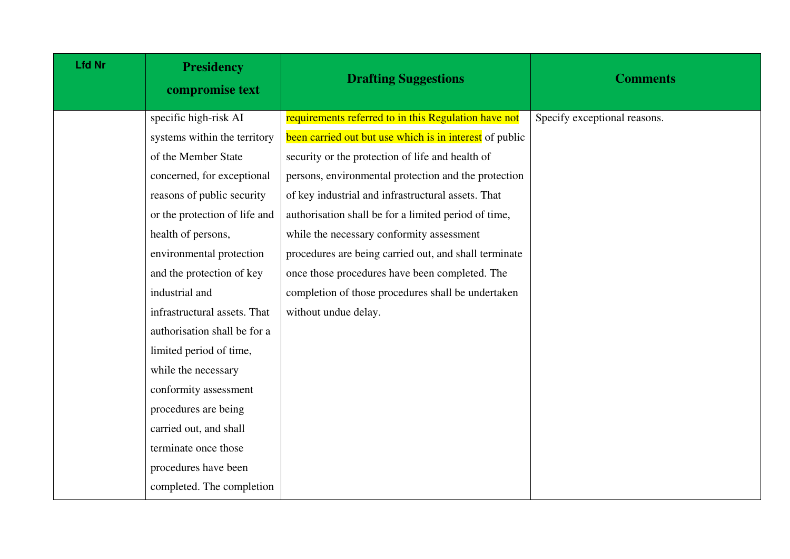| <b>Lfd Nr</b> | <b>Presidency</b><br>compromise text | <b>Drafting Suggestions</b>                             | <b>Comments</b>              |
|---------------|--------------------------------------|---------------------------------------------------------|------------------------------|
|               | specific high-risk AI                | requirements referred to in this Regulation have not    | Specify exceptional reasons. |
|               | systems within the territory         | been carried out but use which is in interest of public |                              |
|               | of the Member State                  | security or the protection of life and health of        |                              |
|               | concerned, for exceptional           | persons, environmental protection and the protection    |                              |
|               | reasons of public security           | of key industrial and infrastructural assets. That      |                              |
|               | or the protection of life and        | authorisation shall be for a limited period of time,    |                              |
|               | health of persons,                   | while the necessary conformity assessment               |                              |
|               | environmental protection             | procedures are being carried out, and shall terminate   |                              |
|               | and the protection of key            | once those procedures have been completed. The          |                              |
|               | industrial and                       | completion of those procedures shall be undertaken      |                              |
|               | infrastructural assets. That         | without undue delay.                                    |                              |
|               | authorisation shall be for a         |                                                         |                              |
|               | limited period of time,              |                                                         |                              |
|               | while the necessary                  |                                                         |                              |
|               | conformity assessment                |                                                         |                              |
|               | procedures are being                 |                                                         |                              |
|               | carried out, and shall               |                                                         |                              |
|               | terminate once those                 |                                                         |                              |
|               | procedures have been                 |                                                         |                              |
|               | completed. The completion            |                                                         |                              |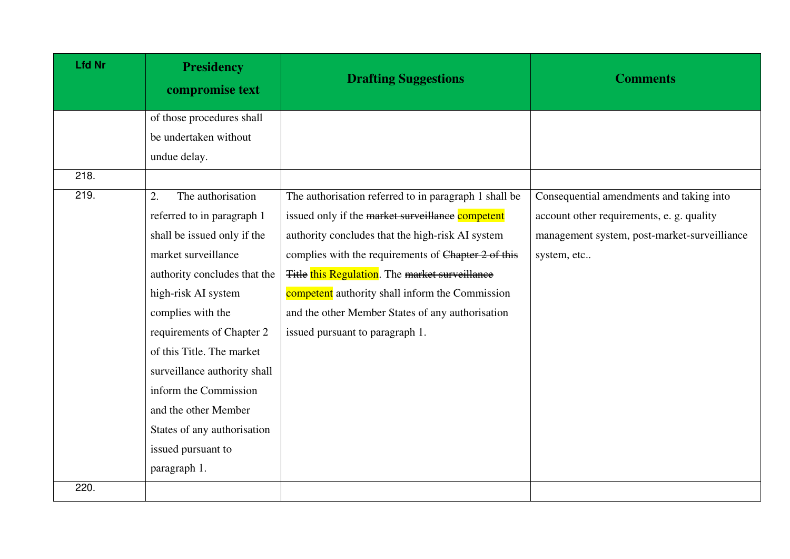| <b>Lfd Nr</b> | <b>Presidency</b><br>compromise text | <b>Drafting Suggestions</b>                           | <b>Comments</b>                              |
|---------------|--------------------------------------|-------------------------------------------------------|----------------------------------------------|
|               | of those procedures shall            |                                                       |                                              |
|               | be undertaken without                |                                                       |                                              |
|               | undue delay.                         |                                                       |                                              |
| 218.          |                                      |                                                       |                                              |
| 219.          | The authorisation<br>2.              | The authorisation referred to in paragraph 1 shall be | Consequential amendments and taking into     |
|               | referred to in paragraph 1           | issued only if the market surveillance competent      | account other requirements, e. g. quality    |
|               | shall be issued only if the          | authority concludes that the high-risk AI system      | management system, post-market-surveilliance |
|               | market surveillance                  | complies with the requirements of Chapter 2 of this   | system, etc                                  |
|               | authority concludes that the         | Title this Regulation. The market surveillance        |                                              |
|               | high-risk AI system                  | competent authority shall inform the Commission       |                                              |
|               | complies with the                    | and the other Member States of any authorisation      |                                              |
|               | requirements of Chapter 2            | issued pursuant to paragraph 1.                       |                                              |
|               | of this Title. The market            |                                                       |                                              |
|               | surveillance authority shall         |                                                       |                                              |
|               | inform the Commission                |                                                       |                                              |
|               | and the other Member                 |                                                       |                                              |
|               | States of any authorisation          |                                                       |                                              |
|               | issued pursuant to                   |                                                       |                                              |
|               | paragraph 1.                         |                                                       |                                              |
| 220.          |                                      |                                                       |                                              |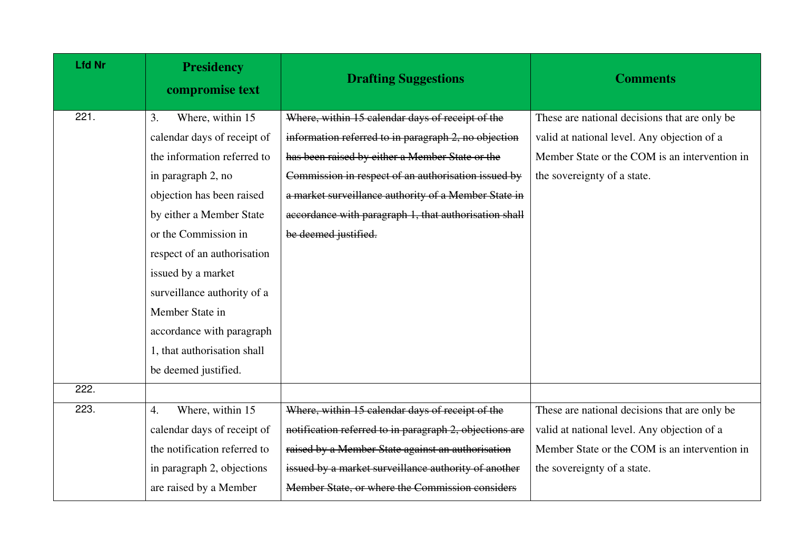| <b>Lfd Nr</b> | <b>Presidency</b><br>compromise text | <b>Drafting Suggestions</b>                             | <b>Comments</b>                               |
|---------------|--------------------------------------|---------------------------------------------------------|-----------------------------------------------|
| 221.          | Where, within 15<br>3.               | Where, within 15 calendar days of receipt of the        | These are national decisions that are only be |
|               | calendar days of receipt of          | information referred to in paragraph 2, no objection    | valid at national level. Any objection of a   |
|               | the information referred to          | has been raised by either a Member State or the         | Member State or the COM is an intervention in |
|               | in paragraph 2, no                   | Commission in respect of an authorisation issued by     | the sovereignty of a state.                   |
|               | objection has been raised            | a market surveillance authority of a Member State in    |                                               |
|               | by either a Member State             | accordance with paragraph 1, that authorisation shall   |                                               |
|               | or the Commission in                 | be deemed justified.                                    |                                               |
|               | respect of an authorisation          |                                                         |                                               |
|               | issued by a market                   |                                                         |                                               |
|               | surveillance authority of a          |                                                         |                                               |
|               | Member State in                      |                                                         |                                               |
|               | accordance with paragraph            |                                                         |                                               |
|               | 1, that authorisation shall          |                                                         |                                               |
|               | be deemed justified.                 |                                                         |                                               |
| 222.          |                                      |                                                         |                                               |
| 223.          | Where, within 15<br>4.               | Where, within 15 calendar days of receipt of the        | These are national decisions that are only be |
|               | calendar days of receipt of          | notification referred to in paragraph 2, objections are | valid at national level. Any objection of a   |
|               | the notification referred to         | raised by a Member State against an authorisation       | Member State or the COM is an intervention in |
|               | in paragraph 2, objections           | issued by a market surveillance authority of another    | the sovereignty of a state.                   |
|               | are raised by a Member               | Member State, or where the Commission considers         |                                               |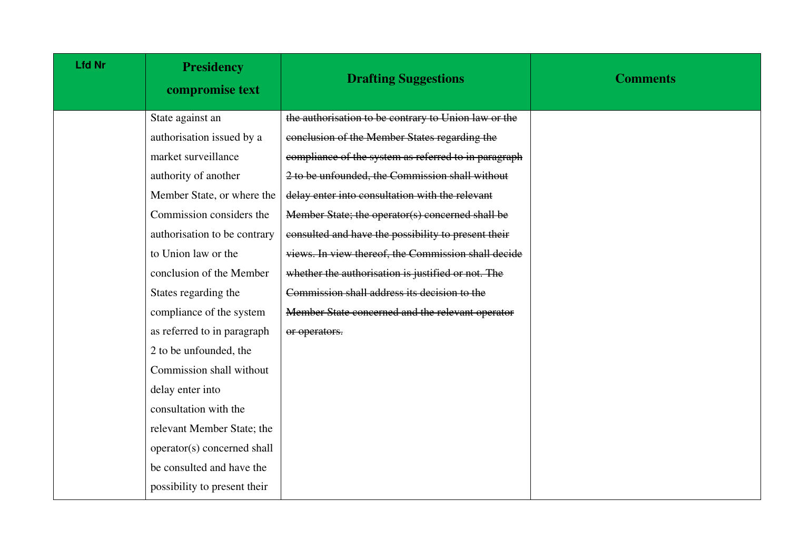| <b>Lfd Nr</b> | <b>Presidency</b><br>compromise text | <b>Drafting Suggestions</b>                          | <b>Comments</b> |
|---------------|--------------------------------------|------------------------------------------------------|-----------------|
|               | State against an                     | the authorisation to be contrary to Union law or the |                 |
|               | authorisation issued by a            | conclusion of the Member States regarding the        |                 |
|               | market surveillance                  | compliance of the system as referred to in paragraph |                 |
|               | authority of another                 | 2 to be unfounded, the Commission shall without      |                 |
|               | Member State, or where the           | delay enter into consultation with the relevant      |                 |
|               | Commission considers the             | Member State; the operator(s) concerned shall be     |                 |
|               | authorisation to be contrary         | consulted and have the possibility to present their  |                 |
|               | to Union law or the                  | views. In view thereof, the Commission shall decide  |                 |
|               | conclusion of the Member             | whether the authorisation is justified or not. The   |                 |
|               | States regarding the                 | Commission shall address its decision to the         |                 |
|               | compliance of the system             | Member State concerned and the relevant operator     |                 |
|               | as referred to in paragraph          | or operators.                                        |                 |
|               | 2 to be unfounded, the               |                                                      |                 |
|               | Commission shall without             |                                                      |                 |
|               | delay enter into                     |                                                      |                 |
|               | consultation with the                |                                                      |                 |
|               | relevant Member State; the           |                                                      |                 |
|               | operator(s) concerned shall          |                                                      |                 |
|               | be consulted and have the            |                                                      |                 |
|               | possibility to present their         |                                                      |                 |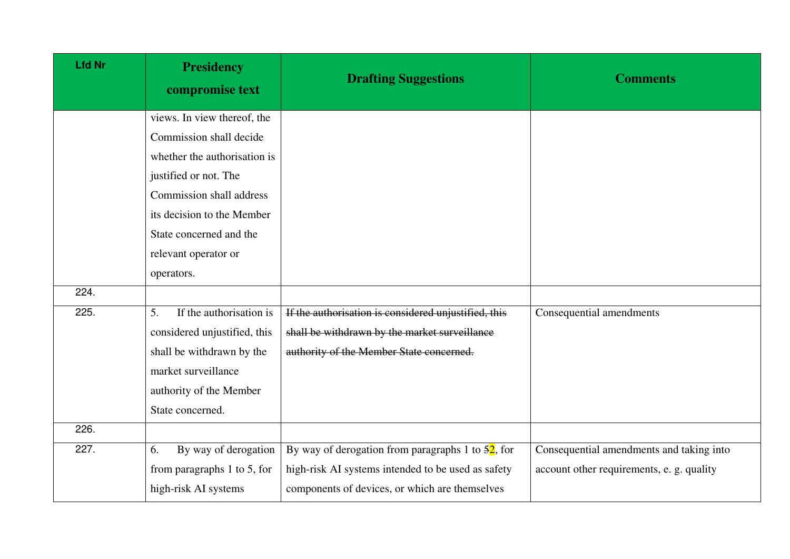| <b>Lfd Nr</b> | <b>Presidency</b><br>compromise text | <b>Drafting Suggestions</b>                                    | <b>Comments</b>                           |
|---------------|--------------------------------------|----------------------------------------------------------------|-------------------------------------------|
|               | views. In view thereof, the          |                                                                |                                           |
|               | Commission shall decide              |                                                                |                                           |
|               | whether the authorisation is         |                                                                |                                           |
|               | justified or not. The                |                                                                |                                           |
|               | Commission shall address             |                                                                |                                           |
|               | its decision to the Member           |                                                                |                                           |
|               | State concerned and the              |                                                                |                                           |
|               | relevant operator or                 |                                                                |                                           |
|               | operators.                           |                                                                |                                           |
| 224.          |                                      |                                                                |                                           |
| 225.          | If the authorisation is<br>5.        | If the authorisation is considered unjustified, this           | Consequential amendments                  |
|               | considered unjustified, this         | shall be withdrawn by the market surveillance                  |                                           |
|               | shall be withdrawn by the            | authority of the Member State concerned.                       |                                           |
|               | market surveillance                  |                                                                |                                           |
|               | authority of the Member              |                                                                |                                           |
|               | State concerned.                     |                                                                |                                           |
| 226.          |                                      |                                                                |                                           |
| 227.          | By way of derogation<br>6.           | By way of derogation from paragraphs 1 to $\frac{52}{7}$ , for | Consequential amendments and taking into  |
|               | from paragraphs $1$ to $5$ , for     | high-risk AI systems intended to be used as safety             | account other requirements, e. g. quality |
|               | high-risk AI systems                 | components of devices, or which are themselves                 |                                           |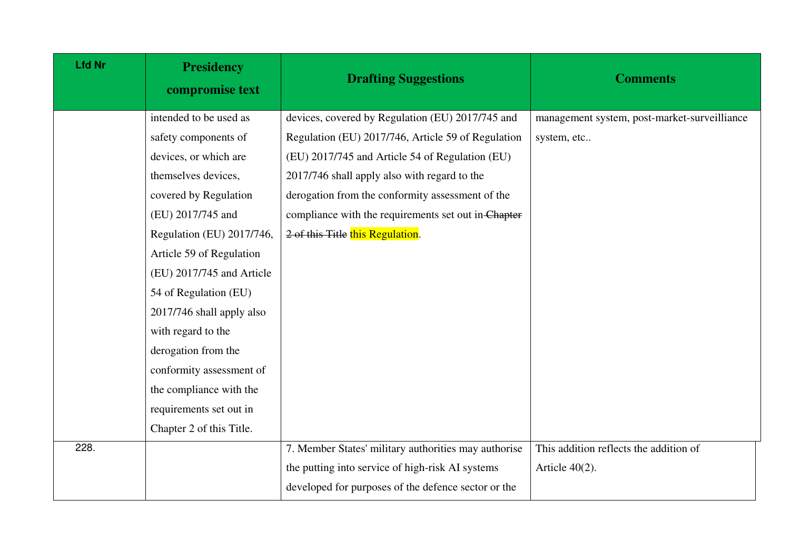| <b>Lfd Nr</b> | <b>Presidency</b><br>compromise text | <b>Drafting Suggestions</b>                          | <b>Comments</b>                              |
|---------------|--------------------------------------|------------------------------------------------------|----------------------------------------------|
|               | intended to be used as               | devices, covered by Regulation (EU) 2017/745 and     | management system, post-market-surveilliance |
|               | safety components of                 | Regulation (EU) 2017/746, Article 59 of Regulation   | system, etc                                  |
|               | devices, or which are                | (EU) 2017/745 and Article 54 of Regulation (EU)      |                                              |
|               | themselves devices,                  | 2017/746 shall apply also with regard to the         |                                              |
|               | covered by Regulation                | derogation from the conformity assessment of the     |                                              |
|               | (EU) 2017/745 and                    | compliance with the requirements set out in-Chapter  |                                              |
|               | Regulation (EU) 2017/746,            | 2 of this Title this Regulation.                     |                                              |
|               | Article 59 of Regulation             |                                                      |                                              |
|               | (EU) 2017/745 and Article            |                                                      |                                              |
|               | 54 of Regulation (EU)                |                                                      |                                              |
|               | 2017/746 shall apply also            |                                                      |                                              |
|               | with regard to the                   |                                                      |                                              |
|               | derogation from the                  |                                                      |                                              |
|               | conformity assessment of             |                                                      |                                              |
|               | the compliance with the              |                                                      |                                              |
|               | requirements set out in              |                                                      |                                              |
|               | Chapter 2 of this Title.             |                                                      |                                              |
| 228.          |                                      | 7. Member States' military authorities may authorise | This addition reflects the addition of       |
|               |                                      | the putting into service of high-risk AI systems     | Article $40(2)$ .                            |
|               |                                      | developed for purposes of the defence sector or the  |                                              |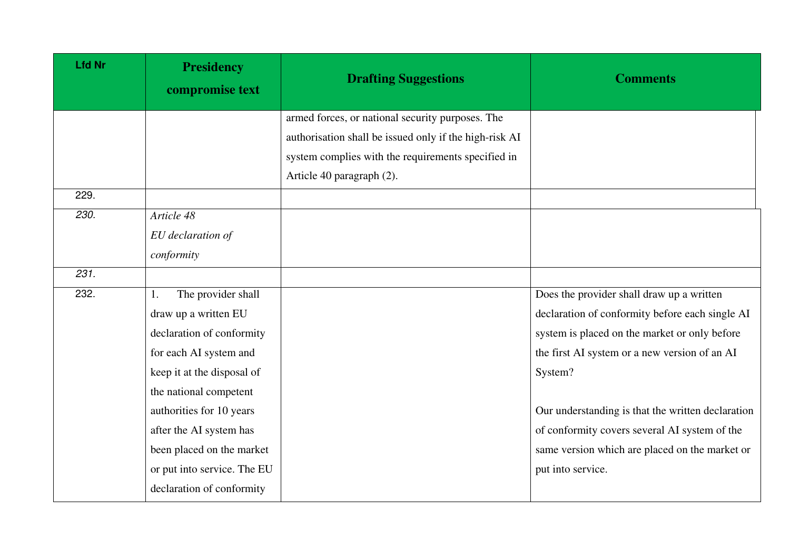| <b>Lfd Nr</b> | <b>Presidency</b><br>compromise text | <b>Drafting Suggestions</b>                            | <b>Comments</b>                                   |
|---------------|--------------------------------------|--------------------------------------------------------|---------------------------------------------------|
|               |                                      | armed forces, or national security purposes. The       |                                                   |
|               |                                      | authorisation shall be issued only if the high-risk AI |                                                   |
|               |                                      | system complies with the requirements specified in     |                                                   |
|               |                                      | Article 40 paragraph (2).                              |                                                   |
| 229.          |                                      |                                                        |                                                   |
| 230.          | Article 48                           |                                                        |                                                   |
|               | EU declaration of                    |                                                        |                                                   |
|               | conformity                           |                                                        |                                                   |
| 231.          |                                      |                                                        |                                                   |
| 232.          | The provider shall<br>1.             |                                                        | Does the provider shall draw up a written         |
|               | draw up a written EU                 |                                                        | declaration of conformity before each single AI   |
|               | declaration of conformity            |                                                        | system is placed on the market or only before     |
|               | for each AI system and               |                                                        | the first AI system or a new version of an AI     |
|               | keep it at the disposal of           |                                                        | System?                                           |
|               | the national competent               |                                                        |                                                   |
|               | authorities for 10 years             |                                                        | Our understanding is that the written declaration |
|               | after the AI system has              |                                                        | of conformity covers several AI system of the     |
|               | been placed on the market            |                                                        | same version which are placed on the market or    |
|               | or put into service. The EU          |                                                        | put into service.                                 |
|               | declaration of conformity            |                                                        |                                                   |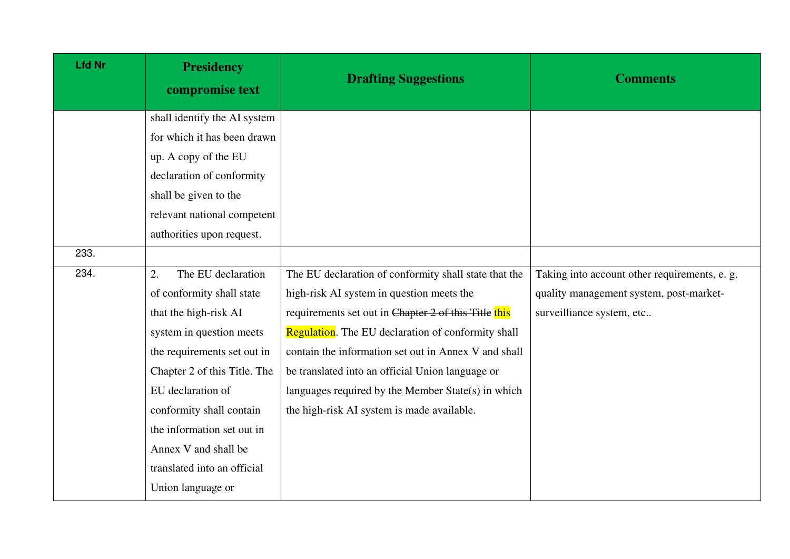| <b>Lfd Nr</b> | <b>Presidency</b><br>compromise text | <b>Drafting Suggestions</b>                           | <b>Comments</b>                               |
|---------------|--------------------------------------|-------------------------------------------------------|-----------------------------------------------|
|               | shall identify the AI system         |                                                       |                                               |
|               | for which it has been drawn          |                                                       |                                               |
|               | up. A copy of the EU                 |                                                       |                                               |
|               | declaration of conformity            |                                                       |                                               |
|               | shall be given to the                |                                                       |                                               |
|               | relevant national competent          |                                                       |                                               |
|               | authorities upon request.            |                                                       |                                               |
| 233.          |                                      |                                                       |                                               |
| 234.          | The EU declaration<br>2.             | The EU declaration of conformity shall state that the | Taking into account other requirements, e. g. |
|               | of conformity shall state            | high-risk AI system in question meets the             | quality management system, post-market-       |
|               | that the high-risk AI                | requirements set out in Chapter 2 of this Title this  | surveilliance system, etc                     |
|               | system in question meets             | Regulation. The EU declaration of conformity shall    |                                               |
|               | the requirements set out in          | contain the information set out in Annex V and shall  |                                               |
|               | Chapter 2 of this Title. The         | be translated into an official Union language or      |                                               |
|               | EU declaration of                    | languages required by the Member State(s) in which    |                                               |
|               | conformity shall contain             | the high-risk AI system is made available.            |                                               |
|               | the information set out in           |                                                       |                                               |
|               | Annex V and shall be                 |                                                       |                                               |
|               | translated into an official          |                                                       |                                               |
|               | Union language or                    |                                                       |                                               |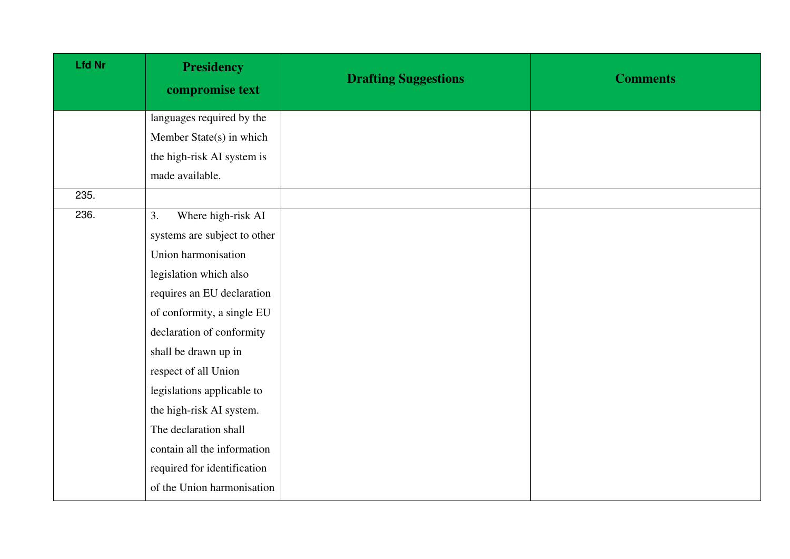| <b>Lfd Nr</b> | <b>Presidency</b><br>compromise text | <b>Drafting Suggestions</b> | <b>Comments</b> |
|---------------|--------------------------------------|-----------------------------|-----------------|
|               | languages required by the            |                             |                 |
|               | Member State(s) in which             |                             |                 |
|               | the high-risk AI system is           |                             |                 |
|               | made available.                      |                             |                 |
| 235.          |                                      |                             |                 |
| 236.          | Where high-risk AI<br>3.             |                             |                 |
|               | systems are subject to other         |                             |                 |
|               | Union harmonisation                  |                             |                 |
|               | legislation which also               |                             |                 |
|               | requires an EU declaration           |                             |                 |
|               | of conformity, a single EU           |                             |                 |
|               | declaration of conformity            |                             |                 |
|               | shall be drawn up in                 |                             |                 |
|               | respect of all Union                 |                             |                 |
|               | legislations applicable to           |                             |                 |
|               | the high-risk AI system.             |                             |                 |
|               | The declaration shall                |                             |                 |
|               | contain all the information          |                             |                 |
|               | required for identification          |                             |                 |
|               | of the Union harmonisation           |                             |                 |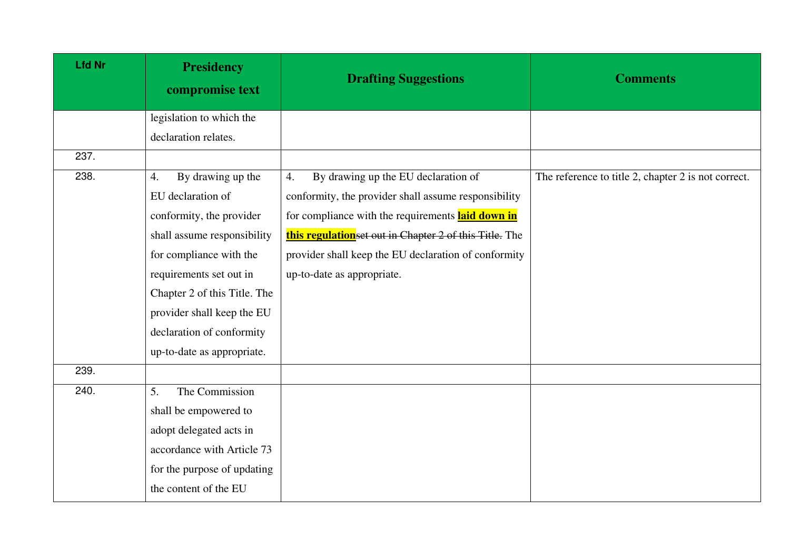| <b>Lfd Nr</b> | <b>Presidency</b><br>compromise text | <b>Drafting Suggestions</b>                            | <b>Comments</b>                                     |
|---------------|--------------------------------------|--------------------------------------------------------|-----------------------------------------------------|
|               | legislation to which the             |                                                        |                                                     |
|               | declaration relates.                 |                                                        |                                                     |
| 237.          |                                      |                                                        |                                                     |
| 238.          | By drawing up the<br>4.              | By drawing up the EU declaration of<br>4.              | The reference to title 2, chapter 2 is not correct. |
|               | EU declaration of                    | conformity, the provider shall assume responsibility   |                                                     |
|               | conformity, the provider             | for compliance with the requirements laid down in      |                                                     |
|               | shall assume responsibility          | this regulationset out in Chapter 2 of this Title. The |                                                     |
|               | for compliance with the              | provider shall keep the EU declaration of conformity   |                                                     |
|               | requirements set out in              | up-to-date as appropriate.                             |                                                     |
|               | Chapter 2 of this Title. The         |                                                        |                                                     |
|               | provider shall keep the EU           |                                                        |                                                     |
|               | declaration of conformity            |                                                        |                                                     |
|               | up-to-date as appropriate.           |                                                        |                                                     |
| 239.          |                                      |                                                        |                                                     |
| 240.          | The Commission<br>5.                 |                                                        |                                                     |
|               | shall be empowered to                |                                                        |                                                     |
|               | adopt delegated acts in              |                                                        |                                                     |
|               | accordance with Article 73           |                                                        |                                                     |
|               | for the purpose of updating          |                                                        |                                                     |
|               | the content of the EU                |                                                        |                                                     |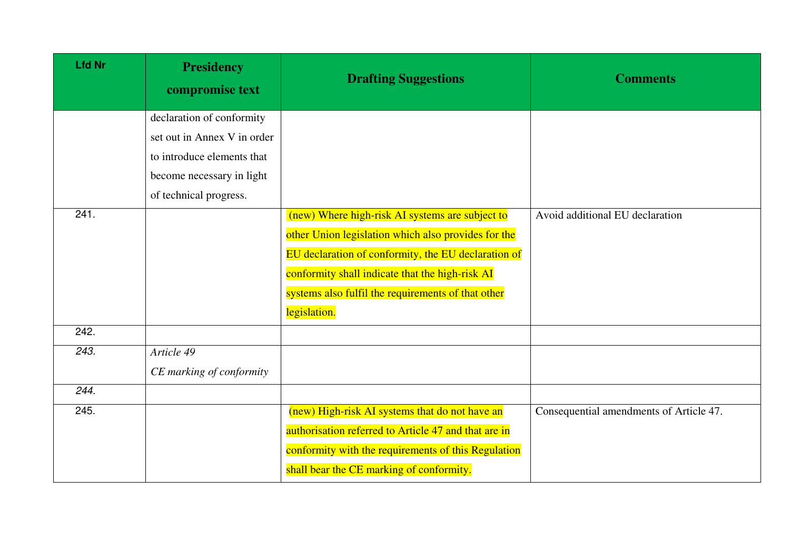| <b>Lfd Nr</b> | <b>Presidency</b><br>compromise text | <b>Drafting Suggestions</b>                          | <b>Comments</b>                         |
|---------------|--------------------------------------|------------------------------------------------------|-----------------------------------------|
|               | declaration of conformity            |                                                      |                                         |
|               | set out in Annex V in order          |                                                      |                                         |
|               | to introduce elements that           |                                                      |                                         |
|               | become necessary in light            |                                                      |                                         |
|               | of technical progress.               |                                                      |                                         |
| 241.          |                                      | (new) Where high-risk AI systems are subject to      | Avoid additional EU declaration         |
|               |                                      | other Union legislation which also provides for the  |                                         |
|               |                                      | EU declaration of conformity, the EU declaration of  |                                         |
|               |                                      | conformity shall indicate that the high-risk AI      |                                         |
|               |                                      | systems also fulfil the requirements of that other   |                                         |
|               |                                      | legislation.                                         |                                         |
| 242.          |                                      |                                                      |                                         |
| 243.          | Article 49                           |                                                      |                                         |
|               | CE marking of conformity             |                                                      |                                         |
| 244.          |                                      |                                                      |                                         |
| 245.          |                                      | (new) High-risk AI systems that do not have an       | Consequential amendments of Article 47. |
|               |                                      | authorisation referred to Article 47 and that are in |                                         |
|               |                                      | conformity with the requirements of this Regulation  |                                         |
|               |                                      | shall bear the CE marking of conformity.             |                                         |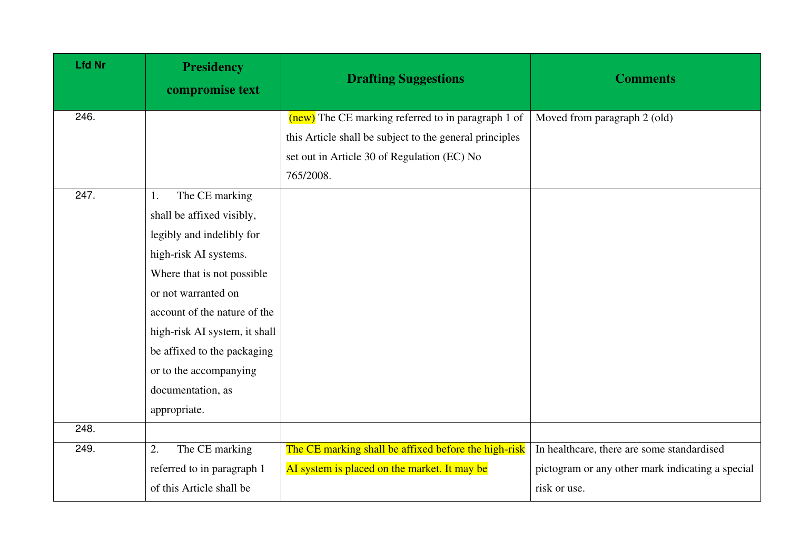| <b>Lfd Nr</b> | <b>Presidency</b><br>compromise text | <b>Drafting Suggestions</b>                             | <b>Comments</b>                                  |
|---------------|--------------------------------------|---------------------------------------------------------|--------------------------------------------------|
| 246.          |                                      | (new) The CE marking referred to in paragraph 1 of      | Moved from paragraph 2 (old)                     |
|               |                                      | this Article shall be subject to the general principles |                                                  |
|               |                                      | set out in Article 30 of Regulation (EC) No             |                                                  |
|               |                                      | 765/2008.                                               |                                                  |
| 247.          | The CE marking<br>1.                 |                                                         |                                                  |
|               | shall be affixed visibly,            |                                                         |                                                  |
|               | legibly and indelibly for            |                                                         |                                                  |
|               | high-risk AI systems.                |                                                         |                                                  |
|               | Where that is not possible           |                                                         |                                                  |
|               | or not warranted on                  |                                                         |                                                  |
|               | account of the nature of the         |                                                         |                                                  |
|               | high-risk AI system, it shall        |                                                         |                                                  |
|               | be affixed to the packaging          |                                                         |                                                  |
|               | or to the accompanying               |                                                         |                                                  |
|               | documentation, as                    |                                                         |                                                  |
|               | appropriate.                         |                                                         |                                                  |
| 248.          |                                      |                                                         |                                                  |
| 249.          | The CE marking<br>2.                 | The CE marking shall be affixed before the high-risk    | In healthcare, there are some standardised       |
|               | referred to in paragraph 1           | AI system is placed on the market. It may be            | pictogram or any other mark indicating a special |
|               | of this Article shall be             |                                                         | risk or use.                                     |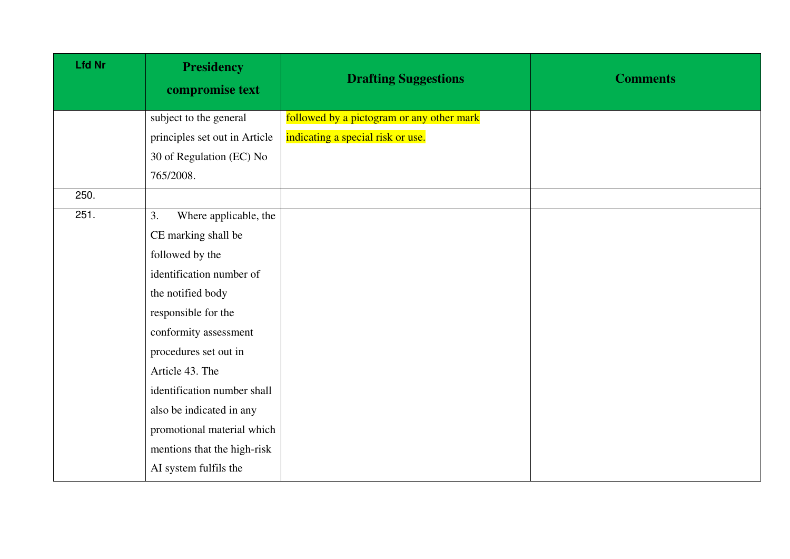| <b>Lfd Nr</b> | <b>Presidency</b><br>compromise text | <b>Drafting Suggestions</b>               | <b>Comments</b> |
|---------------|--------------------------------------|-------------------------------------------|-----------------|
|               | subject to the general               | followed by a pictogram or any other mark |                 |
|               | principles set out in Article        | indicating a special risk or use.         |                 |
|               | 30 of Regulation (EC) No             |                                           |                 |
|               | 765/2008.                            |                                           |                 |
| 250.          |                                      |                                           |                 |
| 251.          | Where applicable, the<br>3.          |                                           |                 |
|               | CE marking shall be                  |                                           |                 |
|               | followed by the                      |                                           |                 |
|               | identification number of             |                                           |                 |
|               | the notified body                    |                                           |                 |
|               | responsible for the                  |                                           |                 |
|               | conformity assessment                |                                           |                 |
|               | procedures set out in                |                                           |                 |
|               | Article 43. The                      |                                           |                 |
|               | identification number shall          |                                           |                 |
|               | also be indicated in any             |                                           |                 |
|               | promotional material which           |                                           |                 |
|               | mentions that the high-risk          |                                           |                 |
|               | AI system fulfils the                |                                           |                 |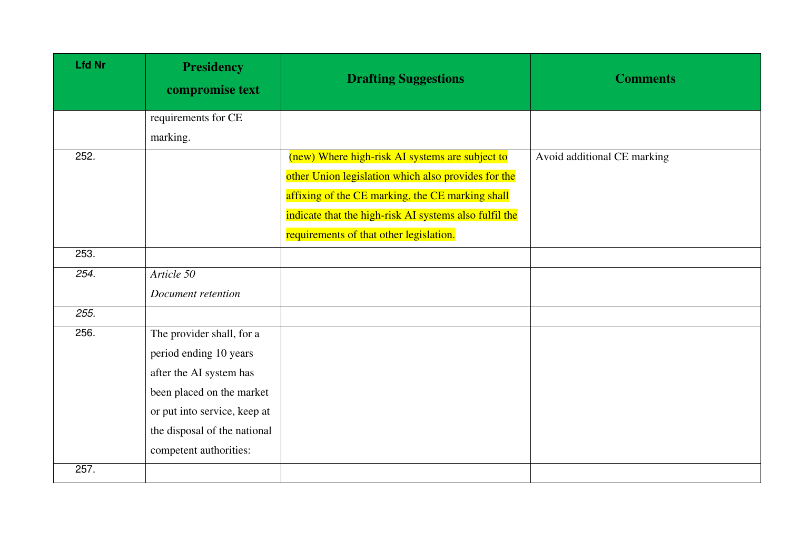| <b>Lfd Nr</b> | <b>Presidency</b><br>compromise text | <b>Drafting Suggestions</b>                            | <b>Comments</b>             |
|---------------|--------------------------------------|--------------------------------------------------------|-----------------------------|
|               | requirements for CE                  |                                                        |                             |
|               | marking.                             |                                                        |                             |
| 252.          |                                      | (new) Where high-risk AI systems are subject to        | Avoid additional CE marking |
|               |                                      | other Union legislation which also provides for the    |                             |
|               |                                      | affixing of the CE marking, the CE marking shall       |                             |
|               |                                      | indicate that the high-risk AI systems also fulfil the |                             |
|               |                                      | requirements of that other legislation.                |                             |
| 253.          |                                      |                                                        |                             |
| 254.          | Article 50                           |                                                        |                             |
|               | Document retention                   |                                                        |                             |
| 255.          |                                      |                                                        |                             |
| 256.          | The provider shall, for a            |                                                        |                             |
|               | period ending 10 years               |                                                        |                             |
|               | after the AI system has              |                                                        |                             |
|               | been placed on the market            |                                                        |                             |
|               | or put into service, keep at         |                                                        |                             |
|               | the disposal of the national         |                                                        |                             |
|               | competent authorities:               |                                                        |                             |
| 257.          |                                      |                                                        |                             |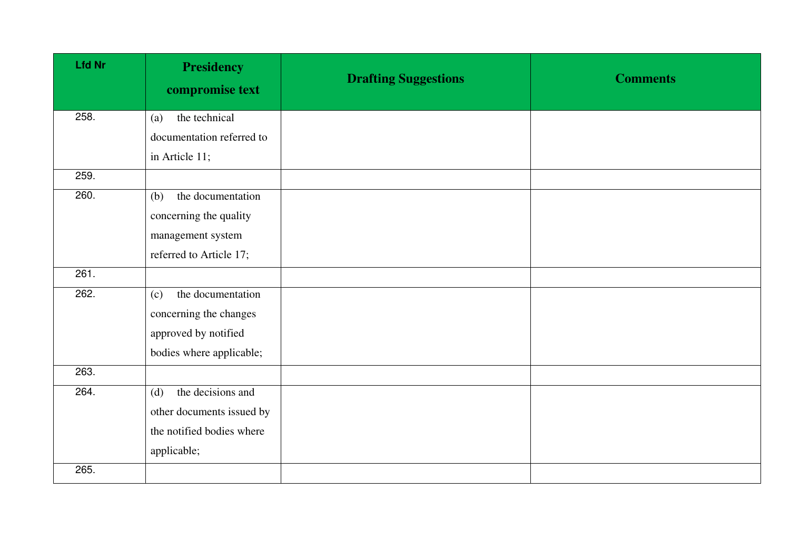| <b>Lfd Nr</b> | <b>Presidency</b><br>compromise text | <b>Drafting Suggestions</b> | <b>Comments</b> |
|---------------|--------------------------------------|-----------------------------|-----------------|
| 258.          | the technical<br>(a)                 |                             |                 |
|               | documentation referred to            |                             |                 |
|               | in Article 11;                       |                             |                 |
| 259.          |                                      |                             |                 |
| 260.          | the documentation<br>(b)             |                             |                 |
|               | concerning the quality               |                             |                 |
|               | management system                    |                             |                 |
|               | referred to Article 17;              |                             |                 |
| 261.          |                                      |                             |                 |
| 262.          | the documentation<br>(c)             |                             |                 |
|               | concerning the changes               |                             |                 |
|               | approved by notified                 |                             |                 |
|               | bodies where applicable;             |                             |                 |
| 263.          |                                      |                             |                 |
| 264.          | the decisions and<br>(d)             |                             |                 |
|               | other documents issued by            |                             |                 |
|               | the notified bodies where            |                             |                 |
|               | applicable;                          |                             |                 |
| 265.          |                                      |                             |                 |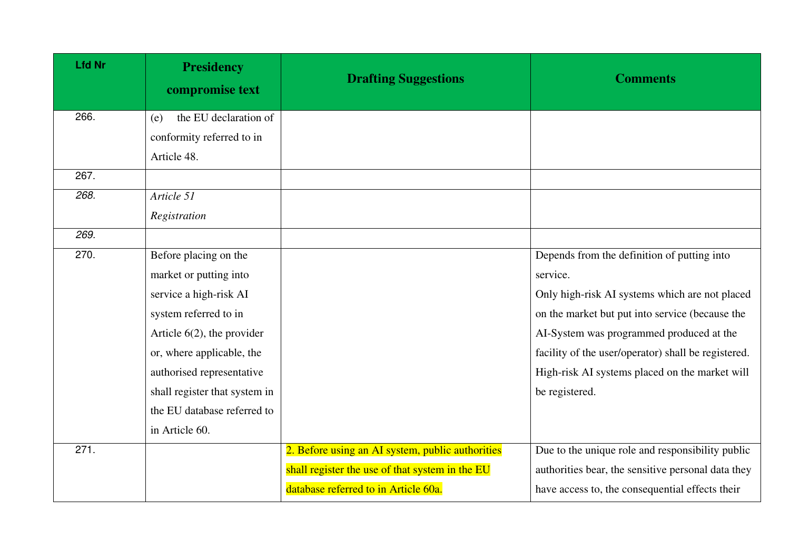| <b>Lfd Nr</b> | <b>Presidency</b><br>compromise text | <b>Drafting Suggestions</b>                      | <b>Comments</b>                                     |
|---------------|--------------------------------------|--------------------------------------------------|-----------------------------------------------------|
| 266.          | the EU declaration of<br>(e)         |                                                  |                                                     |
|               | conformity referred to in            |                                                  |                                                     |
|               | Article 48.                          |                                                  |                                                     |
| 267.          |                                      |                                                  |                                                     |
| 268.          | Article 51                           |                                                  |                                                     |
|               | Registration                         |                                                  |                                                     |
| 269.          |                                      |                                                  |                                                     |
| 270.          | Before placing on the                |                                                  | Depends from the definition of putting into         |
|               | market or putting into               |                                                  | service.                                            |
|               | service a high-risk AI               |                                                  | Only high-risk AI systems which are not placed      |
|               | system referred to in                |                                                  | on the market but put into service (because the     |
|               | Article $6(2)$ , the provider        |                                                  | AI-System was programmed produced at the            |
|               | or, where applicable, the            |                                                  | facility of the user/operator) shall be registered. |
|               | authorised representative            |                                                  | High-risk AI systems placed on the market will      |
|               | shall register that system in        |                                                  | be registered.                                      |
|               | the EU database referred to          |                                                  |                                                     |
|               | in Article 60.                       |                                                  |                                                     |
| 271.          |                                      | 2. Before using an AI system, public authorities | Due to the unique role and responsibility public    |
|               |                                      | shall register the use of that system in the EU  | authorities bear, the sensitive personal data they  |
|               |                                      | database referred to in Article 60a.             | have access to, the consequential effects their     |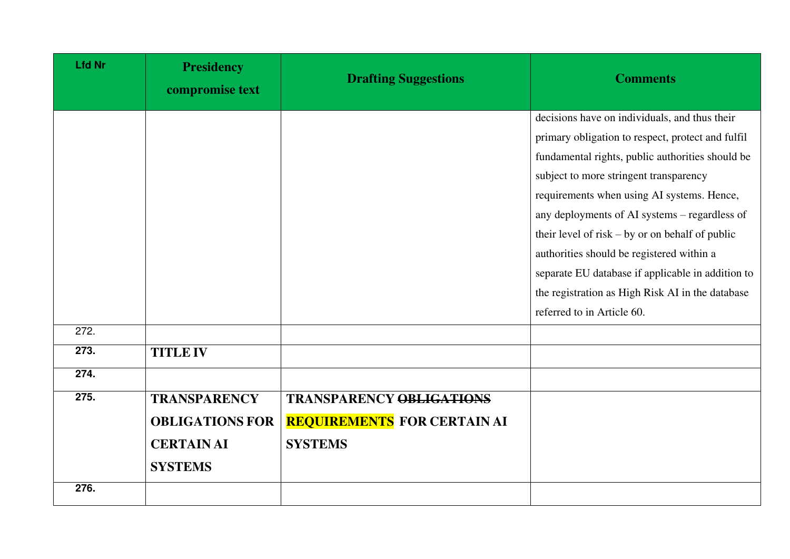| <b>Lfd Nr</b> | <b>Presidency</b><br>compromise text                                                 | <b>Drafting Suggestions</b>                                                             | <b>Comments</b>                                                                                                                                                                                                                                                                                                                                                                                                                                                                                                                          |
|---------------|--------------------------------------------------------------------------------------|-----------------------------------------------------------------------------------------|------------------------------------------------------------------------------------------------------------------------------------------------------------------------------------------------------------------------------------------------------------------------------------------------------------------------------------------------------------------------------------------------------------------------------------------------------------------------------------------------------------------------------------------|
|               |                                                                                      |                                                                                         | decisions have on individuals, and thus their<br>primary obligation to respect, protect and fulfil<br>fundamental rights, public authorities should be<br>subject to more stringent transparency<br>requirements when using AI systems. Hence,<br>any deployments of AI systems – regardless of<br>their level of risk $-$ by or on behalf of public<br>authorities should be registered within a<br>separate EU database if applicable in addition to<br>the registration as High Risk AI in the database<br>referred to in Article 60. |
| 272.          |                                                                                      |                                                                                         |                                                                                                                                                                                                                                                                                                                                                                                                                                                                                                                                          |
| 273.          | <b>TITLE IV</b>                                                                      |                                                                                         |                                                                                                                                                                                                                                                                                                                                                                                                                                                                                                                                          |
| 274.          |                                                                                      |                                                                                         |                                                                                                                                                                                                                                                                                                                                                                                                                                                                                                                                          |
| 275.          | <b>TRANSPARENCY</b><br><b>OBLIGATIONS FOR</b><br><b>CERTAIN AI</b><br><b>SYSTEMS</b> | <b>TRANSPARENCY OBLIGATIONS</b><br><b>REQUIREMENTS FOR CERTAIN AI</b><br><b>SYSTEMS</b> |                                                                                                                                                                                                                                                                                                                                                                                                                                                                                                                                          |
| 276.          |                                                                                      |                                                                                         |                                                                                                                                                                                                                                                                                                                                                                                                                                                                                                                                          |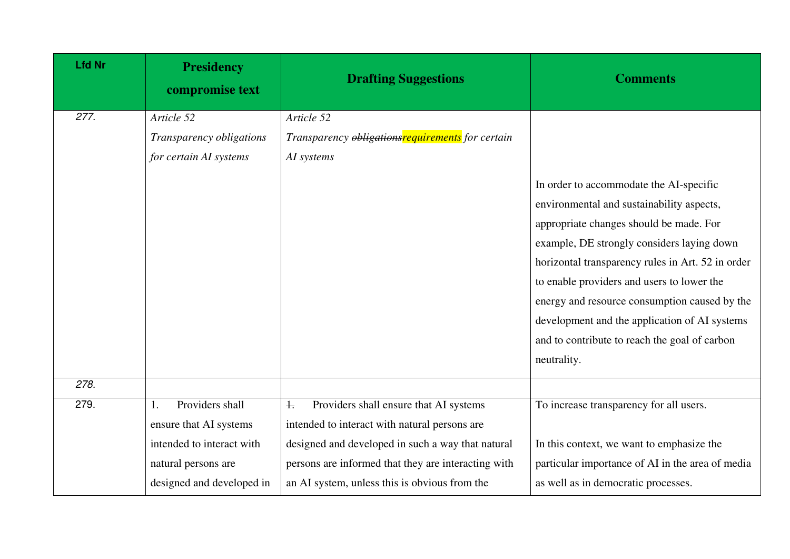| <b>Lfd Nr</b> | <b>Presidency</b><br>compromise text | <b>Drafting Suggestions</b>                             | <b>Comments</b>                                                                                                                                                                                                                                                                                                                                                                                                                                    |
|---------------|--------------------------------------|---------------------------------------------------------|----------------------------------------------------------------------------------------------------------------------------------------------------------------------------------------------------------------------------------------------------------------------------------------------------------------------------------------------------------------------------------------------------------------------------------------------------|
| 277.          | Article 52                           | Article 52                                              |                                                                                                                                                                                                                                                                                                                                                                                                                                                    |
|               | Transparency obligations             | Transparency <i>obligationsrequirements</i> for certain |                                                                                                                                                                                                                                                                                                                                                                                                                                                    |
|               | for certain AI systems               | AI systems                                              |                                                                                                                                                                                                                                                                                                                                                                                                                                                    |
|               |                                      |                                                         | In order to accommodate the AI-specific<br>environmental and sustainability aspects,<br>appropriate changes should be made. For<br>example, DE strongly considers laying down<br>horizontal transparency rules in Art. 52 in order<br>to enable providers and users to lower the<br>energy and resource consumption caused by the<br>development and the application of AI systems<br>and to contribute to reach the goal of carbon<br>neutrality. |
| 278.          |                                      |                                                         |                                                                                                                                                                                                                                                                                                                                                                                                                                                    |
| 279.          | Providers shall<br>1.                | Providers shall ensure that AI systems<br>$\ddagger$    | To increase transparency for all users.                                                                                                                                                                                                                                                                                                                                                                                                            |
|               | ensure that AI systems               | intended to interact with natural persons are           |                                                                                                                                                                                                                                                                                                                                                                                                                                                    |
|               | intended to interact with            | designed and developed in such a way that natural       | In this context, we want to emphasize the                                                                                                                                                                                                                                                                                                                                                                                                          |
|               | natural persons are                  | persons are informed that they are interacting with     | particular importance of AI in the area of media                                                                                                                                                                                                                                                                                                                                                                                                   |
|               | designed and developed in            | an AI system, unless this is obvious from the           | as well as in democratic processes.                                                                                                                                                                                                                                                                                                                                                                                                                |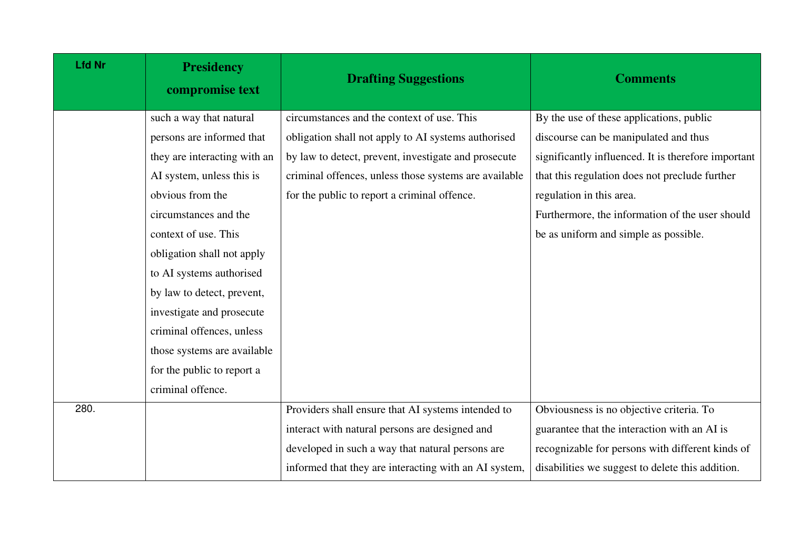| <b>Lfd Nr</b> | <b>Presidency</b><br>compromise text | <b>Drafting Suggestions</b>                           | <b>Comments</b>                                     |
|---------------|--------------------------------------|-------------------------------------------------------|-----------------------------------------------------|
|               | such a way that natural              | circumstances and the context of use. This            | By the use of these applications, public            |
|               | persons are informed that            | obligation shall not apply to AI systems authorised   | discourse can be manipulated and thus               |
|               | they are interacting with an         | by law to detect, prevent, investigate and prosecute  | significantly influenced. It is therefore important |
|               | AI system, unless this is            | criminal offences, unless those systems are available | that this regulation does not preclude further      |
|               | obvious from the                     | for the public to report a criminal offence.          | regulation in this area.                            |
|               | circumstances and the                |                                                       | Furthermore, the information of the user should     |
|               | context of use. This                 |                                                       | be as uniform and simple as possible.               |
|               | obligation shall not apply           |                                                       |                                                     |
|               | to AI systems authorised             |                                                       |                                                     |
|               | by law to detect, prevent,           |                                                       |                                                     |
|               | investigate and prosecute            |                                                       |                                                     |
|               | criminal offences, unless            |                                                       |                                                     |
|               | those systems are available          |                                                       |                                                     |
|               | for the public to report a           |                                                       |                                                     |
|               | criminal offence.                    |                                                       |                                                     |
| 280.          |                                      | Providers shall ensure that AI systems intended to    | Obviousness is no objective criteria. To            |
|               |                                      | interact with natural persons are designed and        | guarantee that the interaction with an AI is        |
|               |                                      | developed in such a way that natural persons are      | recognizable for persons with different kinds of    |
|               |                                      | informed that they are interacting with an AI system, | disabilities we suggest to delete this addition.    |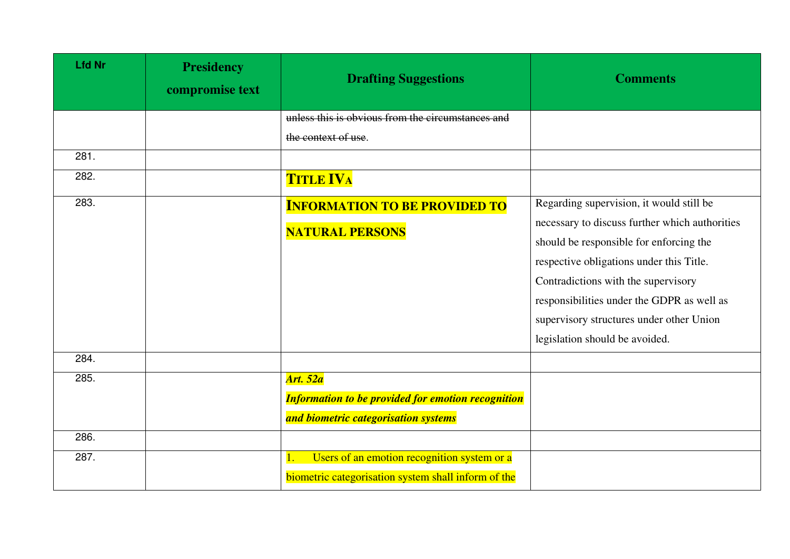| <b>Lfd Nr</b> | <b>Presidency</b><br>compromise text | <b>Drafting Suggestions</b>                               | <b>Comments</b>                                                                           |
|---------------|--------------------------------------|-----------------------------------------------------------|-------------------------------------------------------------------------------------------|
|               |                                      | unless this is obvious from the circumstances and         |                                                                                           |
|               |                                      | the context of use.                                       |                                                                                           |
| 281.          |                                      |                                                           |                                                                                           |
| 282.          |                                      | <b>TITLE IVA</b>                                          |                                                                                           |
| 283.          |                                      | <b>INFORMATION TO BE PROVIDED TO</b>                      | Regarding supervision, it would still be                                                  |
|               |                                      | <b>NATURAL PERSONS</b>                                    | necessary to discuss further which authorities<br>should be responsible for enforcing the |
|               |                                      |                                                           | respective obligations under this Title.                                                  |
|               |                                      |                                                           | Contradictions with the supervisory                                                       |
|               |                                      |                                                           | responsibilities under the GDPR as well as                                                |
|               |                                      |                                                           | supervisory structures under other Union                                                  |
|               |                                      |                                                           | legislation should be avoided.                                                            |
| 284.          |                                      |                                                           |                                                                                           |
| 285.          |                                      | <b>Art. 52a</b>                                           |                                                                                           |
|               |                                      | <b>Information to be provided for emotion recognition</b> |                                                                                           |
|               |                                      | and biometric categorisation systems                      |                                                                                           |
| 286.          |                                      |                                                           |                                                                                           |
| 287.          |                                      | Users of an emotion recognition system or a               |                                                                                           |
|               |                                      | biometric categorisation system shall inform of the       |                                                                                           |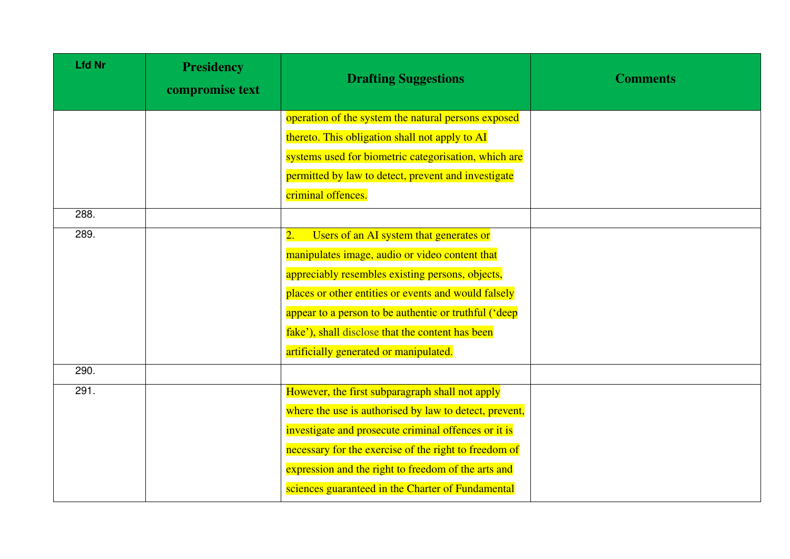| <b>Lfd Nr</b> | <b>Presidency</b><br>compromise text | <b>Drafting Suggestions</b>                                 | <b>Comments</b> |
|---------------|--------------------------------------|-------------------------------------------------------------|-----------------|
|               |                                      | operation of the system the natural persons exposed         |                 |
|               |                                      | thereto. This obligation shall not apply to AI              |                 |
|               |                                      | systems used for biometric categorisation, which are        |                 |
|               |                                      | permitted by law to detect, prevent and investigate         |                 |
|               |                                      | criminal offences.                                          |                 |
| 288.          |                                      |                                                             |                 |
| 289.          |                                      | Users of an AI system that generates or<br>$\overline{2}$ . |                 |
|               |                                      | manipulates image, audio or video content that              |                 |
|               |                                      | appreciably resembles existing persons, objects,            |                 |
|               |                                      | places or other entities or events and would falsely        |                 |
|               |                                      | appear to a person to be authentic or truthful ('deep       |                 |
|               |                                      | fake'), shall disclose that the content has been            |                 |
|               |                                      | artificially generated or manipulated.                      |                 |
| 290.          |                                      |                                                             |                 |
| 291.          |                                      | However, the first subparagraph shall not apply             |                 |
|               |                                      | where the use is authorised by law to detect, prevent,      |                 |
|               |                                      | investigate and prosecute criminal offences or it is        |                 |
|               |                                      | necessary for the exercise of the right to freedom of       |                 |
|               |                                      | expression and the right to freedom of the arts and         |                 |
|               |                                      | sciences guaranteed in the Charter of Fundamental           |                 |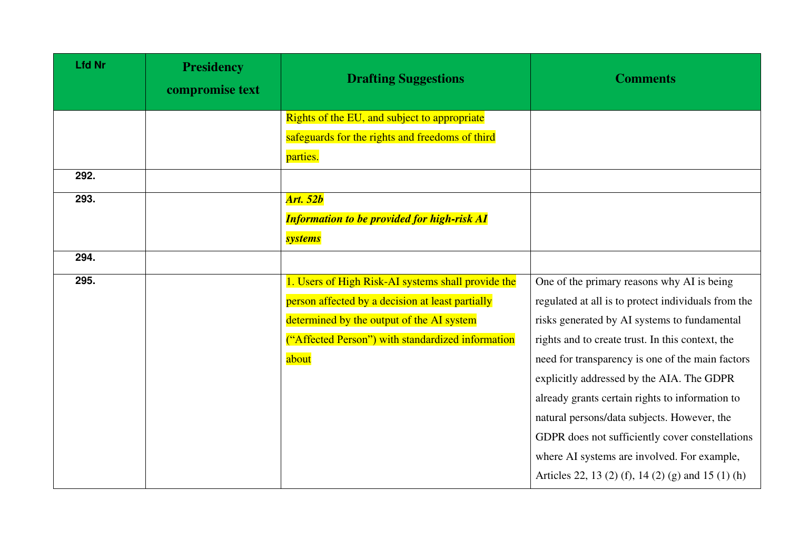| <b>Lfd Nr</b> | <b>Presidency</b><br>compromise text | <b>Drafting Suggestions</b>                        | <b>Comments</b>                                     |
|---------------|--------------------------------------|----------------------------------------------------|-----------------------------------------------------|
|               |                                      | Rights of the EU, and subject to appropriate       |                                                     |
|               |                                      | safeguards for the rights and freedoms of third    |                                                     |
|               |                                      | parties.                                           |                                                     |
| 292.          |                                      |                                                    |                                                     |
| 293.          |                                      | <b>Art. 52b</b>                                    |                                                     |
|               |                                      | <b>Information to be provided for high-risk AI</b> |                                                     |
|               |                                      | <b>systems</b>                                     |                                                     |
| 294.          |                                      |                                                    |                                                     |
| 295.          |                                      | 1. Users of High Risk-AI systems shall provide the | One of the primary reasons why AI is being          |
|               |                                      | person affected by a decision at least partially   | regulated at all is to protect individuals from the |
|               |                                      | determined by the output of the AI system          | risks generated by AI systems to fundamental        |
|               |                                      | ("Affected Person") with standardized information  | rights and to create trust. In this context, the    |
|               |                                      | about                                              | need for transparency is one of the main factors    |
|               |                                      |                                                    | explicitly addressed by the AIA. The GDPR           |
|               |                                      |                                                    | already grants certain rights to information to     |
|               |                                      |                                                    | natural persons/data subjects. However, the         |
|               |                                      |                                                    | GDPR does not sufficiently cover constellations     |
|               |                                      |                                                    | where AI systems are involved. For example,         |
|               |                                      |                                                    | Articles 22, 13 (2) (f), 14 (2) (g) and 15 (1) (h)  |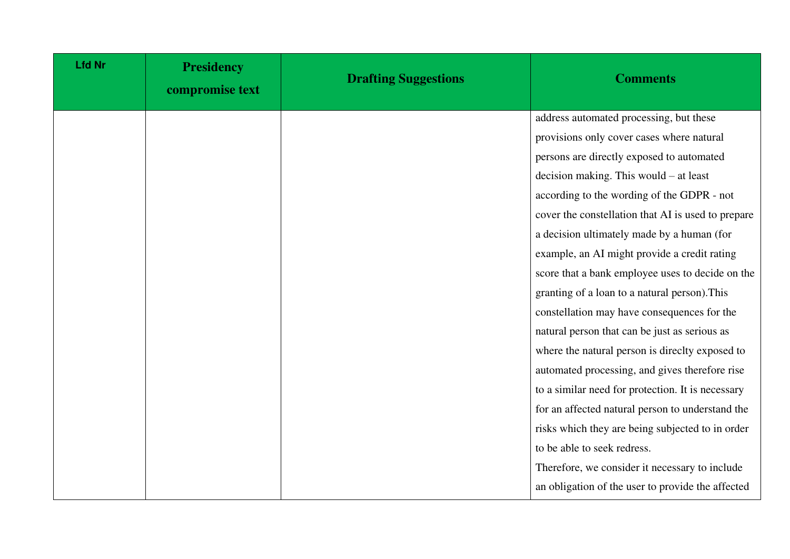| <b>Lfd Nr</b> | <b>Presidency</b><br>compromise text | <b>Drafting Suggestions</b> | <b>Comments</b>                                    |
|---------------|--------------------------------------|-----------------------------|----------------------------------------------------|
|               |                                      |                             | address automated processing, but these            |
|               |                                      |                             | provisions only cover cases where natural          |
|               |                                      |                             | persons are directly exposed to automated          |
|               |                                      |                             | decision making. This would $-$ at least           |
|               |                                      |                             | according to the wording of the GDPR - not         |
|               |                                      |                             | cover the constellation that AI is used to prepare |
|               |                                      |                             | a decision ultimately made by a human (for         |
|               |                                      |                             | example, an AI might provide a credit rating       |
|               |                                      |                             | score that a bank employee uses to decide on the   |
|               |                                      |                             | granting of a loan to a natural person). This      |
|               |                                      |                             | constellation may have consequences for the        |
|               |                                      |                             | natural person that can be just as serious as      |
|               |                                      |                             | where the natural person is directty exposed to    |
|               |                                      |                             | automated processing, and gives therefore rise     |
|               |                                      |                             | to a similar need for protection. It is necessary  |
|               |                                      |                             | for an affected natural person to understand the   |
|               |                                      |                             | risks which they are being subjected to in order   |
|               |                                      |                             | to be able to seek redress.                        |
|               |                                      |                             | Therefore, we consider it necessary to include     |
|               |                                      |                             | an obligation of the user to provide the affected  |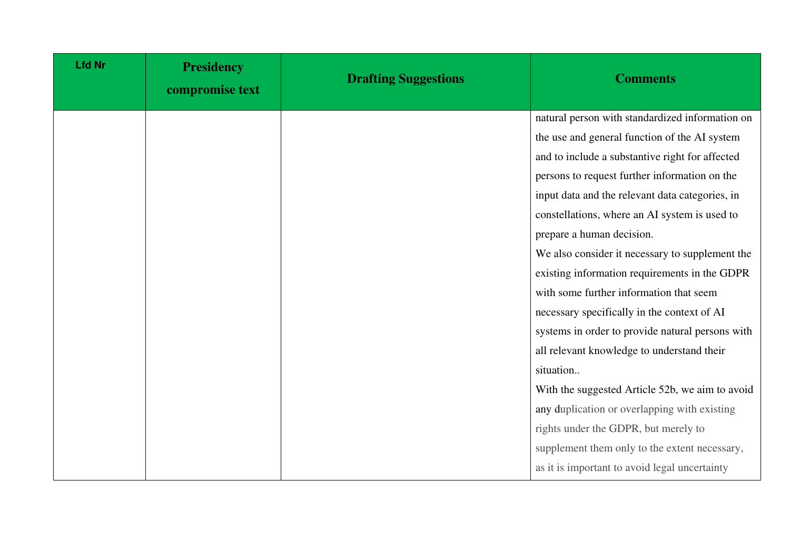| <b>Lfd Nr</b> | <b>Presidency</b><br>compromise text | <b>Drafting Suggestions</b> | <b>Comments</b>                                  |
|---------------|--------------------------------------|-----------------------------|--------------------------------------------------|
|               |                                      |                             | natural person with standardized information on  |
|               |                                      |                             | the use and general function of the AI system    |
|               |                                      |                             | and to include a substantive right for affected  |
|               |                                      |                             | persons to request further information on the    |
|               |                                      |                             | input data and the relevant data categories, in  |
|               |                                      |                             | constellations, where an AI system is used to    |
|               |                                      |                             | prepare a human decision.                        |
|               |                                      |                             | We also consider it necessary to supplement the  |
|               |                                      |                             | existing information requirements in the GDPR    |
|               |                                      |                             | with some further information that seem          |
|               |                                      |                             | necessary specifically in the context of AI      |
|               |                                      |                             | systems in order to provide natural persons with |
|               |                                      |                             | all relevant knowledge to understand their       |
|               |                                      |                             | situation                                        |
|               |                                      |                             | With the suggested Article 52b, we aim to avoid  |
|               |                                      |                             | any duplication or overlapping with existing     |
|               |                                      |                             | rights under the GDPR, but merely to             |
|               |                                      |                             | supplement them only to the extent necessary,    |
|               |                                      |                             | as it is important to avoid legal uncertainty    |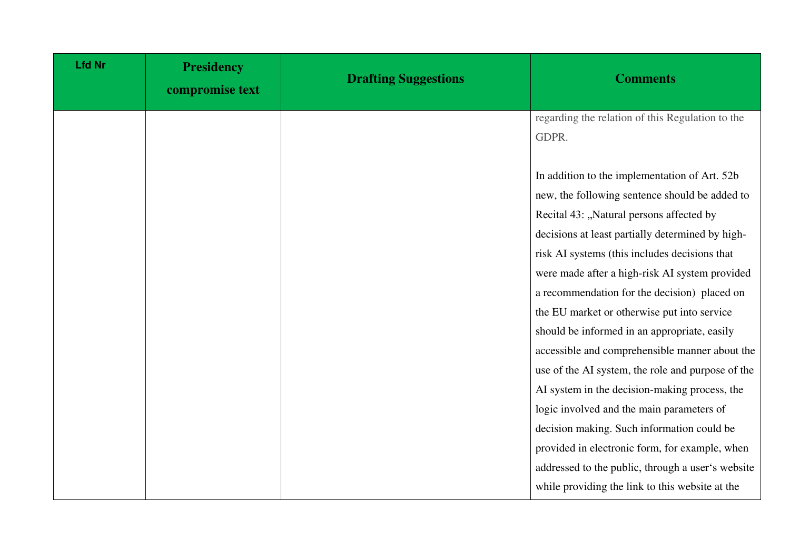| <b>Lfd Nr</b> | <b>Presidency</b><br>compromise text | <b>Drafting Suggestions</b> | <b>Comments</b>                                   |
|---------------|--------------------------------------|-----------------------------|---------------------------------------------------|
|               |                                      |                             | regarding the relation of this Regulation to the  |
|               |                                      |                             | GDPR.                                             |
|               |                                      |                             |                                                   |
|               |                                      |                             | In addition to the implementation of Art. 52b     |
|               |                                      |                             | new, the following sentence should be added to    |
|               |                                      |                             | Recital 43: "Natural persons affected by          |
|               |                                      |                             | decisions at least partially determined by high-  |
|               |                                      |                             | risk AI systems (this includes decisions that     |
|               |                                      |                             | were made after a high-risk AI system provided    |
|               |                                      |                             | a recommendation for the decision) placed on      |
|               |                                      |                             | the EU market or otherwise put into service       |
|               |                                      |                             | should be informed in an appropriate, easily      |
|               |                                      |                             | accessible and comprehensible manner about the    |
|               |                                      |                             | use of the AI system, the role and purpose of the |
|               |                                      |                             | AI system in the decision-making process, the     |
|               |                                      |                             | logic involved and the main parameters of         |
|               |                                      |                             | decision making. Such information could be        |
|               |                                      |                             | provided in electronic form, for example, when    |
|               |                                      |                             | addressed to the public, through a user's website |
|               |                                      |                             | while providing the link to this website at the   |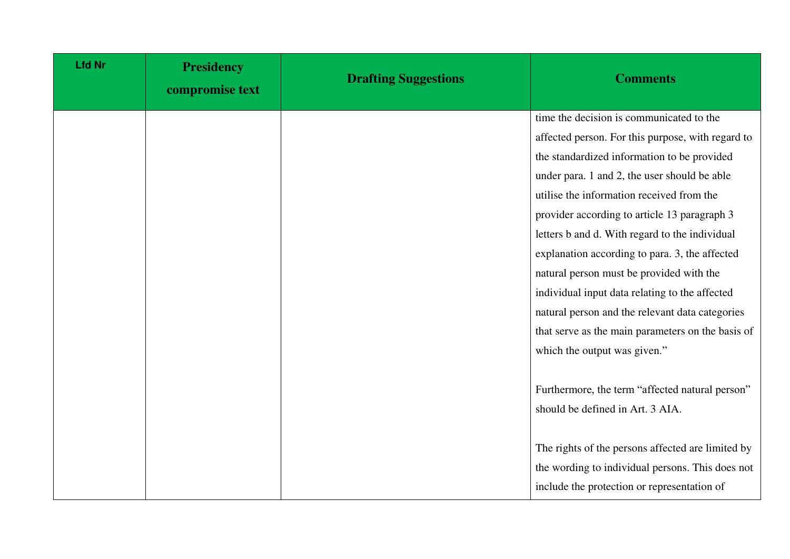| <b>Lfd Nr</b> | <b>Presidency</b><br>compromise text | <b>Drafting Suggestions</b> | <b>Comments</b>                                   |
|---------------|--------------------------------------|-----------------------------|---------------------------------------------------|
|               |                                      |                             | time the decision is communicated to the          |
|               |                                      |                             | affected person. For this purpose, with regard to |
|               |                                      |                             | the standardized information to be provided       |
|               |                                      |                             | under para. 1 and 2, the user should be able      |
|               |                                      |                             | utilise the information received from the         |
|               |                                      |                             | provider according to article 13 paragraph 3      |
|               |                                      |                             | letters b and d. With regard to the individual    |
|               |                                      |                             | explanation according to para. 3, the affected    |
|               |                                      |                             | natural person must be provided with the          |
|               |                                      |                             | individual input data relating to the affected    |
|               |                                      |                             | natural person and the relevant data categories   |
|               |                                      |                             | that serve as the main parameters on the basis of |
|               |                                      |                             | which the output was given."                      |
|               |                                      |                             |                                                   |
|               |                                      |                             | Furthermore, the term "affected natural person"   |
|               |                                      |                             | should be defined in Art. 3 AIA.                  |
|               |                                      |                             |                                                   |
|               |                                      |                             | The rights of the persons affected are limited by |
|               |                                      |                             | the wording to individual persons. This does not  |
|               |                                      |                             | include the protection or representation of       |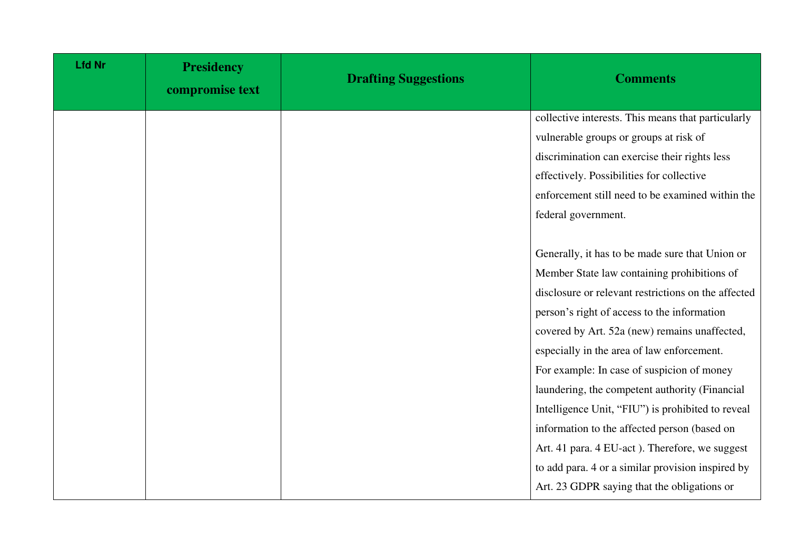| <b>Lfd Nr</b> | <b>Presidency</b><br>compromise text | <b>Drafting Suggestions</b> | <b>Comments</b>                                     |
|---------------|--------------------------------------|-----------------------------|-----------------------------------------------------|
|               |                                      |                             | collective interests. This means that particularly  |
|               |                                      |                             | vulnerable groups or groups at risk of              |
|               |                                      |                             | discrimination can exercise their rights less       |
|               |                                      |                             | effectively. Possibilities for collective           |
|               |                                      |                             | enforcement still need to be examined within the    |
|               |                                      |                             | federal government.                                 |
|               |                                      |                             |                                                     |
|               |                                      |                             | Generally, it has to be made sure that Union or     |
|               |                                      |                             | Member State law containing prohibitions of         |
|               |                                      |                             | disclosure or relevant restrictions on the affected |
|               |                                      |                             | person's right of access to the information         |
|               |                                      |                             | covered by Art. 52a (new) remains unaffected,       |
|               |                                      |                             | especially in the area of law enforcement.          |
|               |                                      |                             | For example: In case of suspicion of money          |
|               |                                      |                             | laundering, the competent authority (Financial      |
|               |                                      |                             | Intelligence Unit, "FIU") is prohibited to reveal   |
|               |                                      |                             | information to the affected person (based on        |
|               |                                      |                             | Art. 41 para. 4 EU-act). Therefore, we suggest      |
|               |                                      |                             | to add para. 4 or a similar provision inspired by   |
|               |                                      |                             | Art. 23 GDPR saying that the obligations or         |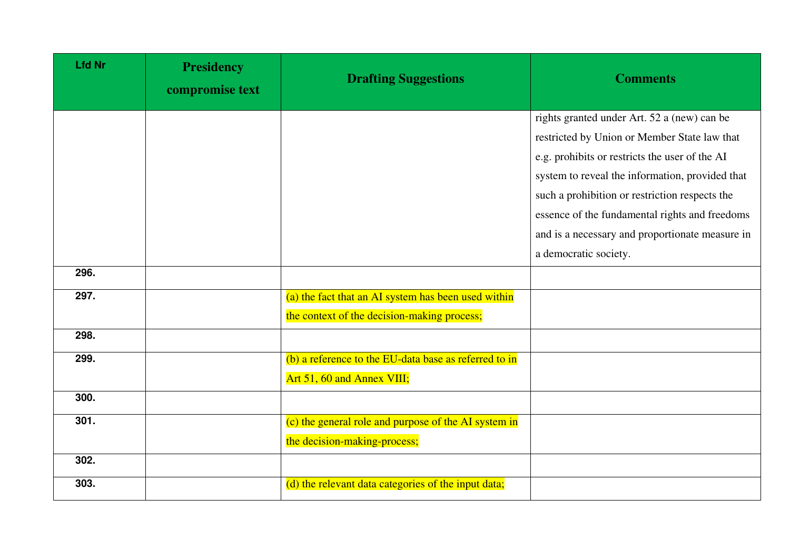| <b>Lfd Nr</b> | <b>Presidency</b><br>compromise text | <b>Drafting Suggestions</b>                           | <b>Comments</b>                                 |
|---------------|--------------------------------------|-------------------------------------------------------|-------------------------------------------------|
|               |                                      |                                                       | rights granted under Art. 52 a (new) can be     |
|               |                                      |                                                       | restricted by Union or Member State law that    |
|               |                                      |                                                       | e.g. prohibits or restricts the user of the AI  |
|               |                                      |                                                       | system to reveal the information, provided that |
|               |                                      |                                                       | such a prohibition or restriction respects the  |
|               |                                      |                                                       | essence of the fundamental rights and freedoms  |
|               |                                      |                                                       | and is a necessary and proportionate measure in |
|               |                                      |                                                       | a democratic society.                           |
| 296.          |                                      |                                                       |                                                 |
| 297.          |                                      | (a) the fact that an AI system has been used within   |                                                 |
|               |                                      | the context of the decision-making process;           |                                                 |
| 298.          |                                      |                                                       |                                                 |
| 299.          |                                      | (b) a reference to the EU-data base as referred to in |                                                 |
|               |                                      | Art 51, 60 and Annex VIII;                            |                                                 |
| 300.          |                                      |                                                       |                                                 |
| 301.          |                                      | (c) the general role and purpose of the AI system in  |                                                 |
|               |                                      | the decision-making-process;                          |                                                 |
| 302.          |                                      |                                                       |                                                 |
| 303.          |                                      | (d) the relevant data categories of the input data;   |                                                 |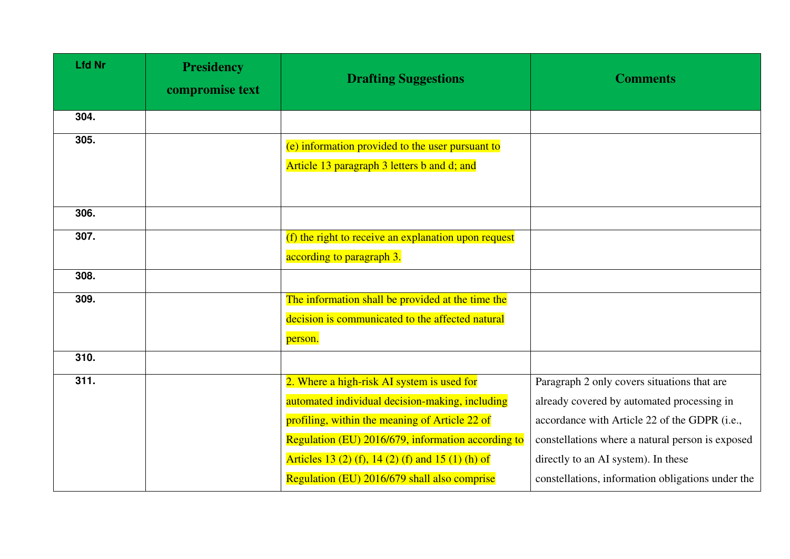| <b>Lfd Nr</b> | <b>Presidency</b><br>compromise text | <b>Drafting Suggestions</b>                                                                                                                                                                                                                                                                                | <b>Comments</b>                                                                                                                                                                                                                                                                            |
|---------------|--------------------------------------|------------------------------------------------------------------------------------------------------------------------------------------------------------------------------------------------------------------------------------------------------------------------------------------------------------|--------------------------------------------------------------------------------------------------------------------------------------------------------------------------------------------------------------------------------------------------------------------------------------------|
| 304.          |                                      |                                                                                                                                                                                                                                                                                                            |                                                                                                                                                                                                                                                                                            |
| 305.          |                                      | (e) information provided to the user pursuant to<br>Article 13 paragraph 3 letters b and d; and                                                                                                                                                                                                            |                                                                                                                                                                                                                                                                                            |
| 306.          |                                      |                                                                                                                                                                                                                                                                                                            |                                                                                                                                                                                                                                                                                            |
| 307.          |                                      | (f) the right to receive an explanation upon request<br>according to paragraph 3.                                                                                                                                                                                                                          |                                                                                                                                                                                                                                                                                            |
| 308.          |                                      |                                                                                                                                                                                                                                                                                                            |                                                                                                                                                                                                                                                                                            |
| 309.          |                                      | The information shall be provided at the time the<br>decision is communicated to the affected natural<br>person.                                                                                                                                                                                           |                                                                                                                                                                                                                                                                                            |
| 310.          |                                      |                                                                                                                                                                                                                                                                                                            |                                                                                                                                                                                                                                                                                            |
| 311.          |                                      | 2. Where a high-risk AI system is used for<br>automated individual decision-making, including<br>profiling, within the meaning of Article 22 of<br>Regulation (EU) 2016/679, information according to<br>Articles 13 (2) (f), 14 (2) (f) and 15 (1) (h) of<br>Regulation (EU) 2016/679 shall also comprise | Paragraph 2 only covers situations that are<br>already covered by automated processing in<br>accordance with Article 22 of the GDPR (i.e.,<br>constellations where a natural person is exposed<br>directly to an AI system). In these<br>constellations, information obligations under the |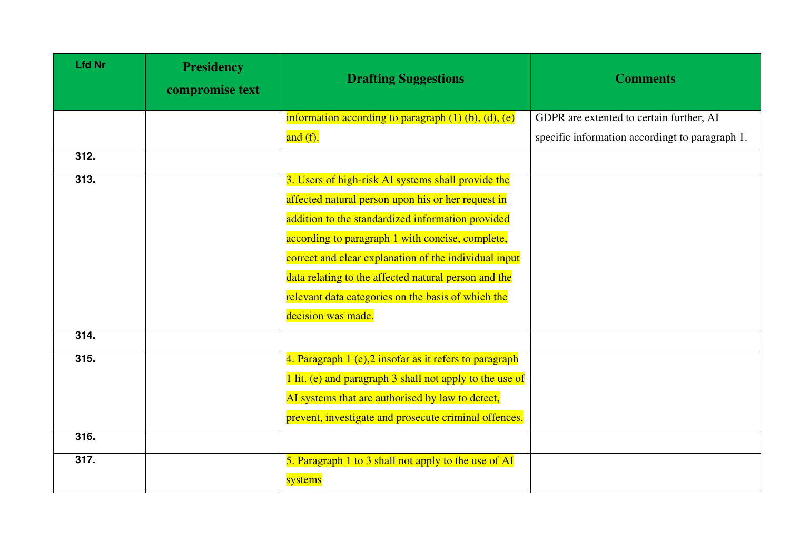| <b>Lfd Nr</b> | <b>Presidency</b><br>compromise text | <b>Drafting Suggestions</b>                                    | <b>Comments</b>                                 |
|---------------|--------------------------------------|----------------------------------------------------------------|-------------------------------------------------|
|               |                                      | information according to paragraph $(1)$ $(b)$ , $(d)$ , $(e)$ | GDPR are extented to certain further, AI        |
|               |                                      | and $(f)$ .                                                    | specific information accordingt to paragraph 1. |
| 312.          |                                      |                                                                |                                                 |
| 313.          |                                      | 3. Users of high-risk AI systems shall provide the             |                                                 |
|               |                                      | affected natural person upon his or her request in             |                                                 |
|               |                                      | addition to the standardized information provided              |                                                 |
|               |                                      | according to paragraph 1 with concise, complete,               |                                                 |
|               |                                      | correct and clear explanation of the individual input          |                                                 |
|               |                                      | data relating to the affected natural person and the           |                                                 |
|               |                                      | relevant data categories on the basis of which the             |                                                 |
|               |                                      | decision was made.                                             |                                                 |
| 314.          |                                      |                                                                |                                                 |
| 315.          |                                      | 4. Paragraph $1(e)$ , $2$ insofar as it refers to paragraph    |                                                 |
|               |                                      | 1 lit. (e) and paragraph 3 shall not apply to the use of       |                                                 |
|               |                                      | AI systems that are authorised by law to detect,               |                                                 |
|               |                                      | prevent, investigate and prosecute criminal offences.          |                                                 |
| 316.          |                                      |                                                                |                                                 |
| 317.          |                                      | 5. Paragraph 1 to 3 shall not apply to the use of AI           |                                                 |
|               |                                      | systems                                                        |                                                 |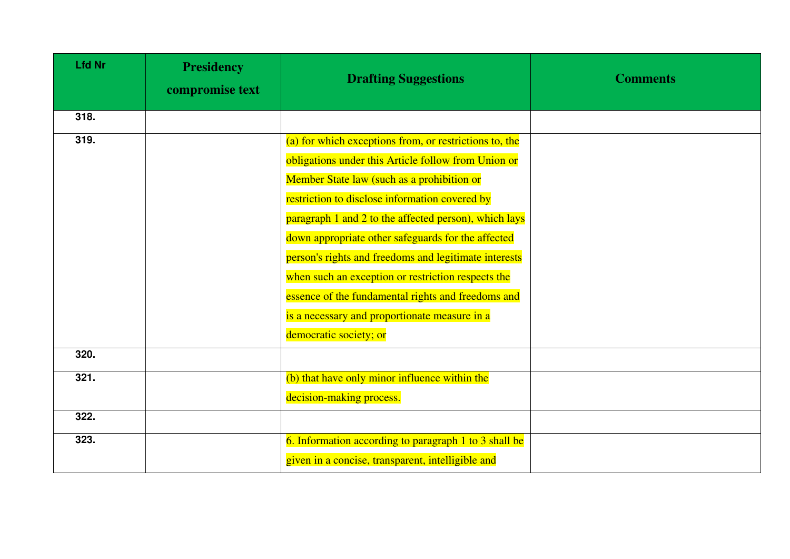| <b>Lfd Nr</b> | <b>Presidency</b><br>compromise text | <b>Drafting Suggestions</b>                            | <b>Comments</b> |
|---------------|--------------------------------------|--------------------------------------------------------|-----------------|
| 318.          |                                      |                                                        |                 |
| 319.          |                                      | (a) for which exceptions from, or restrictions to, the |                 |
|               |                                      | obligations under this Article follow from Union or    |                 |
|               |                                      | Member State law (such as a prohibition or             |                 |
|               |                                      | restriction to disclose information covered by         |                 |
|               |                                      | paragraph 1 and 2 to the affected person), which lays  |                 |
|               |                                      | down appropriate other safeguards for the affected     |                 |
|               |                                      | person's rights and freedoms and legitimate interests  |                 |
|               |                                      | when such an exception or restriction respects the     |                 |
|               |                                      | essence of the fundamental rights and freedoms and     |                 |
|               |                                      | is a necessary and proportionate measure in a          |                 |
|               |                                      | democratic society; or                                 |                 |
| 320.          |                                      |                                                        |                 |
| 321.          |                                      | (b) that have only minor influence within the          |                 |
|               |                                      | decision-making process.                               |                 |
| 322.          |                                      |                                                        |                 |
| 323.          |                                      | 6. Information according to paragraph 1 to 3 shall be  |                 |
|               |                                      | given in a concise, transparent, intelligible and      |                 |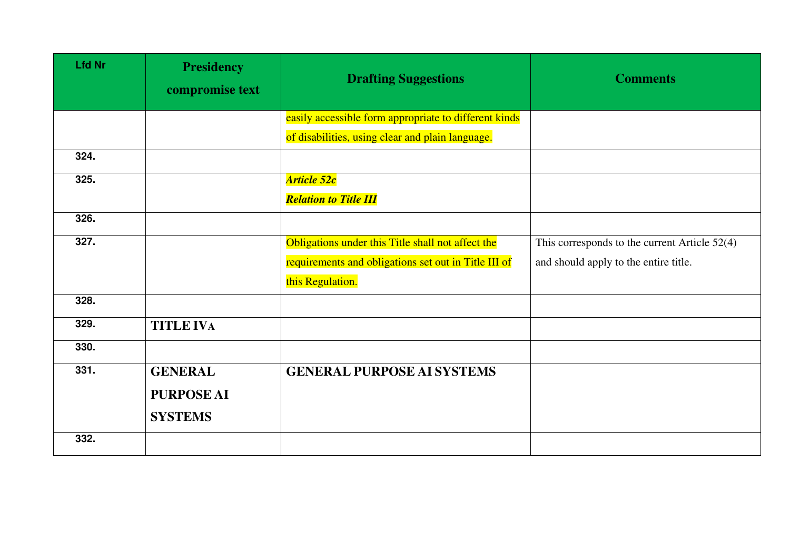| <b>Lfd Nr</b> | <b>Presidency</b><br>compromise text | <b>Drafting Suggestions</b>                           | <b>Comments</b>                               |
|---------------|--------------------------------------|-------------------------------------------------------|-----------------------------------------------|
|               |                                      | easily accessible form appropriate to different kinds |                                               |
|               |                                      | of disabilities, using clear and plain language.      |                                               |
| 324.          |                                      |                                                       |                                               |
| 325.          |                                      | <b>Article 52c</b>                                    |                                               |
|               |                                      | <b>Relation to Title III</b>                          |                                               |
| 326.          |                                      |                                                       |                                               |
| 327.          |                                      | Obligations under this Title shall not affect the     | This corresponds to the current Article 52(4) |
|               |                                      | requirements and obligations set out in Title III of  | and should apply to the entire title.         |
|               |                                      | this Regulation.                                      |                                               |
| 328.          |                                      |                                                       |                                               |
| 329.          | <b>TITLE IVA</b>                     |                                                       |                                               |
| 330.          |                                      |                                                       |                                               |
| 331.          | <b>GENERAL</b>                       | <b>GENERAL PURPOSE AI SYSTEMS</b>                     |                                               |
|               | <b>PURPOSE AI</b>                    |                                                       |                                               |
|               | <b>SYSTEMS</b>                       |                                                       |                                               |
| 332.          |                                      |                                                       |                                               |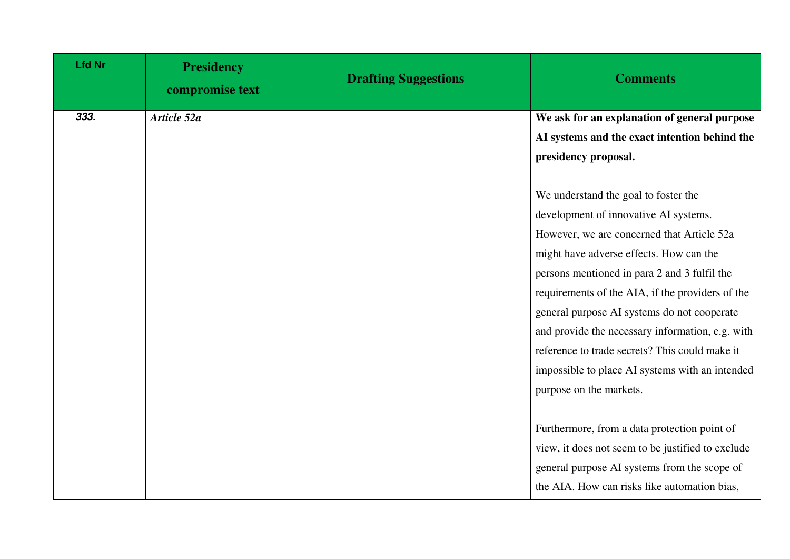| <b>Lfd Nr</b> | <b>Presidency</b><br>compromise text | <b>Drafting Suggestions</b> | <b>Comments</b>                                   |
|---------------|--------------------------------------|-----------------------------|---------------------------------------------------|
| 333.          | Article 52a                          |                             | We ask for an explanation of general purpose      |
|               |                                      |                             | AI systems and the exact intention behind the     |
|               |                                      |                             | presidency proposal.                              |
|               |                                      |                             |                                                   |
|               |                                      |                             | We understand the goal to foster the              |
|               |                                      |                             | development of innovative AI systems.             |
|               |                                      |                             | However, we are concerned that Article 52a        |
|               |                                      |                             | might have adverse effects. How can the           |
|               |                                      |                             | persons mentioned in para 2 and 3 fulfil the      |
|               |                                      |                             | requirements of the AIA, if the providers of the  |
|               |                                      |                             | general purpose AI systems do not cooperate       |
|               |                                      |                             | and provide the necessary information, e.g. with  |
|               |                                      |                             | reference to trade secrets? This could make it    |
|               |                                      |                             | impossible to place AI systems with an intended   |
|               |                                      |                             | purpose on the markets.                           |
|               |                                      |                             |                                                   |
|               |                                      |                             | Furthermore, from a data protection point of      |
|               |                                      |                             | view, it does not seem to be justified to exclude |
|               |                                      |                             | general purpose AI systems from the scope of      |
|               |                                      |                             | the AIA. How can risks like automation bias,      |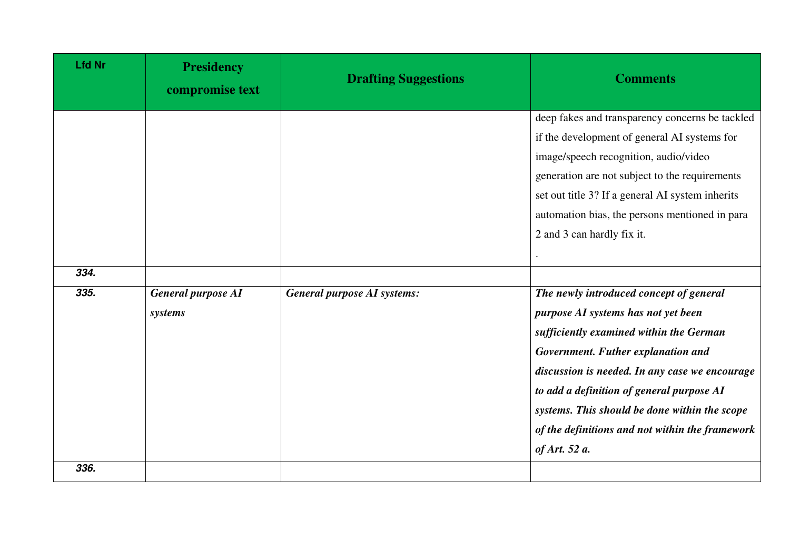| <b>Lfd Nr</b> | <b>Presidency</b><br>compromise text | <b>Drafting Suggestions</b>        | <b>Comments</b>                                                                                                                                                                                                                                                                                                                                                                     |
|---------------|--------------------------------------|------------------------------------|-------------------------------------------------------------------------------------------------------------------------------------------------------------------------------------------------------------------------------------------------------------------------------------------------------------------------------------------------------------------------------------|
|               |                                      |                                    | deep fakes and transparency concerns be tackled<br>if the development of general AI systems for<br>image/speech recognition, audio/video<br>generation are not subject to the requirements<br>set out title 3? If a general AI system inherits<br>automation bias, the persons mentioned in para<br>2 and 3 can hardly fix it.                                                      |
| 334.          |                                      |                                    |                                                                                                                                                                                                                                                                                                                                                                                     |
| 335.          | <b>General purpose AI</b><br>systems | <b>General purpose AI systems:</b> | The newly introduced concept of general<br>purpose AI systems has not yet been<br>sufficiently examined within the German<br>Government. Futher explanation and<br>discussion is needed. In any case we encourage<br>to add a definition of general purpose AI<br>systems. This should be done within the scope<br>of the definitions and not within the framework<br>of Art. 52 a. |
| 336.          |                                      |                                    |                                                                                                                                                                                                                                                                                                                                                                                     |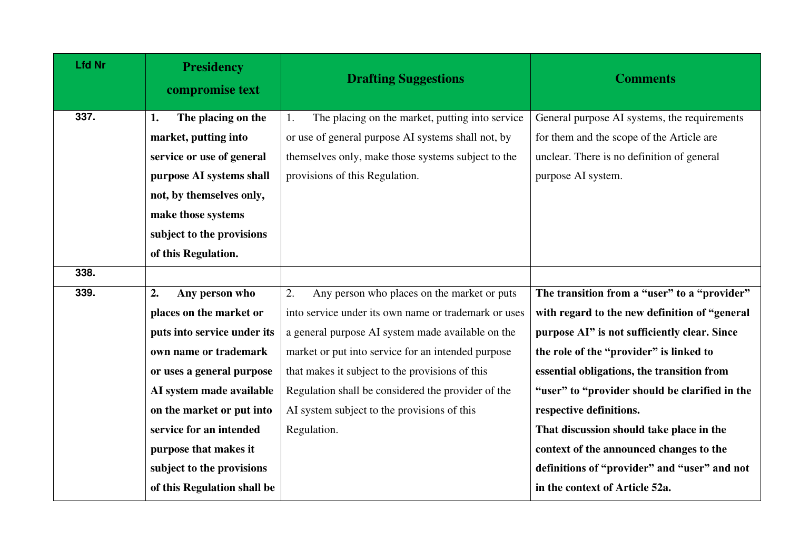| <b>Lfd Nr</b> | <b>Presidency</b><br>compromise text | <b>Drafting Suggestions</b>                          | <b>Comments</b>                                |
|---------------|--------------------------------------|------------------------------------------------------|------------------------------------------------|
| 337.          | The placing on the<br>1.             | The placing on the market, putting into service      | General purpose AI systems, the requirements   |
|               | market, putting into                 | or use of general purpose AI systems shall not, by   | for them and the scope of the Article are      |
|               | service or use of general            | themselves only, make those systems subject to the   | unclear. There is no definition of general     |
|               | purpose AI systems shall             | provisions of this Regulation.                       | purpose AI system.                             |
|               | not, by themselves only,             |                                                      |                                                |
|               | make those systems                   |                                                      |                                                |
|               | subject to the provisions            |                                                      |                                                |
|               | of this Regulation.                  |                                                      |                                                |
| 338.          |                                      |                                                      |                                                |
| 339.          | 2.<br>Any person who                 | 2.<br>Any person who places on the market or puts    | The transition from a "user" to a "provider"   |
|               | places on the market or              | into service under its own name or trademark or uses | with regard to the new definition of "general  |
|               | puts into service under its          | a general purpose AI system made available on the    | purpose AI" is not sufficiently clear. Since   |
|               | own name or trademark                | market or put into service for an intended purpose   | the role of the "provider" is linked to        |
|               | or uses a general purpose            | that makes it subject to the provisions of this      | essential obligations, the transition from     |
|               | AI system made available             | Regulation shall be considered the provider of the   | "user" to "provider should be clarified in the |
|               | on the market or put into            | AI system subject to the provisions of this          | respective definitions.                        |
|               | service for an intended              | Regulation.                                          | That discussion should take place in the       |
|               | purpose that makes it                |                                                      | context of the announced changes to the        |
|               | subject to the provisions            |                                                      | definitions of "provider" and "user" and not   |
|               | of this Regulation shall be          |                                                      | in the context of Article 52a.                 |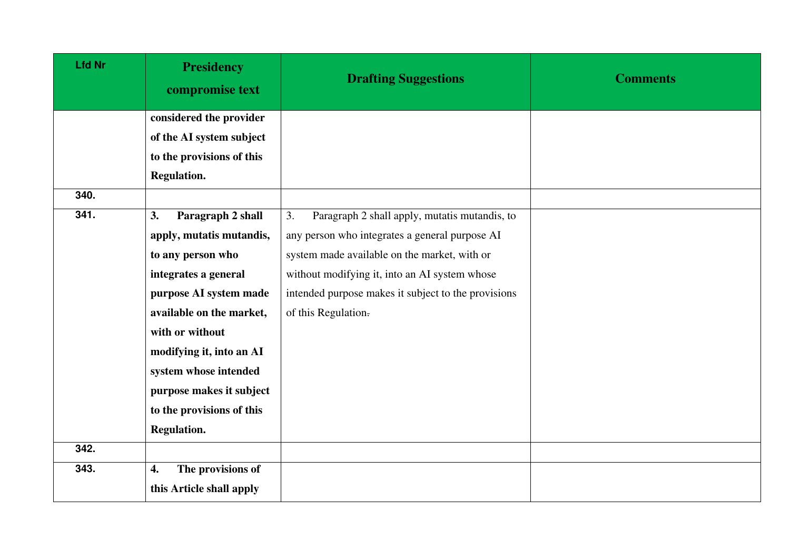| <b>Lfd Nr</b> | <b>Presidency</b><br>compromise text | <b>Drafting Suggestions</b>                         | <b>Comments</b> |
|---------------|--------------------------------------|-----------------------------------------------------|-----------------|
|               | considered the provider              |                                                     |                 |
|               | of the AI system subject             |                                                     |                 |
|               | to the provisions of this            |                                                     |                 |
|               | Regulation.                          |                                                     |                 |
| 340.          |                                      |                                                     |                 |
| 341.          | Paragraph 2 shall<br>3.              | 3.<br>Paragraph 2 shall apply, mutatis mutandis, to |                 |
|               | apply, mutatis mutandis,             | any person who integrates a general purpose AI      |                 |
|               | to any person who                    | system made available on the market, with or        |                 |
|               | integrates a general                 | without modifying it, into an AI system whose       |                 |
|               | purpose AI system made               | intended purpose makes it subject to the provisions |                 |
|               | available on the market,             | of this Regulation.                                 |                 |
|               | with or without                      |                                                     |                 |
|               | modifying it, into an AI             |                                                     |                 |
|               | system whose intended                |                                                     |                 |
|               | purpose makes it subject             |                                                     |                 |
|               | to the provisions of this            |                                                     |                 |
|               | <b>Regulation.</b>                   |                                                     |                 |
| 342.          |                                      |                                                     |                 |
| 343.          | The provisions of<br>4.              |                                                     |                 |
|               | this Article shall apply             |                                                     |                 |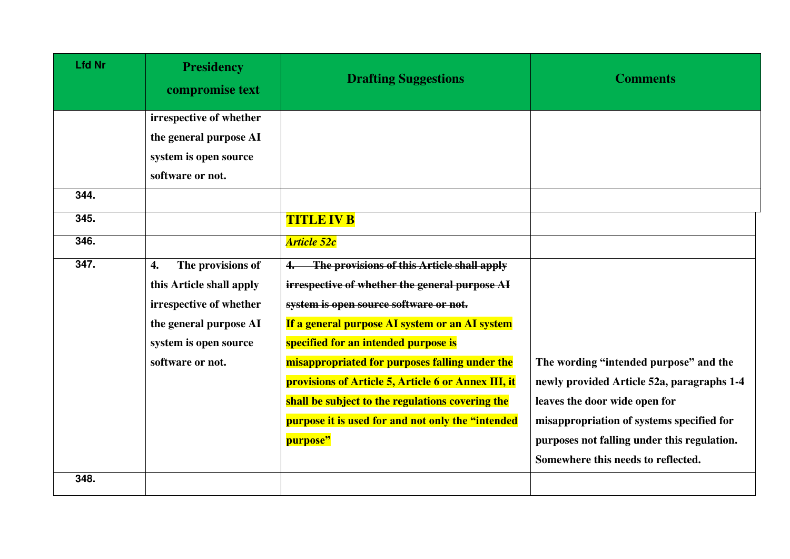| <b>Lfd Nr</b> | <b>Presidency</b><br>compromise text    | <b>Drafting Suggestions</b>                         | <b>Comments</b>                             |
|---------------|-----------------------------------------|-----------------------------------------------------|---------------------------------------------|
|               | irrespective of whether                 |                                                     |                                             |
|               | the general purpose AI                  |                                                     |                                             |
|               | system is open source                   |                                                     |                                             |
|               | software or not.                        |                                                     |                                             |
| 344.          |                                         |                                                     |                                             |
| 345.          |                                         | <b>TITLE IV B</b>                                   |                                             |
| 346.          |                                         | <b>Article 52c</b>                                  |                                             |
| 347.          | $\boldsymbol{4}$ .<br>The provisions of | The provisions of this Article shall apply          |                                             |
|               | this Article shall apply                | irrespective of whether the general purpose AI      |                                             |
|               | irrespective of whether                 | system is open source software or not.              |                                             |
|               | the general purpose AI                  | If a general purpose AI system or an AI system      |                                             |
|               | system is open source                   | specified for an intended purpose is                |                                             |
|               | software or not.                        | misappropriated for purposes falling under the      | The wording "intended purpose" and the      |
|               |                                         | provisions of Article 5, Article 6 or Annex III, it | newly provided Article 52a, paragraphs 1-4  |
|               |                                         | shall be subject to the regulations covering the    | leaves the door wide open for               |
|               |                                         | purpose it is used for and not only the "intended   | misappropriation of systems specified for   |
|               |                                         | purpose"                                            | purposes not falling under this regulation. |
|               |                                         |                                                     | Somewhere this needs to reflected.          |
| 348.          |                                         |                                                     |                                             |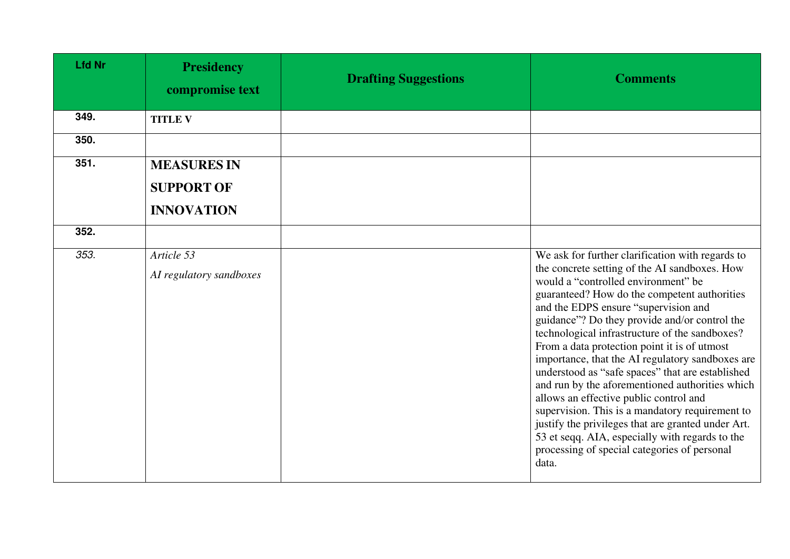| <b>Lfd Nr</b> | <b>Presidency</b><br>compromise text                         | <b>Drafting Suggestions</b> | <b>Comments</b>                                                                                                                                                                                                                                                                                                                                                                                                                                                                                                                                                                                                                                                                                                                                                                                               |
|---------------|--------------------------------------------------------------|-----------------------------|---------------------------------------------------------------------------------------------------------------------------------------------------------------------------------------------------------------------------------------------------------------------------------------------------------------------------------------------------------------------------------------------------------------------------------------------------------------------------------------------------------------------------------------------------------------------------------------------------------------------------------------------------------------------------------------------------------------------------------------------------------------------------------------------------------------|
| 349.          | <b>TITLE V</b>                                               |                             |                                                                                                                                                                                                                                                                                                                                                                                                                                                                                                                                                                                                                                                                                                                                                                                                               |
| 350.          |                                                              |                             |                                                                                                                                                                                                                                                                                                                                                                                                                                                                                                                                                                                                                                                                                                                                                                                                               |
| 351.          | <b>MEASURES IN</b><br><b>SUPPORT OF</b><br><b>INNOVATION</b> |                             |                                                                                                                                                                                                                                                                                                                                                                                                                                                                                                                                                                                                                                                                                                                                                                                                               |
| 352.          |                                                              |                             |                                                                                                                                                                                                                                                                                                                                                                                                                                                                                                                                                                                                                                                                                                                                                                                                               |
| 353.          | Article 53<br>AI regulatory sandboxes                        |                             | We ask for further clarification with regards to<br>the concrete setting of the AI sandboxes. How<br>would a "controlled environment" be<br>guaranteed? How do the competent authorities<br>and the EDPS ensure "supervision and<br>guidance"? Do they provide and/or control the<br>technological infrastructure of the sandboxes?<br>From a data protection point it is of utmost<br>importance, that the AI regulatory sandboxes are<br>understood as "safe spaces" that are established<br>and run by the aforementioned authorities which<br>allows an effective public control and<br>supervision. This is a mandatory requirement to<br>justify the privileges that are granted under Art.<br>53 et seqq. AIA, especially with regards to the<br>processing of special categories of personal<br>data. |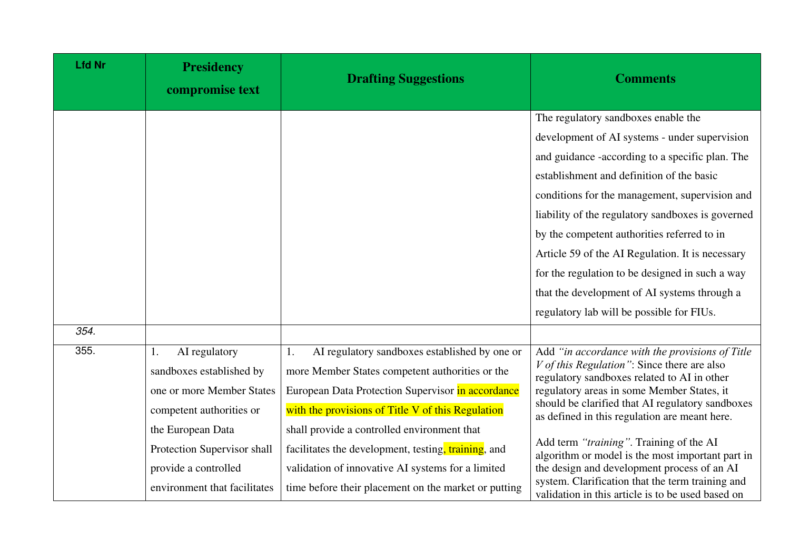| <b>Lfd Nr</b> | <b>Presidency</b><br>compromise text | <b>Drafting Suggestions</b>                          | <b>Comments</b>                                                                                       |
|---------------|--------------------------------------|------------------------------------------------------|-------------------------------------------------------------------------------------------------------|
|               |                                      |                                                      | The regulatory sandboxes enable the                                                                   |
|               |                                      |                                                      | development of AI systems - under supervision                                                         |
|               |                                      |                                                      | and guidance -according to a specific plan. The                                                       |
|               |                                      |                                                      | establishment and definition of the basic                                                             |
|               |                                      |                                                      | conditions for the management, supervision and                                                        |
|               |                                      |                                                      | liability of the regulatory sandboxes is governed                                                     |
|               |                                      |                                                      | by the competent authorities referred to in                                                           |
|               |                                      |                                                      | Article 59 of the AI Regulation. It is necessary                                                      |
|               |                                      |                                                      | for the regulation to be designed in such a way                                                       |
|               |                                      |                                                      | that the development of AI systems through a                                                          |
|               |                                      |                                                      | regulatory lab will be possible for FIUs.                                                             |
| 354.          |                                      |                                                      |                                                                                                       |
| 355.          | AI regulatory<br>1.                  | AI regulatory sandboxes established by one or<br>1.  | Add "in accordance with the provisions of Title                                                       |
|               | sandboxes established by             | more Member States competent authorities or the      | $V$ of this Regulation": Since there are also<br>regulatory sandboxes related to AI in other          |
|               | one or more Member States            | European Data Protection Supervisor in accordance    | regulatory areas in some Member States, it                                                            |
|               | competent authorities or             | with the provisions of Title V of this Regulation    | should be clarified that AI regulatory sandboxes<br>as defined in this regulation are meant here.     |
|               | the European Data                    | shall provide a controlled environment that          |                                                                                                       |
|               | Protection Supervisor shall          | facilitates the development, testing, training, and  | Add term "training". Training of the AI<br>algorithm or model is the most important part in           |
|               | provide a controlled                 | validation of innovative AI systems for a limited    | the design and development process of an AI                                                           |
|               | environment that facilitates         | time before their placement on the market or putting | system. Clarification that the term training and<br>validation in this article is to be used based on |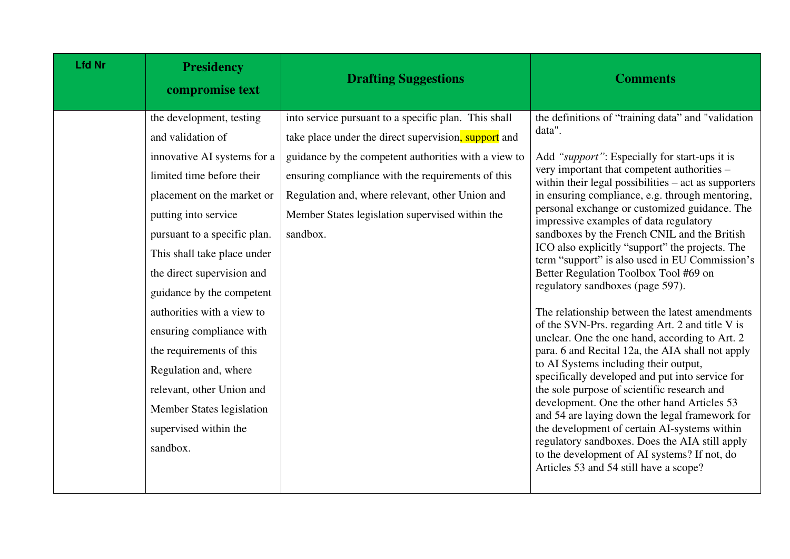| <b>Lfd Nr</b> | <b>Presidency</b><br>compromise text                                                                                                                                                                                                                                                                                                                                                                                                                                                                    | <b>Drafting Suggestions</b>                                                                                                                                                                                                                                                                                                                 | <b>Comments</b>                                                                                                                                                                                                                                                                                                                                                                                                                                                                                                                                                                                                                                                                                                                                                                                                                                                                                                                                                                                                                                                                                                                                                                                                                                           |
|---------------|---------------------------------------------------------------------------------------------------------------------------------------------------------------------------------------------------------------------------------------------------------------------------------------------------------------------------------------------------------------------------------------------------------------------------------------------------------------------------------------------------------|---------------------------------------------------------------------------------------------------------------------------------------------------------------------------------------------------------------------------------------------------------------------------------------------------------------------------------------------|-----------------------------------------------------------------------------------------------------------------------------------------------------------------------------------------------------------------------------------------------------------------------------------------------------------------------------------------------------------------------------------------------------------------------------------------------------------------------------------------------------------------------------------------------------------------------------------------------------------------------------------------------------------------------------------------------------------------------------------------------------------------------------------------------------------------------------------------------------------------------------------------------------------------------------------------------------------------------------------------------------------------------------------------------------------------------------------------------------------------------------------------------------------------------------------------------------------------------------------------------------------|
|               | the development, testing<br>and validation of<br>innovative AI systems for a<br>limited time before their<br>placement on the market or<br>putting into service<br>pursuant to a specific plan.<br>This shall take place under<br>the direct supervision and<br>guidance by the competent<br>authorities with a view to<br>ensuring compliance with<br>the requirements of this<br>Regulation and, where<br>relevant, other Union and<br>Member States legislation<br>supervised within the<br>sandbox. | into service pursuant to a specific plan. This shall<br>take place under the direct supervision, support and<br>guidance by the competent authorities with a view to<br>ensuring compliance with the requirements of this<br>Regulation and, where relevant, other Union and<br>Member States legislation supervised within the<br>sandbox. | the definitions of "training data" and "validation<br>data".<br>Add "support": Especially for start-ups it is<br>very important that competent authorities –<br>within their legal possibilities $-$ act as supporters<br>in ensuring compliance, e.g. through mentoring,<br>personal exchange or customized guidance. The<br>impressive examples of data regulatory<br>sandboxes by the French CNIL and the British<br>ICO also explicitly "support" the projects. The<br>term "support" is also used in EU Commission's<br>Better Regulation Toolbox Tool #69 on<br>regulatory sandboxes (page 597).<br>The relationship between the latest amendments<br>of the SVN-Prs. regarding Art. 2 and title V is<br>unclear. One the one hand, according to Art. 2<br>para. 6 and Recital 12a, the AIA shall not apply<br>to AI Systems including their output,<br>specifically developed and put into service for<br>the sole purpose of scientific research and<br>development. One the other hand Articles 53<br>and 54 are laying down the legal framework for<br>the development of certain AI-systems within<br>regulatory sandboxes. Does the AIA still apply<br>to the development of AI systems? If not, do<br>Articles 53 and 54 still have a scope? |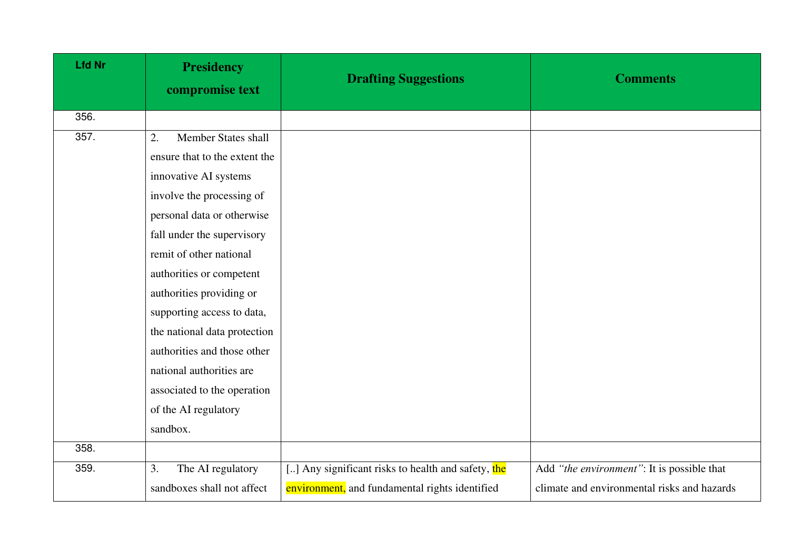| <b>Lfd Nr</b> | <b>Presidency</b><br>compromise text | <b>Drafting Suggestions</b>                        | <b>Comments</b>                             |
|---------------|--------------------------------------|----------------------------------------------------|---------------------------------------------|
| 356.          |                                      |                                                    |                                             |
| 357.          | <b>Member States shall</b><br>2.     |                                                    |                                             |
|               | ensure that to the extent the        |                                                    |                                             |
|               | innovative AI systems                |                                                    |                                             |
|               | involve the processing of            |                                                    |                                             |
|               | personal data or otherwise           |                                                    |                                             |
|               | fall under the supervisory           |                                                    |                                             |
|               | remit of other national              |                                                    |                                             |
|               | authorities or competent             |                                                    |                                             |
|               | authorities providing or             |                                                    |                                             |
|               | supporting access to data,           |                                                    |                                             |
|               | the national data protection         |                                                    |                                             |
|               | authorities and those other          |                                                    |                                             |
|               | national authorities are             |                                                    |                                             |
|               | associated to the operation          |                                                    |                                             |
|               | of the AI regulatory                 |                                                    |                                             |
|               | sandbox.                             |                                                    |                                             |
| 358.          |                                      |                                                    |                                             |
| 359.          | The AI regulatory<br>3.              | [] Any significant risks to health and safety, the | Add "the environment": It is possible that  |
|               | sandboxes shall not affect           | environment, and fundamental rights identified     | climate and environmental risks and hazards |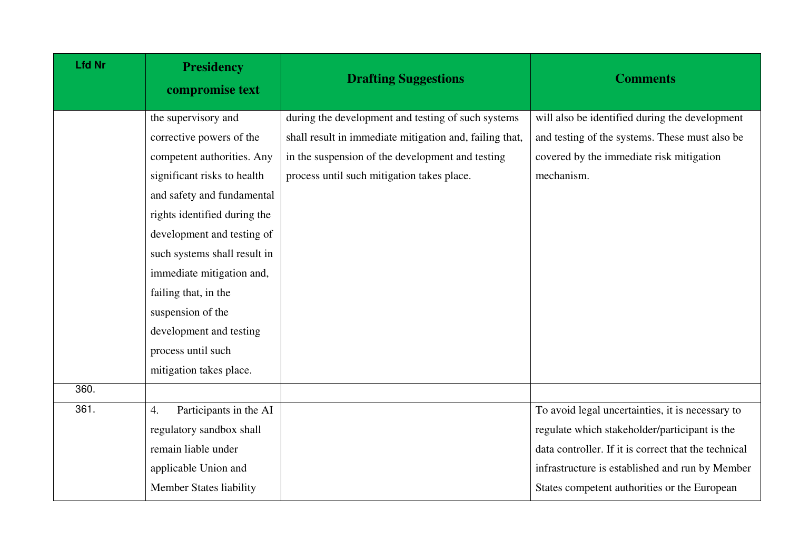| <b>Lfd Nr</b> | <b>Presidency</b><br>compromise text | <b>Drafting Suggestions</b>                             | <b>Comments</b>                                      |
|---------------|--------------------------------------|---------------------------------------------------------|------------------------------------------------------|
|               | the supervisory and                  | during the development and testing of such systems      | will also be identified during the development       |
|               | corrective powers of the             | shall result in immediate mitigation and, failing that, | and testing of the systems. These must also be       |
|               | competent authorities. Any           | in the suspension of the development and testing        | covered by the immediate risk mitigation             |
|               | significant risks to health          | process until such mitigation takes place.              | mechanism.                                           |
|               | and safety and fundamental           |                                                         |                                                      |
|               | rights identified during the         |                                                         |                                                      |
|               | development and testing of           |                                                         |                                                      |
|               | such systems shall result in         |                                                         |                                                      |
|               | immediate mitigation and,            |                                                         |                                                      |
|               | failing that, in the                 |                                                         |                                                      |
|               | suspension of the                    |                                                         |                                                      |
|               | development and testing              |                                                         |                                                      |
|               | process until such                   |                                                         |                                                      |
|               | mitigation takes place.              |                                                         |                                                      |
| 360.          |                                      |                                                         |                                                      |
| 361.          | Participants in the AI<br>4.         |                                                         | To avoid legal uncertainties, it is necessary to     |
|               | regulatory sandbox shall             |                                                         | regulate which stakeholder/participant is the        |
|               | remain liable under                  |                                                         | data controller. If it is correct that the technical |
|               | applicable Union and                 |                                                         | infrastructure is established and run by Member      |
|               | <b>Member States liability</b>       |                                                         | States competent authorities or the European         |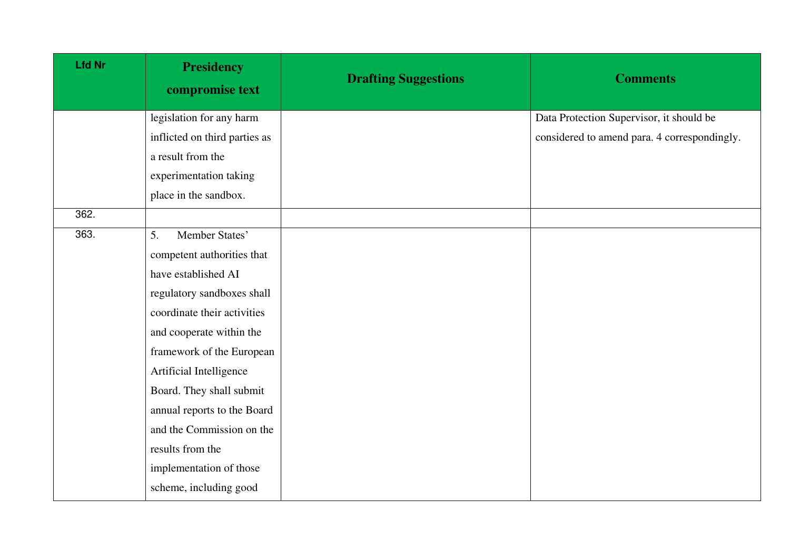| <b>Lfd Nr</b> | <b>Presidency</b><br>compromise text | <b>Drafting Suggestions</b> | <b>Comments</b>                              |
|---------------|--------------------------------------|-----------------------------|----------------------------------------------|
|               | legislation for any harm             |                             | Data Protection Supervisor, it should be     |
|               | inflicted on third parties as        |                             | considered to amend para. 4 correspondingly. |
|               | a result from the                    |                             |                                              |
|               | experimentation taking               |                             |                                              |
|               | place in the sandbox.                |                             |                                              |
| 362.          |                                      |                             |                                              |
| 363.          | Member States'<br>5.                 |                             |                                              |
|               | competent authorities that           |                             |                                              |
|               | have established AI                  |                             |                                              |
|               | regulatory sandboxes shall           |                             |                                              |
|               | coordinate their activities          |                             |                                              |
|               | and cooperate within the             |                             |                                              |
|               | framework of the European            |                             |                                              |
|               | Artificial Intelligence              |                             |                                              |
|               | Board. They shall submit             |                             |                                              |
|               | annual reports to the Board          |                             |                                              |
|               | and the Commission on the            |                             |                                              |
|               | results from the                     |                             |                                              |
|               | implementation of those              |                             |                                              |
|               | scheme, including good               |                             |                                              |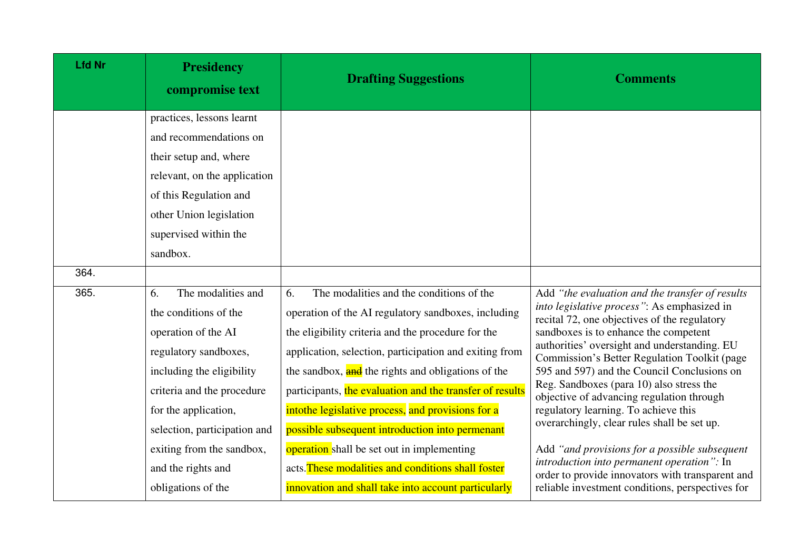| <b>Lfd Nr</b> | <b>Presidency</b><br>compromise text                                                                                                                                                                                 | <b>Drafting Suggestions</b>                                                                                                                                                                                                                                                                                                                                                                                                                     | <b>Comments</b>                                                                                                                                                                                                                                                                                                                                                                                                                                                                                                        |
|---------------|----------------------------------------------------------------------------------------------------------------------------------------------------------------------------------------------------------------------|-------------------------------------------------------------------------------------------------------------------------------------------------------------------------------------------------------------------------------------------------------------------------------------------------------------------------------------------------------------------------------------------------------------------------------------------------|------------------------------------------------------------------------------------------------------------------------------------------------------------------------------------------------------------------------------------------------------------------------------------------------------------------------------------------------------------------------------------------------------------------------------------------------------------------------------------------------------------------------|
|               | practices, lessons learnt<br>and recommendations on                                                                                                                                                                  |                                                                                                                                                                                                                                                                                                                                                                                                                                                 |                                                                                                                                                                                                                                                                                                                                                                                                                                                                                                                        |
|               | their setup and, where<br>relevant, on the application<br>of this Regulation and                                                                                                                                     |                                                                                                                                                                                                                                                                                                                                                                                                                                                 |                                                                                                                                                                                                                                                                                                                                                                                                                                                                                                                        |
|               | other Union legislation<br>supervised within the                                                                                                                                                                     |                                                                                                                                                                                                                                                                                                                                                                                                                                                 |                                                                                                                                                                                                                                                                                                                                                                                                                                                                                                                        |
| 364.          | sandbox.                                                                                                                                                                                                             |                                                                                                                                                                                                                                                                                                                                                                                                                                                 |                                                                                                                                                                                                                                                                                                                                                                                                                                                                                                                        |
|               |                                                                                                                                                                                                                      |                                                                                                                                                                                                                                                                                                                                                                                                                                                 |                                                                                                                                                                                                                                                                                                                                                                                                                                                                                                                        |
| 365.          | The modalities and<br>6.<br>the conditions of the<br>operation of the AI<br>regulatory sandboxes,<br>including the eligibility<br>criteria and the procedure<br>for the application,<br>selection, participation and | The modalities and the conditions of the<br>6.<br>operation of the AI regulatory sandboxes, including<br>the eligibility criteria and the procedure for the<br>application, selection, participation and exiting from<br>the sandbox, and the rights and obligations of the<br>participants, the evaluation and the transfer of results<br>intothe legislative process, and provisions for a<br>possible subsequent introduction into permenant | Add "the evaluation and the transfer of results<br>into legislative process": As emphasized in<br>recital 72, one objectives of the regulatory<br>sandboxes is to enhance the competent<br>authorities' oversight and understanding. EU<br>Commission's Better Regulation Toolkit (page<br>595 and 597) and the Council Conclusions on<br>Reg. Sandboxes (para 10) also stress the<br>objective of advancing regulation through<br>regulatory learning. To achieve this<br>overarchingly, clear rules shall be set up. |
|               | exiting from the sandbox,<br>and the rights and<br>obligations of the                                                                                                                                                | operation shall be set out in implementing<br>acts. These modalities and conditions shall foster<br>innovation and shall take into account particularly                                                                                                                                                                                                                                                                                         | Add "and provisions for a possible subsequent<br>introduction into permanent operation": In<br>order to provide innovators with transparent and<br>reliable investment conditions, perspectives for                                                                                                                                                                                                                                                                                                                    |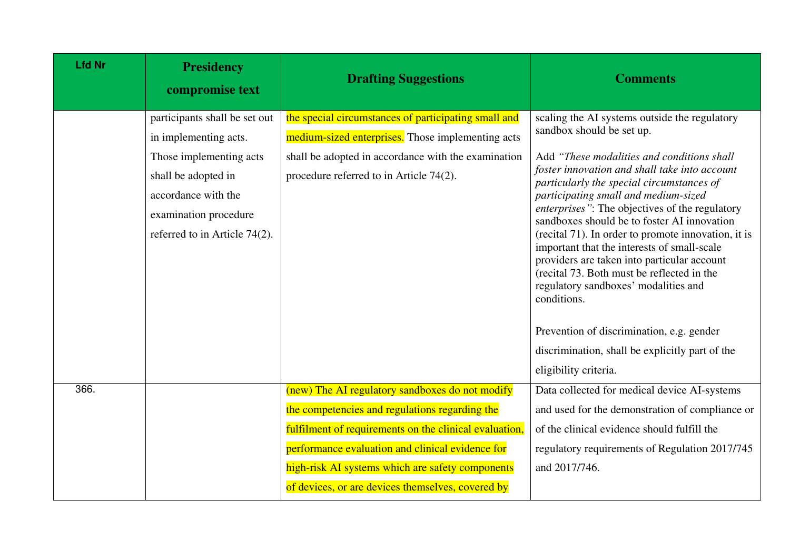| <b>Lfd Nr</b> | <b>Presidency</b><br>compromise text | <b>Drafting Suggestions</b>                            | <b>Comments</b>                                                                                                                                                                                                                                        |
|---------------|--------------------------------------|--------------------------------------------------------|--------------------------------------------------------------------------------------------------------------------------------------------------------------------------------------------------------------------------------------------------------|
|               | participants shall be set out        | the special circumstances of participating small and   | scaling the AI systems outside the regulatory                                                                                                                                                                                                          |
|               | in implementing acts.                | medium-sized enterprises. Those implementing acts      | sandbox should be set up.                                                                                                                                                                                                                              |
|               | Those implementing acts              | shall be adopted in accordance with the examination    | Add "These modalities and conditions shall                                                                                                                                                                                                             |
|               | shall be adopted in                  | procedure referred to in Article 74(2).                | foster innovation and shall take into account<br>particularly the special circumstances of                                                                                                                                                             |
|               | accordance with the                  |                                                        | participating small and medium-sized                                                                                                                                                                                                                   |
|               | examination procedure                |                                                        | enterprises": The objectives of the regulatory<br>sandboxes should be to foster AI innovation                                                                                                                                                          |
|               | referred to in Article 74(2).        |                                                        | (recital 71). In order to promote innovation, it is<br>important that the interests of small-scale<br>providers are taken into particular account<br>(recital 73. Both must be reflected in the<br>regulatory sandboxes' modalities and<br>conditions. |
|               |                                      |                                                        | Prevention of discrimination, e.g. gender                                                                                                                                                                                                              |
|               |                                      |                                                        | discrimination, shall be explicitly part of the                                                                                                                                                                                                        |
|               |                                      |                                                        | eligibility criteria.                                                                                                                                                                                                                                  |
| 366.          |                                      | (new) The AI regulatory sandboxes do not modify        | Data collected for medical device AI-systems                                                                                                                                                                                                           |
|               |                                      | the competencies and regulations regarding the         | and used for the demonstration of compliance or                                                                                                                                                                                                        |
|               |                                      | fulfilment of requirements on the clinical evaluation, | of the clinical evidence should fulfill the                                                                                                                                                                                                            |
|               |                                      | performance evaluation and clinical evidence for       | regulatory requirements of Regulation 2017/745                                                                                                                                                                                                         |
|               |                                      | high-risk AI systems which are safety components       | and 2017/746.                                                                                                                                                                                                                                          |
|               |                                      | of devices, or are devices themselves, covered by      |                                                                                                                                                                                                                                                        |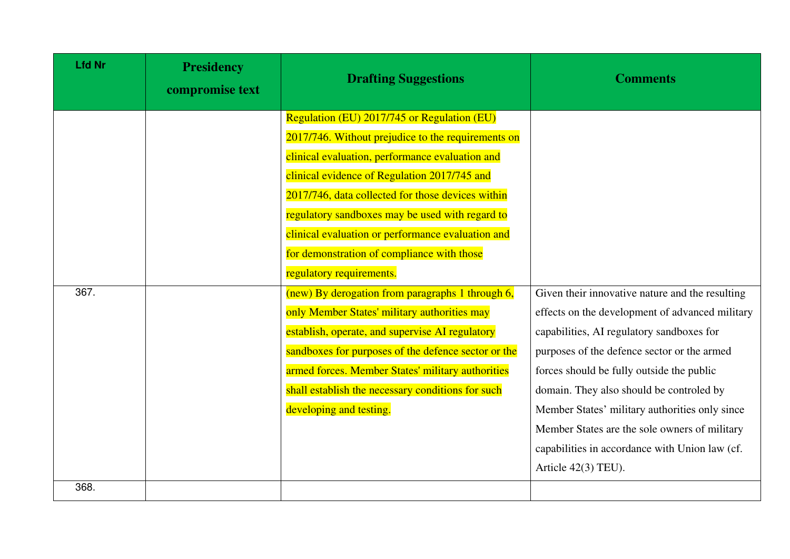| <b>Lfd Nr</b> | <b>Presidency</b><br>compromise text | <b>Drafting Suggestions</b>                         | <b>Comments</b>                                 |
|---------------|--------------------------------------|-----------------------------------------------------|-------------------------------------------------|
|               |                                      | <b>Regulation (EU) 2017/745 or Regulation (EU)</b>  |                                                 |
|               |                                      | 2017/746. Without prejudice to the requirements on  |                                                 |
|               |                                      | clinical evaluation, performance evaluation and     |                                                 |
|               |                                      | clinical evidence of Regulation 2017/745 and        |                                                 |
|               |                                      | 2017/746, data collected for those devices within   |                                                 |
|               |                                      | regulatory sandboxes may be used with regard to     |                                                 |
|               |                                      | clinical evaluation or performance evaluation and   |                                                 |
|               |                                      | for demonstration of compliance with those          |                                                 |
|               |                                      | regulatory requirements.                            |                                                 |
| 367.          |                                      | (new) By derogation from paragraphs 1 through 6,    | Given their innovative nature and the resulting |
|               |                                      | only Member States' military authorities may        | effects on the development of advanced military |
|               |                                      | establish, operate, and supervise AI regulatory     | capabilities, AI regulatory sandboxes for       |
|               |                                      | sandboxes for purposes of the defence sector or the | purposes of the defence sector or the armed     |
|               |                                      | armed forces. Member States' military authorities   | forces should be fully outside the public       |
|               |                                      | shall establish the necessary conditions for such   | domain. They also should be controled by        |
|               |                                      | developing and testing.                             | Member States' military authorities only since  |
|               |                                      |                                                     | Member States are the sole owners of military   |
|               |                                      |                                                     | capabilities in accordance with Union law (cf.  |
|               |                                      |                                                     | Article $42(3)$ TEU).                           |
| 368.          |                                      |                                                     |                                                 |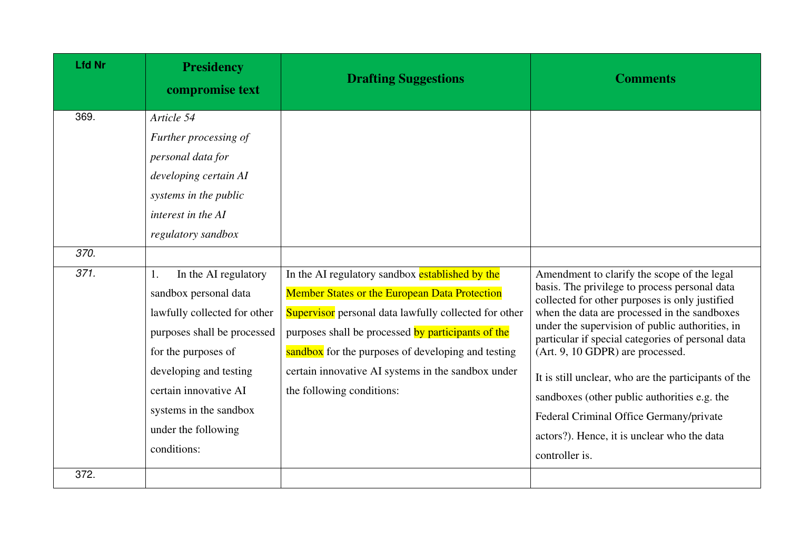| <b>Lfd Nr</b>        | <b>Presidency</b><br>compromise text                                                                                                                                                                                                                                                                                                                                                                                   | <b>Drafting Suggestions</b>                                                                                                                                                                                                                                                                                                                                     | <b>Comments</b>                                                                                                                                                                                                                                                                                                                                                                                                                                                                                                                                                |
|----------------------|------------------------------------------------------------------------------------------------------------------------------------------------------------------------------------------------------------------------------------------------------------------------------------------------------------------------------------------------------------------------------------------------------------------------|-----------------------------------------------------------------------------------------------------------------------------------------------------------------------------------------------------------------------------------------------------------------------------------------------------------------------------------------------------------------|----------------------------------------------------------------------------------------------------------------------------------------------------------------------------------------------------------------------------------------------------------------------------------------------------------------------------------------------------------------------------------------------------------------------------------------------------------------------------------------------------------------------------------------------------------------|
| 369.<br>370.<br>371. | Article 54<br>Further processing of<br>personal data for<br>developing certain AI<br>systems in the public<br>interest in the AI<br>regulatory sandbox<br>In the AI regulatory<br>1.<br>sandbox personal data<br>lawfully collected for other<br>purposes shall be processed<br>for the purposes of<br>developing and testing<br>certain innovative AI<br>systems in the sandbox<br>under the following<br>conditions: | In the AI regulatory sandbox established by the<br><b>Member States or the European Data Protection</b><br>Supervisor personal data lawfully collected for other<br>purposes shall be processed by participants of the<br>sandbox for the purposes of developing and testing<br>certain innovative AI systems in the sandbox under<br>the following conditions: | Amendment to clarify the scope of the legal<br>basis. The privilege to process personal data<br>collected for other purposes is only justified<br>when the data are processed in the sandboxes<br>under the supervision of public authorities, in<br>particular if special categories of personal data<br>(Art. 9, 10 GDPR) are processed.<br>It is still unclear, who are the participants of the<br>sandboxes (other public authorities e.g. the<br>Federal Criminal Office Germany/private<br>actors?). Hence, it is unclear who the data<br>controller is. |
| 372.                 |                                                                                                                                                                                                                                                                                                                                                                                                                        |                                                                                                                                                                                                                                                                                                                                                                 |                                                                                                                                                                                                                                                                                                                                                                                                                                                                                                                                                                |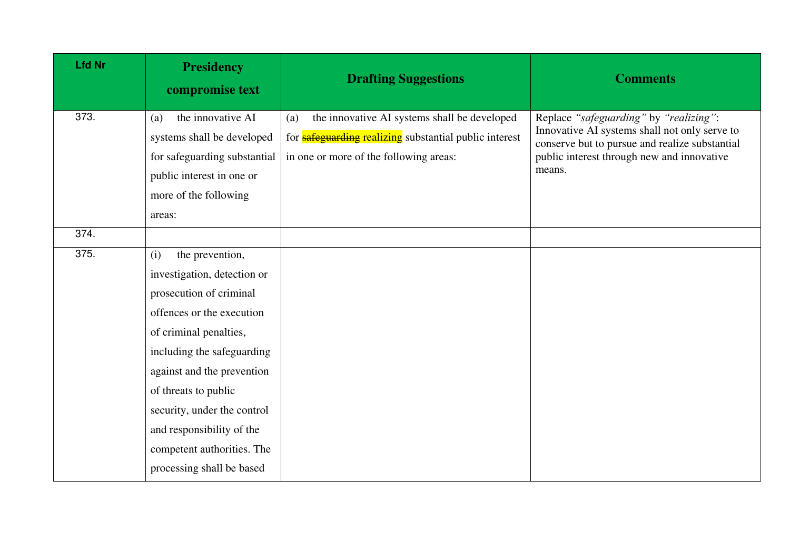| <b>Lfd Nr</b> | <b>Presidency</b><br>compromise text                   | <b>Drafting Suggestions</b>                                                                                          | <b>Comments</b>                                                                                                                           |
|---------------|--------------------------------------------------------|----------------------------------------------------------------------------------------------------------------------|-------------------------------------------------------------------------------------------------------------------------------------------|
| 373.          | the innovative AI<br>(a)<br>systems shall be developed | the innovative AI systems shall be developed<br>(a)<br>for <b>safeguarding</b> realizing substantial public interest | Replace "safeguarding" by "realizing":<br>Innovative AI systems shall not only serve to<br>conserve but to pursue and realize substantial |
|               | for safeguarding substantial                           | in one or more of the following areas:                                                                               | public interest through new and innovative                                                                                                |
|               | public interest in one or                              |                                                                                                                      | means.                                                                                                                                    |
|               | more of the following                                  |                                                                                                                      |                                                                                                                                           |
|               | areas:                                                 |                                                                                                                      |                                                                                                                                           |
| 374.          |                                                        |                                                                                                                      |                                                                                                                                           |
| 375.          | the prevention,<br>(i)                                 |                                                                                                                      |                                                                                                                                           |
|               | investigation, detection or                            |                                                                                                                      |                                                                                                                                           |
|               | prosecution of criminal                                |                                                                                                                      |                                                                                                                                           |
|               | offences or the execution                              |                                                                                                                      |                                                                                                                                           |
|               | of criminal penalties,                                 |                                                                                                                      |                                                                                                                                           |
|               | including the safeguarding                             |                                                                                                                      |                                                                                                                                           |
|               | against and the prevention                             |                                                                                                                      |                                                                                                                                           |
|               | of threats to public                                   |                                                                                                                      |                                                                                                                                           |
|               | security, under the control                            |                                                                                                                      |                                                                                                                                           |
|               | and responsibility of the                              |                                                                                                                      |                                                                                                                                           |
|               | competent authorities. The                             |                                                                                                                      |                                                                                                                                           |
|               | processing shall be based                              |                                                                                                                      |                                                                                                                                           |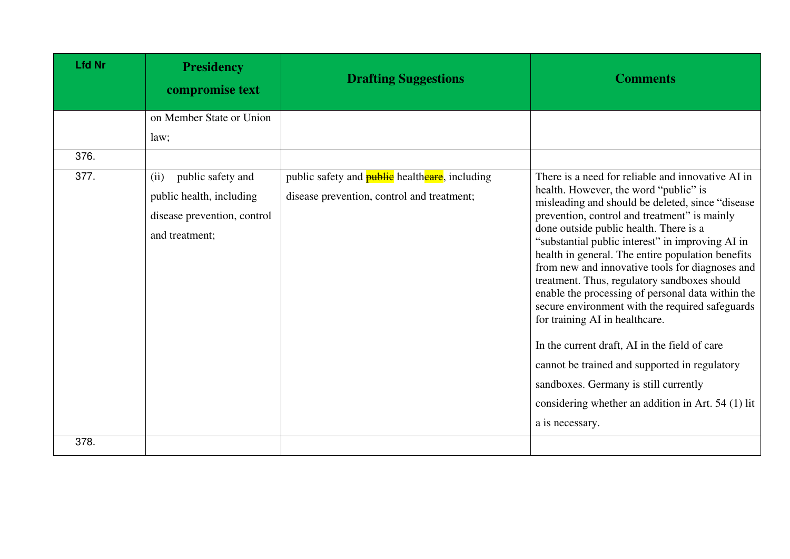| <b>Lfd Nr</b> | <b>Presidency</b><br>compromise text | <b>Drafting Suggestions</b>                           | <b>Comments</b>                                                                                                                                                                                                                                                                                |
|---------------|--------------------------------------|-------------------------------------------------------|------------------------------------------------------------------------------------------------------------------------------------------------------------------------------------------------------------------------------------------------------------------------------------------------|
|               | on Member State or Union             |                                                       |                                                                                                                                                                                                                                                                                                |
|               | law;                                 |                                                       |                                                                                                                                                                                                                                                                                                |
| 376.          |                                      |                                                       |                                                                                                                                                                                                                                                                                                |
| 377.          | public safety and<br>(ii)            | public safety and <b>public</b> healtheare, including | There is a need for reliable and innovative AI in                                                                                                                                                                                                                                              |
|               | public health, including             | disease prevention, control and treatment;            | health. However, the word "public" is<br>misleading and should be deleted, since "disease                                                                                                                                                                                                      |
|               | disease prevention, control          |                                                       | prevention, control and treatment" is mainly                                                                                                                                                                                                                                                   |
|               | and treatment;                       |                                                       | done outside public health. There is a<br>"substantial public interest" in improving AI in                                                                                                                                                                                                     |
|               |                                      |                                                       | health in general. The entire population benefits<br>from new and innovative tools for diagnoses and<br>treatment. Thus, regulatory sandboxes should<br>enable the processing of personal data within the<br>secure environment with the required safeguards<br>for training AI in healthcare. |
|               |                                      |                                                       | In the current draft, AI in the field of care                                                                                                                                                                                                                                                  |
|               |                                      |                                                       | cannot be trained and supported in regulatory                                                                                                                                                                                                                                                  |
|               |                                      |                                                       | sandboxes. Germany is still currently                                                                                                                                                                                                                                                          |
|               |                                      |                                                       | considering whether an addition in Art. 54 (1) lit                                                                                                                                                                                                                                             |
|               |                                      |                                                       | a is necessary.                                                                                                                                                                                                                                                                                |
| 378.          |                                      |                                                       |                                                                                                                                                                                                                                                                                                |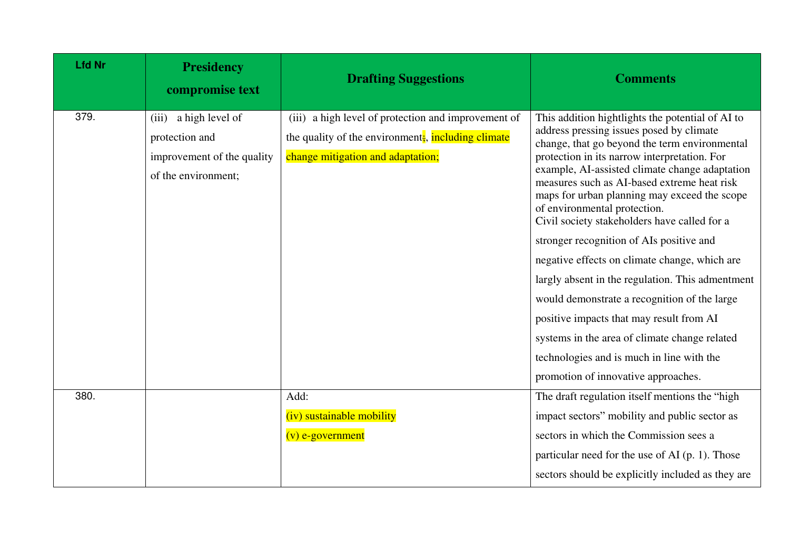| <b>Lfd Nr</b> | <b>Presidency</b><br>compromise text                                                            | <b>Drafting Suggestions</b>                                                                                                                   | <b>Comments</b>                                                                                                                                                                                                                                                                                                                                                                                                                                                                                                                                                                                                                                                                                                                                                                                                  |
|---------------|-------------------------------------------------------------------------------------------------|-----------------------------------------------------------------------------------------------------------------------------------------------|------------------------------------------------------------------------------------------------------------------------------------------------------------------------------------------------------------------------------------------------------------------------------------------------------------------------------------------------------------------------------------------------------------------------------------------------------------------------------------------------------------------------------------------------------------------------------------------------------------------------------------------------------------------------------------------------------------------------------------------------------------------------------------------------------------------|
| 379.          | a high level of<br>(iii)<br>protection and<br>improvement of the quality<br>of the environment; | (iii) a high level of protection and improvement of<br>the quality of the environment, including climate<br>change mitigation and adaptation; | This addition hightlights the potential of AI to<br>address pressing issues posed by climate<br>change, that go beyond the term environmental<br>protection in its narrow interpretation. For<br>example, AI-assisted climate change adaptation<br>measures such as AI-based extreme heat risk<br>maps for urban planning may exceed the scope<br>of environmental protection.<br>Civil society stakeholders have called for a<br>stronger recognition of AIs positive and<br>negative effects on climate change, which are<br>largly absent in the regulation. This admentment<br>would demonstrate a recognition of the large<br>positive impacts that may result from AI<br>systems in the area of climate change related<br>technologies and is much in line with the<br>promotion of innovative approaches. |
| 380.          |                                                                                                 | Add:                                                                                                                                          | The draft regulation itself mentions the "high                                                                                                                                                                                                                                                                                                                                                                                                                                                                                                                                                                                                                                                                                                                                                                   |
|               |                                                                                                 | (iv) sustainable mobility                                                                                                                     | impact sectors" mobility and public sector as                                                                                                                                                                                                                                                                                                                                                                                                                                                                                                                                                                                                                                                                                                                                                                    |
|               |                                                                                                 | $(v)$ e-government                                                                                                                            | sectors in which the Commission sees a                                                                                                                                                                                                                                                                                                                                                                                                                                                                                                                                                                                                                                                                                                                                                                           |
|               |                                                                                                 |                                                                                                                                               | particular need for the use of AI (p. 1). Those                                                                                                                                                                                                                                                                                                                                                                                                                                                                                                                                                                                                                                                                                                                                                                  |
|               |                                                                                                 |                                                                                                                                               | sectors should be explicitly included as they are                                                                                                                                                                                                                                                                                                                                                                                                                                                                                                                                                                                                                                                                                                                                                                |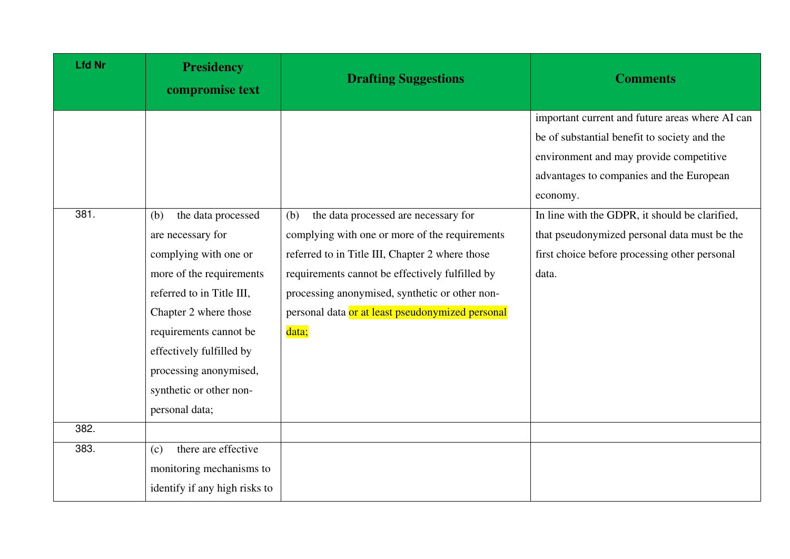| <b>Lfd Nr</b> | <b>Presidency</b><br>compromise text | <b>Drafting Suggestions</b>                      | <b>Comments</b>                                 |
|---------------|--------------------------------------|--------------------------------------------------|-------------------------------------------------|
|               |                                      |                                                  | important current and future areas where AI can |
|               |                                      |                                                  | be of substantial benefit to society and the    |
|               |                                      |                                                  | environment and may provide competitive         |
|               |                                      |                                                  | advantages to companies and the European        |
|               |                                      |                                                  | economy.                                        |
| 381.          | the data processed<br>(b)            | the data processed are necessary for<br>(b)      | In line with the GDPR, it should be clarified,  |
|               | are necessary for                    | complying with one or more of the requirements   | that pseudonymized personal data must be the    |
|               | complying with one or                | referred to in Title III, Chapter 2 where those  | first choice before processing other personal   |
|               | more of the requirements             | requirements cannot be effectively fulfilled by  | data.                                           |
|               | referred to in Title III,            | processing anonymised, synthetic or other non-   |                                                 |
|               | Chapter 2 where those                | personal data or at least pseudonymized personal |                                                 |
|               | requirements cannot be               | data;                                            |                                                 |
|               | effectively fulfilled by             |                                                  |                                                 |
|               | processing anonymised,               |                                                  |                                                 |
|               | synthetic or other non-              |                                                  |                                                 |
|               | personal data;                       |                                                  |                                                 |
| 382.          |                                      |                                                  |                                                 |
| 383.          | there are effective<br>(c)           |                                                  |                                                 |
|               | monitoring mechanisms to             |                                                  |                                                 |
|               | identify if any high risks to        |                                                  |                                                 |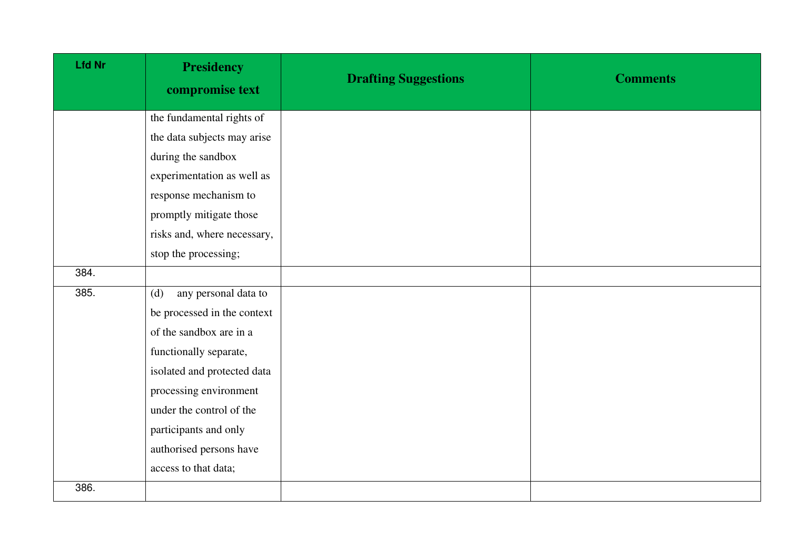| <b>Lfd Nr</b> | <b>Presidency</b><br>compromise text | <b>Drafting Suggestions</b> | <b>Comments</b> |
|---------------|--------------------------------------|-----------------------------|-----------------|
|               | the fundamental rights of            |                             |                 |
|               | the data subjects may arise          |                             |                 |
|               | during the sandbox                   |                             |                 |
|               | experimentation as well as           |                             |                 |
|               | response mechanism to                |                             |                 |
|               | promptly mitigate those              |                             |                 |
|               | risks and, where necessary,          |                             |                 |
|               | stop the processing;                 |                             |                 |
| 384.          |                                      |                             |                 |
| 385.          | any personal data to<br>(d)          |                             |                 |
|               | be processed in the context          |                             |                 |
|               | of the sandbox are in a              |                             |                 |
|               | functionally separate,               |                             |                 |
|               | isolated and protected data          |                             |                 |
|               | processing environment               |                             |                 |
|               | under the control of the             |                             |                 |
|               | participants and only                |                             |                 |
|               | authorised persons have              |                             |                 |
|               | access to that data;                 |                             |                 |
| 386.          |                                      |                             |                 |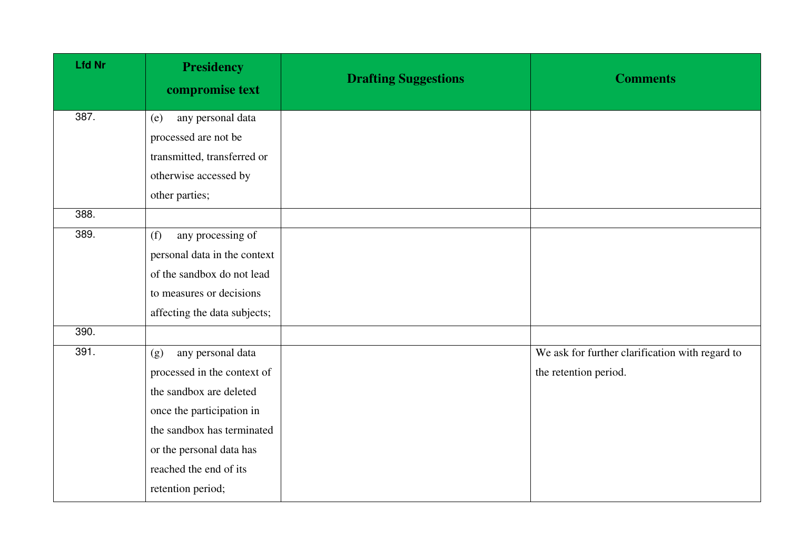| <b>Presidency</b><br>compromise text | <b>Drafting Suggestions</b> | <b>Comments</b>                                 |
|--------------------------------------|-----------------------------|-------------------------------------------------|
| any personal data<br>(e)             |                             |                                                 |
| processed are not be                 |                             |                                                 |
| transmitted, transferred or          |                             |                                                 |
| otherwise accessed by                |                             |                                                 |
| other parties;                       |                             |                                                 |
|                                      |                             |                                                 |
| any processing of<br>(f)             |                             |                                                 |
| personal data in the context         |                             |                                                 |
| of the sandbox do not lead           |                             |                                                 |
| to measures or decisions             |                             |                                                 |
| affecting the data subjects;         |                             |                                                 |
|                                      |                             |                                                 |
| any personal data<br>(g)             |                             | We ask for further clarification with regard to |
| processed in the context of          |                             | the retention period.                           |
| the sandbox are deleted              |                             |                                                 |
| once the participation in            |                             |                                                 |
| the sandbox has terminated           |                             |                                                 |
| or the personal data has             |                             |                                                 |
| reached the end of its               |                             |                                                 |
| retention period;                    |                             |                                                 |
|                                      |                             |                                                 |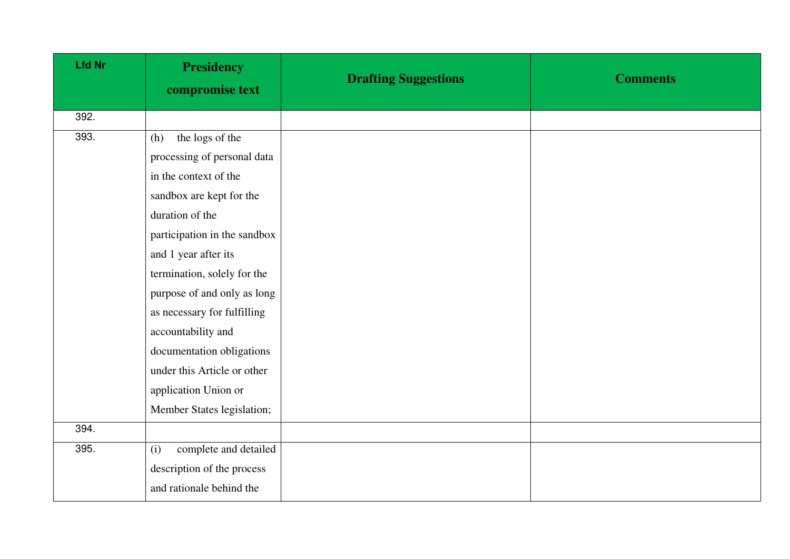| <b>Lfd Nr</b> | <b>Presidency</b><br>compromise text | <b>Drafting Suggestions</b> | <b>Comments</b> |
|---------------|--------------------------------------|-----------------------------|-----------------|
| 392.          |                                      |                             |                 |
| 393.          | the logs of the<br>(h)               |                             |                 |
|               | processing of personal data          |                             |                 |
|               | in the context of the                |                             |                 |
|               | sandbox are kept for the             |                             |                 |
|               | duration of the                      |                             |                 |
|               | participation in the sandbox         |                             |                 |
|               | and 1 year after its                 |                             |                 |
|               | termination, solely for the          |                             |                 |
|               | purpose of and only as long          |                             |                 |
|               | as necessary for fulfilling          |                             |                 |
|               | accountability and                   |                             |                 |
|               | documentation obligations            |                             |                 |
|               | under this Article or other          |                             |                 |
|               | application Union or                 |                             |                 |
|               | Member States legislation;           |                             |                 |
| 394.          |                                      |                             |                 |
| 395.          | complete and detailed<br>(i)         |                             |                 |
|               | description of the process           |                             |                 |
|               | and rationale behind the             |                             |                 |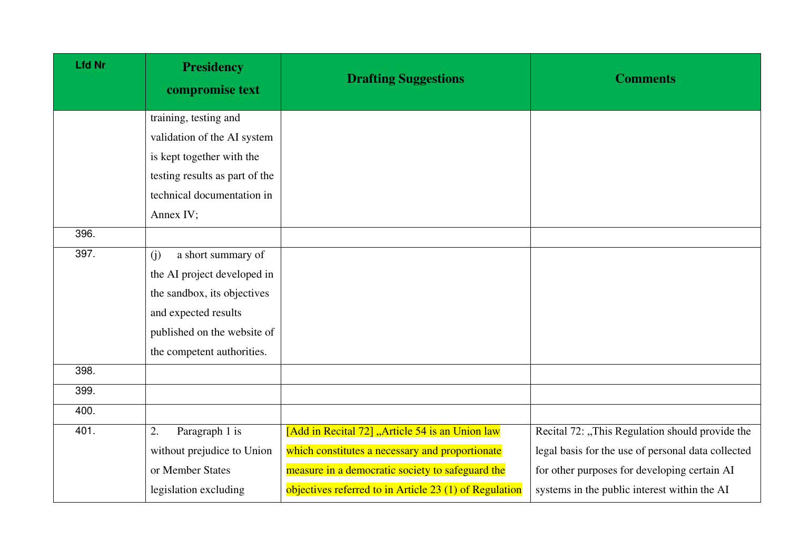| <b>Lfd Nr</b> | <b>Presidency</b><br>compromise text | <b>Drafting Suggestions</b>                            | <b>Comments</b>                                    |
|---------------|--------------------------------------|--------------------------------------------------------|----------------------------------------------------|
|               | training, testing and                |                                                        |                                                    |
|               | validation of the AI system          |                                                        |                                                    |
|               | is kept together with the            |                                                        |                                                    |
|               | testing results as part of the       |                                                        |                                                    |
|               | technical documentation in           |                                                        |                                                    |
|               | Annex IV;                            |                                                        |                                                    |
| 396.          |                                      |                                                        |                                                    |
| 397.          | a short summary of<br>(i)            |                                                        |                                                    |
|               | the AI project developed in          |                                                        |                                                    |
|               | the sandbox, its objectives          |                                                        |                                                    |
|               | and expected results                 |                                                        |                                                    |
|               | published on the website of          |                                                        |                                                    |
|               | the competent authorities.           |                                                        |                                                    |
| 398.          |                                      |                                                        |                                                    |
| 399.          |                                      |                                                        |                                                    |
| 400.          |                                      |                                                        |                                                    |
| 401.          | Paragraph 1 is<br>2.                 | [Add in Recital 72] "Article 54 is an Union law        | Recital 72: "This Regulation should provide the    |
|               | without prejudice to Union           | which constitutes a necessary and proportionate        | legal basis for the use of personal data collected |
|               | or Member States                     | measure in a democratic society to safeguard the       | for other purposes for developing certain AI       |
|               | legislation excluding                | objectives referred to in Article 23 (1) of Regulation | systems in the public interest within the AI       |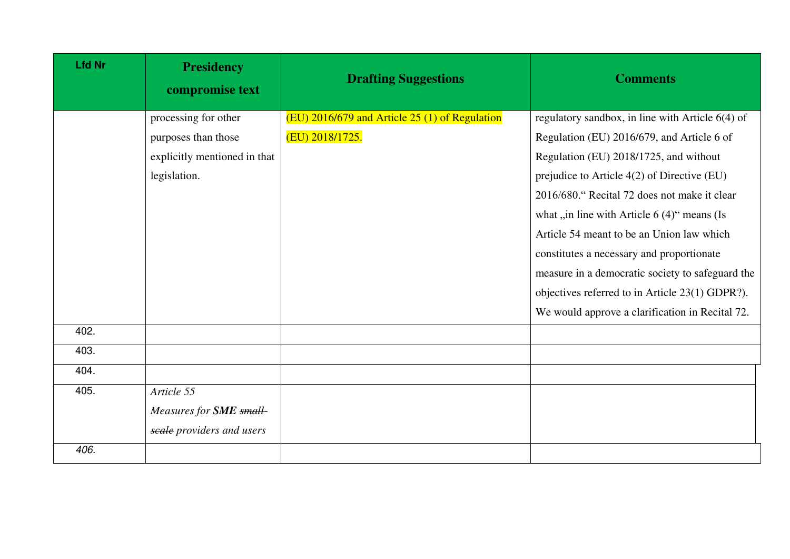| <b>Lfd Nr</b> | <b>Presidency</b><br>compromise text | <b>Drafting Suggestions</b>                    | <b>Comments</b>                                    |
|---------------|--------------------------------------|------------------------------------------------|----------------------------------------------------|
|               | processing for other                 | (EU) 2016/679 and Article 25 (1) of Regulation | regulatory sandbox, in line with Article $6(4)$ of |
|               | purposes than those                  | (EU) 2018/1725.                                | Regulation (EU) 2016/679, and Article 6 of         |
|               | explicitly mentioned in that         |                                                | Regulation (EU) 2018/1725, and without             |
|               | legislation.                         |                                                | prejudice to Article 4(2) of Directive (EU)        |
|               |                                      |                                                | 2016/680." Recital 72 does not make it clear       |
|               |                                      |                                                | what "in line with Article 6 (4)" means (Is        |
|               |                                      |                                                | Article 54 meant to be an Union law which          |
|               |                                      |                                                | constitutes a necessary and proportionate          |
|               |                                      |                                                | measure in a democratic society to safeguard the   |
|               |                                      |                                                | objectives referred to in Article 23(1) GDPR?).    |
|               |                                      |                                                | We would approve a clarification in Recital 72.    |
| 402.          |                                      |                                                |                                                    |
| 403.          |                                      |                                                |                                                    |
| 404.          |                                      |                                                |                                                    |
| 405.          | Article 55                           |                                                |                                                    |
|               | Measures for <b>SME</b> small        |                                                |                                                    |
|               | scale providers and users            |                                                |                                                    |
| 406.          |                                      |                                                |                                                    |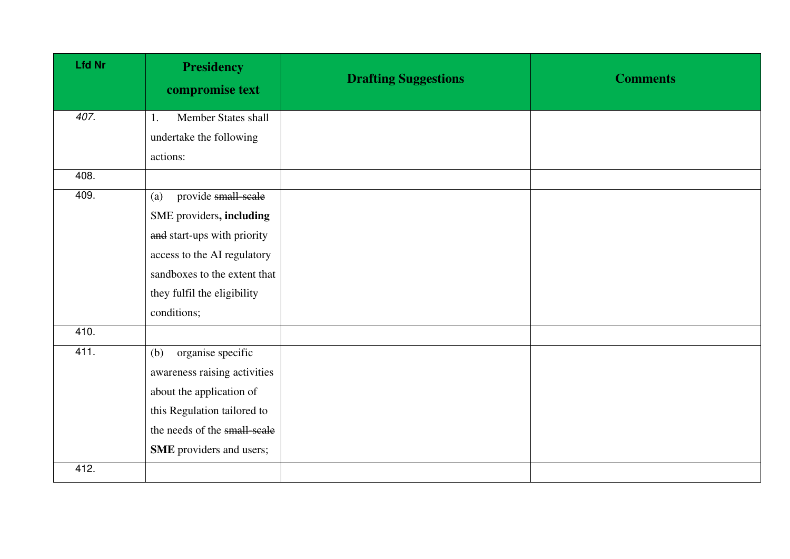| <b>Lfd Nr</b> | <b>Presidency</b><br>compromise text | <b>Drafting Suggestions</b> | <b>Comments</b> |
|---------------|--------------------------------------|-----------------------------|-----------------|
| 407.          | Member States shall<br>1.            |                             |                 |
|               | undertake the following              |                             |                 |
|               | actions:                             |                             |                 |
| 408.          |                                      |                             |                 |
| 409.          | provide small-scale<br>(a)           |                             |                 |
|               | SME providers, including             |                             |                 |
|               | and start-ups with priority          |                             |                 |
|               | access to the AI regulatory          |                             |                 |
|               | sandboxes to the extent that         |                             |                 |
|               | they fulfil the eligibility          |                             |                 |
|               | conditions;                          |                             |                 |
| 410.          |                                      |                             |                 |
| 411.          | organise specific<br>(b)             |                             |                 |
|               | awareness raising activities         |                             |                 |
|               | about the application of             |                             |                 |
|               | this Regulation tailored to          |                             |                 |
|               | the needs of the small-scale         |                             |                 |
|               | SME providers and users;             |                             |                 |
| 412.          |                                      |                             |                 |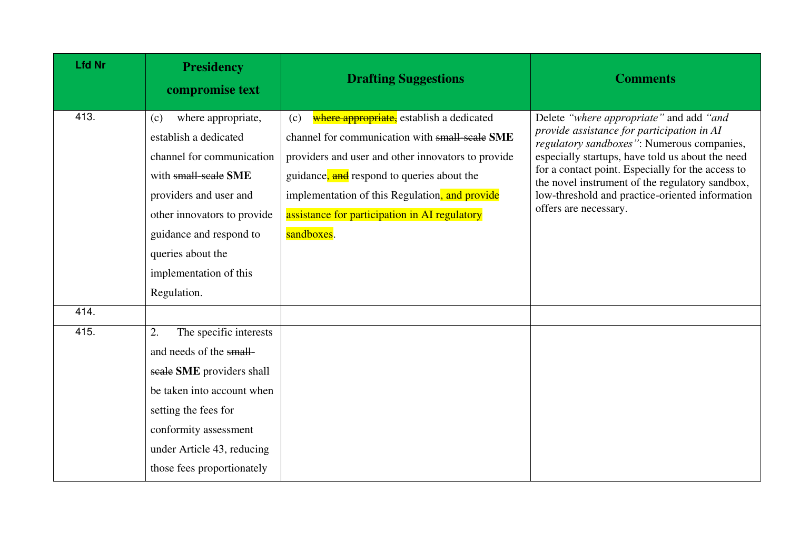| <b>Lfd Nr</b> | <b>Presidency</b><br>compromise text               | <b>Drafting Suggestions</b>                                                                       | <b>Comments</b>                                                                                                                     |
|---------------|----------------------------------------------------|---------------------------------------------------------------------------------------------------|-------------------------------------------------------------------------------------------------------------------------------------|
| 413.          | where appropriate,<br>(c)<br>establish a dedicated | where appropriate, establish a dedicated<br>(c)<br>channel for communication with small-scale SME | Delete "where appropriate" and add "and<br>provide assistance for participation in AI<br>regulatory sandboxes": Numerous companies, |
|               | channel for communication                          | providers and user and other innovators to provide                                                | especially startups, have told us about the need                                                                                    |
|               | with small-scale SME                               | guidance, and respond to queries about the                                                        | for a contact point. Especially for the access to<br>the novel instrument of the regulatory sandbox,                                |
|               | providers and user and                             | implementation of this Regulation, and provide                                                    | low-threshold and practice-oriented information                                                                                     |
|               | other innovators to provide                        | assistance for participation in AI regulatory                                                     | offers are necessary.                                                                                                               |
|               | guidance and respond to                            | sandboxes.                                                                                        |                                                                                                                                     |
|               | queries about the                                  |                                                                                                   |                                                                                                                                     |
|               | implementation of this                             |                                                                                                   |                                                                                                                                     |
|               | Regulation.                                        |                                                                                                   |                                                                                                                                     |
| 414.          |                                                    |                                                                                                   |                                                                                                                                     |
| 415.          | 2.<br>The specific interests                       |                                                                                                   |                                                                                                                                     |
|               | and needs of the small-                            |                                                                                                   |                                                                                                                                     |
|               | scale SME providers shall                          |                                                                                                   |                                                                                                                                     |
|               | be taken into account when                         |                                                                                                   |                                                                                                                                     |
|               | setting the fees for                               |                                                                                                   |                                                                                                                                     |
|               | conformity assessment                              |                                                                                                   |                                                                                                                                     |
|               | under Article 43, reducing                         |                                                                                                   |                                                                                                                                     |
|               | those fees proportionately                         |                                                                                                   |                                                                                                                                     |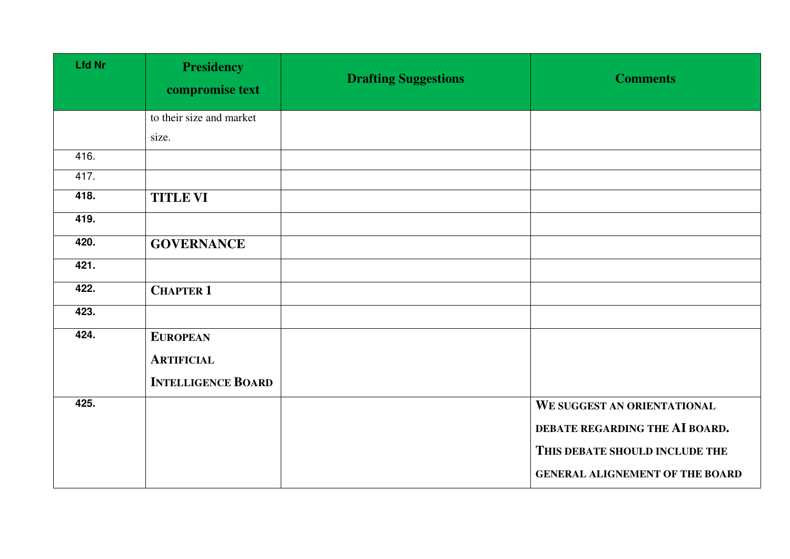| <b>Lfd Nr</b> | <b>Presidency</b><br>compromise text | <b>Drafting Suggestions</b> | <b>Comments</b>                        |
|---------------|--------------------------------------|-----------------------------|----------------------------------------|
|               | to their size and market             |                             |                                        |
|               | size.                                |                             |                                        |
| 416.          |                                      |                             |                                        |
| 417.          |                                      |                             |                                        |
| 418.          | <b>TITLE VI</b>                      |                             |                                        |
| 419.          |                                      |                             |                                        |
| 420.          | <b>GOVERNANCE</b>                    |                             |                                        |
| 421.          |                                      |                             |                                        |
| 422.          | <b>CHAPTER 1</b>                     |                             |                                        |
| 423.          |                                      |                             |                                        |
| 424.          | <b>EUROPEAN</b>                      |                             |                                        |
|               | <b>ARTIFICIAL</b>                    |                             |                                        |
|               | <b>INTELLIGENCE BOARD</b>            |                             |                                        |
| 425.          |                                      |                             | WE SUGGEST AN ORIENTATIONAL            |
|               |                                      |                             | DEBATE REGARDING THE AI BOARD.         |
|               |                                      |                             | THIS DEBATE SHOULD INCLUDE THE         |
|               |                                      |                             | <b>GENERAL ALIGNEMENT OF THE BOARD</b> |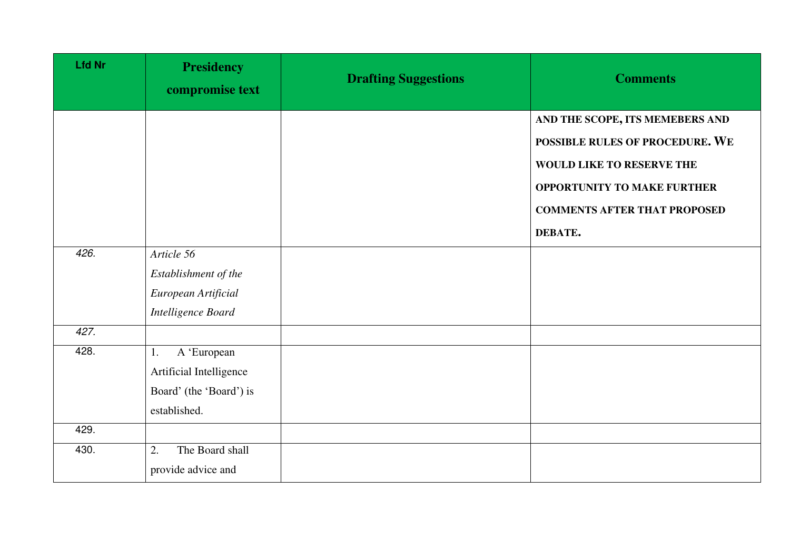| <b>Lfd Nr</b> | <b>Presidency</b><br>compromise text | <b>Drafting Suggestions</b> | <b>Comments</b>                     |
|---------------|--------------------------------------|-----------------------------|-------------------------------------|
|               |                                      |                             | AND THE SCOPE, ITS MEMEBERS AND     |
|               |                                      |                             | POSSIBLE RULES OF PROCEDURE. WE     |
|               |                                      |                             | WOULD LIKE TO RESERVE THE           |
|               |                                      |                             | <b>OPPORTUNITY TO MAKE FURTHER</b>  |
|               |                                      |                             | <b>COMMENTS AFTER THAT PROPOSED</b> |
|               |                                      |                             | DEBATE.                             |
| 426.          | Article 56                           |                             |                                     |
|               | Establishment of the                 |                             |                                     |
|               | European Artificial                  |                             |                                     |
|               | Intelligence Board                   |                             |                                     |
| 427.          |                                      |                             |                                     |
| 428.          | A 'European<br>1.                    |                             |                                     |
|               | Artificial Intelligence              |                             |                                     |
|               | Board' (the 'Board') is              |                             |                                     |
|               | established.                         |                             |                                     |
| 429.          |                                      |                             |                                     |
| 430.          | The Board shall<br>2.                |                             |                                     |
|               | provide advice and                   |                             |                                     |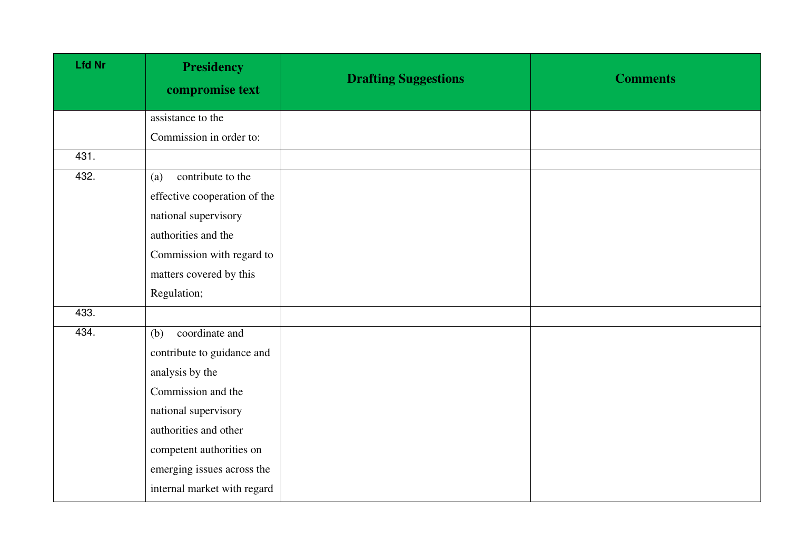| <b>Lfd Nr</b> | <b>Presidency</b><br>compromise text | <b>Drafting Suggestions</b> | <b>Comments</b> |
|---------------|--------------------------------------|-----------------------------|-----------------|
|               | assistance to the                    |                             |                 |
|               | Commission in order to:              |                             |                 |
| 431.          |                                      |                             |                 |
| 432.          | contribute to the<br>(a)             |                             |                 |
|               | effective cooperation of the         |                             |                 |
|               | national supervisory                 |                             |                 |
|               | authorities and the                  |                             |                 |
|               | Commission with regard to            |                             |                 |
|               | matters covered by this              |                             |                 |
|               | Regulation;                          |                             |                 |
| 433.          |                                      |                             |                 |
| 434.          | coordinate and<br>(b)                |                             |                 |
|               | contribute to guidance and           |                             |                 |
|               | analysis by the                      |                             |                 |
|               | Commission and the                   |                             |                 |
|               | national supervisory                 |                             |                 |
|               | authorities and other                |                             |                 |
|               | competent authorities on             |                             |                 |
|               | emerging issues across the           |                             |                 |
|               | internal market with regard          |                             |                 |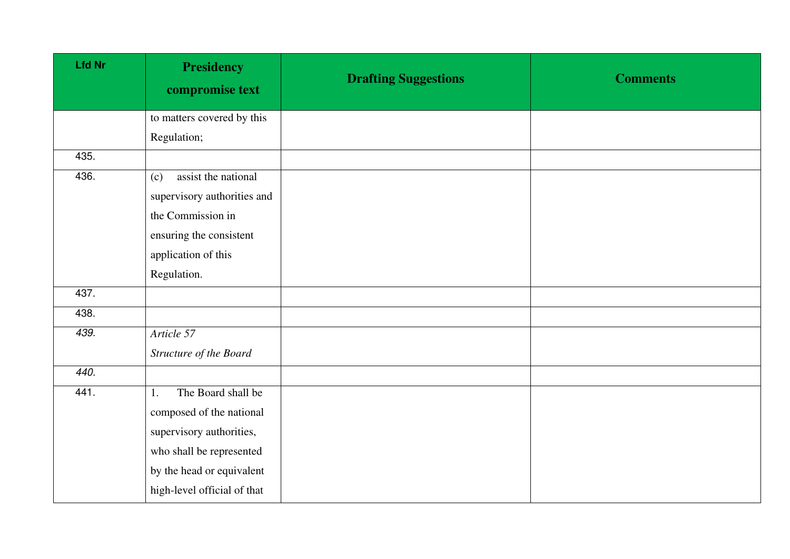| <b>Lfd Nr</b> | <b>Presidency</b><br>compromise text | <b>Drafting Suggestions</b> | <b>Comments</b> |
|---------------|--------------------------------------|-----------------------------|-----------------|
|               | to matters covered by this           |                             |                 |
|               | Regulation;                          |                             |                 |
| 435.          |                                      |                             |                 |
| 436.          | assist the national<br>(c)           |                             |                 |
|               | supervisory authorities and          |                             |                 |
|               | the Commission in                    |                             |                 |
|               | ensuring the consistent              |                             |                 |
|               | application of this                  |                             |                 |
|               | Regulation.                          |                             |                 |
| 437.          |                                      |                             |                 |
| 438.          |                                      |                             |                 |
| 439.          | Article 57                           |                             |                 |
|               | Structure of the Board               |                             |                 |
| 440.          |                                      |                             |                 |
| 441.          | The Board shall be<br>1.             |                             |                 |
|               | composed of the national             |                             |                 |
|               | supervisory authorities,             |                             |                 |
|               | who shall be represented             |                             |                 |
|               | by the head or equivalent            |                             |                 |
|               | high-level official of that          |                             |                 |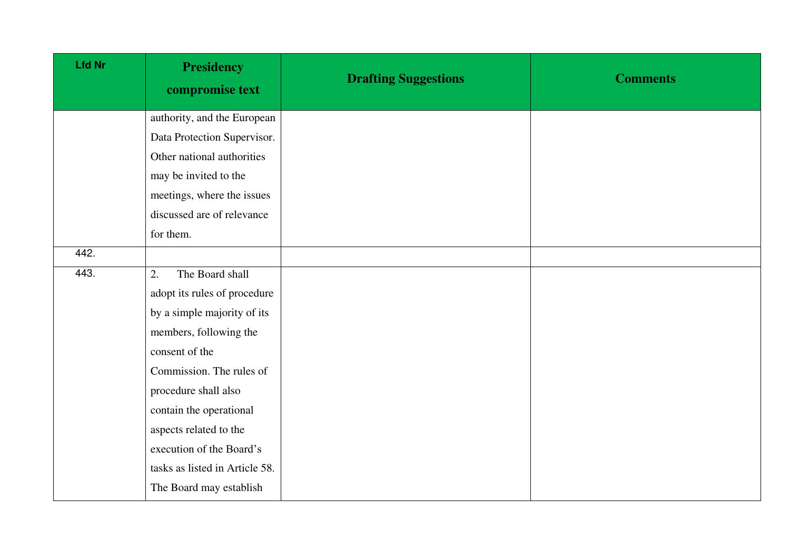| <b>Lfd Nr</b> | <b>Presidency</b><br>compromise text | <b>Drafting Suggestions</b> | <b>Comments</b> |
|---------------|--------------------------------------|-----------------------------|-----------------|
|               | authority, and the European          |                             |                 |
|               | Data Protection Supervisor.          |                             |                 |
|               | Other national authorities           |                             |                 |
|               | may be invited to the                |                             |                 |
|               | meetings, where the issues           |                             |                 |
|               | discussed are of relevance           |                             |                 |
|               | for them.                            |                             |                 |
| 442.          |                                      |                             |                 |
| 443.          | The Board shall<br>2.                |                             |                 |
|               | adopt its rules of procedure         |                             |                 |
|               | by a simple majority of its          |                             |                 |
|               | members, following the               |                             |                 |
|               | consent of the                       |                             |                 |
|               | Commission. The rules of             |                             |                 |
|               | procedure shall also                 |                             |                 |
|               | contain the operational              |                             |                 |
|               | aspects related to the               |                             |                 |
|               | execution of the Board's             |                             |                 |
|               | tasks as listed in Article 58.       |                             |                 |
|               | The Board may establish              |                             |                 |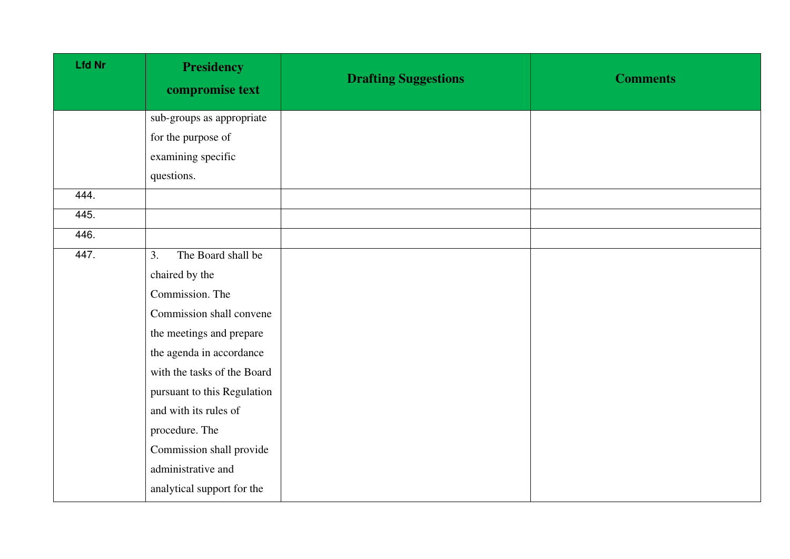| <b>Lfd Nr</b> | <b>Presidency</b><br>compromise text | <b>Drafting Suggestions</b> | <b>Comments</b> |
|---------------|--------------------------------------|-----------------------------|-----------------|
|               | sub-groups as appropriate            |                             |                 |
|               | for the purpose of                   |                             |                 |
|               | examining specific                   |                             |                 |
|               | questions.                           |                             |                 |
| 444.          |                                      |                             |                 |
| 445.          |                                      |                             |                 |
| 446.          |                                      |                             |                 |
| 447.          | The Board shall be<br>3.             |                             |                 |
|               | chaired by the                       |                             |                 |
|               | Commission. The                      |                             |                 |
|               | Commission shall convene             |                             |                 |
|               | the meetings and prepare             |                             |                 |
|               | the agenda in accordance             |                             |                 |
|               | with the tasks of the Board          |                             |                 |
|               | pursuant to this Regulation          |                             |                 |
|               | and with its rules of                |                             |                 |
|               | procedure. The                       |                             |                 |
|               | Commission shall provide             |                             |                 |
|               | administrative and                   |                             |                 |
|               | analytical support for the           |                             |                 |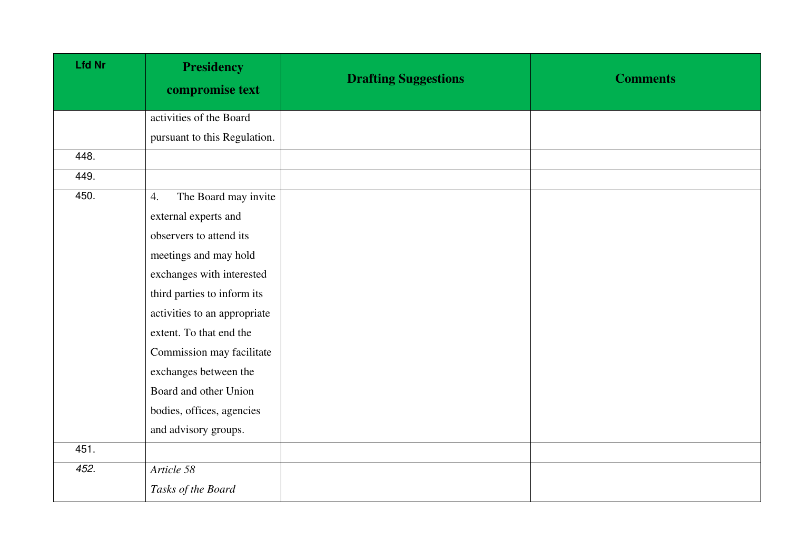| <b>Lfd Nr</b> | <b>Presidency</b><br>compromise text | <b>Drafting Suggestions</b> | <b>Comments</b> |
|---------------|--------------------------------------|-----------------------------|-----------------|
|               | activities of the Board              |                             |                 |
|               | pursuant to this Regulation.         |                             |                 |
| 448.          |                                      |                             |                 |
| 449.          |                                      |                             |                 |
| 450.          | The Board may invite<br>4.           |                             |                 |
|               | external experts and                 |                             |                 |
|               | observers to attend its              |                             |                 |
|               | meetings and may hold                |                             |                 |
|               | exchanges with interested            |                             |                 |
|               | third parties to inform its          |                             |                 |
|               | activities to an appropriate         |                             |                 |
|               | extent. To that end the              |                             |                 |
|               | Commission may facilitate            |                             |                 |
|               | exchanges between the                |                             |                 |
|               | Board and other Union                |                             |                 |
|               | bodies, offices, agencies            |                             |                 |
|               | and advisory groups.                 |                             |                 |
| 451.          |                                      |                             |                 |
| 452.          | Article 58                           |                             |                 |
|               | Tasks of the Board                   |                             |                 |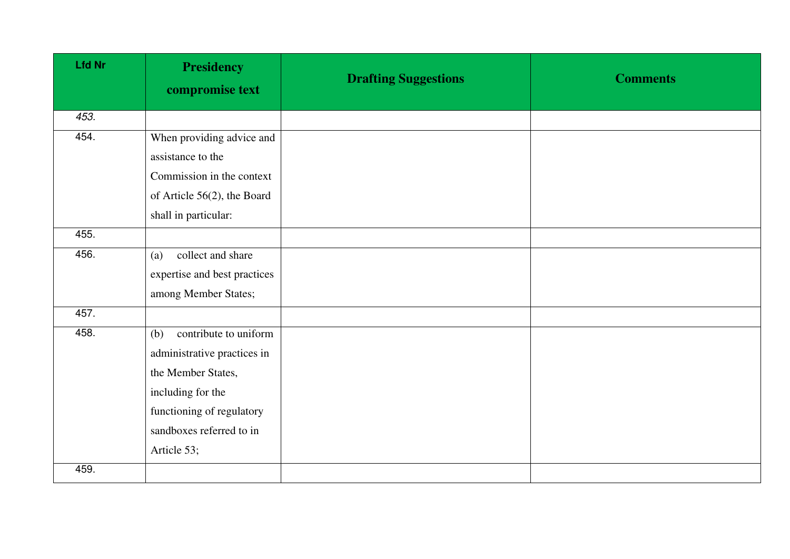| <b>Lfd Nr</b> | <b>Presidency</b><br>compromise text | <b>Drafting Suggestions</b> | <b>Comments</b> |
|---------------|--------------------------------------|-----------------------------|-----------------|
| 453.          |                                      |                             |                 |
| 454.          | When providing advice and            |                             |                 |
|               | assistance to the                    |                             |                 |
|               | Commission in the context            |                             |                 |
|               | of Article 56(2), the Board          |                             |                 |
|               | shall in particular:                 |                             |                 |
| 455.          |                                      |                             |                 |
| 456.          | collect and share<br>(a)             |                             |                 |
|               | expertise and best practices         |                             |                 |
|               | among Member States;                 |                             |                 |
| 457.          |                                      |                             |                 |
| 458.          | contribute to uniform<br>(b)         |                             |                 |
|               | administrative practices in          |                             |                 |
|               | the Member States,                   |                             |                 |
|               | including for the                    |                             |                 |
|               | functioning of regulatory            |                             |                 |
|               | sandboxes referred to in             |                             |                 |
|               | Article 53;                          |                             |                 |
| 459.          |                                      |                             |                 |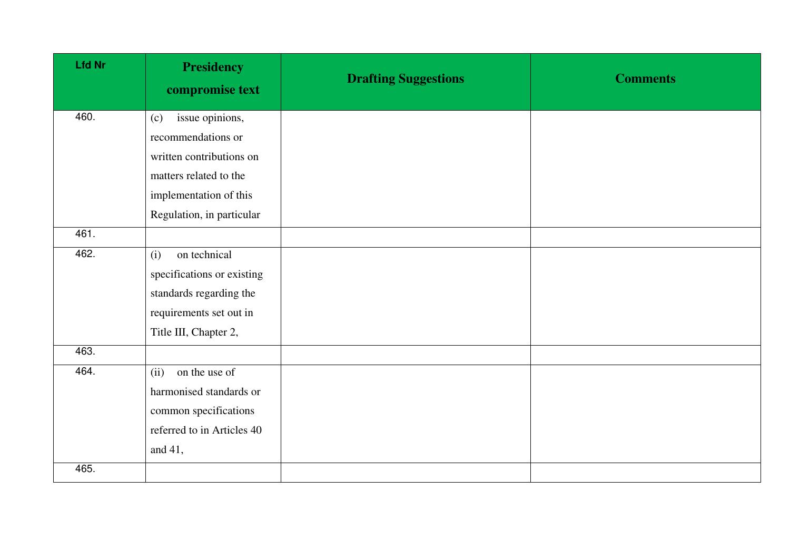| <b>Lfd Nr</b> | <b>Presidency</b><br>compromise text | <b>Drafting Suggestions</b> | <b>Comments</b> |
|---------------|--------------------------------------|-----------------------------|-----------------|
| 460.          | issue opinions,<br>(c)               |                             |                 |
|               | recommendations or                   |                             |                 |
|               | written contributions on             |                             |                 |
|               | matters related to the               |                             |                 |
|               | implementation of this               |                             |                 |
|               | Regulation, in particular            |                             |                 |
| 461.          |                                      |                             |                 |
| 462.          | on technical<br>(i)                  |                             |                 |
|               | specifications or existing           |                             |                 |
|               | standards regarding the              |                             |                 |
|               | requirements set out in              |                             |                 |
|               | Title III, Chapter 2,                |                             |                 |
| 463.          |                                      |                             |                 |
| 464.          | (ii)<br>on the use of                |                             |                 |
|               | harmonised standards or              |                             |                 |
|               | common specifications                |                             |                 |
|               | referred to in Articles 40           |                             |                 |
|               | and 41,                              |                             |                 |
| 465.          |                                      |                             |                 |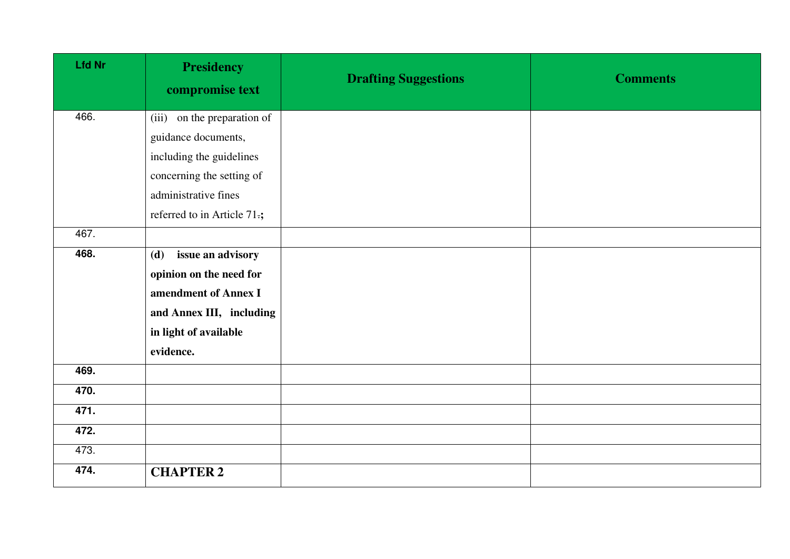| <b>Lfd Nr</b> | <b>Presidency</b><br>compromise text | <b>Drafting Suggestions</b> | <b>Comments</b> |
|---------------|--------------------------------------|-----------------------------|-----------------|
| 466.          | (iii) on the preparation of          |                             |                 |
|               | guidance documents,                  |                             |                 |
|               | including the guidelines             |                             |                 |
|               | concerning the setting of            |                             |                 |
|               | administrative fines                 |                             |                 |
|               | referred to in Article 71.;          |                             |                 |
| 467.          |                                      |                             |                 |
| 468.          | issue an advisory<br>(d)             |                             |                 |
|               | opinion on the need for              |                             |                 |
|               | amendment of Annex I                 |                             |                 |
|               | and Annex III, including             |                             |                 |
|               | in light of available                |                             |                 |
|               | evidence.                            |                             |                 |
| 469.          |                                      |                             |                 |
| 470.          |                                      |                             |                 |
| 471.          |                                      |                             |                 |
| 472.          |                                      |                             |                 |
| 473.          |                                      |                             |                 |
| 474.          | <b>CHAPTER 2</b>                     |                             |                 |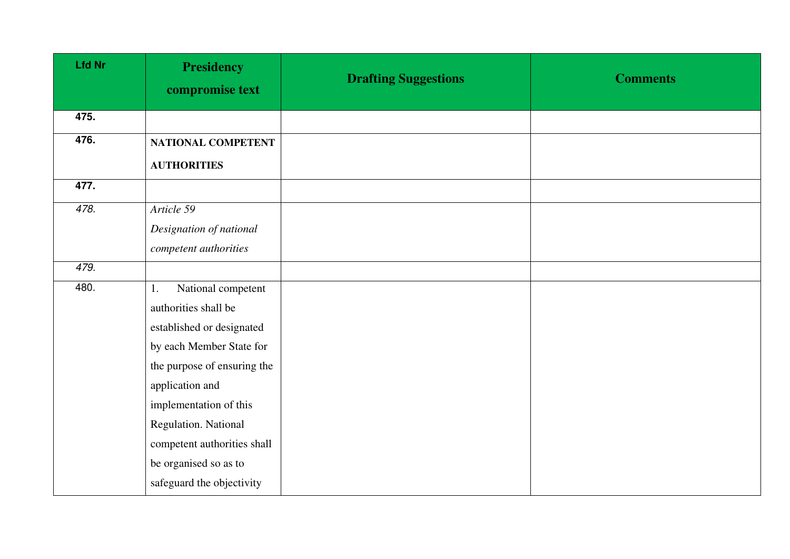| <b>Lfd Nr</b> | <b>Presidency</b><br>compromise text | <b>Drafting Suggestions</b> | <b>Comments</b> |
|---------------|--------------------------------------|-----------------------------|-----------------|
| 475.          |                                      |                             |                 |
| 476.          | NATIONAL COMPETENT                   |                             |                 |
|               | <b>AUTHORITIES</b>                   |                             |                 |
| 477.          |                                      |                             |                 |
| 478.          | Article 59                           |                             |                 |
|               | Designation of national              |                             |                 |
|               | competent authorities                |                             |                 |
| 479.          |                                      |                             |                 |
| 480.          | National competent<br>1.             |                             |                 |
|               | authorities shall be                 |                             |                 |
|               | established or designated            |                             |                 |
|               | by each Member State for             |                             |                 |
|               | the purpose of ensuring the          |                             |                 |
|               | application and                      |                             |                 |
|               | implementation of this               |                             |                 |
|               | Regulation. National                 |                             |                 |
|               | competent authorities shall          |                             |                 |
|               | be organised so as to                |                             |                 |
|               | safeguard the objectivity            |                             |                 |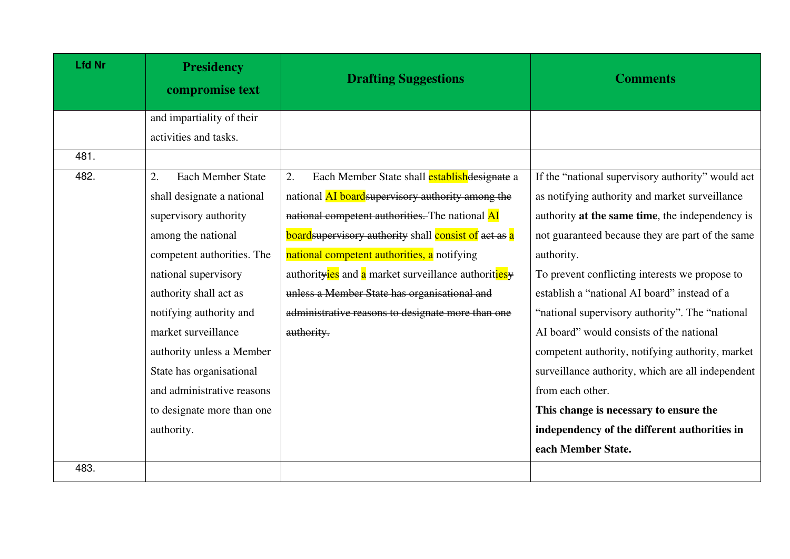| <b>Lfd Nr</b> | <b>Presidency</b><br>compromise text | <b>Drafting Suggestions</b>                                  | <b>Comments</b>                                   |
|---------------|--------------------------------------|--------------------------------------------------------------|---------------------------------------------------|
|               | and impartiality of their            |                                                              |                                                   |
|               | activities and tasks.                |                                                              |                                                   |
| 481.          |                                      |                                                              |                                                   |
| 482.          | <b>Each Member State</b><br>2.       | Each Member State shall establishedesignate a<br>2.          | If the "national supervisory authority" would act |
|               | shall designate a national           | national AI board supervisory authority among the            | as notifying authority and market surveillance    |
|               | supervisory authority                | national competent authorities. The national AI              | authority at the same time, the independency is   |
|               | among the national                   | <b>board</b> supervisory authority shall consist of act as a | not guaranteed because they are part of the same  |
|               | competent authorities. The           | national competent authorities, a notifying                  | authority.                                        |
|               | national supervisory                 | authorityies and a market surveillance authoritiesy          | To prevent conflicting interests we propose to    |
|               | authority shall act as               | unless a Member State has organisational and                 | establish a "national AI board" instead of a      |
|               | notifying authority and              | administrative reasons to designate more than one            | "national supervisory authority". The "national   |
|               | market surveillance                  | authority.                                                   | AI board" would consists of the national          |
|               | authority unless a Member            |                                                              | competent authority, notifying authority, market  |
|               | State has organisational             |                                                              | surveillance authority, which are all independent |
|               | and administrative reasons           |                                                              | from each other.                                  |
|               | to designate more than one           |                                                              | This change is necessary to ensure the            |
|               | authority.                           |                                                              | independency of the different authorities in      |
|               |                                      |                                                              | each Member State.                                |
| 483.          |                                      |                                                              |                                                   |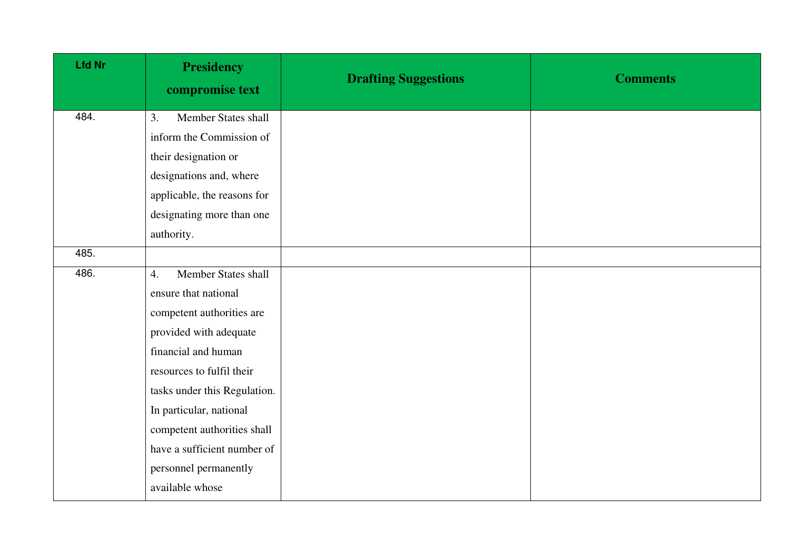| <b>Lfd Nr</b> | <b>Presidency</b><br>compromise text    | <b>Drafting Suggestions</b> | <b>Comments</b> |
|---------------|-----------------------------------------|-----------------------------|-----------------|
| 484.          | Member States shall<br>3.               |                             |                 |
|               | inform the Commission of                |                             |                 |
|               | their designation or                    |                             |                 |
|               | designations and, where                 |                             |                 |
|               | applicable, the reasons for             |                             |                 |
|               | designating more than one               |                             |                 |
|               | authority.                              |                             |                 |
| 485.          |                                         |                             |                 |
| 486.          | Member States shall<br>$\overline{4}$ . |                             |                 |
|               | ensure that national                    |                             |                 |
|               | competent authorities are               |                             |                 |
|               | provided with adequate                  |                             |                 |
|               | financial and human                     |                             |                 |
|               | resources to fulfil their               |                             |                 |
|               | tasks under this Regulation.            |                             |                 |
|               | In particular, national                 |                             |                 |
|               | competent authorities shall             |                             |                 |
|               | have a sufficient number of             |                             |                 |
|               | personnel permanently                   |                             |                 |
|               | available whose                         |                             |                 |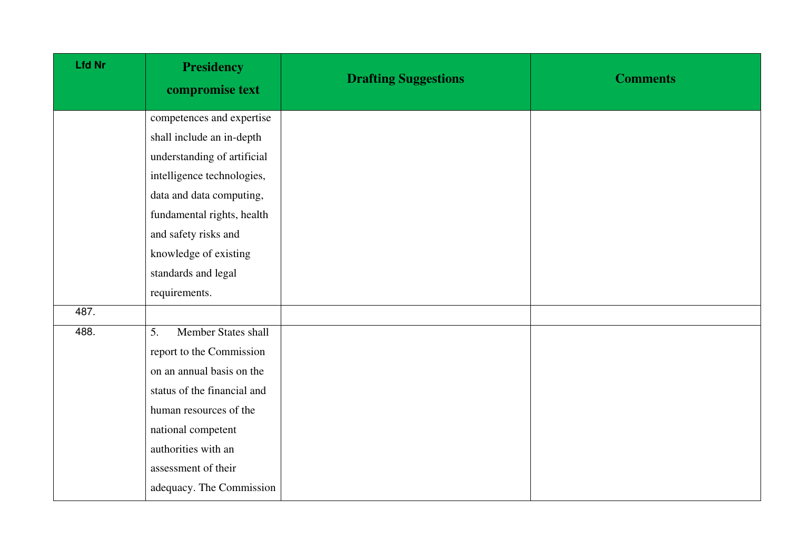| <b>Lfd Nr</b> | <b>Presidency</b><br>compromise text | <b>Drafting Suggestions</b> | <b>Comments</b> |
|---------------|--------------------------------------|-----------------------------|-----------------|
|               | competences and expertise            |                             |                 |
|               | shall include an in-depth            |                             |                 |
|               | understanding of artificial          |                             |                 |
|               | intelligence technologies,           |                             |                 |
|               | data and data computing,             |                             |                 |
|               | fundamental rights, health           |                             |                 |
|               | and safety risks and                 |                             |                 |
|               | knowledge of existing                |                             |                 |
|               | standards and legal                  |                             |                 |
|               | requirements.                        |                             |                 |
| 487.          |                                      |                             |                 |
| 488.          | Member States shall<br>5.            |                             |                 |
|               | report to the Commission             |                             |                 |
|               | on an annual basis on the            |                             |                 |
|               | status of the financial and          |                             |                 |
|               | human resources of the               |                             |                 |
|               | national competent                   |                             |                 |
|               | authorities with an                  |                             |                 |
|               | assessment of their                  |                             |                 |
|               | adequacy. The Commission             |                             |                 |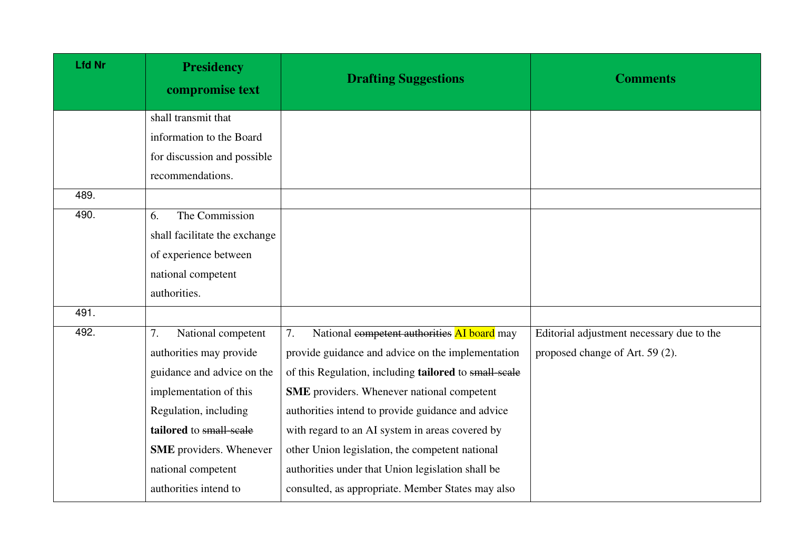| <b>Lfd Nr</b> | <b>Presidency</b><br>compromise text | <b>Drafting Suggestions</b>                           | <b>Comments</b>                           |
|---------------|--------------------------------------|-------------------------------------------------------|-------------------------------------------|
|               | shall transmit that                  |                                                       |                                           |
|               | information to the Board             |                                                       |                                           |
|               | for discussion and possible          |                                                       |                                           |
|               | recommendations.                     |                                                       |                                           |
| 489.          |                                      |                                                       |                                           |
| 490.          | The Commission<br>6.                 |                                                       |                                           |
|               | shall facilitate the exchange        |                                                       |                                           |
|               | of experience between                |                                                       |                                           |
|               | national competent                   |                                                       |                                           |
|               | authorities.                         |                                                       |                                           |
| 491.          |                                      |                                                       |                                           |
| 492.          | 7.<br>National competent             | National competent authorities AI board may<br>7.     | Editorial adjustment necessary due to the |
|               | authorities may provide              | provide guidance and advice on the implementation     | proposed change of Art. 59 (2).           |
|               | guidance and advice on the           | of this Regulation, including tailored to small-scale |                                           |
|               | implementation of this               | <b>SME</b> providers. Whenever national competent     |                                           |
|               | Regulation, including                | authorities intend to provide guidance and advice     |                                           |
|               | tailored to small-scale              | with regard to an AI system in areas covered by       |                                           |
|               | <b>SME</b> providers. Whenever       | other Union legislation, the competent national       |                                           |
|               | national competent                   | authorities under that Union legislation shall be     |                                           |
|               | authorities intend to                | consulted, as appropriate. Member States may also     |                                           |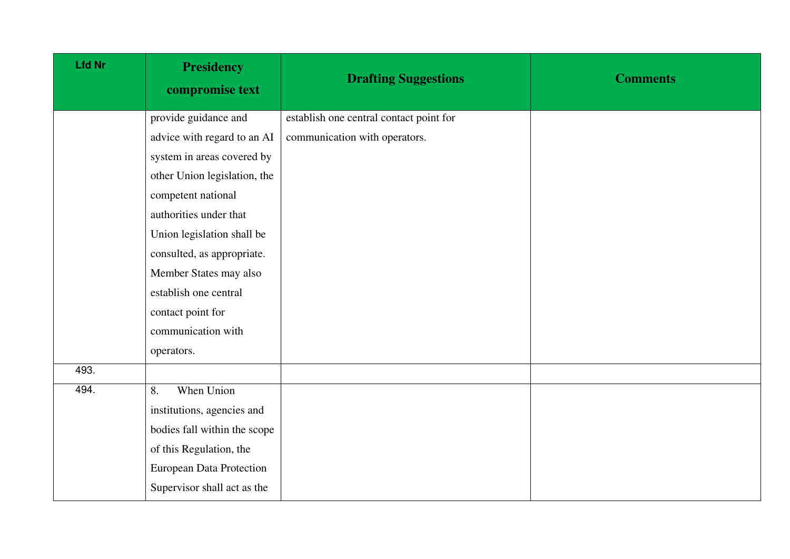| <b>Lfd Nr</b> | <b>Presidency</b><br>compromise text | <b>Drafting Suggestions</b>             | <b>Comments</b> |
|---------------|--------------------------------------|-----------------------------------------|-----------------|
|               | provide guidance and                 | establish one central contact point for |                 |
|               | advice with regard to an AI          | communication with operators.           |                 |
|               | system in areas covered by           |                                         |                 |
|               | other Union legislation, the         |                                         |                 |
|               | competent national                   |                                         |                 |
|               | authorities under that               |                                         |                 |
|               | Union legislation shall be           |                                         |                 |
|               | consulted, as appropriate.           |                                         |                 |
|               | Member States may also               |                                         |                 |
|               | establish one central                |                                         |                 |
|               | contact point for                    |                                         |                 |
|               | communication with                   |                                         |                 |
|               | operators.                           |                                         |                 |
| 493.          |                                      |                                         |                 |
| 494.          | When Union<br>8.                     |                                         |                 |
|               | institutions, agencies and           |                                         |                 |
|               | bodies fall within the scope         |                                         |                 |
|               | of this Regulation, the              |                                         |                 |
|               | <b>European Data Protection</b>      |                                         |                 |
|               | Supervisor shall act as the          |                                         |                 |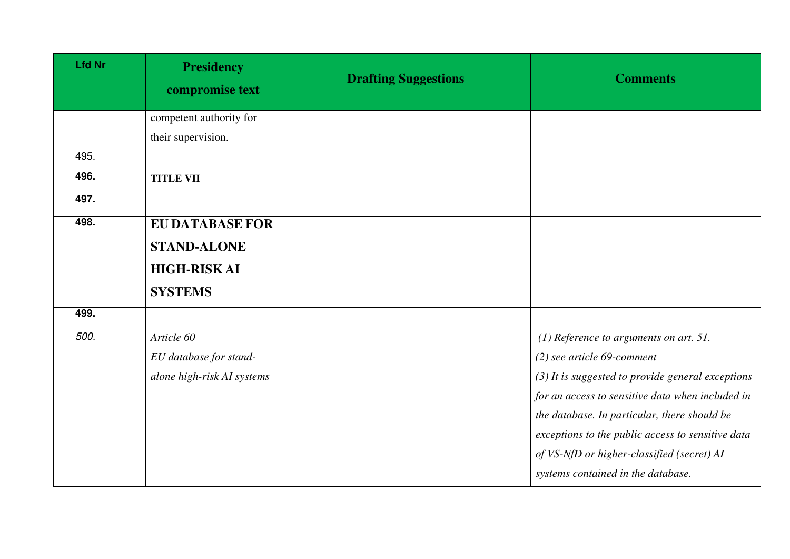| <b>Lfd Nr</b> | <b>Presidency</b><br>compromise text | <b>Drafting Suggestions</b> | <b>Comments</b>                                     |
|---------------|--------------------------------------|-----------------------------|-----------------------------------------------------|
|               | competent authority for              |                             |                                                     |
|               | their supervision.                   |                             |                                                     |
| 495.          |                                      |                             |                                                     |
| 496.          | <b>TITLE VII</b>                     |                             |                                                     |
| 497.          |                                      |                             |                                                     |
| 498.          | <b>EU DATABASE FOR</b>               |                             |                                                     |
|               | <b>STAND-ALONE</b>                   |                             |                                                     |
|               | <b>HIGH-RISKAI</b>                   |                             |                                                     |
|               | <b>SYSTEMS</b>                       |                             |                                                     |
| 499.          |                                      |                             |                                                     |
| 500.          | Article 60                           |                             | $(1)$ Reference to arguments on art. 51.            |
|               | EU database for stand-               |                             | $(2)$ see article 69-comment                        |
|               | alone high-risk AI systems           |                             | $(3)$ It is suggested to provide general exceptions |
|               |                                      |                             | for an access to sensitive data when included in    |
|               |                                      |                             | the database. In particular, there should be        |
|               |                                      |                             | exceptions to the public access to sensitive data   |
|               |                                      |                             | of VS-NfD or higher-classified (secret) AI          |
|               |                                      |                             | systems contained in the database.                  |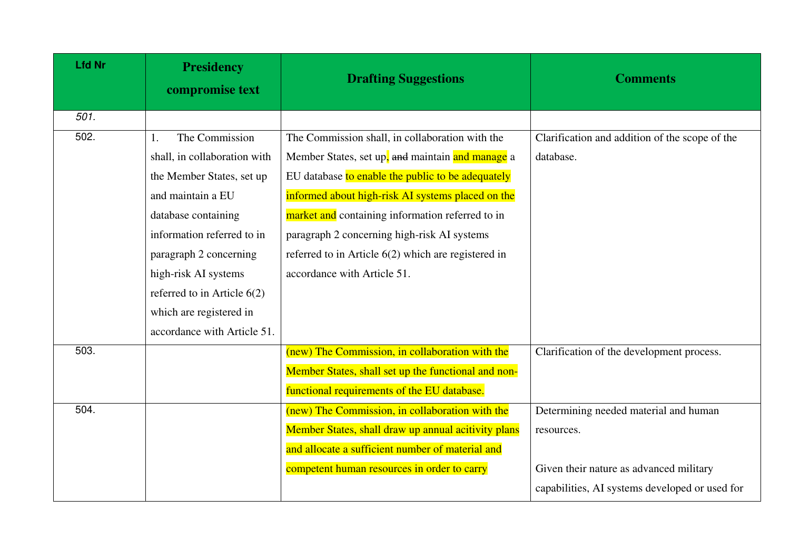| <b>Lfd Nr</b> | <b>Presidency</b><br>compromise text | <b>Drafting Suggestions</b>                         | <b>Comments</b>                                |
|---------------|--------------------------------------|-----------------------------------------------------|------------------------------------------------|
| 501.          |                                      |                                                     |                                                |
| 502.          | The Commission<br>1.                 | The Commission shall, in collaboration with the     | Clarification and addition of the scope of the |
|               | shall, in collaboration with         | Member States, set up, and maintain and manage a    | database.                                      |
|               | the Member States, set up            | EU database to enable the public to be adequately   |                                                |
|               | and maintain a EU                    | informed about high-risk AI systems placed on the   |                                                |
|               | database containing                  | market and containing information referred to in    |                                                |
|               | information referred to in           | paragraph 2 concerning high-risk AI systems         |                                                |
|               | paragraph 2 concerning               | referred to in Article 6(2) which are registered in |                                                |
|               | high-risk AI systems                 | accordance with Article 51.                         |                                                |
|               | referred to in Article $6(2)$        |                                                     |                                                |
|               | which are registered in              |                                                     |                                                |
|               | accordance with Article 51.          |                                                     |                                                |
| 503.          |                                      | (new) The Commission, in collaboration with the     | Clarification of the development process.      |
|               |                                      | Member States, shall set up the functional and non- |                                                |
|               |                                      | functional requirements of the EU database.         |                                                |
| 504.          |                                      | (new) The Commission, in collaboration with the     | Determining needed material and human          |
|               |                                      | Member States, shall draw up annual acitivity plans | resources.                                     |
|               |                                      | and allocate a sufficient number of material and    |                                                |
|               |                                      | competent human resources in order to carry         | Given their nature as advanced military        |
|               |                                      |                                                     | capabilities, AI systems developed or used for |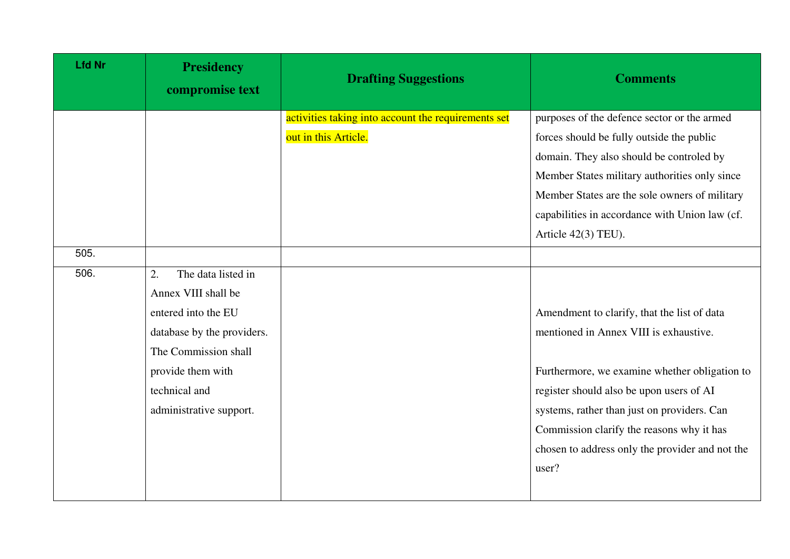| <b>Lfd Nr</b> | <b>Presidency</b><br>compromise text | <b>Drafting Suggestions</b>                         | <b>Comments</b>                                 |
|---------------|--------------------------------------|-----------------------------------------------------|-------------------------------------------------|
|               |                                      | activities taking into account the requirements set | purposes of the defence sector or the armed     |
|               |                                      | out in this Article.                                | forces should be fully outside the public       |
|               |                                      |                                                     | domain. They also should be controled by        |
|               |                                      |                                                     | Member States military authorities only since   |
|               |                                      |                                                     | Member States are the sole owners of military   |
|               |                                      |                                                     | capabilities in accordance with Union law (cf.  |
|               |                                      |                                                     | Article 42(3) TEU).                             |
| 505.          |                                      |                                                     |                                                 |
| 506.          | The data listed in<br>2.             |                                                     |                                                 |
|               | Annex VIII shall be                  |                                                     |                                                 |
|               | entered into the EU                  |                                                     | Amendment to clarify, that the list of data     |
|               | database by the providers.           |                                                     | mentioned in Annex VIII is exhaustive.          |
|               | The Commission shall                 |                                                     |                                                 |
|               | provide them with                    |                                                     | Furthermore, we examine whether obligation to   |
|               | technical and                        |                                                     | register should also be upon users of AI        |
|               | administrative support.              |                                                     | systems, rather than just on providers. Can     |
|               |                                      |                                                     | Commission clarify the reasons why it has       |
|               |                                      |                                                     | chosen to address only the provider and not the |
|               |                                      |                                                     | user?                                           |
|               |                                      |                                                     |                                                 |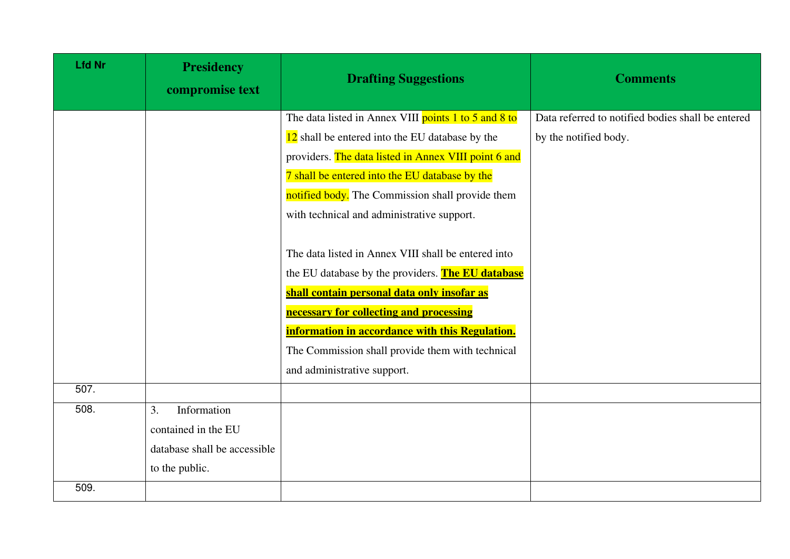| <b>Lfd Nr</b> | <b>Presidency</b><br>compromise text | <b>Drafting Suggestions</b>                          | <b>Comments</b>                                   |
|---------------|--------------------------------------|------------------------------------------------------|---------------------------------------------------|
|               |                                      | The data listed in Annex VIII points 1 to 5 and 8 to | Data referred to notified bodies shall be entered |
|               |                                      | 12 shall be entered into the EU database by the      | by the notified body.                             |
|               |                                      | providers. The data listed in Annex VIII point 6 and |                                                   |
|               |                                      | 7 shall be entered into the EU database by the       |                                                   |
|               |                                      | notified body. The Commission shall provide them     |                                                   |
|               |                                      | with technical and administrative support.           |                                                   |
|               |                                      |                                                      |                                                   |
|               |                                      | The data listed in Annex VIII shall be entered into  |                                                   |
|               |                                      | the EU database by the providers. The EU database    |                                                   |
|               |                                      | shall contain personal data only insofar as          |                                                   |
|               |                                      | necessary for collecting and processing              |                                                   |
|               |                                      | information in accordance with this Regulation.      |                                                   |
|               |                                      | The Commission shall provide them with technical     |                                                   |
|               |                                      | and administrative support.                          |                                                   |
| 507.          |                                      |                                                      |                                                   |
| 508.          | Information<br>3.                    |                                                      |                                                   |
|               | contained in the EU                  |                                                      |                                                   |
|               | database shall be accessible         |                                                      |                                                   |
|               | to the public.                       |                                                      |                                                   |
| 509.          |                                      |                                                      |                                                   |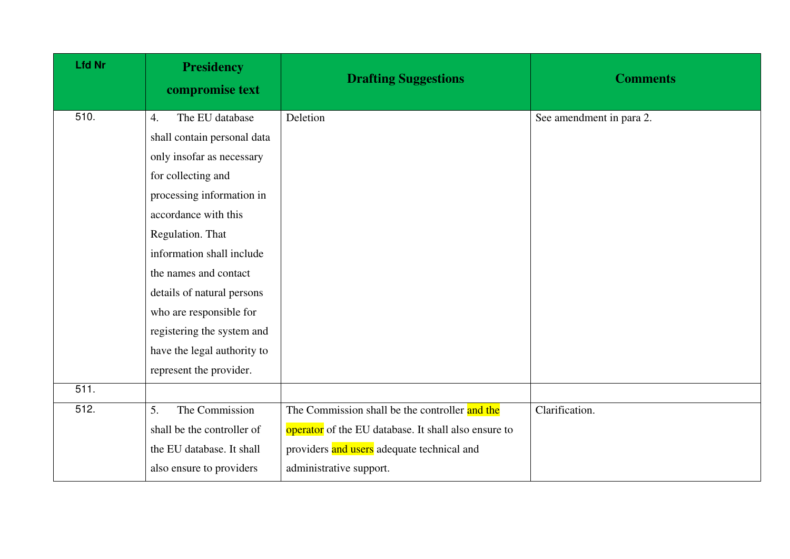| <b>Lfd Nr</b> | <b>Presidency</b><br>compromise text | <b>Drafting Suggestions</b>                          | <b>Comments</b>          |
|---------------|--------------------------------------|------------------------------------------------------|--------------------------|
| 510.          | The EU database<br>$\overline{4}$ .  | Deletion                                             | See amendment in para 2. |
|               | shall contain personal data          |                                                      |                          |
|               | only insofar as necessary            |                                                      |                          |
|               | for collecting and                   |                                                      |                          |
|               | processing information in            |                                                      |                          |
|               | accordance with this                 |                                                      |                          |
|               | Regulation. That                     |                                                      |                          |
|               | information shall include            |                                                      |                          |
|               | the names and contact                |                                                      |                          |
|               | details of natural persons           |                                                      |                          |
|               | who are responsible for              |                                                      |                          |
|               | registering the system and           |                                                      |                          |
|               | have the legal authority to          |                                                      |                          |
|               | represent the provider.              |                                                      |                          |
| 511.          |                                      |                                                      |                          |
| 512.          | The Commission<br>5.                 | The Commission shall be the controller and the       | Clarification.           |
|               | shall be the controller of           | operator of the EU database. It shall also ensure to |                          |
|               | the EU database. It shall            | providers and users adequate technical and           |                          |
|               | also ensure to providers             | administrative support.                              |                          |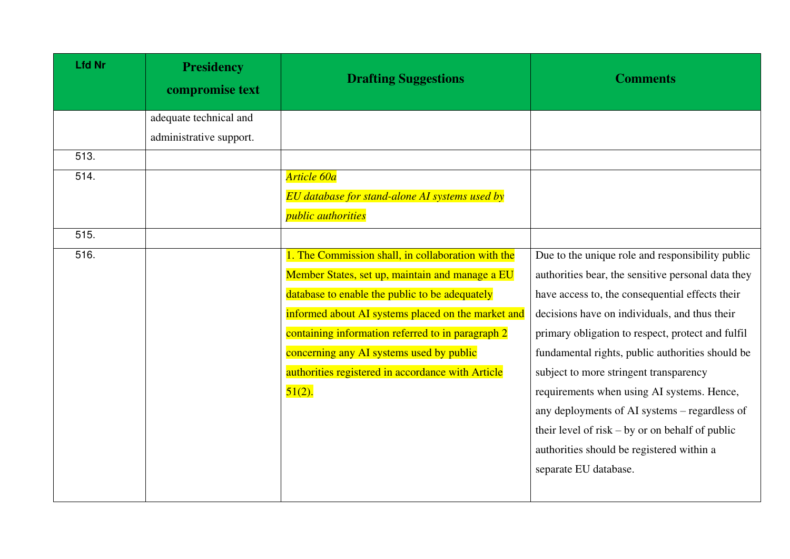| <b>Lfd Nr</b> | <b>Presidency</b><br>compromise text | <b>Drafting Suggestions</b>                        | <b>Comments</b>                                    |
|---------------|--------------------------------------|----------------------------------------------------|----------------------------------------------------|
|               | adequate technical and               |                                                    |                                                    |
|               | administrative support.              |                                                    |                                                    |
| 513.          |                                      |                                                    |                                                    |
| 514.          |                                      | Article 60a                                        |                                                    |
|               |                                      | EU database for stand-alone AI systems used by     |                                                    |
|               |                                      | <i>public authorities</i>                          |                                                    |
| 515.          |                                      |                                                    |                                                    |
| 516.          |                                      | 1. The Commission shall, in collaboration with the | Due to the unique role and responsibility public   |
|               |                                      | Member States, set up, maintain and manage a EU    | authorities bear, the sensitive personal data they |
|               |                                      | database to enable the public to be adequately     | have access to, the consequential effects their    |
|               |                                      | informed about AI systems placed on the market and | decisions have on individuals, and thus their      |
|               |                                      | containing information referred to in paragraph 2  | primary obligation to respect, protect and fulfil  |
|               |                                      | concerning any AI systems used by public           | fundamental rights, public authorities should be   |
|               |                                      | authorities registered in accordance with Article  | subject to more stringent transparency             |
|               |                                      | $51(2)$ .                                          | requirements when using AI systems. Hence,         |
|               |                                      |                                                    | any deployments of AI systems – regardless of      |
|               |                                      |                                                    | their level of risk $-$ by or on behalf of public  |
|               |                                      |                                                    | authorities should be registered within a          |
|               |                                      |                                                    | separate EU database.                              |
|               |                                      |                                                    |                                                    |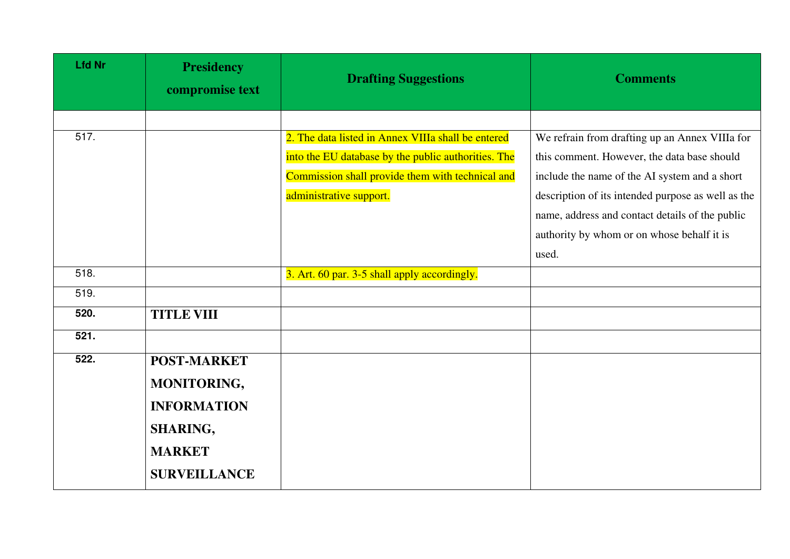| <b>Lfd Nr</b> | <b>Presidency</b><br>compromise text | <b>Drafting Suggestions</b>                         | <b>Comments</b>                                    |
|---------------|--------------------------------------|-----------------------------------------------------|----------------------------------------------------|
|               |                                      |                                                     |                                                    |
| 517.          |                                      | 2. The data listed in Annex VIIIa shall be entered  | We refrain from drafting up an Annex VIIIa for     |
|               |                                      | into the EU database by the public authorities. The | this comment. However, the data base should        |
|               |                                      | Commission shall provide them with technical and    | include the name of the AI system and a short      |
|               |                                      | administrative support.                             | description of its intended purpose as well as the |
|               |                                      |                                                     | name, address and contact details of the public    |
|               |                                      |                                                     | authority by whom or on whose behalf it is         |
|               |                                      |                                                     | used.                                              |
| 518.          |                                      | 3. Art. 60 par. 3-5 shall apply accordingly.        |                                                    |
| 519.          |                                      |                                                     |                                                    |
| 520.          | <b>TITLE VIII</b>                    |                                                     |                                                    |
| 521.          |                                      |                                                     |                                                    |
| 522.          | <b>POST-MARKET</b>                   |                                                     |                                                    |
|               | MONITORING,                          |                                                     |                                                    |
|               | <b>INFORMATION</b>                   |                                                     |                                                    |
|               | <b>SHARING,</b>                      |                                                     |                                                    |
|               | <b>MARKET</b>                        |                                                     |                                                    |
|               | <b>SURVEILLANCE</b>                  |                                                     |                                                    |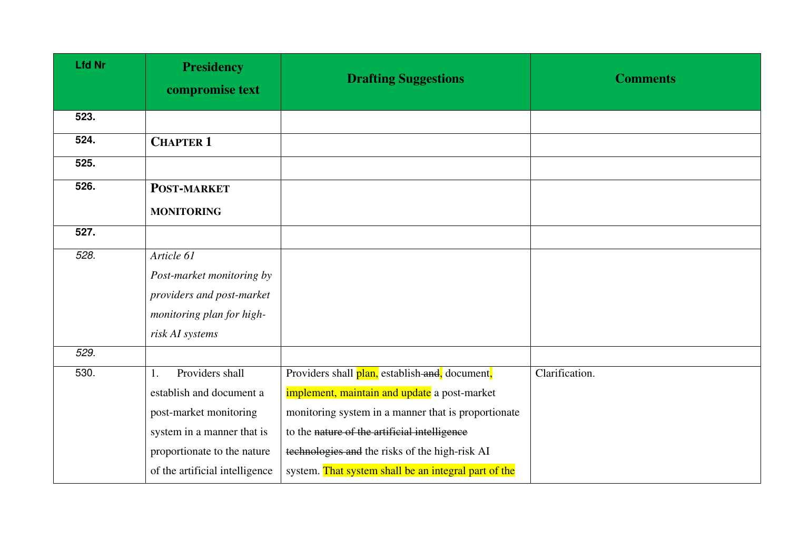| <b>Lfd Nr</b> | <b>Presidency</b><br>compromise text | <b>Drafting Suggestions</b>                          | <b>Comments</b> |
|---------------|--------------------------------------|------------------------------------------------------|-----------------|
| 523.          |                                      |                                                      |                 |
| 524.          | <b>CHAPTER 1</b>                     |                                                      |                 |
| 525.          |                                      |                                                      |                 |
| 526.          | <b>POST-MARKET</b>                   |                                                      |                 |
|               | <b>MONITORING</b>                    |                                                      |                 |
| 527.          |                                      |                                                      |                 |
| 528.          | Article 61                           |                                                      |                 |
|               | Post-market monitoring by            |                                                      |                 |
|               | providers and post-market            |                                                      |                 |
|               | monitoring plan for high-            |                                                      |                 |
|               | risk AI systems                      |                                                      |                 |
| 529.          |                                      |                                                      |                 |
| 530.          | Providers shall<br>1.                | Providers shall plan, establish and, document,       | Clarification.  |
|               | establish and document a             | implement, maintain and update a post-market         |                 |
|               | post-market monitoring               | monitoring system in a manner that is proportionate  |                 |
|               | system in a manner that is           | to the nature of the artificial intelligence         |                 |
|               | proportionate to the nature          | technologies and the risks of the high-risk AI       |                 |
|               | of the artificial intelligence       | system. That system shall be an integral part of the |                 |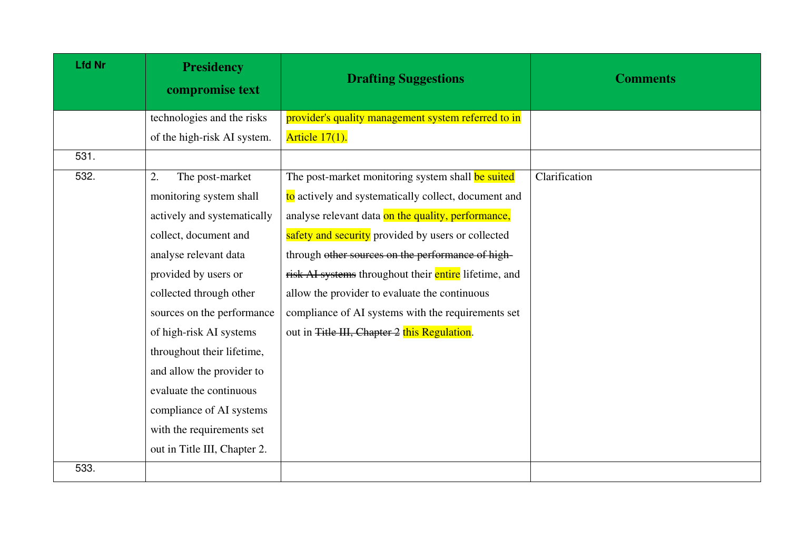| <b>Lfd Nr</b> | <b>Presidency</b><br>compromise text | <b>Drafting Suggestions</b>                           | <b>Comments</b> |
|---------------|--------------------------------------|-------------------------------------------------------|-----------------|
|               | technologies and the risks           | provider's quality management system referred to in   |                 |
|               | of the high-risk AI system.          | Article $17(1)$ .                                     |                 |
| 531.          |                                      |                                                       |                 |
| 532.          | The post-market<br>2.                | The post-market monitoring system shall be suited     | Clarification   |
|               | monitoring system shall              | to actively and systematically collect, document and  |                 |
|               | actively and systematically          | analyse relevant data on the quality, performance,    |                 |
|               | collect, document and                | safety and security provided by users or collected    |                 |
|               | analyse relevant data                | through other sources on the performance of high-     |                 |
|               | provided by users or                 | risk AI systems throughout their entire lifetime, and |                 |
|               | collected through other              | allow the provider to evaluate the continuous         |                 |
|               | sources on the performance           | compliance of AI systems with the requirements set    |                 |
|               | of high-risk AI systems              | out in Title III, Chapter 2 this Regulation.          |                 |
|               | throughout their lifetime,           |                                                       |                 |
|               | and allow the provider to            |                                                       |                 |
|               | evaluate the continuous              |                                                       |                 |
|               | compliance of AI systems             |                                                       |                 |
|               | with the requirements set            |                                                       |                 |
|               | out in Title III, Chapter 2.         |                                                       |                 |
| 533.          |                                      |                                                       |                 |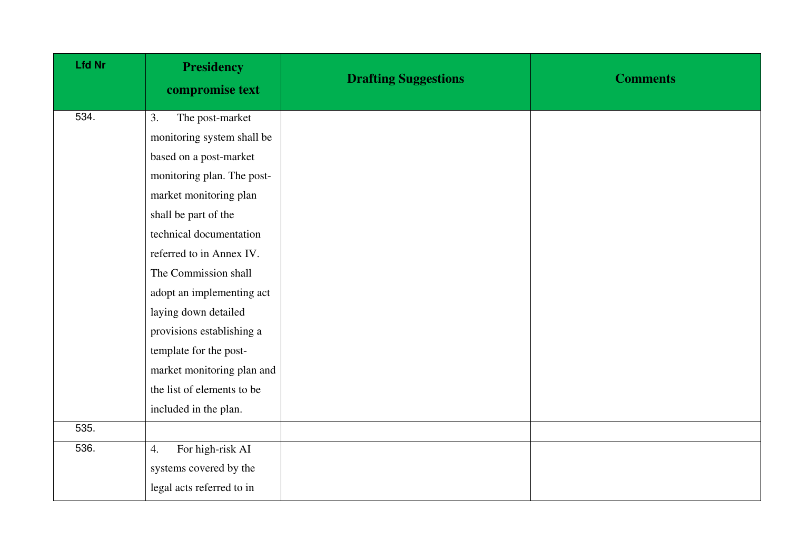| <b>Lfd Nr</b> | <b>Presidency</b><br>compromise text | <b>Drafting Suggestions</b> | <b>Comments</b> |
|---------------|--------------------------------------|-----------------------------|-----------------|
| 534.          | The post-market<br>3.                |                             |                 |
|               | monitoring system shall be           |                             |                 |
|               | based on a post-market               |                             |                 |
|               | monitoring plan. The post-           |                             |                 |
|               | market monitoring plan               |                             |                 |
|               | shall be part of the                 |                             |                 |
|               | technical documentation              |                             |                 |
|               | referred to in Annex IV.             |                             |                 |
|               | The Commission shall                 |                             |                 |
|               | adopt an implementing act            |                             |                 |
|               | laying down detailed                 |                             |                 |
|               | provisions establishing a            |                             |                 |
|               | template for the post-               |                             |                 |
|               | market monitoring plan and           |                             |                 |
|               | the list of elements to be           |                             |                 |
|               | included in the plan.                |                             |                 |
| 535.          |                                      |                             |                 |
| 536.          | For high-risk AI<br>4.               |                             |                 |
|               | systems covered by the               |                             |                 |
|               | legal acts referred to in            |                             |                 |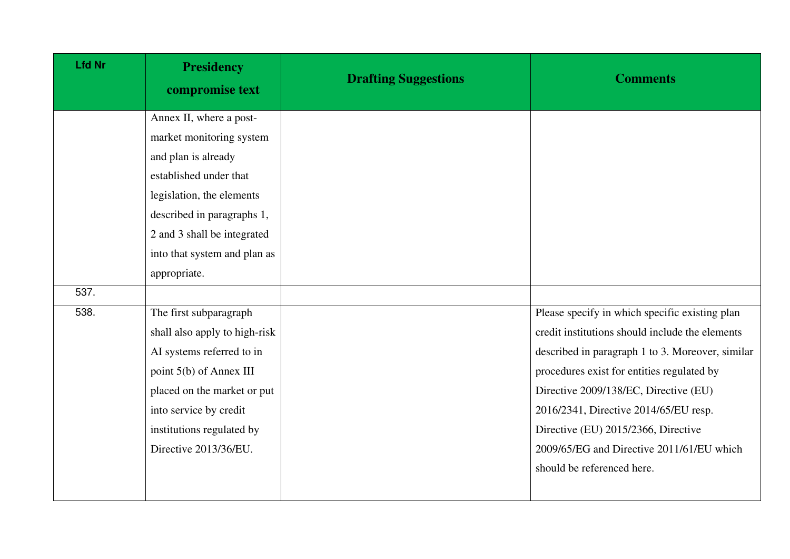| <b>Lfd Nr</b> | <b>Presidency</b><br>compromise text | <b>Drafting Suggestions</b> | <b>Comments</b>                                  |
|---------------|--------------------------------------|-----------------------------|--------------------------------------------------|
|               | Annex II, where a post-              |                             |                                                  |
|               | market monitoring system             |                             |                                                  |
|               | and plan is already                  |                             |                                                  |
|               | established under that               |                             |                                                  |
|               | legislation, the elements            |                             |                                                  |
|               | described in paragraphs 1,           |                             |                                                  |
|               | 2 and 3 shall be integrated          |                             |                                                  |
|               | into that system and plan as         |                             |                                                  |
|               | appropriate.                         |                             |                                                  |
| 537.          |                                      |                             |                                                  |
| 538.          | The first subparagraph               |                             | Please specify in which specific existing plan   |
|               | shall also apply to high-risk        |                             | credit institutions should include the elements  |
|               | AI systems referred to in            |                             | described in paragraph 1 to 3. Moreover, similar |
|               | point 5(b) of Annex III              |                             | procedures exist for entities regulated by       |
|               | placed on the market or put          |                             | Directive 2009/138/EC, Directive (EU)            |
|               | into service by credit               |                             | 2016/2341, Directive 2014/65/EU resp.            |
|               | institutions regulated by            |                             | Directive (EU) 2015/2366, Directive              |
|               | Directive 2013/36/EU.                |                             | 2009/65/EG and Directive 2011/61/EU which        |
|               |                                      |                             | should be referenced here.                       |
|               |                                      |                             |                                                  |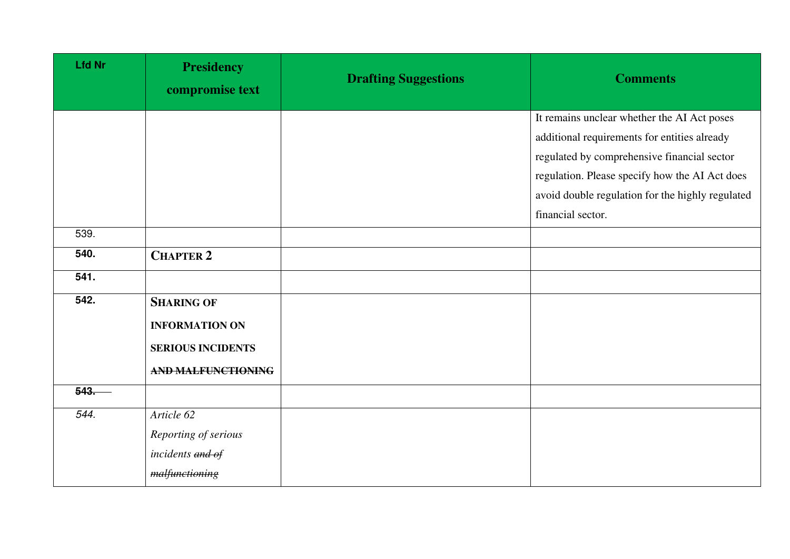| <b>Lfd Nr</b> | <b>Presidency</b><br>compromise text | <b>Drafting Suggestions</b> | <b>Comments</b>                                  |
|---------------|--------------------------------------|-----------------------------|--------------------------------------------------|
|               |                                      |                             | It remains unclear whether the AI Act poses      |
|               |                                      |                             | additional requirements for entities already     |
|               |                                      |                             | regulated by comprehensive financial sector      |
|               |                                      |                             | regulation. Please specify how the AI Act does   |
|               |                                      |                             | avoid double regulation for the highly regulated |
|               |                                      |                             | financial sector.                                |
| 539.          |                                      |                             |                                                  |
| 540.          | <b>CHAPTER 2</b>                     |                             |                                                  |
| 541.          |                                      |                             |                                                  |
| 542.          | <b>SHARING OF</b>                    |                             |                                                  |
|               | <b>INFORMATION ON</b>                |                             |                                                  |
|               | <b>SERIOUS INCIDENTS</b>             |                             |                                                  |
|               | <b>AND MALFUNCTIONING</b>            |                             |                                                  |
| 543.          |                                      |                             |                                                  |
| 544.          | Article 62                           |                             |                                                  |
|               | Reporting of serious                 |                             |                                                  |
|               | incidents and of                     |                             |                                                  |
|               | malfunctioning                       |                             |                                                  |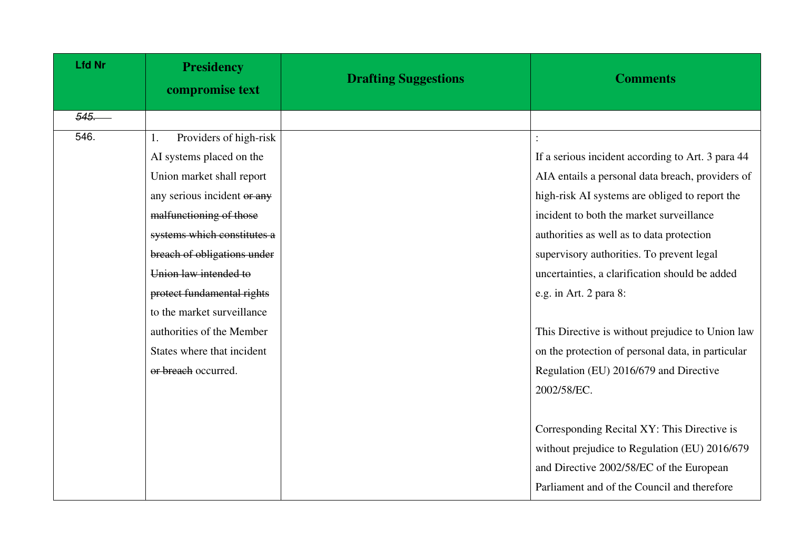| <b>Lfd Nr</b> | <b>Presidency</b><br>compromise text | <b>Drafting Suggestions</b> | <b>Comments</b>                                   |
|---------------|--------------------------------------|-----------------------------|---------------------------------------------------|
| 545.          |                                      |                             |                                                   |
| 546.          | Providers of high-risk<br>1.         |                             |                                                   |
|               | AI systems placed on the             |                             | If a serious incident according to Art. 3 para 44 |
|               | Union market shall report            |                             | AIA entails a personal data breach, providers of  |
|               | any serious incident or any          |                             | high-risk AI systems are obliged to report the    |
|               | malfunctioning of those              |                             | incident to both the market surveillance          |
|               | systems which constitutes a          |                             | authorities as well as to data protection         |
|               | breach of obligations under          |                             | supervisory authorities. To prevent legal         |
|               | Union law intended to                |                             | uncertainties, a clarification should be added    |
|               | protect fundamental rights           |                             | e.g. in Art. 2 para 8:                            |
|               | to the market surveillance           |                             |                                                   |
|               | authorities of the Member            |                             | This Directive is without prejudice to Union law  |
|               | States where that incident           |                             | on the protection of personal data, in particular |
|               | or breach occurred.                  |                             | Regulation (EU) 2016/679 and Directive            |
|               |                                      |                             | 2002/58/EC.                                       |
|               |                                      |                             |                                                   |
|               |                                      |                             | Corresponding Recital XY: This Directive is       |
|               |                                      |                             | without prejudice to Regulation (EU) 2016/679     |
|               |                                      |                             | and Directive 2002/58/EC of the European          |
|               |                                      |                             | Parliament and of the Council and therefore       |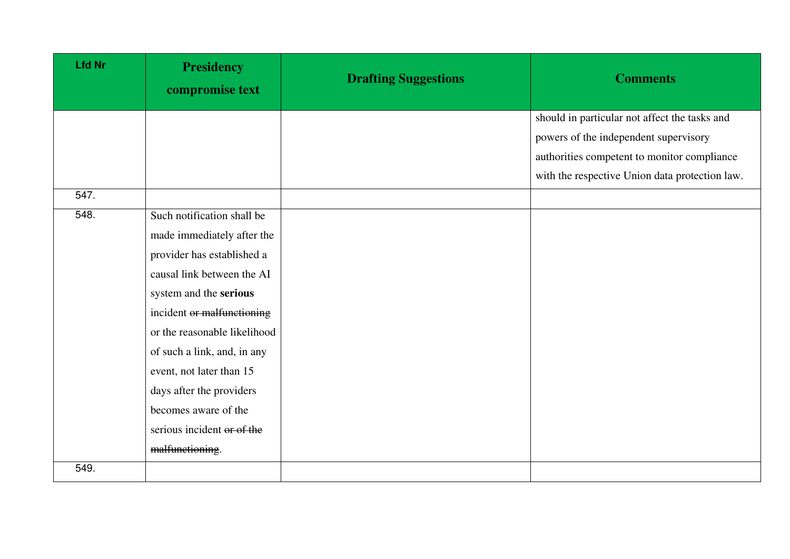| <b>Lfd Nr</b> | <b>Presidency</b><br>compromise text | <b>Drafting Suggestions</b> | <b>Comments</b>                                |
|---------------|--------------------------------------|-----------------------------|------------------------------------------------|
|               |                                      |                             | should in particular not affect the tasks and  |
|               |                                      |                             | powers of the independent supervisory          |
|               |                                      |                             | authorities competent to monitor compliance    |
|               |                                      |                             | with the respective Union data protection law. |
| 547.          |                                      |                             |                                                |
| 548.          | Such notification shall be           |                             |                                                |
|               | made immediately after the           |                             |                                                |
|               | provider has established a           |                             |                                                |
|               | causal link between the AI           |                             |                                                |
|               | system and the serious               |                             |                                                |
|               | incident or malfunctioning           |                             |                                                |
|               | or the reasonable likelihood         |                             |                                                |
|               | of such a link, and, in any          |                             |                                                |
|               | event, not later than 15             |                             |                                                |
|               | days after the providers             |                             |                                                |
|               | becomes aware of the                 |                             |                                                |
|               | serious incident or of the           |                             |                                                |
|               | malfunctioning.                      |                             |                                                |
| 549.          |                                      |                             |                                                |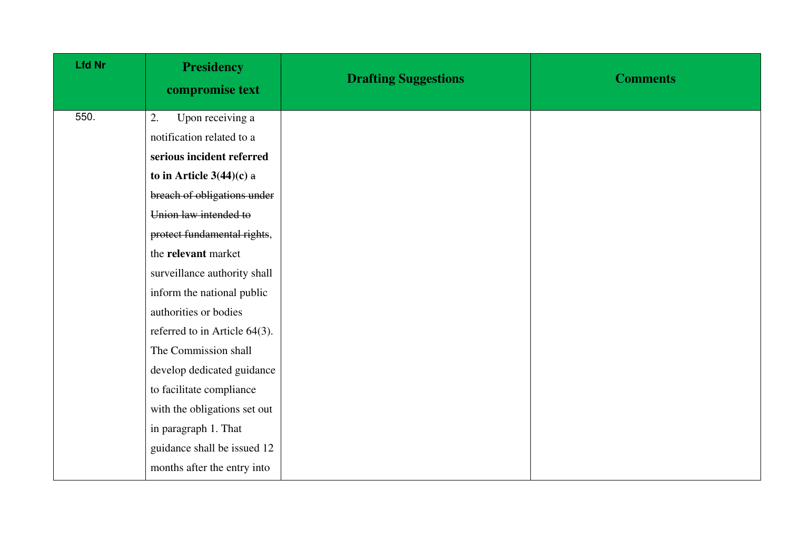| <b>Lfd Nr</b> | <b>Presidency</b><br>compromise text | <b>Drafting Suggestions</b> | <b>Comments</b> |
|---------------|--------------------------------------|-----------------------------|-----------------|
| 550.          | Upon receiving a<br>2.               |                             |                 |
|               | notification related to a            |                             |                 |
|               | serious incident referred            |                             |                 |
|               | to in Article $3(44)(c)$ a           |                             |                 |
|               | breach of obligations under          |                             |                 |
|               | Union law intended to                |                             |                 |
|               | protect fundamental rights,          |                             |                 |
|               | the relevant market                  |                             |                 |
|               | surveillance authority shall         |                             |                 |
|               | inform the national public           |                             |                 |
|               | authorities or bodies                |                             |                 |
|               | referred to in Article 64(3).        |                             |                 |
|               | The Commission shall                 |                             |                 |
|               | develop dedicated guidance           |                             |                 |
|               | to facilitate compliance             |                             |                 |
|               | with the obligations set out         |                             |                 |
|               | in paragraph 1. That                 |                             |                 |
|               | guidance shall be issued 12          |                             |                 |
|               | months after the entry into          |                             |                 |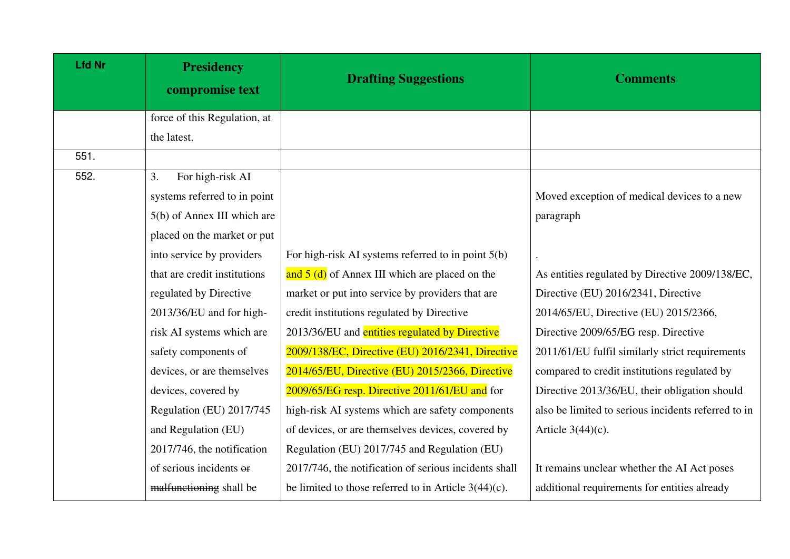| <b>Lfd Nr</b> | <b>Presidency</b><br>compromise text | <b>Drafting Suggestions</b>                             | <b>Comments</b>                                     |
|---------------|--------------------------------------|---------------------------------------------------------|-----------------------------------------------------|
|               | force of this Regulation, at         |                                                         |                                                     |
|               | the latest.                          |                                                         |                                                     |
| 551.          |                                      |                                                         |                                                     |
| 552.          | For high-risk AI<br>3.               |                                                         |                                                     |
|               | systems referred to in point         |                                                         | Moved exception of medical devices to a new         |
|               | 5(b) of Annex III which are          |                                                         | paragraph                                           |
|               | placed on the market or put          |                                                         |                                                     |
|               | into service by providers            | For high-risk AI systems referred to in point $5(b)$    |                                                     |
|               | that are credit institutions         | and 5 (d) of Annex III which are placed on the          | As entities regulated by Directive 2009/138/EC,     |
|               | regulated by Directive               | market or put into service by providers that are        | Directive (EU) 2016/2341, Directive                 |
|               | 2013/36/EU and for high-             | credit institutions regulated by Directive              | 2014/65/EU, Directive (EU) 2015/2366,               |
|               | risk AI systems which are            | 2013/36/EU and entities regulated by Directive          | Directive 2009/65/EG resp. Directive                |
|               | safety components of                 | 2009/138/EC, Directive (EU) 2016/2341, Directive        | 2011/61/EU fulfil similarly strict requirements     |
|               | devices, or are themselves           | 2014/65/EU, Directive (EU) 2015/2366, Directive         | compared to credit institutions regulated by        |
|               | devices, covered by                  | 2009/65/EG resp. Directive 2011/61/EU and for           | Directive 2013/36/EU, their obligation should       |
|               | Regulation (EU) 2017/745             | high-risk AI systems which are safety components        | also be limited to serious incidents referred to in |
|               | and Regulation (EU)                  | of devices, or are themselves devices, covered by       | Article $3(44)(c)$ .                                |
|               | 2017/746, the notification           | Regulation (EU) 2017/745 and Regulation (EU)            |                                                     |
|               | of serious incidents or              | 2017/746, the notification of serious incidents shall   | It remains unclear whether the AI Act poses         |
|               | malfunctioning shall be              | be limited to those referred to in Article $3(44)(c)$ . | additional requirements for entities already        |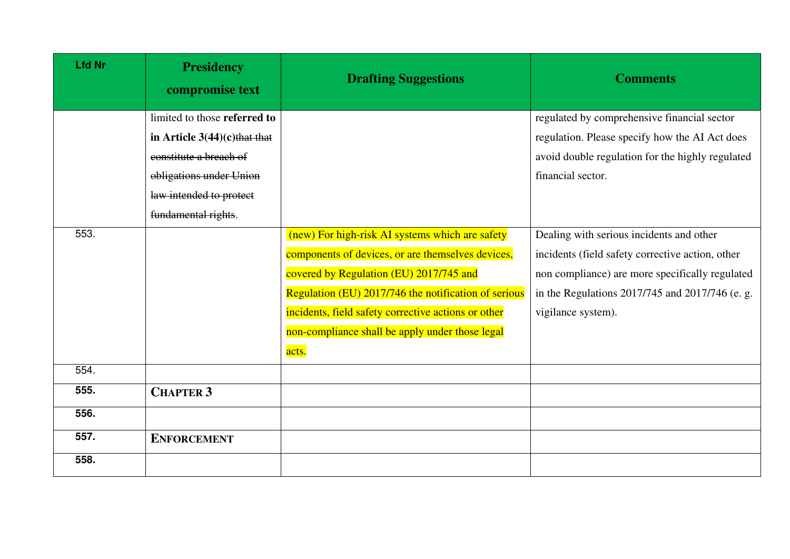| <b>Lfd Nr</b> | <b>Presidency</b><br>compromise text | <b>Drafting Suggestions</b>                          | <b>Comments</b>                                  |
|---------------|--------------------------------------|------------------------------------------------------|--------------------------------------------------|
|               | limited to those referred to         |                                                      | regulated by comprehensive financial sector      |
|               | in Article $3(44)(c)$ that that      |                                                      | regulation. Please specify how the AI Act does   |
|               | constitute a breach of               |                                                      | avoid double regulation for the highly regulated |
|               | obligations under Union              |                                                      | financial sector.                                |
|               | law intended to protect              |                                                      |                                                  |
|               | fundamental rights.                  |                                                      |                                                  |
| 553.          |                                      | (new) For high-risk AI systems which are safety      | Dealing with serious incidents and other         |
|               |                                      | components of devices, or are themselves devices,    | incidents (field safety corrective action, other |
|               |                                      | covered by Regulation (EU) 2017/745 and              | non compliance) are more specifically regulated  |
|               |                                      | Regulation (EU) 2017/746 the notification of serious | in the Regulations 2017/745 and 2017/746 (e. g.  |
|               |                                      | incidents, field safety corrective actions or other  | vigilance system).                               |
|               |                                      | non-compliance shall be apply under those legal      |                                                  |
|               |                                      | acts.                                                |                                                  |
| 554.          |                                      |                                                      |                                                  |
| 555.          | <b>CHAPTER 3</b>                     |                                                      |                                                  |
| 556.          |                                      |                                                      |                                                  |
| 557.          | <b>ENFORCEMENT</b>                   |                                                      |                                                  |
| 558.          |                                      |                                                      |                                                  |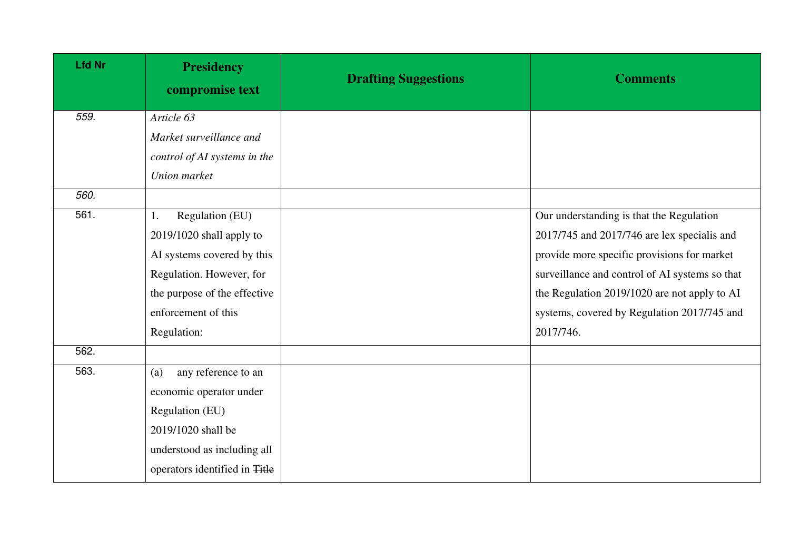| <b>Lfd Nr</b> | <b>Presidency</b><br>compromise text | <b>Drafting Suggestions</b> | <b>Comments</b>                                |
|---------------|--------------------------------------|-----------------------------|------------------------------------------------|
| 559.          | Article 63                           |                             |                                                |
|               | Market surveillance and              |                             |                                                |
|               | control of AI systems in the         |                             |                                                |
|               | Union market                         |                             |                                                |
| 560.          |                                      |                             |                                                |
| 561.          | Regulation (EU)<br>1.                |                             | Our understanding is that the Regulation       |
|               | 2019/1020 shall apply to             |                             | 2017/745 and 2017/746 are lex specialis and    |
|               | AI systems covered by this           |                             | provide more specific provisions for market    |
|               | Regulation. However, for             |                             | surveillance and control of AI systems so that |
|               | the purpose of the effective         |                             | the Regulation 2019/1020 are not apply to AI   |
|               | enforcement of this                  |                             | systems, covered by Regulation 2017/745 and    |
|               | Regulation:                          |                             | 2017/746.                                      |
| 562.          |                                      |                             |                                                |
| 563.          | any reference to an<br>(a)           |                             |                                                |
|               | economic operator under              |                             |                                                |
|               | Regulation (EU)                      |                             |                                                |
|               | 2019/1020 shall be                   |                             |                                                |
|               | understood as including all          |                             |                                                |
|               | operators identified in Title        |                             |                                                |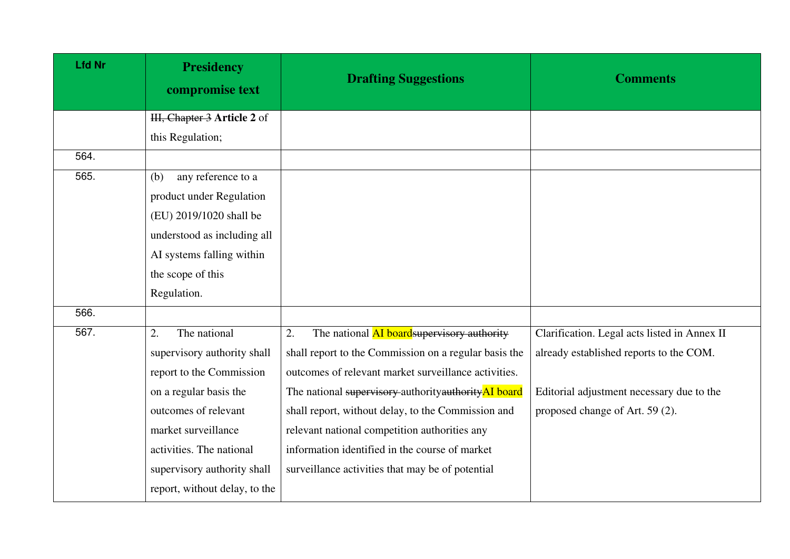| <b>Lfd Nr</b> | <b>Presidency</b><br>compromise text | <b>Drafting Suggestions</b>                           | <b>Comments</b>                              |
|---------------|--------------------------------------|-------------------------------------------------------|----------------------------------------------|
|               | HI, Chapter 3 Article 2 of           |                                                       |                                              |
|               | this Regulation;                     |                                                       |                                              |
| 564.          |                                      |                                                       |                                              |
| 565.          | any reference to a<br>(b)            |                                                       |                                              |
|               | product under Regulation             |                                                       |                                              |
|               | (EU) 2019/1020 shall be              |                                                       |                                              |
|               | understood as including all          |                                                       |                                              |
|               | AI systems falling within            |                                                       |                                              |
|               | the scope of this                    |                                                       |                                              |
|               | Regulation.                          |                                                       |                                              |
| 566.          |                                      |                                                       |                                              |
| 567.          | 2.<br>The national                   | The national AI board supervisory authority<br>2.     | Clarification. Legal acts listed in Annex II |
|               | supervisory authority shall          | shall report to the Commission on a regular basis the | already established reports to the COM.      |
|               | report to the Commission             | outcomes of relevant market surveillance activities.  |                                              |
|               | on a regular basis the               | The national supervisory authority authority AI board | Editorial adjustment necessary due to the    |
|               | outcomes of relevant                 | shall report, without delay, to the Commission and    | proposed change of Art. 59 (2).              |
|               | market surveillance                  | relevant national competition authorities any         |                                              |
|               | activities. The national             | information identified in the course of market        |                                              |
|               | supervisory authority shall          | surveillance activities that may be of potential      |                                              |
|               | report, without delay, to the        |                                                       |                                              |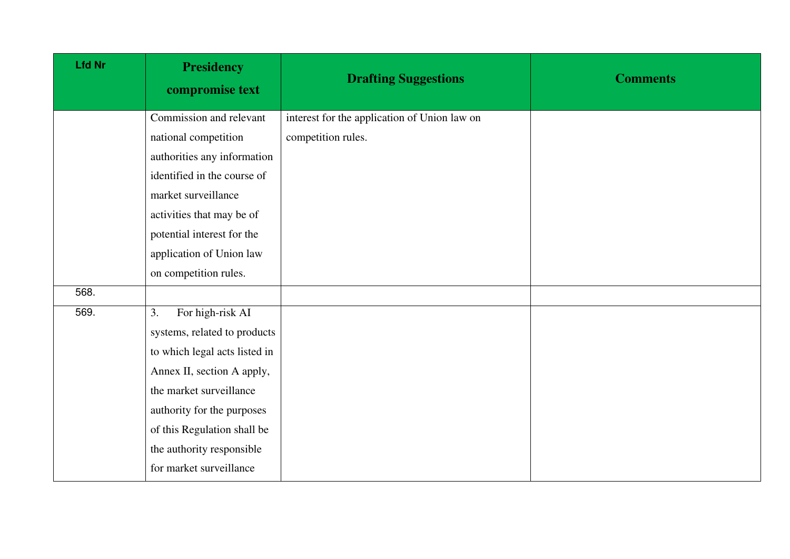| <b>Lfd Nr</b> | <b>Presidency</b><br>compromise text | <b>Drafting Suggestions</b>                  | <b>Comments</b> |
|---------------|--------------------------------------|----------------------------------------------|-----------------|
|               | Commission and relevant              | interest for the application of Union law on |                 |
|               | national competition                 | competition rules.                           |                 |
|               | authorities any information          |                                              |                 |
|               | identified in the course of          |                                              |                 |
|               | market surveillance                  |                                              |                 |
|               | activities that may be of            |                                              |                 |
|               | potential interest for the           |                                              |                 |
|               | application of Union law             |                                              |                 |
|               | on competition rules.                |                                              |                 |
| 568.          |                                      |                                              |                 |
| 569.          | For high-risk AI<br>3.               |                                              |                 |
|               | systems, related to products         |                                              |                 |
|               | to which legal acts listed in        |                                              |                 |
|               | Annex II, section A apply,           |                                              |                 |
|               | the market surveillance              |                                              |                 |
|               | authority for the purposes           |                                              |                 |
|               | of this Regulation shall be          |                                              |                 |
|               | the authority responsible            |                                              |                 |
|               | for market surveillance              |                                              |                 |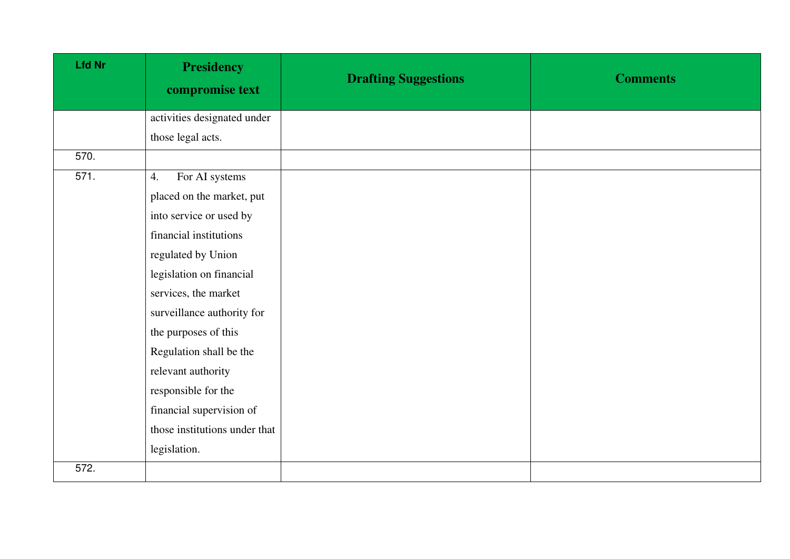| <b>Lfd Nr</b> | <b>Presidency</b><br>compromise text | <b>Drafting Suggestions</b> | <b>Comments</b> |
|---------------|--------------------------------------|-----------------------------|-----------------|
|               | activities designated under          |                             |                 |
|               | those legal acts.                    |                             |                 |
| 570.          |                                      |                             |                 |
| 571.          | For AI systems<br>4.                 |                             |                 |
|               | placed on the market, put            |                             |                 |
|               | into service or used by              |                             |                 |
|               | financial institutions               |                             |                 |
|               | regulated by Union                   |                             |                 |
|               | legislation on financial             |                             |                 |
|               | services, the market                 |                             |                 |
|               | surveillance authority for           |                             |                 |
|               | the purposes of this                 |                             |                 |
|               | Regulation shall be the              |                             |                 |
|               | relevant authority                   |                             |                 |
|               | responsible for the                  |                             |                 |
|               | financial supervision of             |                             |                 |
|               | those institutions under that        |                             |                 |
|               | legislation.                         |                             |                 |
| 572.          |                                      |                             |                 |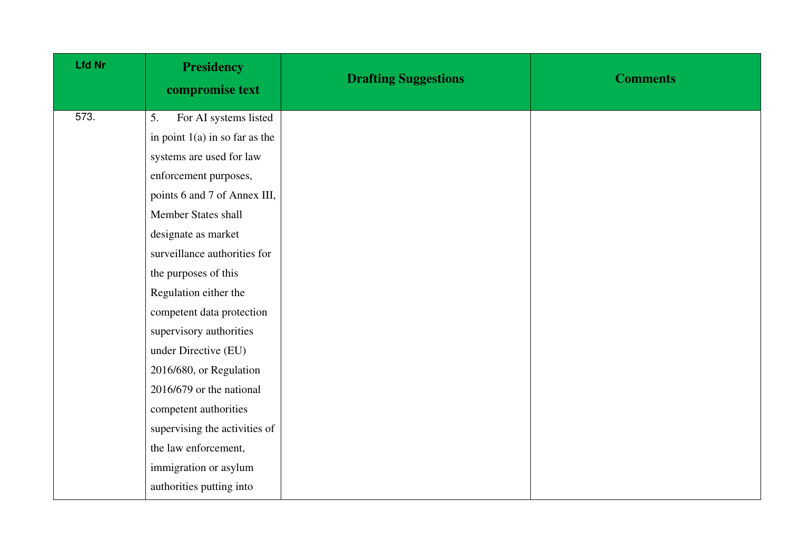| <b>Lfd Nr</b> | <b>Presidency</b><br>compromise text | <b>Drafting Suggestions</b> | <b>Comments</b> |
|---------------|--------------------------------------|-----------------------------|-----------------|
| 573.          | For AI systems listed<br>5.          |                             |                 |
|               | in point $1(a)$ in so far as the     |                             |                 |
|               | systems are used for law             |                             |                 |
|               | enforcement purposes,                |                             |                 |
|               | points 6 and 7 of Annex III,         |                             |                 |
|               | Member States shall                  |                             |                 |
|               | designate as market                  |                             |                 |
|               | surveillance authorities for         |                             |                 |
|               | the purposes of this                 |                             |                 |
|               | Regulation either the                |                             |                 |
|               | competent data protection            |                             |                 |
|               | supervisory authorities              |                             |                 |
|               | under Directive (EU)                 |                             |                 |
|               | 2016/680, or Regulation              |                             |                 |
|               | 2016/679 or the national             |                             |                 |
|               | competent authorities                |                             |                 |
|               | supervising the activities of        |                             |                 |
|               | the law enforcement,                 |                             |                 |
|               | immigration or asylum                |                             |                 |
|               | authorities putting into             |                             |                 |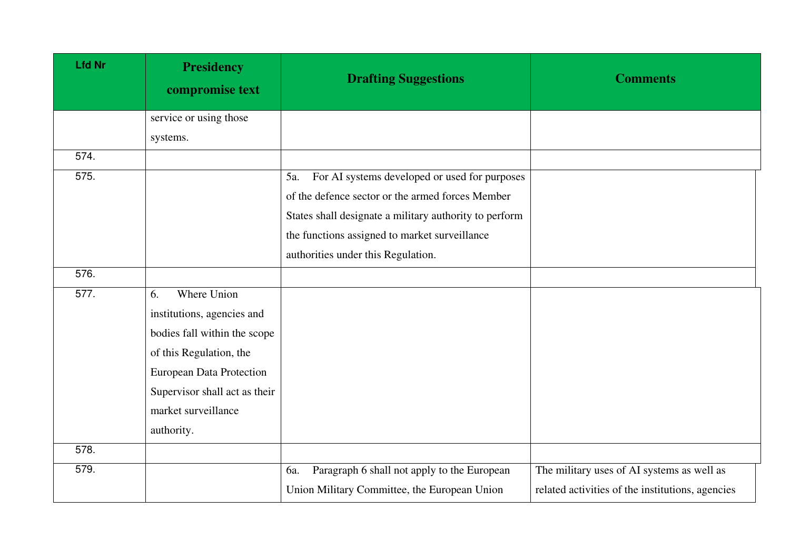| <b>Lfd Nr</b> | <b>Presidency</b><br>compromise text | <b>Drafting Suggestions</b>                            | <b>Comments</b>                                  |
|---------------|--------------------------------------|--------------------------------------------------------|--------------------------------------------------|
|               | service or using those               |                                                        |                                                  |
|               | systems.                             |                                                        |                                                  |
| 574.          |                                      |                                                        |                                                  |
| 575.          |                                      | For AI systems developed or used for purposes<br>5a.   |                                                  |
|               |                                      | of the defence sector or the armed forces Member       |                                                  |
|               |                                      | States shall designate a military authority to perform |                                                  |
|               |                                      | the functions assigned to market surveillance          |                                                  |
|               |                                      | authorities under this Regulation.                     |                                                  |
| 576.          |                                      |                                                        |                                                  |
| 577.          | Where Union<br>6.                    |                                                        |                                                  |
|               | institutions, agencies and           |                                                        |                                                  |
|               | bodies fall within the scope         |                                                        |                                                  |
|               | of this Regulation, the              |                                                        |                                                  |
|               | <b>European Data Protection</b>      |                                                        |                                                  |
|               | Supervisor shall act as their        |                                                        |                                                  |
|               | market surveillance                  |                                                        |                                                  |
|               | authority.                           |                                                        |                                                  |
| 578.          |                                      |                                                        |                                                  |
| 579.          |                                      | Paragraph 6 shall not apply to the European<br>6a.     | The military uses of AI systems as well as       |
|               |                                      | Union Military Committee, the European Union           | related activities of the institutions, agencies |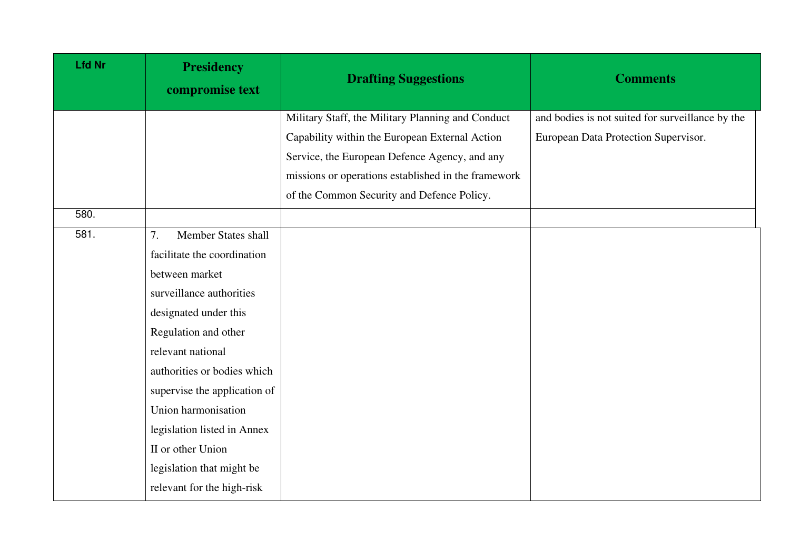| <b>Lfd Nr</b> | <b>Presidency</b><br>compromise text | <b>Drafting Suggestions</b>                         | <b>Comments</b>                                  |
|---------------|--------------------------------------|-----------------------------------------------------|--------------------------------------------------|
|               |                                      | Military Staff, the Military Planning and Conduct   | and bodies is not suited for surveillance by the |
|               |                                      | Capability within the European External Action      | European Data Protection Supervisor.             |
|               |                                      | Service, the European Defence Agency, and any       |                                                  |
|               |                                      | missions or operations established in the framework |                                                  |
|               |                                      | of the Common Security and Defence Policy.          |                                                  |
| 580.          |                                      |                                                     |                                                  |
| 581.          | Member States shall<br>7.            |                                                     |                                                  |
|               | facilitate the coordination          |                                                     |                                                  |
|               | between market                       |                                                     |                                                  |
|               | surveillance authorities             |                                                     |                                                  |
|               | designated under this                |                                                     |                                                  |
|               | Regulation and other                 |                                                     |                                                  |
|               | relevant national                    |                                                     |                                                  |
|               | authorities or bodies which          |                                                     |                                                  |
|               | supervise the application of         |                                                     |                                                  |
|               | Union harmonisation                  |                                                     |                                                  |
|               | legislation listed in Annex          |                                                     |                                                  |
|               | II or other Union                    |                                                     |                                                  |
|               | legislation that might be            |                                                     |                                                  |
|               | relevant for the high-risk           |                                                     |                                                  |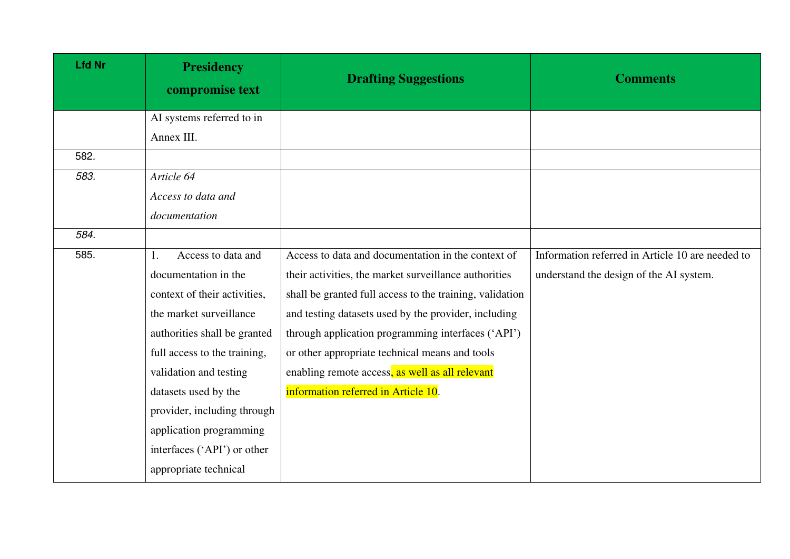| <b>Lfd Nr</b> | <b>Presidency</b><br>compromise text | <b>Drafting Suggestions</b>                              | <b>Comments</b>                                  |
|---------------|--------------------------------------|----------------------------------------------------------|--------------------------------------------------|
|               | AI systems referred to in            |                                                          |                                                  |
|               | Annex III.                           |                                                          |                                                  |
| 582.          |                                      |                                                          |                                                  |
| 583.          | Article 64                           |                                                          |                                                  |
|               | Access to data and                   |                                                          |                                                  |
|               | documentation                        |                                                          |                                                  |
| 584.          |                                      |                                                          |                                                  |
| 585.          | Access to data and<br>1.             | Access to data and documentation in the context of       | Information referred in Article 10 are needed to |
|               | documentation in the                 | their activities, the market surveillance authorities    | understand the design of the AI system.          |
|               | context of their activities,         | shall be granted full access to the training, validation |                                                  |
|               | the market surveillance              | and testing datasets used by the provider, including     |                                                  |
|               | authorities shall be granted         | through application programming interfaces ('API')       |                                                  |
|               | full access to the training,         | or other appropriate technical means and tools           |                                                  |
|               | validation and testing               | enabling remote access, as well as all relevant          |                                                  |
|               | datasets used by the                 | information referred in Article 10.                      |                                                  |
|               | provider, including through          |                                                          |                                                  |
|               | application programming              |                                                          |                                                  |
|               | interfaces ('API') or other          |                                                          |                                                  |
|               | appropriate technical                |                                                          |                                                  |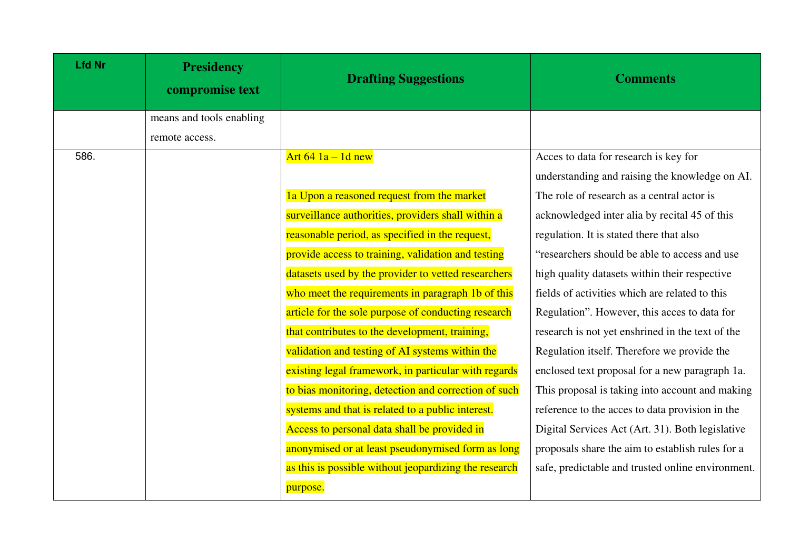| <b>Lfd Nr</b> | <b>Presidency</b><br>compromise text | <b>Drafting Suggestions</b>                           | <b>Comments</b>                                   |
|---------------|--------------------------------------|-------------------------------------------------------|---------------------------------------------------|
|               | means and tools enabling             |                                                       |                                                   |
|               | remote access.                       |                                                       |                                                   |
| 586.          |                                      | Art $64$ $1a - 1d$ new                                | Acces to data for research is key for             |
|               |                                      |                                                       | understanding and raising the knowledge on AI.    |
|               |                                      | 1a Upon a reasoned request from the market            | The role of research as a central actor is        |
|               |                                      | surveillance authorities, providers shall within a    | acknowledged inter alia by recital 45 of this     |
|               |                                      | reasonable period, as specified in the request,       | regulation. It is stated there that also          |
|               |                                      | provide access to training, validation and testing    | "researchers should be able to access and use     |
|               |                                      | datasets used by the provider to vetted researchers   | high quality datasets within their respective     |
|               |                                      | who meet the requirements in paragraph 1b of this     | fields of activities which are related to this    |
|               |                                      | article for the sole purpose of conducting research   | Regulation". However, this acces to data for      |
|               |                                      | that contributes to the development, training,        | research is not yet enshrined in the text of the  |
|               |                                      | validation and testing of AI systems within the       | Regulation itself. Therefore we provide the       |
|               |                                      | existing legal framework, in particular with regards  | enclosed text proposal for a new paragraph 1a.    |
|               |                                      | to bias monitoring, detection and correction of such  | This proposal is taking into account and making   |
|               |                                      | systems and that is related to a public interest.     | reference to the acces to data provision in the   |
|               |                                      | Access to personal data shall be provided in          | Digital Services Act (Art. 31). Both legislative  |
|               |                                      | anonymised or at least pseudonymised form as long     | proposals share the aim to establish rules for a  |
|               |                                      | as this is possible without jeopardizing the research | safe, predictable and trusted online environment. |
|               |                                      | purpose.                                              |                                                   |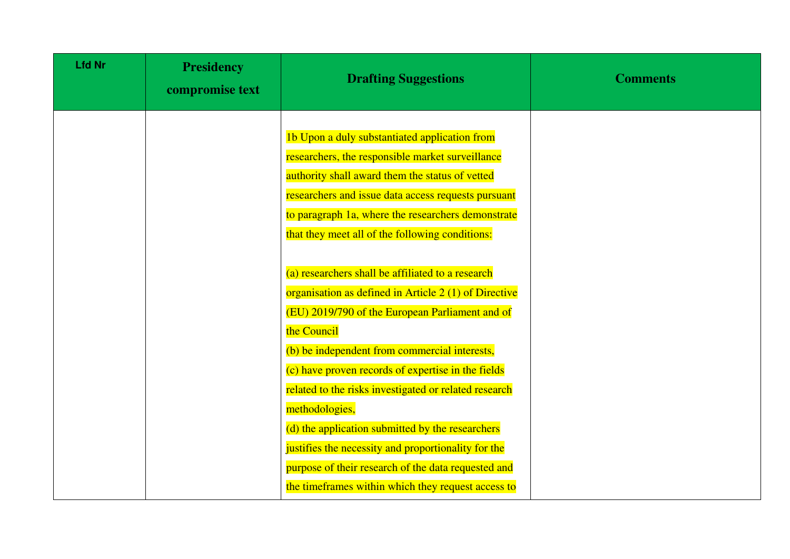| <b>Lfd Nr</b> | <b>Presidency</b><br>compromise text | <b>Drafting Suggestions</b>                                                                                                                                                                                                                                                                                                                                                                                                                                                                                                                                                            | <b>Comments</b> |
|---------------|--------------------------------------|----------------------------------------------------------------------------------------------------------------------------------------------------------------------------------------------------------------------------------------------------------------------------------------------------------------------------------------------------------------------------------------------------------------------------------------------------------------------------------------------------------------------------------------------------------------------------------------|-----------------|
|               |                                      | 1b Upon a duly substantiated application from<br>researchers, the responsible market surveillance<br>authority shall award them the status of vetted<br>researchers and issue data access requests pursuant<br>to paragraph 1a, where the researchers demonstrate<br>that they meet all of the following conditions:                                                                                                                                                                                                                                                                   |                 |
|               |                                      | (a) researchers shall be affiliated to a research<br>organisation as defined in Article 2 (1) of Directive<br>(EU) 2019/790 of the European Parliament and of<br>the Council<br>(b) be independent from commercial interests,<br>(c) have proven records of expertise in the fields<br>related to the risks investigated or related research<br>methodologies,<br>(d) the application submitted by the researchers<br>justifies the necessity and proportionality for the<br>purpose of their research of the data requested and<br>the timeframes within which they request access to |                 |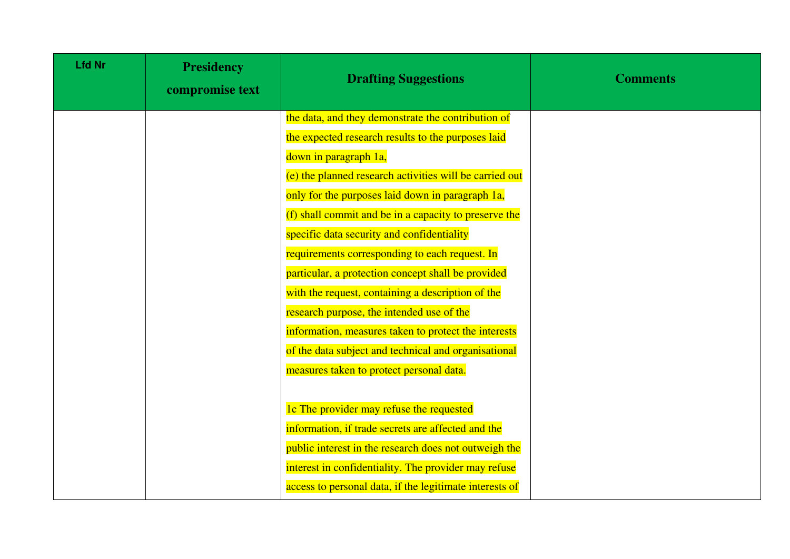| <b>Lfd Nr</b> | <b>Presidency</b><br>compromise text | <b>Drafting Suggestions</b>                             | <b>Comments</b> |
|---------------|--------------------------------------|---------------------------------------------------------|-----------------|
|               |                                      | the data, and they demonstrate the contribution of      |                 |
|               |                                      | the expected research results to the purposes laid      |                 |
|               |                                      | down in paragraph 1a,                                   |                 |
|               |                                      | (e) the planned research activities will be carried out |                 |
|               |                                      | only for the purposes laid down in paragraph 1a,        |                 |
|               |                                      | (f) shall commit and be in a capacity to preserve the   |                 |
|               |                                      | specific data security and confidentiality              |                 |
|               |                                      | requirements corresponding to each request. In          |                 |
|               |                                      | particular, a protection concept shall be provided      |                 |
|               |                                      | with the request, containing a description of the       |                 |
|               |                                      | research purpose, the intended use of the               |                 |
|               |                                      | information, measures taken to protect the interests    |                 |
|               |                                      | of the data subject and technical and organisational    |                 |
|               |                                      | measures taken to protect personal data.                |                 |
|               |                                      |                                                         |                 |
|               |                                      | 1c The provider may refuse the requested                |                 |
|               |                                      | information, if trade secrets are affected and the      |                 |
|               |                                      | public interest in the research does not outweigh the   |                 |
|               |                                      | interest in confidentiality. The provider may refuse    |                 |
|               |                                      | access to personal data, if the legitimate interests of |                 |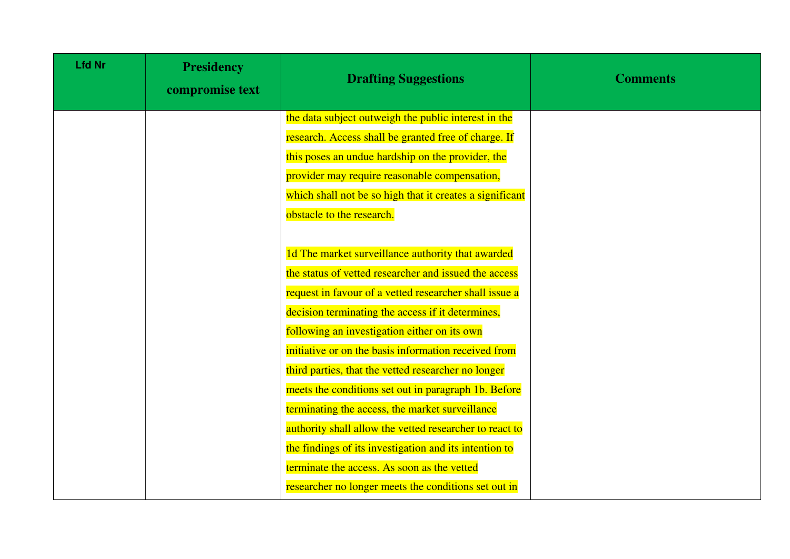| <b>Lfd Nr</b> | <b>Presidency</b><br>compromise text | <b>Drafting Suggestions</b>                              | <b>Comments</b> |
|---------------|--------------------------------------|----------------------------------------------------------|-----------------|
|               |                                      | the data subject outweigh the public interest in the     |                 |
|               |                                      | research. Access shall be granted free of charge. If     |                 |
|               |                                      | this poses an undue hardship on the provider, the        |                 |
|               |                                      | provider may require reasonable compensation,            |                 |
|               |                                      | which shall not be so high that it creates a significant |                 |
|               |                                      | obstacle to the research.                                |                 |
|               |                                      |                                                          |                 |
|               |                                      | 1d The market surveillance authority that awarded        |                 |
|               |                                      | the status of vetted researcher and issued the access    |                 |
|               |                                      | request in favour of a vetted researcher shall issue a   |                 |
|               |                                      | decision terminating the access if it determines,        |                 |
|               |                                      | following an investigation either on its own             |                 |
|               |                                      | initiative or on the basis information received from     |                 |
|               |                                      | third parties, that the vetted researcher no longer      |                 |
|               |                                      | meets the conditions set out in paragraph 1b. Before     |                 |
|               |                                      | terminating the access, the market surveillance          |                 |
|               |                                      | authority shall allow the vetted researcher to react to  |                 |
|               |                                      | the findings of its investigation and its intention to   |                 |
|               |                                      | terminate the access. As soon as the vetted              |                 |
|               |                                      | researcher no longer meets the conditions set out in     |                 |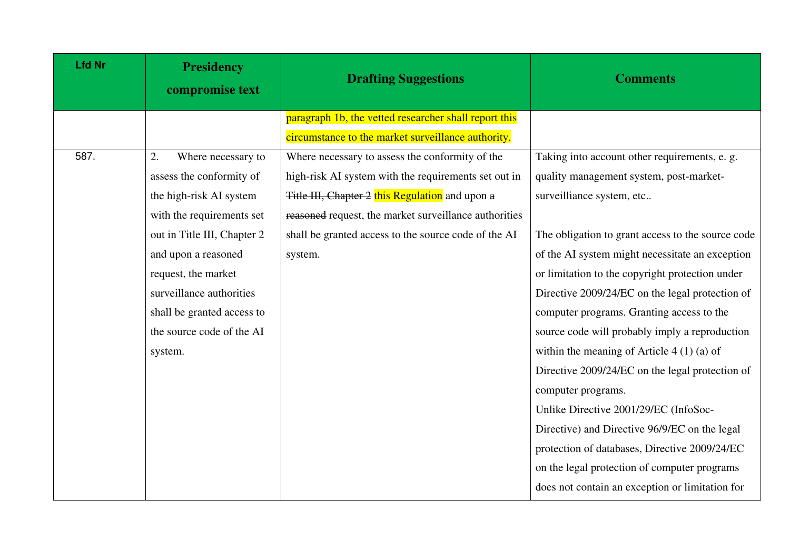| <b>Lfd Nr</b> | <b>Presidency</b><br>compromise text | <b>Drafting Suggestions</b>                           | <b>Comments</b>                                   |
|---------------|--------------------------------------|-------------------------------------------------------|---------------------------------------------------|
|               |                                      | paragraph 1b, the vetted researcher shall report this |                                                   |
|               |                                      | circumstance to the market surveillance authority.    |                                                   |
| 587.          | Where necessary to<br>2.             | Where necessary to assess the conformity of the       | Taking into account other requirements, e. g.     |
|               | assess the conformity of             | high-risk AI system with the requirements set out in  | quality management system, post-market-           |
|               | the high-risk AI system              | Title III, Chapter 2 this Regulation and upon a       | surveilliance system, etc                         |
|               | with the requirements set            | reasoned request, the market surveillance authorities |                                                   |
|               | out in Title III, Chapter 2          | shall be granted access to the source code of the AI  | The obligation to grant access to the source code |
|               | and upon a reasoned                  | system.                                               | of the AI system might necessitate an exception   |
|               | request, the market                  |                                                       | or limitation to the copyright protection under   |
|               | surveillance authorities             |                                                       | Directive 2009/24/EC on the legal protection of   |
|               | shall be granted access to           |                                                       | computer programs. Granting access to the         |
|               | the source code of the AI            |                                                       | source code will probably imply a reproduction    |
|               | system.                              |                                                       | within the meaning of Article $4(1)(a)$ of        |
|               |                                      |                                                       | Directive 2009/24/EC on the legal protection of   |
|               |                                      |                                                       | computer programs.                                |
|               |                                      |                                                       | Unlike Directive 2001/29/EC (InfoSoc-             |
|               |                                      |                                                       | Directive) and Directive 96/9/EC on the legal     |
|               |                                      |                                                       | protection of databases, Directive 2009/24/EC     |
|               |                                      |                                                       | on the legal protection of computer programs      |
|               |                                      |                                                       | does not contain an exception or limitation for   |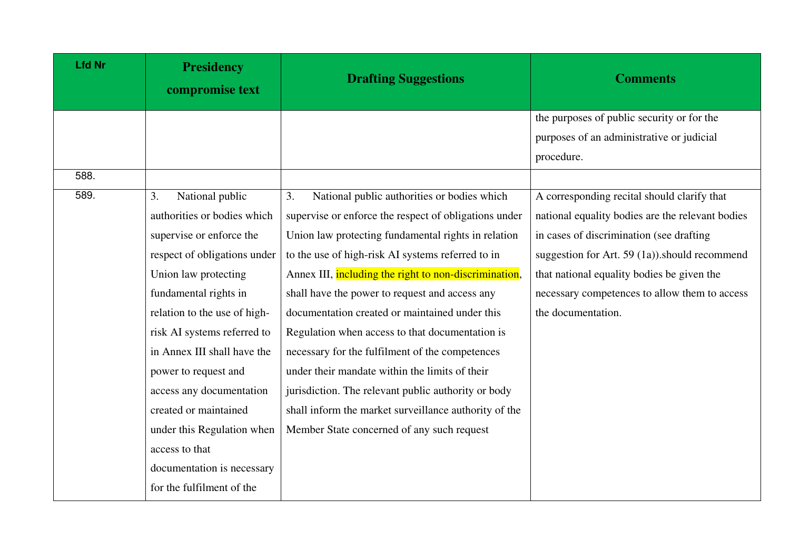| <b>Lfd Nr</b> | <b>Presidency</b><br>compromise text | <b>Drafting Suggestions</b>                           | <b>Comments</b>                                   |
|---------------|--------------------------------------|-------------------------------------------------------|---------------------------------------------------|
|               |                                      |                                                       | the purposes of public security or for the        |
|               |                                      |                                                       | purposes of an administrative or judicial         |
|               |                                      |                                                       | procedure.                                        |
| 588.          |                                      |                                                       |                                                   |
| 589.          | National public<br>3.                | National public authorities or bodies which<br>3.     | A corresponding recital should clarify that       |
|               | authorities or bodies which          | supervise or enforce the respect of obligations under | national equality bodies are the relevant bodies  |
|               | supervise or enforce the             | Union law protecting fundamental rights in relation   | in cases of discrimination (see drafting          |
|               | respect of obligations under         | to the use of high-risk AI systems referred to in     | suggestion for Art. 59 $(1a)$ ). should recommend |
|               | Union law protecting                 | Annex III, including the right to non-discrimination, | that national equality bodies be given the        |
|               | fundamental rights in                | shall have the power to request and access any        | necessary competences to allow them to access     |
|               | relation to the use of high-         | documentation created or maintained under this        | the documentation.                                |
|               | risk AI systems referred to          | Regulation when access to that documentation is       |                                                   |
|               | in Annex III shall have the          | necessary for the fulfilment of the competences       |                                                   |
|               | power to request and                 | under their mandate within the limits of their        |                                                   |
|               | access any documentation             | jurisdiction. The relevant public authority or body   |                                                   |
|               | created or maintained                | shall inform the market surveillance authority of the |                                                   |
|               | under this Regulation when           | Member State concerned of any such request            |                                                   |
|               | access to that                       |                                                       |                                                   |
|               | documentation is necessary           |                                                       |                                                   |
|               | for the fulfilment of the            |                                                       |                                                   |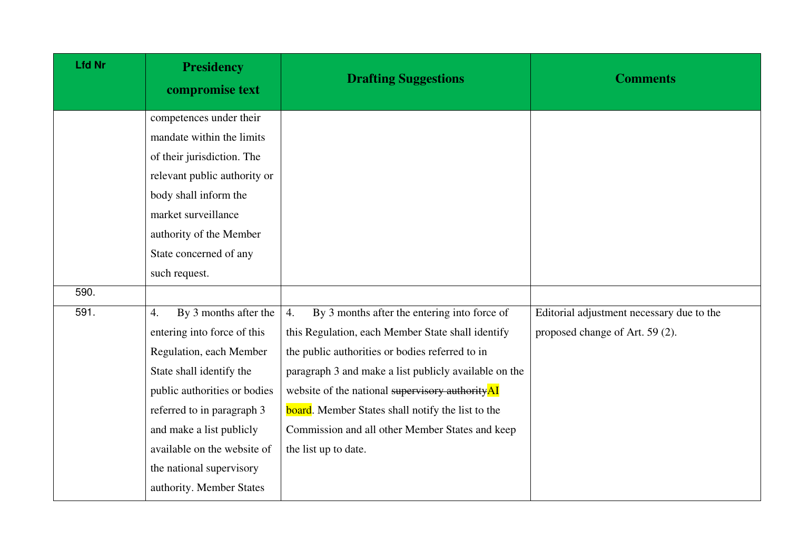| <b>Lfd Nr</b> | <b>Presidency</b><br>compromise text                                                                                                                                                                                                                                                               | <b>Drafting Suggestions</b>                                                                                                                                                                                                                                                                                                                                                                                    | <b>Comments</b>                                                              |
|---------------|----------------------------------------------------------------------------------------------------------------------------------------------------------------------------------------------------------------------------------------------------------------------------------------------------|----------------------------------------------------------------------------------------------------------------------------------------------------------------------------------------------------------------------------------------------------------------------------------------------------------------------------------------------------------------------------------------------------------------|------------------------------------------------------------------------------|
|               | competences under their<br>mandate within the limits<br>of their jurisdiction. The<br>relevant public authority or<br>body shall inform the<br>market surveillance<br>authority of the Member<br>State concerned of any<br>such request.                                                           |                                                                                                                                                                                                                                                                                                                                                                                                                |                                                                              |
| 590.          |                                                                                                                                                                                                                                                                                                    |                                                                                                                                                                                                                                                                                                                                                                                                                |                                                                              |
| 591.          | By 3 months after the<br>4.<br>entering into force of this<br>Regulation, each Member<br>State shall identify the<br>public authorities or bodies<br>referred to in paragraph 3<br>and make a list publicly<br>available on the website of<br>the national supervisory<br>authority. Member States | By 3 months after the entering into force of<br>4.<br>this Regulation, each Member State shall identify<br>the public authorities or bodies referred to in<br>paragraph 3 and make a list publicly available on the<br>website of the national supervisory authorityAI<br><b>board</b> . Member States shall notify the list to the<br>Commission and all other Member States and keep<br>the list up to date. | Editorial adjustment necessary due to the<br>proposed change of Art. 59 (2). |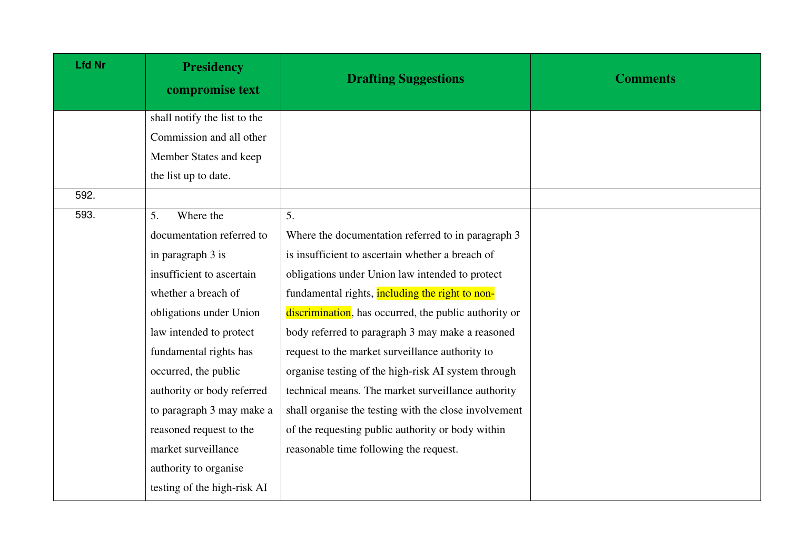| <b>Lfd Nr</b> | <b>Presidency</b><br>compromise text | <b>Drafting Suggestions</b>                           | <b>Comments</b> |
|---------------|--------------------------------------|-------------------------------------------------------|-----------------|
|               | shall notify the list to the         |                                                       |                 |
|               | Commission and all other             |                                                       |                 |
|               | Member States and keep               |                                                       |                 |
|               | the list up to date.                 |                                                       |                 |
| 592.          |                                      |                                                       |                 |
| 593.          | Where the<br>5.                      | 5.                                                    |                 |
|               | documentation referred to            | Where the documentation referred to in paragraph 3    |                 |
|               | in paragraph 3 is                    | is insufficient to ascertain whether a breach of      |                 |
|               | insufficient to ascertain            | obligations under Union law intended to protect       |                 |
|               | whether a breach of                  | fundamental rights, including the right to non-       |                 |
|               | obligations under Union              | discrimination, has occurred, the public authority or |                 |
|               | law intended to protect              | body referred to paragraph 3 may make a reasoned      |                 |
|               | fundamental rights has               | request to the market surveillance authority to       |                 |
|               | occurred, the public                 | organise testing of the high-risk AI system through   |                 |
|               | authority or body referred           | technical means. The market surveillance authority    |                 |
|               | to paragraph 3 may make a            | shall organise the testing with the close involvement |                 |
|               | reasoned request to the              | of the requesting public authority or body within     |                 |
|               | market surveillance                  | reasonable time following the request.                |                 |
|               | authority to organise                |                                                       |                 |
|               | testing of the high-risk AI          |                                                       |                 |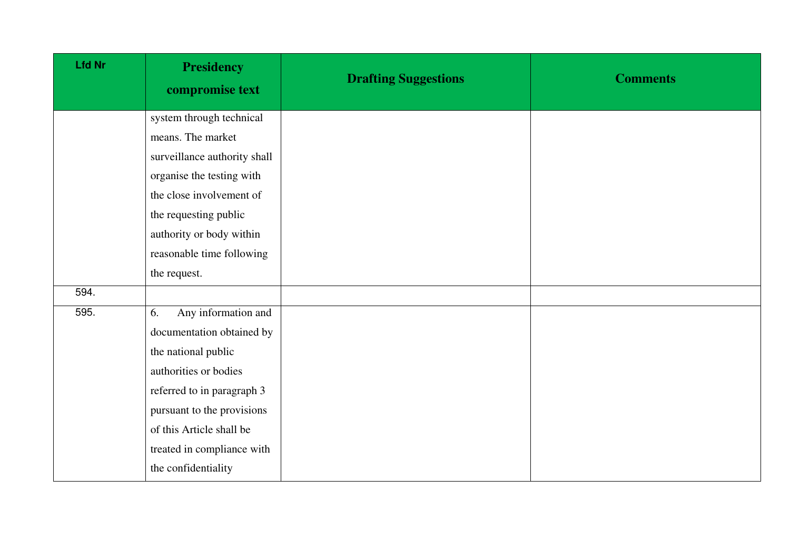| <b>Lfd Nr</b> | <b>Presidency</b><br>compromise text | <b>Drafting Suggestions</b> | <b>Comments</b> |
|---------------|--------------------------------------|-----------------------------|-----------------|
|               | system through technical             |                             |                 |
|               | means. The market                    |                             |                 |
|               | surveillance authority shall         |                             |                 |
|               | organise the testing with            |                             |                 |
|               | the close involvement of             |                             |                 |
|               | the requesting public                |                             |                 |
|               | authority or body within             |                             |                 |
|               | reasonable time following            |                             |                 |
|               | the request.                         |                             |                 |
| 594.          |                                      |                             |                 |
| 595.          | Any information and<br>6.            |                             |                 |
|               | documentation obtained by            |                             |                 |
|               | the national public                  |                             |                 |
|               | authorities or bodies                |                             |                 |
|               | referred to in paragraph 3           |                             |                 |
|               | pursuant to the provisions           |                             |                 |
|               | of this Article shall be             |                             |                 |
|               | treated in compliance with           |                             |                 |
|               | the confidentiality                  |                             |                 |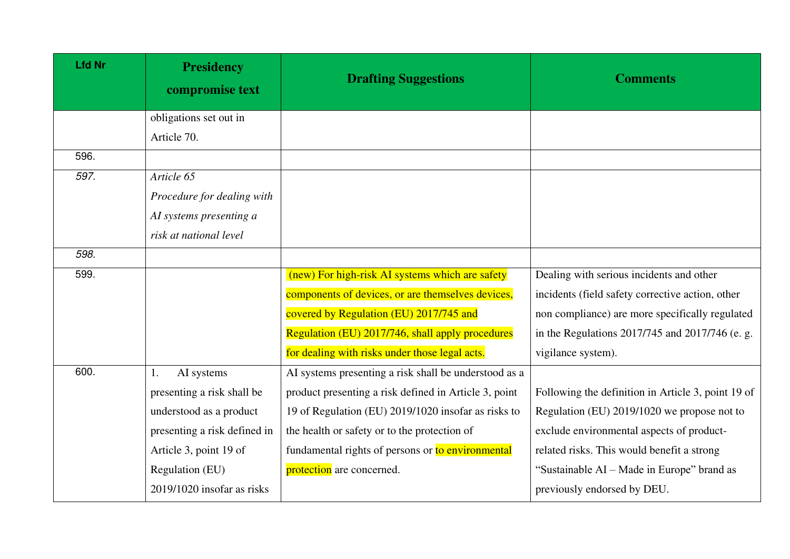| <b>Lfd Nr</b> | <b>Presidency</b><br>compromise text | <b>Drafting Suggestions</b>                           | <b>Comments</b>                                    |
|---------------|--------------------------------------|-------------------------------------------------------|----------------------------------------------------|
|               | obligations set out in               |                                                       |                                                    |
|               | Article 70.                          |                                                       |                                                    |
| 596.          |                                      |                                                       |                                                    |
| 597.          | Article 65                           |                                                       |                                                    |
|               | Procedure for dealing with           |                                                       |                                                    |
|               | AI systems presenting a              |                                                       |                                                    |
|               | risk at national level               |                                                       |                                                    |
| 598.          |                                      |                                                       |                                                    |
| 599.          |                                      | (new) For high-risk AI systems which are safety       | Dealing with serious incidents and other           |
|               |                                      | components of devices, or are themselves devices,     | incidents (field safety corrective action, other   |
|               |                                      | covered by Regulation (EU) 2017/745 and               | non compliance) are more specifically regulated    |
|               |                                      | Regulation (EU) 2017/746, shall apply procedures      | in the Regulations 2017/745 and 2017/746 (e. g.    |
|               |                                      | for dealing with risks under those legal acts.        | vigilance system).                                 |
| 600.          | AI systems<br>1.                     | AI systems presenting a risk shall be understood as a |                                                    |
|               | presenting a risk shall be           | product presenting a risk defined in Article 3, point | Following the definition in Article 3, point 19 of |
|               | understood as a product              | 19 of Regulation (EU) 2019/1020 insofar as risks to   | Regulation (EU) 2019/1020 we propose not to        |
|               | presenting a risk defined in         | the health or safety or to the protection of          | exclude environmental aspects of product-          |
|               | Article 3, point 19 of               | fundamental rights of persons or to environmental     | related risks. This would benefit a strong         |
|               | Regulation (EU)                      | protection are concerned.                             | "Sustainable AI – Made in Europe" brand as         |
|               | $2019/1020$ insofar as risks         |                                                       | previously endorsed by DEU.                        |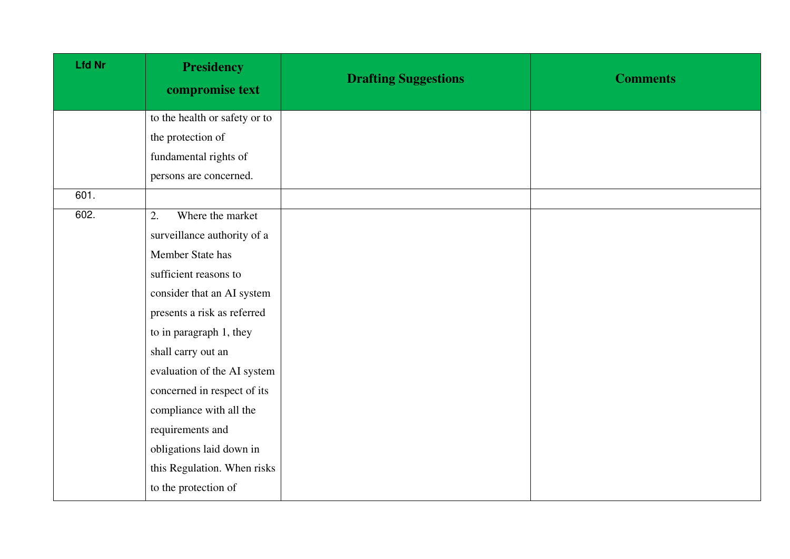| <b>Lfd Nr</b> | <b>Presidency</b><br>compromise text | <b>Drafting Suggestions</b> | <b>Comments</b> |
|---------------|--------------------------------------|-----------------------------|-----------------|
|               | to the health or safety or to        |                             |                 |
|               | the protection of                    |                             |                 |
|               | fundamental rights of                |                             |                 |
|               | persons are concerned.               |                             |                 |
| 601.          |                                      |                             |                 |
| 602.          | Where the market<br>2.               |                             |                 |
|               | surveillance authority of a          |                             |                 |
|               | Member State has                     |                             |                 |
|               | sufficient reasons to                |                             |                 |
|               | consider that an AI system           |                             |                 |
|               | presents a risk as referred          |                             |                 |
|               | to in paragraph 1, they              |                             |                 |
|               | shall carry out an                   |                             |                 |
|               | evaluation of the AI system          |                             |                 |
|               | concerned in respect of its          |                             |                 |
|               | compliance with all the              |                             |                 |
|               | requirements and                     |                             |                 |
|               | obligations laid down in             |                             |                 |
|               | this Regulation. When risks          |                             |                 |
|               | to the protection of                 |                             |                 |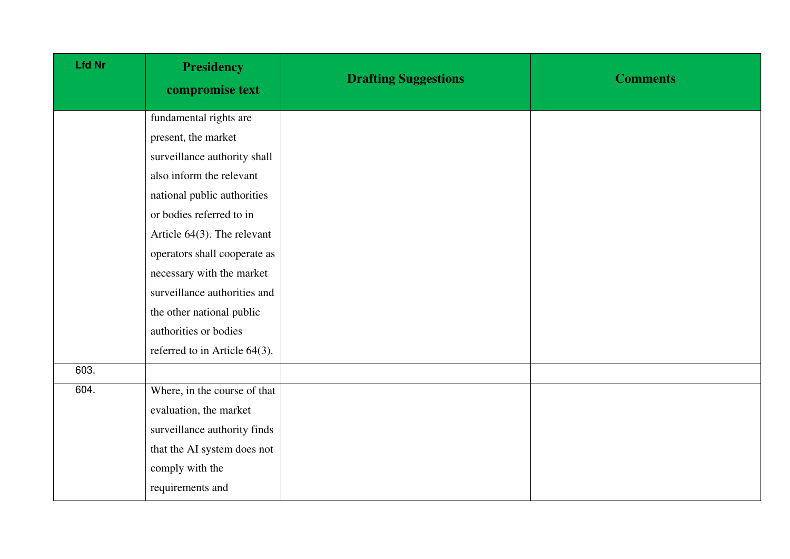| <b>Presidency</b><br>compromise text | <b>Drafting Suggestions</b> | <b>Comments</b> |
|--------------------------------------|-----------------------------|-----------------|
| fundamental rights are               |                             |                 |
| present, the market                  |                             |                 |
| surveillance authority shall         |                             |                 |
| also inform the relevant             |                             |                 |
| national public authorities          |                             |                 |
| or bodies referred to in             |                             |                 |
| Article $64(3)$ . The relevant       |                             |                 |
| operators shall cooperate as         |                             |                 |
| necessary with the market            |                             |                 |
| surveillance authorities and         |                             |                 |
| the other national public            |                             |                 |
| authorities or bodies                |                             |                 |
| referred to in Article 64(3).        |                             |                 |
|                                      |                             |                 |
| Where, in the course of that         |                             |                 |
| evaluation, the market               |                             |                 |
| surveillance authority finds         |                             |                 |
| that the AI system does not          |                             |                 |
| comply with the                      |                             |                 |
| requirements and                     |                             |                 |
|                                      |                             |                 |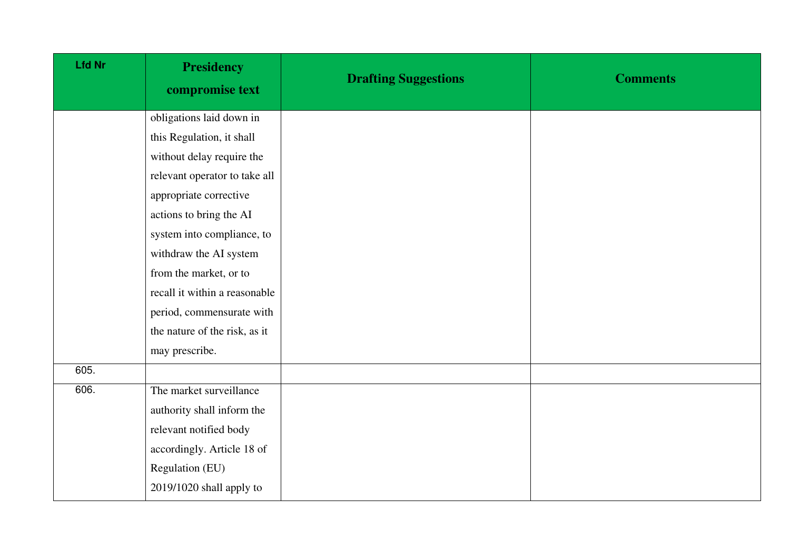| <b>Lfd Nr</b> | <b>Presidency</b><br>compromise text | <b>Drafting Suggestions</b> | <b>Comments</b> |
|---------------|--------------------------------------|-----------------------------|-----------------|
|               | obligations laid down in             |                             |                 |
|               | this Regulation, it shall            |                             |                 |
|               | without delay require the            |                             |                 |
|               | relevant operator to take all        |                             |                 |
|               | appropriate corrective               |                             |                 |
|               | actions to bring the AI              |                             |                 |
|               | system into compliance, to           |                             |                 |
|               | withdraw the AI system               |                             |                 |
|               | from the market, or to               |                             |                 |
|               | recall it within a reasonable        |                             |                 |
|               | period, commensurate with            |                             |                 |
|               | the nature of the risk, as it        |                             |                 |
|               | may prescribe.                       |                             |                 |
| 605.          |                                      |                             |                 |
| 606.          | The market surveillance              |                             |                 |
|               | authority shall inform the           |                             |                 |
|               | relevant notified body               |                             |                 |
|               | accordingly. Article 18 of           |                             |                 |
|               | Regulation (EU)                      |                             |                 |
|               | 2019/1020 shall apply to             |                             |                 |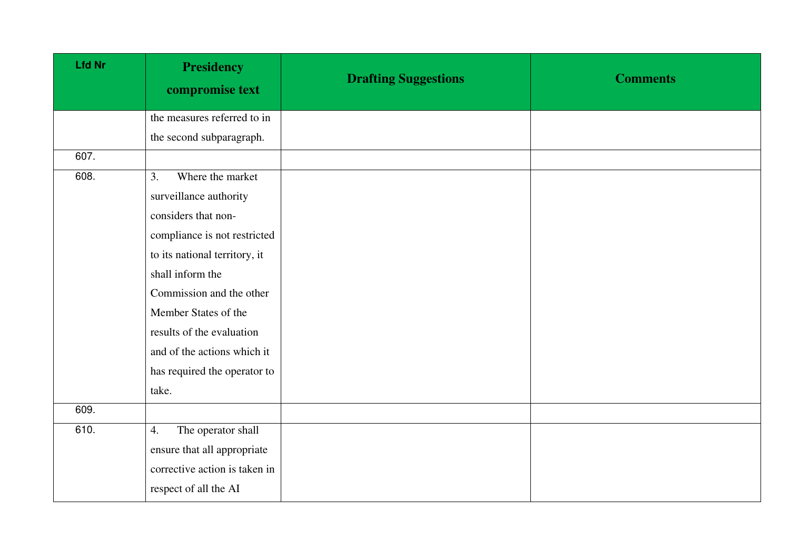| <b>Lfd Nr</b> | <b>Presidency</b><br>compromise text | <b>Drafting Suggestions</b> | <b>Comments</b> |
|---------------|--------------------------------------|-----------------------------|-----------------|
|               | the measures referred to in          |                             |                 |
|               | the second subparagraph.             |                             |                 |
| 607.          |                                      |                             |                 |
| 608.          | Where the market<br>3.               |                             |                 |
|               | surveillance authority               |                             |                 |
|               | considers that non-                  |                             |                 |
|               | compliance is not restricted         |                             |                 |
|               | to its national territory, it        |                             |                 |
|               | shall inform the                     |                             |                 |
|               | Commission and the other             |                             |                 |
|               | Member States of the                 |                             |                 |
|               | results of the evaluation            |                             |                 |
|               | and of the actions which it          |                             |                 |
|               | has required the operator to         |                             |                 |
|               | take.                                |                             |                 |
| 609.          |                                      |                             |                 |
| 610.          | The operator shall<br>4.             |                             |                 |
|               | ensure that all appropriate          |                             |                 |
|               | corrective action is taken in        |                             |                 |
|               | respect of all the AI                |                             |                 |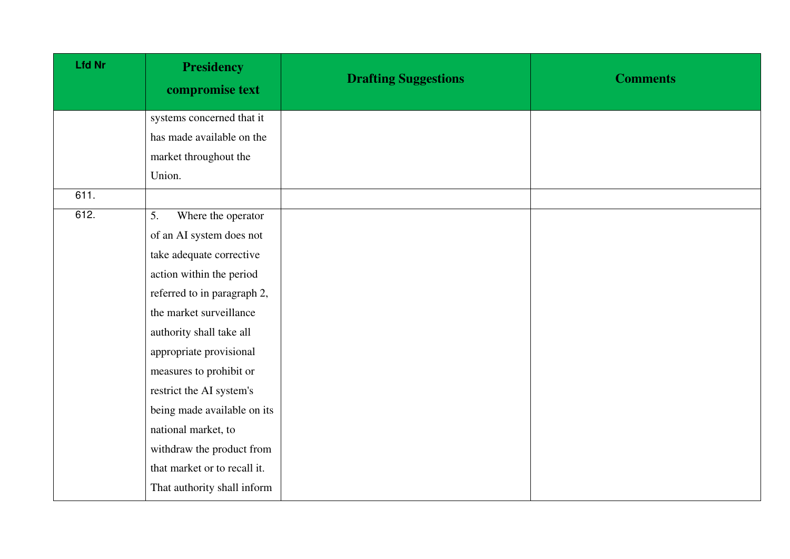| <b>Lfd Nr</b> | <b>Presidency</b><br>compromise text | <b>Drafting Suggestions</b> | <b>Comments</b> |
|---------------|--------------------------------------|-----------------------------|-----------------|
|               | systems concerned that it            |                             |                 |
|               | has made available on the            |                             |                 |
|               | market throughout the                |                             |                 |
|               | Union.                               |                             |                 |
| 611.          |                                      |                             |                 |
| 612.          | 5.<br>Where the operator             |                             |                 |
|               | of an AI system does not             |                             |                 |
|               | take adequate corrective             |                             |                 |
|               | action within the period             |                             |                 |
|               | referred to in paragraph 2,          |                             |                 |
|               | the market surveillance              |                             |                 |
|               | authority shall take all             |                             |                 |
|               | appropriate provisional              |                             |                 |
|               | measures to prohibit or              |                             |                 |
|               | restrict the AI system's             |                             |                 |
|               | being made available on its          |                             |                 |
|               | national market, to                  |                             |                 |
|               | withdraw the product from            |                             |                 |
|               | that market or to recall it.         |                             |                 |
|               | That authority shall inform          |                             |                 |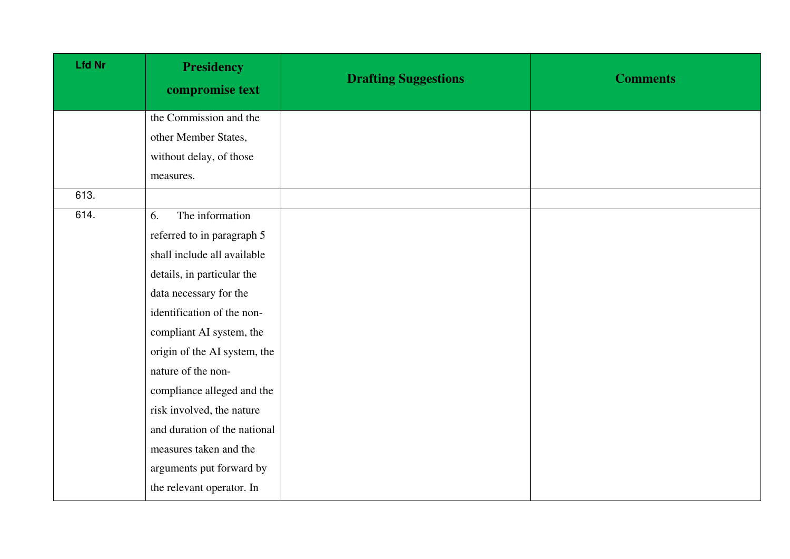| <b>Lfd Nr</b> | <b>Presidency</b><br>compromise text | <b>Drafting Suggestions</b> | <b>Comments</b> |
|---------------|--------------------------------------|-----------------------------|-----------------|
|               | the Commission and the               |                             |                 |
|               | other Member States,                 |                             |                 |
|               | without delay, of those              |                             |                 |
|               | measures.                            |                             |                 |
| 613.          |                                      |                             |                 |
| 614.          | The information<br>6.                |                             |                 |
|               | referred to in paragraph 5           |                             |                 |
|               | shall include all available          |                             |                 |
|               | details, in particular the           |                             |                 |
|               | data necessary for the               |                             |                 |
|               | identification of the non-           |                             |                 |
|               | compliant AI system, the             |                             |                 |
|               | origin of the AI system, the         |                             |                 |
|               | nature of the non-                   |                             |                 |
|               | compliance alleged and the           |                             |                 |
|               | risk involved, the nature            |                             |                 |
|               | and duration of the national         |                             |                 |
|               | measures taken and the               |                             |                 |
|               | arguments put forward by             |                             |                 |
|               | the relevant operator. In            |                             |                 |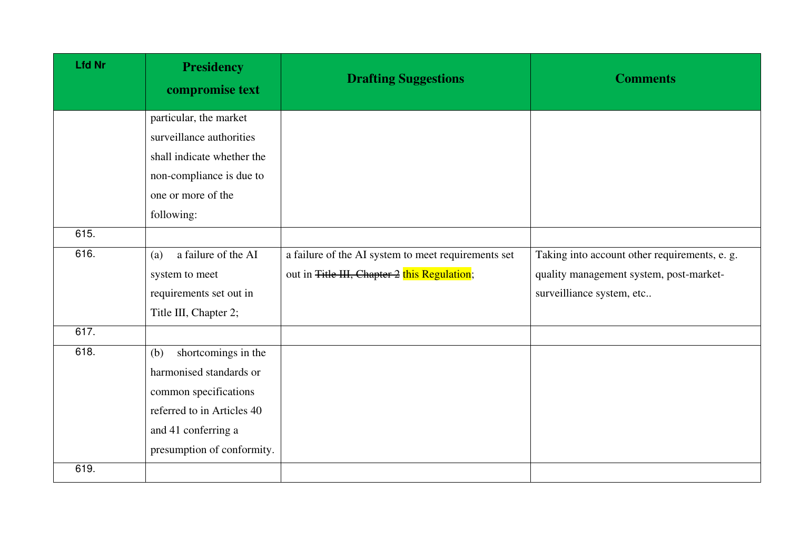| <b>Lfd Nr</b> | <b>Presidency</b><br>compromise text | <b>Drafting Suggestions</b>                         | <b>Comments</b>                               |
|---------------|--------------------------------------|-----------------------------------------------------|-----------------------------------------------|
|               | particular, the market               |                                                     |                                               |
|               | surveillance authorities             |                                                     |                                               |
|               | shall indicate whether the           |                                                     |                                               |
|               | non-compliance is due to             |                                                     |                                               |
|               | one or more of the                   |                                                     |                                               |
|               | following:                           |                                                     |                                               |
| 615.          |                                      |                                                     |                                               |
| 616.          | a failure of the AI<br>(a)           | a failure of the AI system to meet requirements set | Taking into account other requirements, e. g. |
|               | system to meet                       | out in Title III, Chapter 2 this Regulation;        | quality management system, post-market-       |
|               | requirements set out in              |                                                     | surveilliance system, etc                     |
|               | Title III, Chapter 2;                |                                                     |                                               |
| 617.          |                                      |                                                     |                                               |
| 618.          | shortcomings in the<br>(b)           |                                                     |                                               |
|               | harmonised standards or              |                                                     |                                               |
|               | common specifications                |                                                     |                                               |
|               | referred to in Articles 40           |                                                     |                                               |
|               | and 41 conferring a                  |                                                     |                                               |
|               | presumption of conformity.           |                                                     |                                               |
| 619.          |                                      |                                                     |                                               |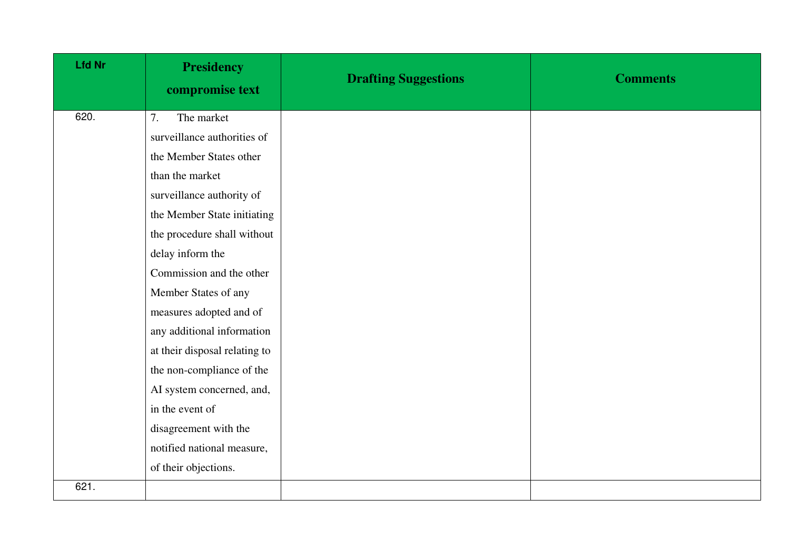| <b>Lfd Nr</b> | <b>Presidency</b><br>compromise text | <b>Drafting Suggestions</b> | <b>Comments</b> |
|---------------|--------------------------------------|-----------------------------|-----------------|
| 620.          | The market<br>7.                     |                             |                 |
|               | surveillance authorities of          |                             |                 |
|               | the Member States other              |                             |                 |
|               | than the market                      |                             |                 |
|               | surveillance authority of            |                             |                 |
|               | the Member State initiating          |                             |                 |
|               | the procedure shall without          |                             |                 |
|               | delay inform the                     |                             |                 |
|               | Commission and the other             |                             |                 |
|               | Member States of any                 |                             |                 |
|               | measures adopted and of              |                             |                 |
|               | any additional information           |                             |                 |
|               | at their disposal relating to        |                             |                 |
|               | the non-compliance of the            |                             |                 |
|               | AI system concerned, and,            |                             |                 |
|               | in the event of                      |                             |                 |
|               | disagreement with the                |                             |                 |
|               | notified national measure,           |                             |                 |
|               | of their objections.                 |                             |                 |
| 621.          |                                      |                             |                 |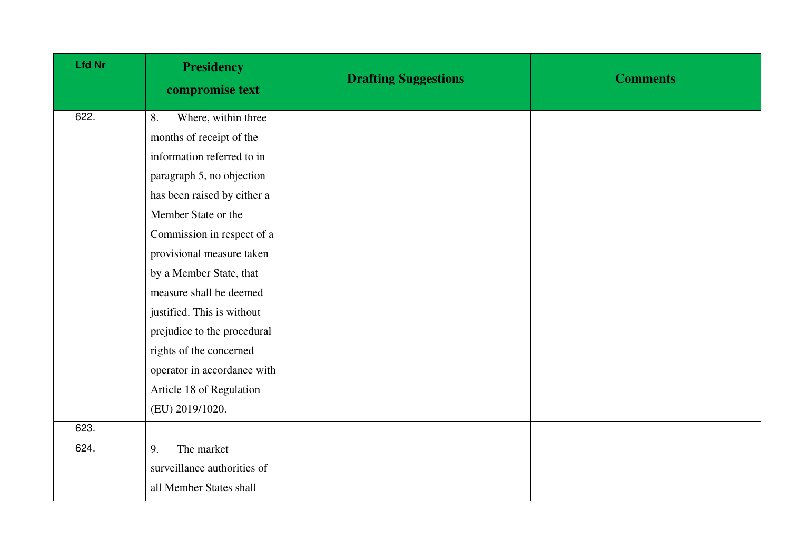| Lfd Nr | <b>Presidency</b><br>compromise text | <b>Drafting Suggestions</b> | <b>Comments</b> |
|--------|--------------------------------------|-----------------------------|-----------------|
| 622.   | Where, within three<br>8.            |                             |                 |
|        | months of receipt of the             |                             |                 |
|        | information referred to in           |                             |                 |
|        | paragraph 5, no objection            |                             |                 |
|        | has been raised by either a          |                             |                 |
|        | Member State or the                  |                             |                 |
|        | Commission in respect of a           |                             |                 |
|        | provisional measure taken            |                             |                 |
|        | by a Member State, that              |                             |                 |
|        | measure shall be deemed              |                             |                 |
|        | justified. This is without           |                             |                 |
|        | prejudice to the procedural          |                             |                 |
|        | rights of the concerned              |                             |                 |
|        | operator in accordance with          |                             |                 |
|        | Article 18 of Regulation             |                             |                 |
|        | (EU) 2019/1020.                      |                             |                 |
| 623.   |                                      |                             |                 |
| 624.   | The market<br>9.                     |                             |                 |
|        | surveillance authorities of          |                             |                 |
|        | all Member States shall              |                             |                 |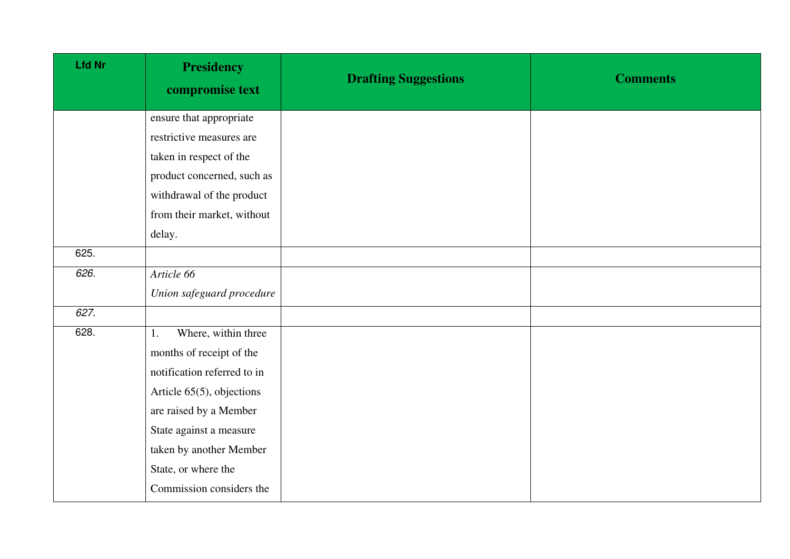| <b>Lfd Nr</b> | <b>Presidency</b><br>compromise text | <b>Drafting Suggestions</b> | <b>Comments</b> |
|---------------|--------------------------------------|-----------------------------|-----------------|
|               | ensure that appropriate              |                             |                 |
|               | restrictive measures are             |                             |                 |
|               | taken in respect of the              |                             |                 |
|               | product concerned, such as           |                             |                 |
|               | withdrawal of the product            |                             |                 |
|               | from their market, without           |                             |                 |
|               | delay.                               |                             |                 |
| 625.          |                                      |                             |                 |
| 626.          | Article 66                           |                             |                 |
|               | Union safeguard procedure            |                             |                 |
| 627.          |                                      |                             |                 |
| 628.          | Where, within three<br>1.            |                             |                 |
|               | months of receipt of the             |                             |                 |
|               | notification referred to in          |                             |                 |
|               | Article 65(5), objections            |                             |                 |
|               | are raised by a Member               |                             |                 |
|               | State against a measure              |                             |                 |
|               | taken by another Member              |                             |                 |
|               | State, or where the                  |                             |                 |
|               | Commission considers the             |                             |                 |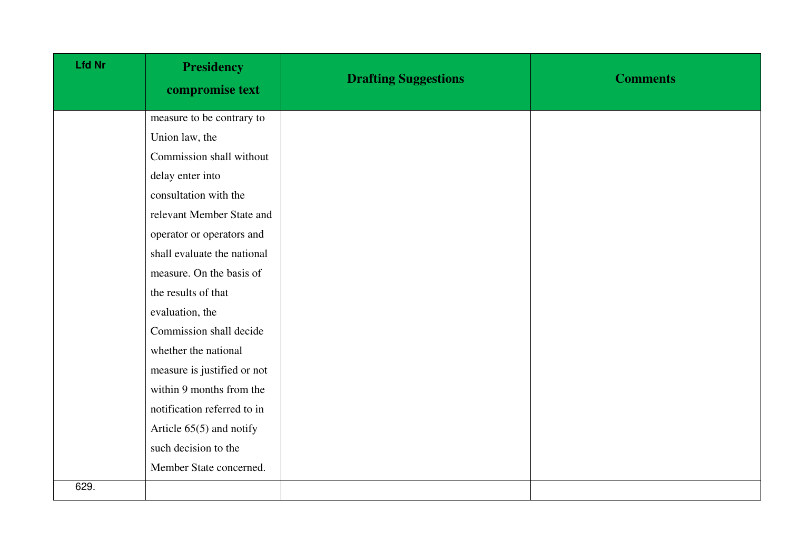| <b>Lfd Nr</b> | <b>Presidency</b><br>compromise text | <b>Drafting Suggestions</b> | <b>Comments</b> |
|---------------|--------------------------------------|-----------------------------|-----------------|
|               | measure to be contrary to            |                             |                 |
|               | Union law, the                       |                             |                 |
|               | Commission shall without             |                             |                 |
|               | delay enter into                     |                             |                 |
|               | consultation with the                |                             |                 |
|               | relevant Member State and            |                             |                 |
|               | operator or operators and            |                             |                 |
|               | shall evaluate the national          |                             |                 |
|               | measure. On the basis of             |                             |                 |
|               | the results of that                  |                             |                 |
|               | evaluation, the                      |                             |                 |
|               | Commission shall decide              |                             |                 |
|               | whether the national                 |                             |                 |
|               | measure is justified or not          |                             |                 |
|               | within 9 months from the             |                             |                 |
|               | notification referred to in          |                             |                 |
|               | Article $65(5)$ and notify           |                             |                 |
|               | such decision to the                 |                             |                 |
|               | Member State concerned.              |                             |                 |
| 629.          |                                      |                             |                 |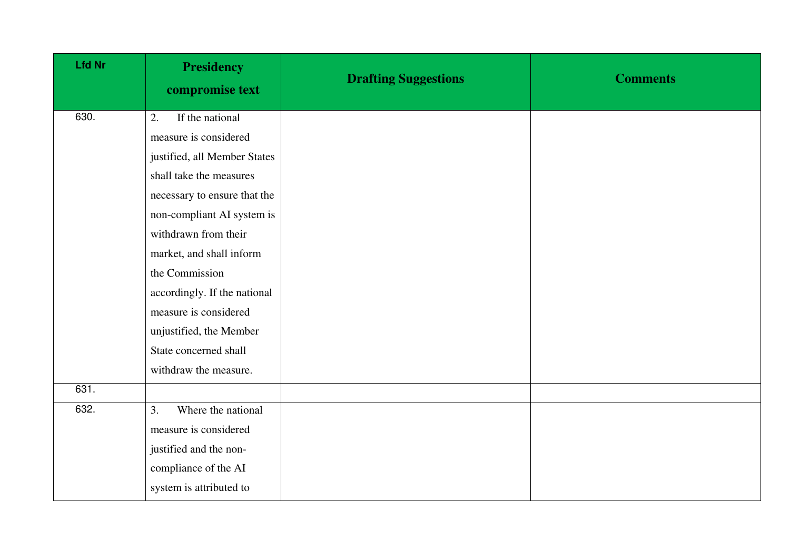| <b>Lfd Nr</b> | <b>Presidency</b><br>compromise text | <b>Drafting Suggestions</b> | <b>Comments</b> |
|---------------|--------------------------------------|-----------------------------|-----------------|
| 630.          | If the national<br>2.                |                             |                 |
|               | measure is considered                |                             |                 |
|               | justified, all Member States         |                             |                 |
|               | shall take the measures              |                             |                 |
|               | necessary to ensure that the         |                             |                 |
|               | non-compliant AI system is           |                             |                 |
|               | withdrawn from their                 |                             |                 |
|               | market, and shall inform             |                             |                 |
|               | the Commission                       |                             |                 |
|               | accordingly. If the national         |                             |                 |
|               | measure is considered                |                             |                 |
|               | unjustified, the Member              |                             |                 |
|               | State concerned shall                |                             |                 |
|               | withdraw the measure.                |                             |                 |
| 631.          |                                      |                             |                 |
| 632.          | Where the national<br>3.             |                             |                 |
|               | measure is considered                |                             |                 |
|               | justified and the non-               |                             |                 |
|               | compliance of the AI                 |                             |                 |
|               | system is attributed to              |                             |                 |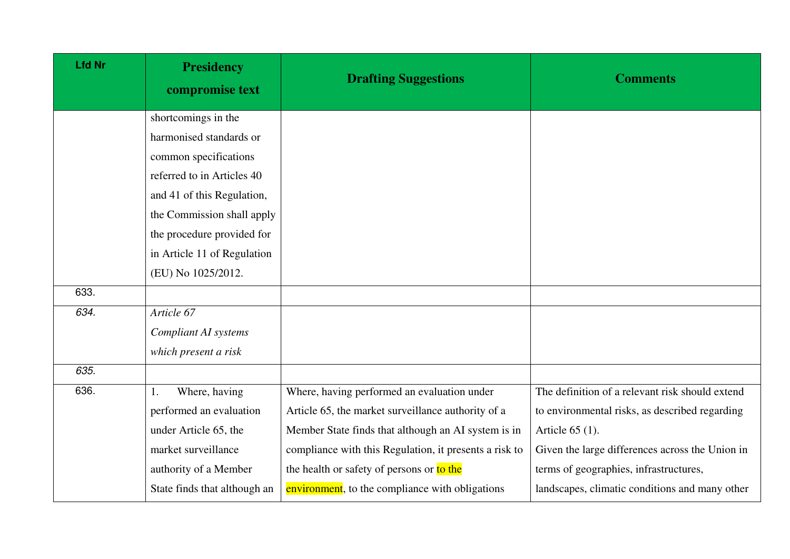| <b>Lfd Nr</b> | <b>Presidency</b><br>compromise text | <b>Drafting Suggestions</b>                            | <b>Comments</b>                                 |
|---------------|--------------------------------------|--------------------------------------------------------|-------------------------------------------------|
|               | shortcomings in the                  |                                                        |                                                 |
|               | harmonised standards or              |                                                        |                                                 |
|               | common specifications                |                                                        |                                                 |
|               | referred to in Articles 40           |                                                        |                                                 |
|               | and 41 of this Regulation,           |                                                        |                                                 |
|               | the Commission shall apply           |                                                        |                                                 |
|               | the procedure provided for           |                                                        |                                                 |
|               | in Article 11 of Regulation          |                                                        |                                                 |
|               | (EU) No 1025/2012.                   |                                                        |                                                 |
| 633.          |                                      |                                                        |                                                 |
| 634.          | Article 67                           |                                                        |                                                 |
|               | <b>Compliant AI systems</b>          |                                                        |                                                 |
|               | which present a risk                 |                                                        |                                                 |
| 635.          |                                      |                                                        |                                                 |
| 636.          | Where, having<br>1.                  | Where, having performed an evaluation under            | The definition of a relevant risk should extend |
|               | performed an evaluation              | Article 65, the market surveillance authority of a     | to environmental risks, as described regarding  |
|               | under Article 65, the                | Member State finds that although an AI system is in    | Article 65 (1).                                 |
|               | market surveillance                  | compliance with this Regulation, it presents a risk to | Given the large differences across the Union in |
|               | authority of a Member                | the health or safety of persons or to the              | terms of geographies, infrastructures,          |
|               | State finds that although an         | environment, to the compliance with obligations        | landscapes, climatic conditions and many other  |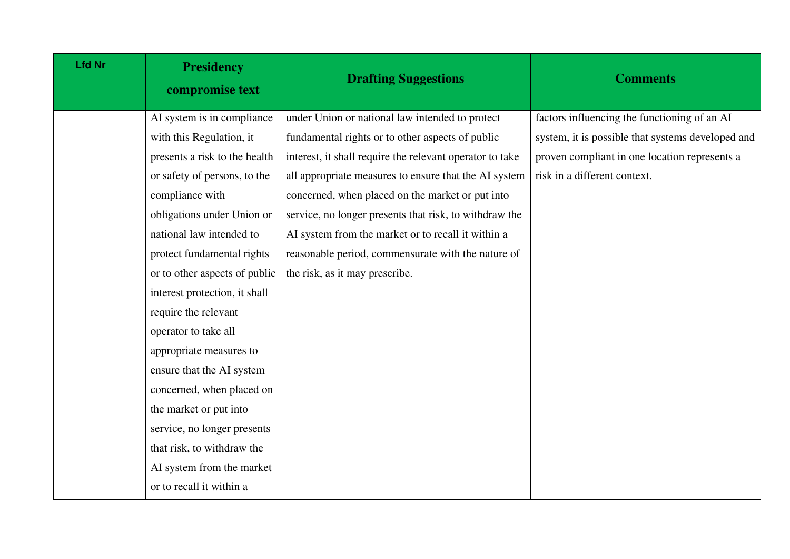| <b>Lfd Nr</b> | <b>Presidency</b><br>compromise text | <b>Drafting Suggestions</b>                              | <b>Comments</b>                                   |
|---------------|--------------------------------------|----------------------------------------------------------|---------------------------------------------------|
|               | AI system is in compliance           | under Union or national law intended to protect          | factors influencing the functioning of an AI      |
|               | with this Regulation, it             | fundamental rights or to other aspects of public         | system, it is possible that systems developed and |
|               | presents a risk to the health        | interest, it shall require the relevant operator to take | proven compliant in one location represents a     |
|               | or safety of persons, to the         | all appropriate measures to ensure that the AI system    | risk in a different context.                      |
|               | compliance with                      | concerned, when placed on the market or put into         |                                                   |
|               | obligations under Union or           | service, no longer presents that risk, to withdraw the   |                                                   |
|               | national law intended to             | AI system from the market or to recall it within a       |                                                   |
|               | protect fundamental rights           | reasonable period, commensurate with the nature of       |                                                   |
|               | or to other aspects of public        | the risk, as it may prescribe.                           |                                                   |
|               | interest protection, it shall        |                                                          |                                                   |
|               | require the relevant                 |                                                          |                                                   |
|               | operator to take all                 |                                                          |                                                   |
|               | appropriate measures to              |                                                          |                                                   |
|               | ensure that the AI system            |                                                          |                                                   |
|               | concerned, when placed on            |                                                          |                                                   |
|               | the market or put into               |                                                          |                                                   |
|               | service, no longer presents          |                                                          |                                                   |
|               | that risk, to withdraw the           |                                                          |                                                   |
|               | AI system from the market            |                                                          |                                                   |
|               | or to recall it within a             |                                                          |                                                   |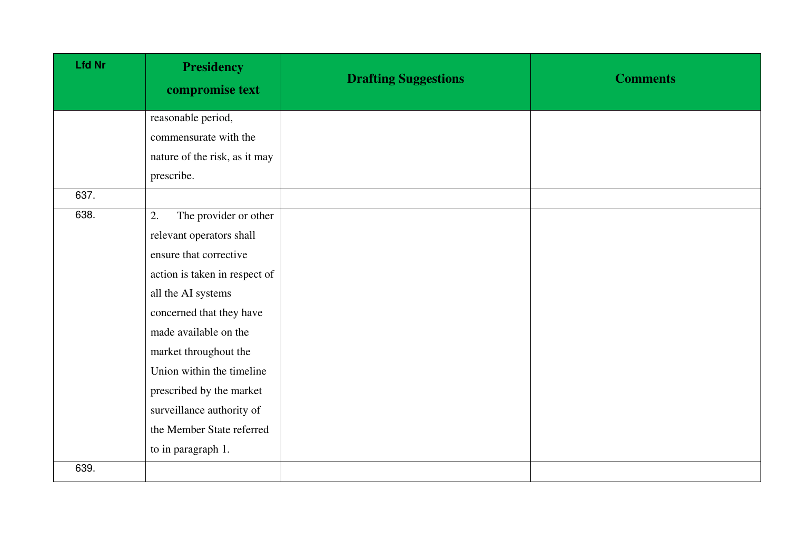| <b>Lfd Nr</b> | <b>Presidency</b><br>compromise text | <b>Drafting Suggestions</b> | <b>Comments</b> |
|---------------|--------------------------------------|-----------------------------|-----------------|
|               | reasonable period,                   |                             |                 |
|               | commensurate with the                |                             |                 |
|               | nature of the risk, as it may        |                             |                 |
|               | prescribe.                           |                             |                 |
| 637.          |                                      |                             |                 |
| 638.          | The provider or other<br>2.          |                             |                 |
|               | relevant operators shall             |                             |                 |
|               | ensure that corrective               |                             |                 |
|               | action is taken in respect of        |                             |                 |
|               | all the AI systems                   |                             |                 |
|               | concerned that they have             |                             |                 |
|               | made available on the                |                             |                 |
|               | market throughout the                |                             |                 |
|               | Union within the timeline            |                             |                 |
|               | prescribed by the market             |                             |                 |
|               | surveillance authority of            |                             |                 |
|               | the Member State referred            |                             |                 |
|               | to in paragraph 1.                   |                             |                 |
| 639.          |                                      |                             |                 |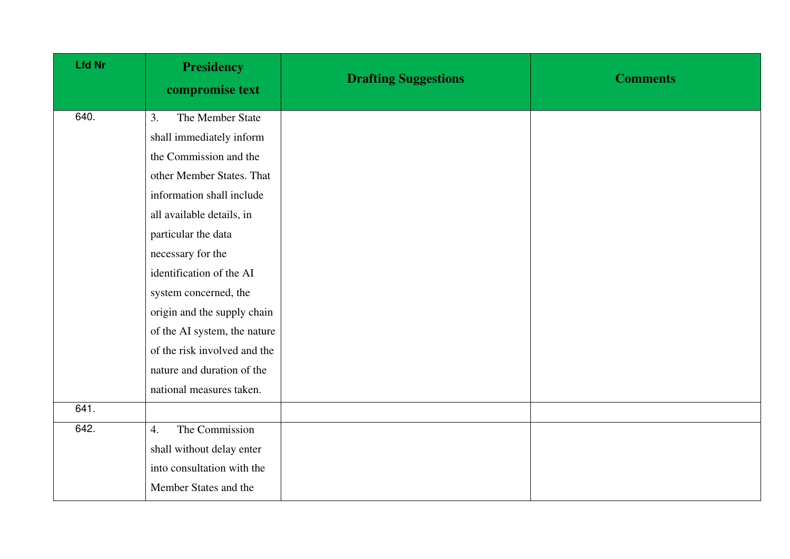| <b>Lfd Nr</b> | <b>Presidency</b><br>compromise text | <b>Drafting Suggestions</b> | <b>Comments</b> |
|---------------|--------------------------------------|-----------------------------|-----------------|
| 640.          | The Member State<br>3.               |                             |                 |
|               | shall immediately inform             |                             |                 |
|               | the Commission and the               |                             |                 |
|               | other Member States. That            |                             |                 |
|               | information shall include            |                             |                 |
|               | all available details, in            |                             |                 |
|               | particular the data                  |                             |                 |
|               | necessary for the                    |                             |                 |
|               | identification of the AI             |                             |                 |
|               | system concerned, the                |                             |                 |
|               | origin and the supply chain          |                             |                 |
|               | of the AI system, the nature         |                             |                 |
|               | of the risk involved and the         |                             |                 |
|               | nature and duration of the           |                             |                 |
|               | national measures taken.             |                             |                 |
| 641.          |                                      |                             |                 |
| 642.          | The Commission<br>4.                 |                             |                 |
|               | shall without delay enter            |                             |                 |
|               | into consultation with the           |                             |                 |
|               | Member States and the                |                             |                 |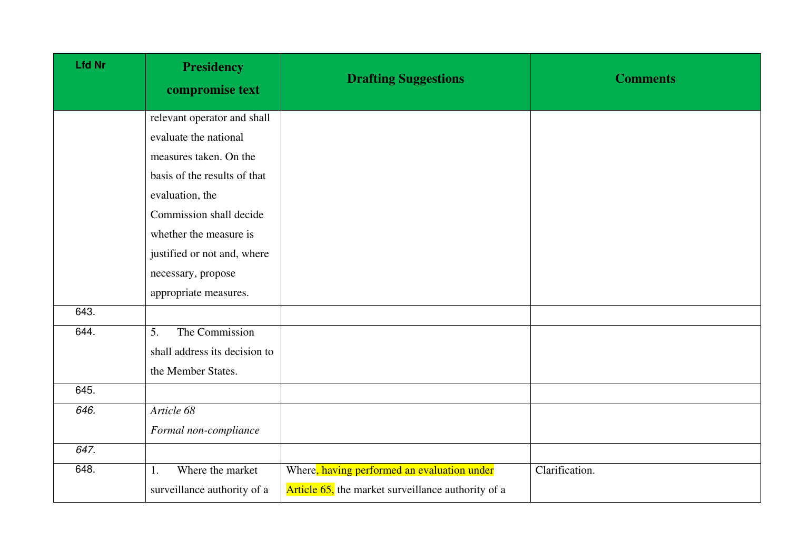| <b>Lfd Nr</b> | <b>Presidency</b><br>compromise text | <b>Drafting Suggestions</b>                        | <b>Comments</b> |
|---------------|--------------------------------------|----------------------------------------------------|-----------------|
|               | relevant operator and shall          |                                                    |                 |
|               | evaluate the national                |                                                    |                 |
|               | measures taken. On the               |                                                    |                 |
|               | basis of the results of that         |                                                    |                 |
|               | evaluation, the                      |                                                    |                 |
|               | Commission shall decide              |                                                    |                 |
|               | whether the measure is               |                                                    |                 |
|               | justified or not and, where          |                                                    |                 |
|               | necessary, propose                   |                                                    |                 |
|               | appropriate measures.                |                                                    |                 |
| 643.          |                                      |                                                    |                 |
| 644.          | The Commission<br>5.                 |                                                    |                 |
|               | shall address its decision to        |                                                    |                 |
|               | the Member States.                   |                                                    |                 |
| 645.          |                                      |                                                    |                 |
| 646.          | Article 68                           |                                                    |                 |
|               | Formal non-compliance                |                                                    |                 |
| 647.          |                                      |                                                    |                 |
| 648.          | Where the market<br>1.               | Where, having performed an evaluation under        | Clarification.  |
|               | surveillance authority of a          | Article 65, the market surveillance authority of a |                 |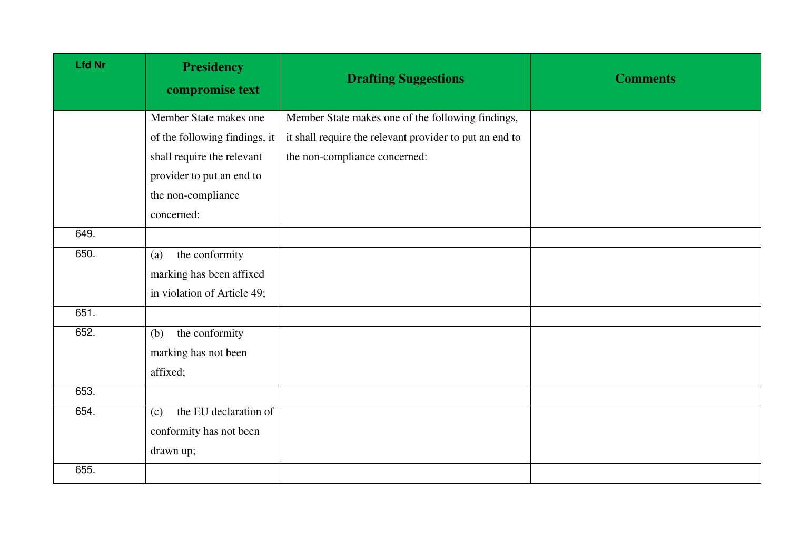| <b>Lfd Nr</b> | <b>Presidency</b><br>compromise text | <b>Drafting Suggestions</b>                             | <b>Comments</b> |
|---------------|--------------------------------------|---------------------------------------------------------|-----------------|
|               | Member State makes one               | Member State makes one of the following findings,       |                 |
|               | of the following findings, it        | it shall require the relevant provider to put an end to |                 |
|               | shall require the relevant           | the non-compliance concerned:                           |                 |
|               | provider to put an end to            |                                                         |                 |
|               | the non-compliance                   |                                                         |                 |
|               | concerned:                           |                                                         |                 |
| 649.          |                                      |                                                         |                 |
| 650.          | the conformity<br>(a)                |                                                         |                 |
|               | marking has been affixed             |                                                         |                 |
|               | in violation of Article 49;          |                                                         |                 |
| 651.          |                                      |                                                         |                 |
| 652.          | the conformity<br>(b)                |                                                         |                 |
|               | marking has not been                 |                                                         |                 |
|               | affixed;                             |                                                         |                 |
| 653.          |                                      |                                                         |                 |
| 654.          | the EU declaration of<br>(c)         |                                                         |                 |
|               | conformity has not been              |                                                         |                 |
|               | drawn up;                            |                                                         |                 |
| 655.          |                                      |                                                         |                 |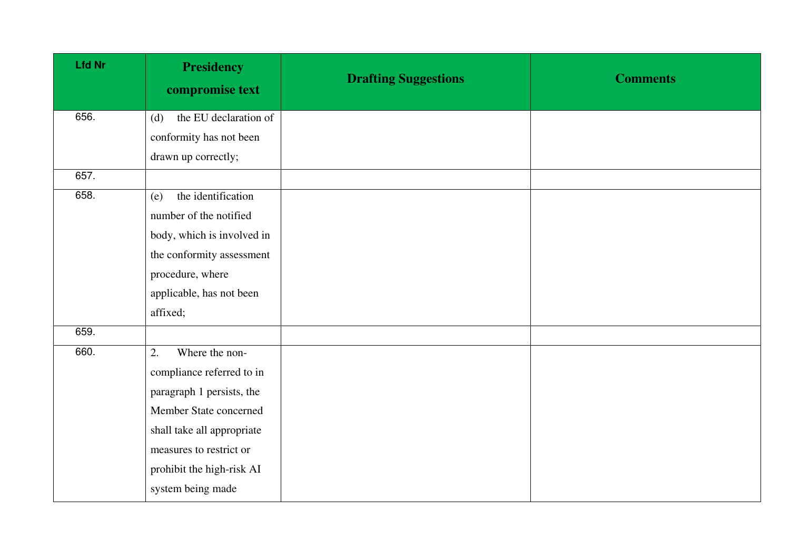| <b>Lfd Nr</b> | <b>Presidency</b><br>compromise text | <b>Drafting Suggestions</b> | <b>Comments</b> |
|---------------|--------------------------------------|-----------------------------|-----------------|
| 656.          | the EU declaration of<br>(d)         |                             |                 |
|               | conformity has not been              |                             |                 |
|               | drawn up correctly;                  |                             |                 |
| 657.          |                                      |                             |                 |
| 658.          | the identification<br>(e)            |                             |                 |
|               | number of the notified               |                             |                 |
|               | body, which is involved in           |                             |                 |
|               | the conformity assessment            |                             |                 |
|               | procedure, where                     |                             |                 |
|               | applicable, has not been             |                             |                 |
|               | affixed;                             |                             |                 |
| 659.          |                                      |                             |                 |
| 660.          | 2.<br>Where the non-                 |                             |                 |
|               | compliance referred to in            |                             |                 |
|               | paragraph 1 persists, the            |                             |                 |
|               | Member State concerned               |                             |                 |
|               | shall take all appropriate           |                             |                 |
|               | measures to restrict or              |                             |                 |
|               | prohibit the high-risk AI            |                             |                 |
|               | system being made                    |                             |                 |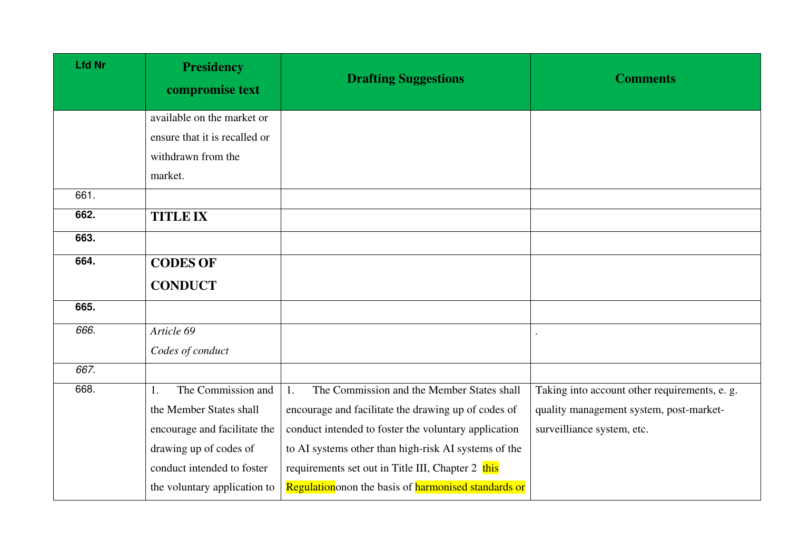| <b>Lfd Nr</b> | <b>Presidency</b><br>compromise text | <b>Drafting Suggestions</b>                          | <b>Comments</b>                               |
|---------------|--------------------------------------|------------------------------------------------------|-----------------------------------------------|
|               | available on the market or           |                                                      |                                               |
|               | ensure that it is recalled or        |                                                      |                                               |
|               | withdrawn from the                   |                                                      |                                               |
|               | market.                              |                                                      |                                               |
| 661.          |                                      |                                                      |                                               |
| 662.          | <b>TITLE IX</b>                      |                                                      |                                               |
| 663.          |                                      |                                                      |                                               |
| 664.          | <b>CODES OF</b>                      |                                                      |                                               |
|               | <b>CONDUCT</b>                       |                                                      |                                               |
| 665.          |                                      |                                                      |                                               |
| 666.          | Article 69                           |                                                      |                                               |
|               | Codes of conduct                     |                                                      |                                               |
| 667.          |                                      |                                                      |                                               |
| 668.          | The Commission and<br>1.             | The Commission and the Member States shall<br>1.     | Taking into account other requirements, e. g. |
|               | the Member States shall              | encourage and facilitate the drawing up of codes of  | quality management system, post-market-       |
|               | encourage and facilitate the         | conduct intended to foster the voluntary application | surveilliance system, etc.                    |
|               | drawing up of codes of               | to AI systems other than high-risk AI systems of the |                                               |
|               | conduct intended to foster           | requirements set out in Title III, Chapter 2 this    |                                               |
|               | the voluntary application to         | Regulation onon the basis of harmonised standards or |                                               |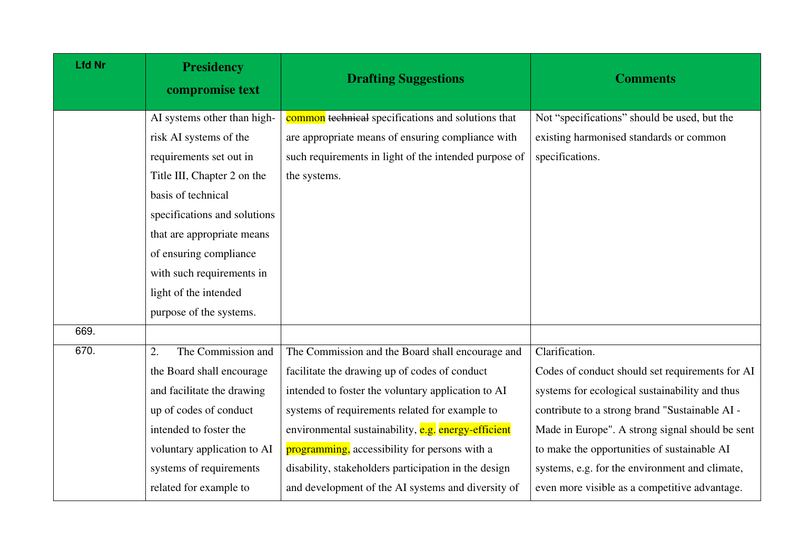| <b>Lfd Nr</b> | <b>Presidency</b><br>compromise text | <b>Drafting Suggestions</b>                           | <b>Comments</b>                                 |
|---------------|--------------------------------------|-------------------------------------------------------|-------------------------------------------------|
|               | AI systems other than high-          | common technical specifications and solutions that    | Not "specifications" should be used, but the    |
|               | risk AI systems of the               | are appropriate means of ensuring compliance with     | existing harmonised standards or common         |
|               | requirements set out in              | such requirements in light of the intended purpose of | specifications.                                 |
|               | Title III, Chapter 2 on the          | the systems.                                          |                                                 |
|               | basis of technical                   |                                                       |                                                 |
|               | specifications and solutions         |                                                       |                                                 |
|               | that are appropriate means           |                                                       |                                                 |
|               | of ensuring compliance               |                                                       |                                                 |
|               | with such requirements in            |                                                       |                                                 |
|               | light of the intended                |                                                       |                                                 |
|               | purpose of the systems.              |                                                       |                                                 |
| 669.          |                                      |                                                       |                                                 |
| 670.          | The Commission and<br>2.             | The Commission and the Board shall encourage and      | Clarification.                                  |
|               | the Board shall encourage            | facilitate the drawing up of codes of conduct         | Codes of conduct should set requirements for AI |
|               | and facilitate the drawing           | intended to foster the voluntary application to AI    | systems for ecological sustainability and thus  |
|               | up of codes of conduct               | systems of requirements related for example to        | contribute to a strong brand "Sustainable AI -  |
|               | intended to foster the               | environmental sustainability, e.g. energy-efficient   | Made in Europe". A strong signal should be sent |
|               | voluntary application to AI          | programming, accessibility for persons with a         | to make the opportunities of sustainable AI     |
|               | systems of requirements              | disability, stakeholders participation in the design  | systems, e.g. for the environment and climate,  |
|               | related for example to               | and development of the AI systems and diversity of    | even more visible as a competitive advantage.   |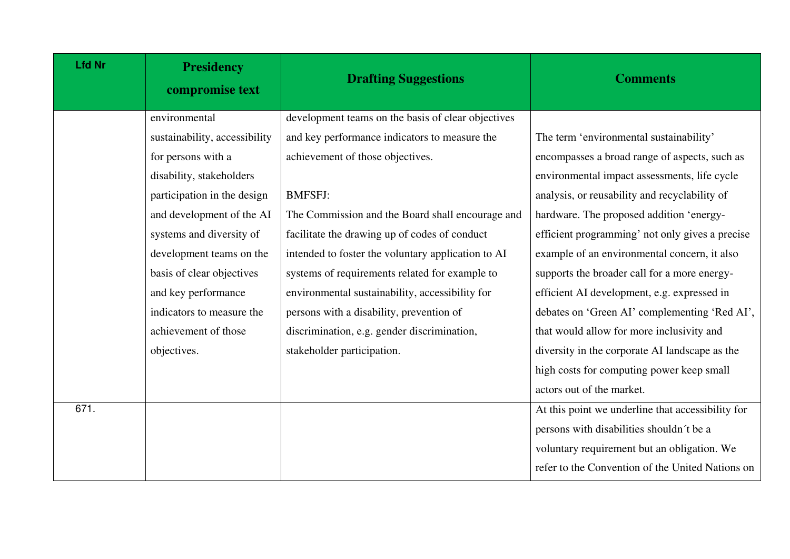| <b>Lfd Nr</b> | <b>Presidency</b><br>compromise text | <b>Drafting Suggestions</b>                        | <b>Comments</b>                                   |
|---------------|--------------------------------------|----------------------------------------------------|---------------------------------------------------|
|               | environmental                        | development teams on the basis of clear objectives |                                                   |
|               | sustainability, accessibility        | and key performance indicators to measure the      | The term 'environmental sustainability'           |
|               | for persons with a                   | achievement of those objectives.                   | encompasses a broad range of aspects, such as     |
|               | disability, stakeholders             |                                                    | environmental impact assessments, life cycle      |
|               | participation in the design          | <b>BMFSFJ:</b>                                     | analysis, or reusability and recyclability of     |
|               | and development of the AI            | The Commission and the Board shall encourage and   | hardware. The proposed addition 'energy-          |
|               | systems and diversity of             | facilitate the drawing up of codes of conduct      | efficient programming' not only gives a precise   |
|               | development teams on the             | intended to foster the voluntary application to AI | example of an environmental concern, it also      |
|               | basis of clear objectives            | systems of requirements related for example to     | supports the broader call for a more energy-      |
|               | and key performance                  | environmental sustainability, accessibility for    | efficient AI development, e.g. expressed in       |
|               | indicators to measure the            | persons with a disability, prevention of           | debates on 'Green AI' complementing 'Red AI',     |
|               | achievement of those                 | discrimination, e.g. gender discrimination,        | that would allow for more inclusivity and         |
|               | objectives.                          | stakeholder participation.                         | diversity in the corporate AI landscape as the    |
|               |                                      |                                                    | high costs for computing power keep small         |
|               |                                      |                                                    | actors out of the market.                         |
| 671.          |                                      |                                                    | At this point we underline that accessibility for |
|               |                                      |                                                    | persons with disabilities shouldn't be a          |
|               |                                      |                                                    | voluntary requirement but an obligation. We       |
|               |                                      |                                                    | refer to the Convention of the United Nations on  |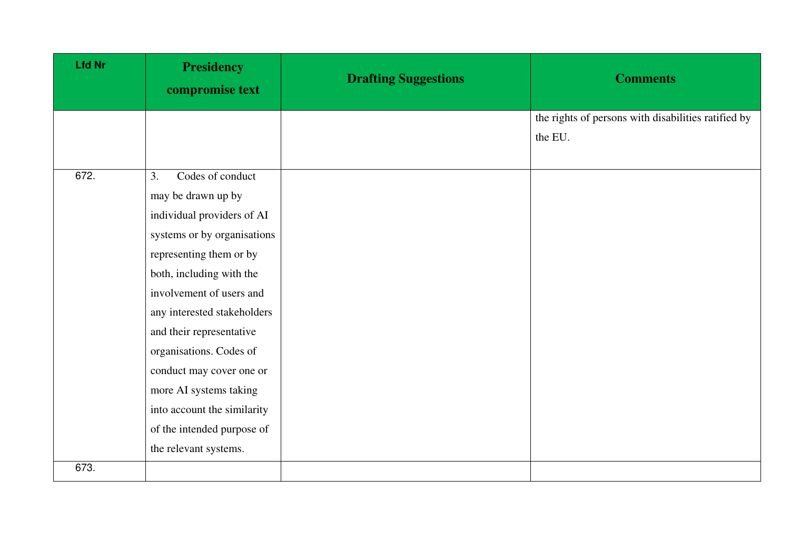| <b>Lfd Nr</b> | <b>Presidency</b><br>compromise text                                                                                                                                                                                                                                                                                                                                                                                           | <b>Drafting Suggestions</b> | <b>Comments</b>                                                |
|---------------|--------------------------------------------------------------------------------------------------------------------------------------------------------------------------------------------------------------------------------------------------------------------------------------------------------------------------------------------------------------------------------------------------------------------------------|-----------------------------|----------------------------------------------------------------|
|               |                                                                                                                                                                                                                                                                                                                                                                                                                                |                             | the rights of persons with disabilities ratified by<br>the EU. |
| 672.          | Codes of conduct<br>3.<br>may be drawn up by<br>individual providers of AI<br>systems or by organisations<br>representing them or by<br>both, including with the<br>involvement of users and<br>any interested stakeholders<br>and their representative<br>organisations. Codes of<br>conduct may cover one or<br>more AI systems taking<br>into account the similarity<br>of the intended purpose of<br>the relevant systems. |                             |                                                                |
| 673.          |                                                                                                                                                                                                                                                                                                                                                                                                                                |                             |                                                                |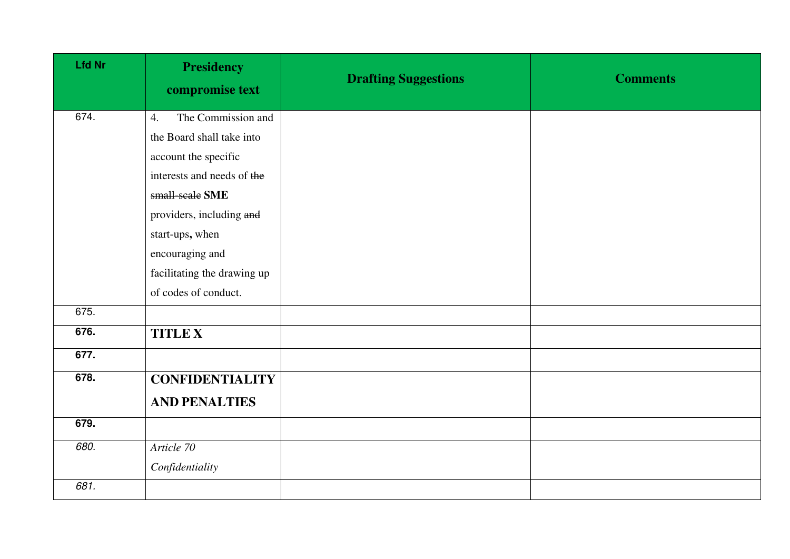| <b>Lfd Nr</b> | <b>Presidency</b><br>compromise text | <b>Drafting Suggestions</b> | <b>Comments</b> |
|---------------|--------------------------------------|-----------------------------|-----------------|
| 674.          | The Commission and<br>4.             |                             |                 |
|               | the Board shall take into            |                             |                 |
|               | account the specific                 |                             |                 |
|               | interests and needs of the           |                             |                 |
|               | small-scale SME                      |                             |                 |
|               | providers, including and             |                             |                 |
|               | start-ups, when                      |                             |                 |
|               | encouraging and                      |                             |                 |
|               | facilitating the drawing up          |                             |                 |
|               | of codes of conduct.                 |                             |                 |
| 675.          |                                      |                             |                 |
| 676.          | <b>TITLE X</b>                       |                             |                 |
| 677.          |                                      |                             |                 |
| 678.          | <b>CONFIDENTIALITY</b>               |                             |                 |
|               | <b>AND PENALTIES</b>                 |                             |                 |
| 679.          |                                      |                             |                 |
| 680.          | Article 70                           |                             |                 |
|               | Confidentiality                      |                             |                 |
| 681.          |                                      |                             |                 |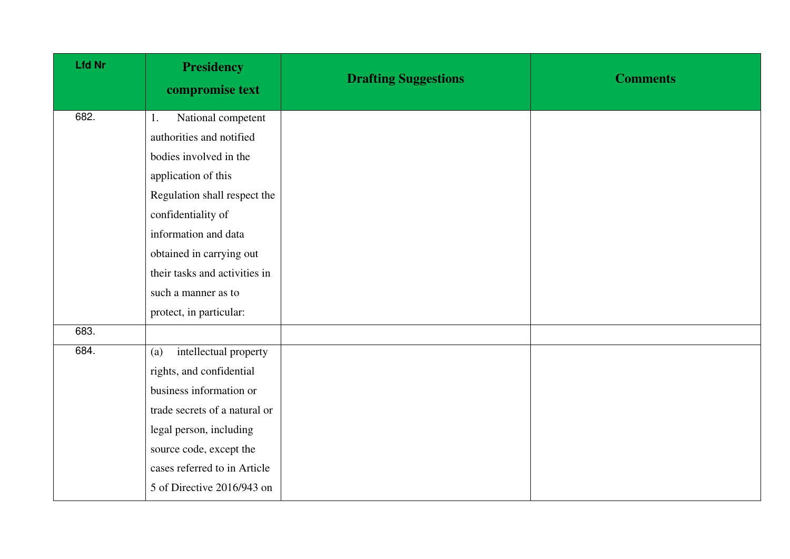| <b>Lfd Nr</b> | <b>Presidency</b><br>compromise text | <b>Drafting Suggestions</b> | <b>Comments</b> |
|---------------|--------------------------------------|-----------------------------|-----------------|
| 682.          | National competent<br>1.             |                             |                 |
|               | authorities and notified             |                             |                 |
|               | bodies involved in the               |                             |                 |
|               | application of this                  |                             |                 |
|               | Regulation shall respect the         |                             |                 |
|               | confidentiality of                   |                             |                 |
|               | information and data                 |                             |                 |
|               | obtained in carrying out             |                             |                 |
|               | their tasks and activities in        |                             |                 |
|               | such a manner as to                  |                             |                 |
|               | protect, in particular:              |                             |                 |
| 683.          |                                      |                             |                 |
| 684.          | intellectual property<br>(a)         |                             |                 |
|               | rights, and confidential             |                             |                 |
|               | business information or              |                             |                 |
|               | trade secrets of a natural or        |                             |                 |
|               | legal person, including              |                             |                 |
|               | source code, except the              |                             |                 |
|               | cases referred to in Article         |                             |                 |
|               | 5 of Directive 2016/943 on           |                             |                 |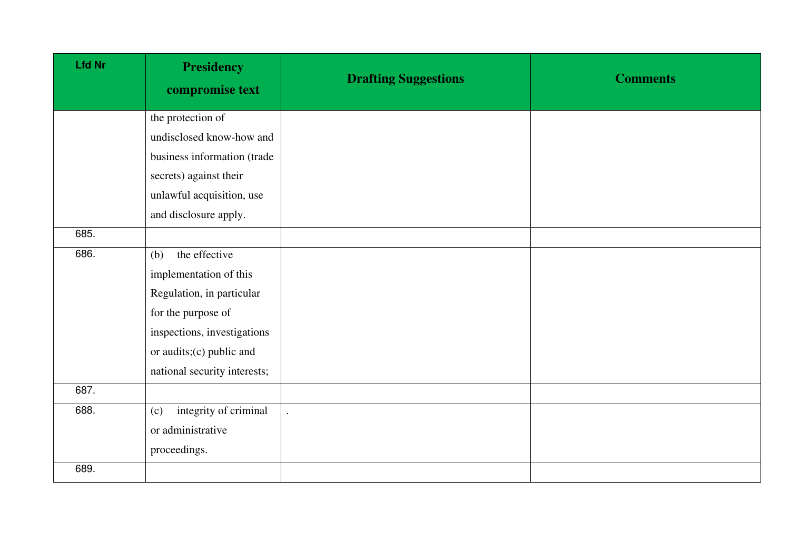| <b>Lfd Nr</b> | <b>Presidency</b><br>compromise text | <b>Drafting Suggestions</b> | <b>Comments</b> |
|---------------|--------------------------------------|-----------------------------|-----------------|
|               | the protection of                    |                             |                 |
|               | undisclosed know-how and             |                             |                 |
|               | business information (trade          |                             |                 |
|               | secrets) against their               |                             |                 |
|               | unlawful acquisition, use            |                             |                 |
|               | and disclosure apply.                |                             |                 |
| 685.          |                                      |                             |                 |
| 686.          | the effective<br>(b)                 |                             |                 |
|               | implementation of this               |                             |                 |
|               | Regulation, in particular            |                             |                 |
|               | for the purpose of                   |                             |                 |
|               | inspections, investigations          |                             |                 |
|               | or audits;(c) public and             |                             |                 |
|               | national security interests;         |                             |                 |
| 687.          |                                      |                             |                 |
| 688.          | integrity of criminal<br>(c)         |                             |                 |
|               | or administrative                    |                             |                 |
|               | proceedings.                         |                             |                 |
| 689.          |                                      |                             |                 |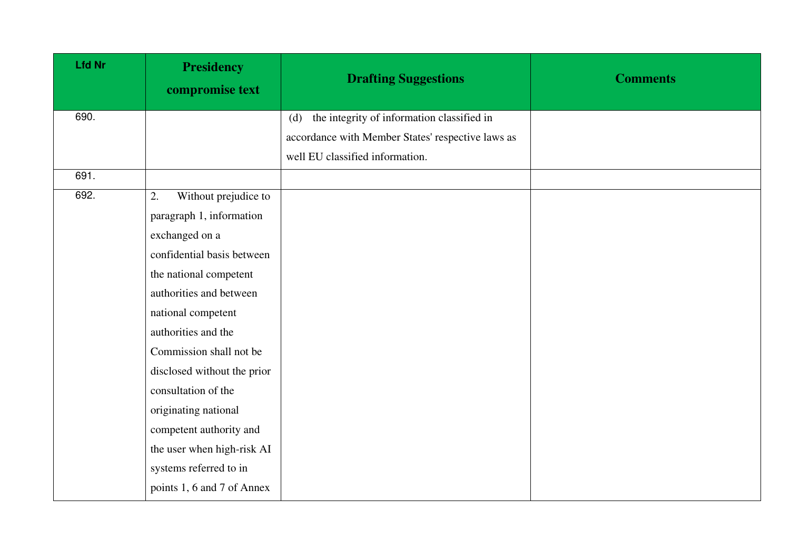| <b>Lfd Nr</b> | <b>Presidency</b><br>compromise text | <b>Drafting Suggestions</b>                       | <b>Comments</b> |
|---------------|--------------------------------------|---------------------------------------------------|-----------------|
| 690.          |                                      | the integrity of information classified in<br>(d) |                 |
|               |                                      | accordance with Member States' respective laws as |                 |
|               |                                      | well EU classified information.                   |                 |
| 691.          |                                      |                                                   |                 |
| 692.          | Without prejudice to<br>2.           |                                                   |                 |
|               | paragraph 1, information             |                                                   |                 |
|               | exchanged on a                       |                                                   |                 |
|               | confidential basis between           |                                                   |                 |
|               | the national competent               |                                                   |                 |
|               | authorities and between              |                                                   |                 |
|               | national competent                   |                                                   |                 |
|               | authorities and the                  |                                                   |                 |
|               | Commission shall not be              |                                                   |                 |
|               | disclosed without the prior          |                                                   |                 |
|               | consultation of the                  |                                                   |                 |
|               | originating national                 |                                                   |                 |
|               | competent authority and              |                                                   |                 |
|               | the user when high-risk AI           |                                                   |                 |
|               | systems referred to in               |                                                   |                 |
|               | points 1, 6 and 7 of Annex           |                                                   |                 |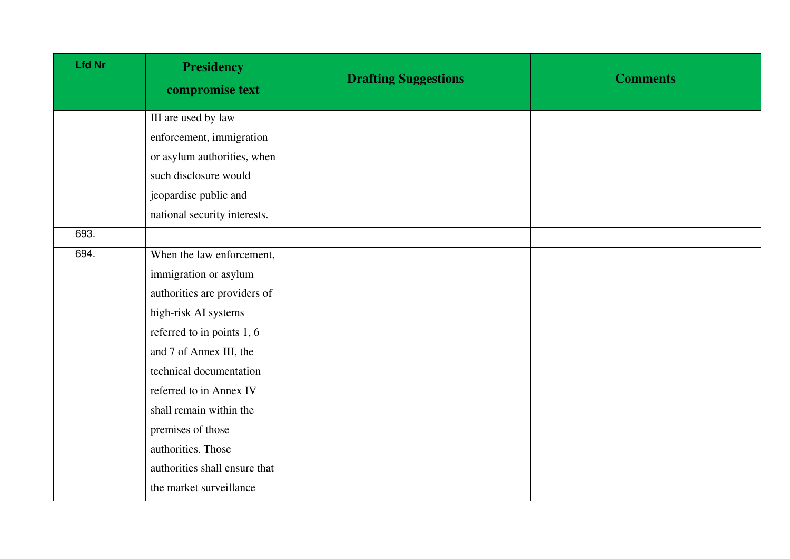| <b>Lfd Nr</b> | <b>Presidency</b><br>compromise text | <b>Drafting Suggestions</b> | <b>Comments</b> |
|---------------|--------------------------------------|-----------------------------|-----------------|
|               | III are used by law                  |                             |                 |
|               | enforcement, immigration             |                             |                 |
|               | or asylum authorities, when          |                             |                 |
|               | such disclosure would                |                             |                 |
|               | jeopardise public and                |                             |                 |
|               | national security interests.         |                             |                 |
| 693.          |                                      |                             |                 |
| 694.          | When the law enforcement,            |                             |                 |
|               | immigration or asylum                |                             |                 |
|               | authorities are providers of         |                             |                 |
|               | high-risk AI systems                 |                             |                 |
|               | referred to in points 1, 6           |                             |                 |
|               | and 7 of Annex III, the              |                             |                 |
|               | technical documentation              |                             |                 |
|               | referred to in Annex IV              |                             |                 |
|               | shall remain within the              |                             |                 |
|               | premises of those                    |                             |                 |
|               | authorities. Those                   |                             |                 |
|               | authorities shall ensure that        |                             |                 |
|               | the market surveillance              |                             |                 |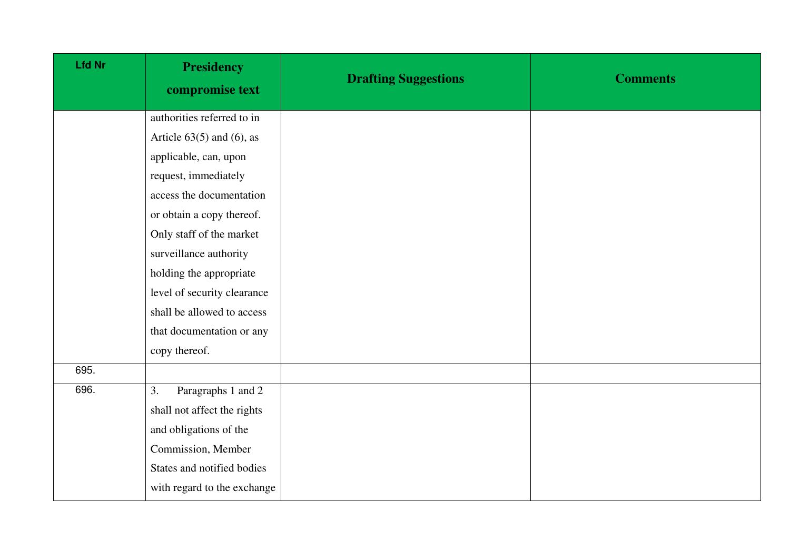| <b>Lfd Nr</b> | <b>Presidency</b><br>compromise text | <b>Drafting Suggestions</b> | <b>Comments</b> |
|---------------|--------------------------------------|-----------------------------|-----------------|
|               | authorities referred to in           |                             |                 |
|               | Article $63(5)$ and $(6)$ , as       |                             |                 |
|               | applicable, can, upon                |                             |                 |
|               | request, immediately                 |                             |                 |
|               | access the documentation             |                             |                 |
|               | or obtain a copy thereof.            |                             |                 |
|               | Only staff of the market             |                             |                 |
|               | surveillance authority               |                             |                 |
|               | holding the appropriate              |                             |                 |
|               | level of security clearance          |                             |                 |
|               | shall be allowed to access           |                             |                 |
|               | that documentation or any            |                             |                 |
|               | copy thereof.                        |                             |                 |
| 695.          |                                      |                             |                 |
| 696.          | Paragraphs 1 and 2<br>3.             |                             |                 |
|               | shall not affect the rights          |                             |                 |
|               | and obligations of the               |                             |                 |
|               | Commission, Member                   |                             |                 |
|               | States and notified bodies           |                             |                 |
|               | with regard to the exchange          |                             |                 |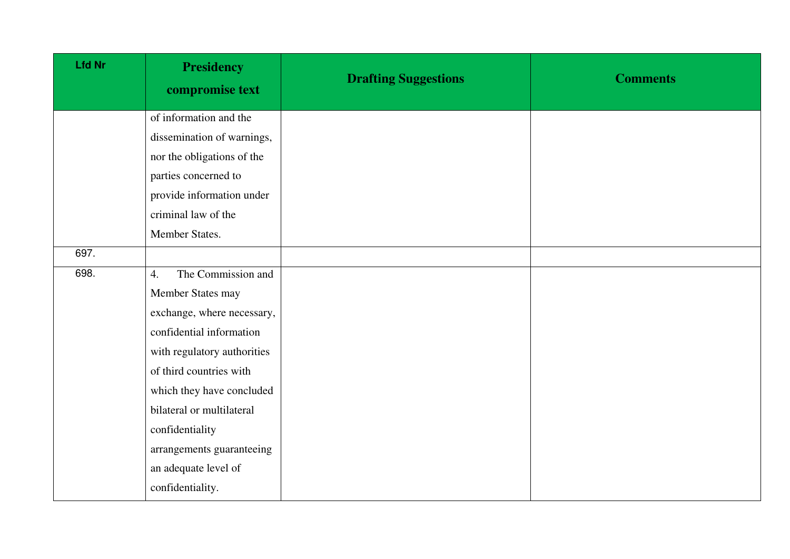| <b>Lfd Nr</b> | <b>Presidency</b><br>compromise text | <b>Drafting Suggestions</b> | <b>Comments</b> |
|---------------|--------------------------------------|-----------------------------|-----------------|
|               | of information and the               |                             |                 |
|               | dissemination of warnings,           |                             |                 |
|               | nor the obligations of the           |                             |                 |
|               | parties concerned to                 |                             |                 |
|               | provide information under            |                             |                 |
|               | criminal law of the                  |                             |                 |
|               | Member States.                       |                             |                 |
| 697.          |                                      |                             |                 |
| 698.          | The Commission and<br>4.             |                             |                 |
|               | Member States may                    |                             |                 |
|               | exchange, where necessary,           |                             |                 |
|               | confidential information             |                             |                 |
|               | with regulatory authorities          |                             |                 |
|               | of third countries with              |                             |                 |
|               | which they have concluded            |                             |                 |
|               | bilateral or multilateral            |                             |                 |
|               | confidentiality                      |                             |                 |
|               | arrangements guaranteeing            |                             |                 |
|               | an adequate level of                 |                             |                 |
|               | confidentiality.                     |                             |                 |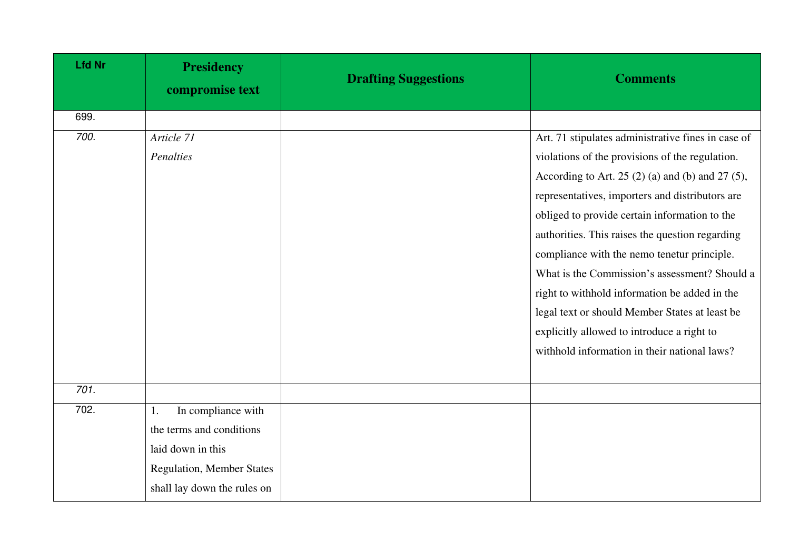| <b>Lfd Nr</b> | <b>Presidency</b><br>compromise text | <b>Drafting Suggestions</b> | <b>Comments</b>                                       |
|---------------|--------------------------------------|-----------------------------|-------------------------------------------------------|
| 699.          |                                      |                             |                                                       |
| 700.          | Article 71                           |                             | Art. 71 stipulates administrative fines in case of    |
|               | Penalties                            |                             | violations of the provisions of the regulation.       |
|               |                                      |                             | According to Art. 25 $(2)$ (a) and (b) and 27 $(5)$ , |
|               |                                      |                             | representatives, importers and distributors are       |
|               |                                      |                             | obliged to provide certain information to the         |
|               |                                      |                             | authorities. This raises the question regarding       |
|               |                                      |                             | compliance with the nemo tenetur principle.           |
|               |                                      |                             | What is the Commission's assessment? Should a         |
|               |                                      |                             | right to withhold information be added in the         |
|               |                                      |                             | legal text or should Member States at least be        |
|               |                                      |                             | explicitly allowed to introduce a right to            |
|               |                                      |                             | withhold information in their national laws?          |
|               |                                      |                             |                                                       |
| 701.          |                                      |                             |                                                       |
| 702.          | In compliance with<br>1.             |                             |                                                       |
|               | the terms and conditions             |                             |                                                       |
|               | laid down in this                    |                             |                                                       |
|               | <b>Regulation, Member States</b>     |                             |                                                       |
|               | shall lay down the rules on          |                             |                                                       |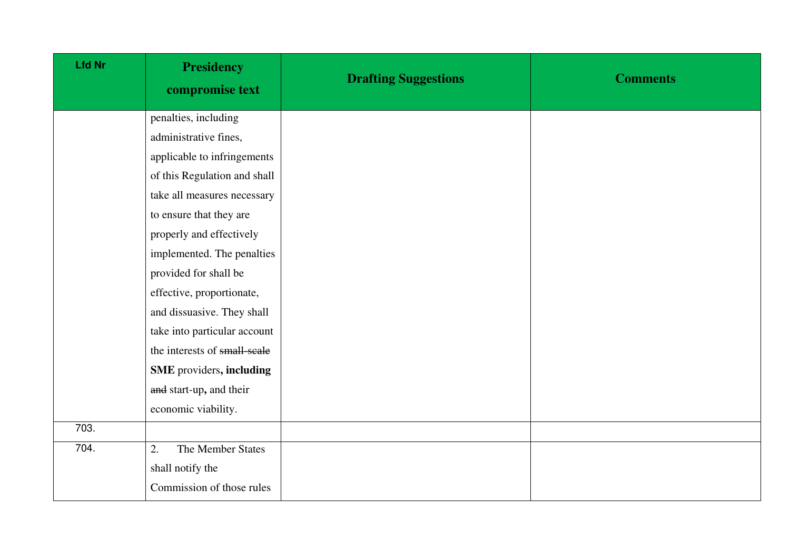| Lfd Nr | <b>Presidency</b><br>compromise text | <b>Drafting Suggestions</b> | <b>Comments</b> |
|--------|--------------------------------------|-----------------------------|-----------------|
|        | penalties, including                 |                             |                 |
|        | administrative fines,                |                             |                 |
|        | applicable to infringements          |                             |                 |
|        | of this Regulation and shall         |                             |                 |
|        | take all measures necessary          |                             |                 |
|        | to ensure that they are              |                             |                 |
|        | properly and effectively             |                             |                 |
|        | implemented. The penalties           |                             |                 |
|        | provided for shall be                |                             |                 |
|        | effective, proportionate,            |                             |                 |
|        | and dissuasive. They shall           |                             |                 |
|        | take into particular account         |                             |                 |
|        | the interests of small-scale         |                             |                 |
|        | SME providers, including             |                             |                 |
|        | and start-up, and their              |                             |                 |
|        | economic viability.                  |                             |                 |
| 703.   |                                      |                             |                 |
| 704.   | The Member States<br>2.              |                             |                 |
|        | shall notify the                     |                             |                 |
|        | Commission of those rules            |                             |                 |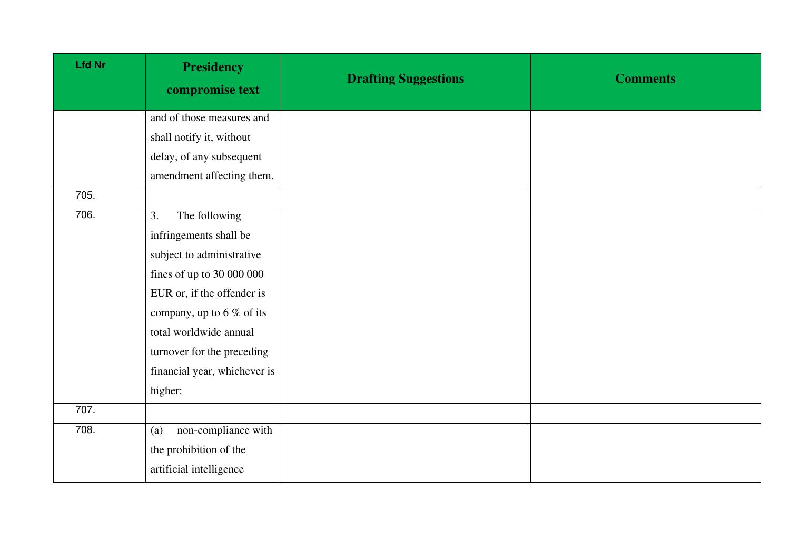| <b>Lfd Nr</b> | <b>Presidency</b><br>compromise text | <b>Drafting Suggestions</b> | <b>Comments</b> |
|---------------|--------------------------------------|-----------------------------|-----------------|
|               | and of those measures and            |                             |                 |
|               | shall notify it, without             |                             |                 |
|               | delay, of any subsequent             |                             |                 |
|               | amendment affecting them.            |                             |                 |
| 705.          |                                      |                             |                 |
| 706.          | The following<br>3.                  |                             |                 |
|               | infringements shall be               |                             |                 |
|               | subject to administrative            |                             |                 |
|               | fines of up to 30 000 000            |                             |                 |
|               | EUR or, if the offender is           |                             |                 |
|               | company, up to $6\%$ of its          |                             |                 |
|               | total worldwide annual               |                             |                 |
|               | turnover for the preceding           |                             |                 |
|               | financial year, whichever is         |                             |                 |
|               | higher:                              |                             |                 |
| 707.          |                                      |                             |                 |
| 708.          | non-compliance with<br>(a)           |                             |                 |
|               | the prohibition of the               |                             |                 |
|               | artificial intelligence              |                             |                 |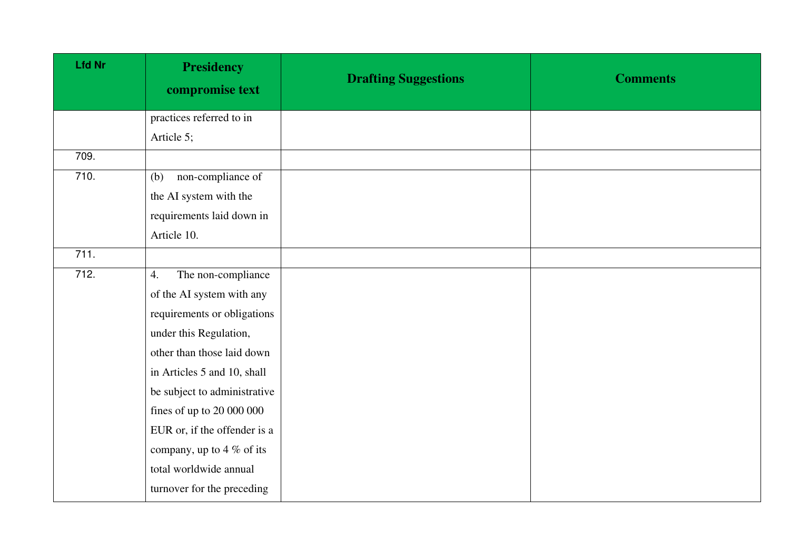| <b>Lfd Nr</b> | <b>Presidency</b><br>compromise text | <b>Drafting Suggestions</b> | <b>Comments</b> |
|---------------|--------------------------------------|-----------------------------|-----------------|
|               | practices referred to in             |                             |                 |
|               | Article 5;                           |                             |                 |
| 709.          |                                      |                             |                 |
| 710.          | non-compliance of<br>(b)             |                             |                 |
|               | the AI system with the               |                             |                 |
|               | requirements laid down in            |                             |                 |
|               | Article 10.                          |                             |                 |
| 711.          |                                      |                             |                 |
| 712.          | The non-compliance<br>4.             |                             |                 |
|               | of the AI system with any            |                             |                 |
|               | requirements or obligations          |                             |                 |
|               | under this Regulation,               |                             |                 |
|               | other than those laid down           |                             |                 |
|               | in Articles 5 and 10, shall          |                             |                 |
|               | be subject to administrative         |                             |                 |
|               | fines of up to $20000000$            |                             |                 |
|               | EUR or, if the offender is a         |                             |                 |
|               | company, up to 4 $\%$ of its         |                             |                 |
|               | total worldwide annual               |                             |                 |
|               | turnover for the preceding           |                             |                 |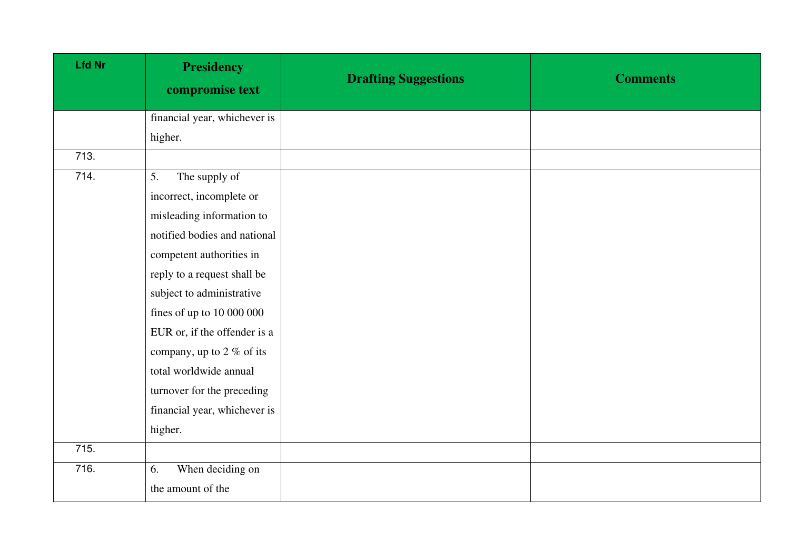| <b>Lfd Nr</b> | <b>Presidency</b><br>compromise text | <b>Drafting Suggestions</b> | <b>Comments</b> |
|---------------|--------------------------------------|-----------------------------|-----------------|
|               | financial year, whichever is         |                             |                 |
|               | higher.                              |                             |                 |
| 713.          |                                      |                             |                 |
| 714.          | 5.<br>The supply of                  |                             |                 |
|               | incorrect, incomplete or             |                             |                 |
|               | misleading information to            |                             |                 |
|               | notified bodies and national         |                             |                 |
|               | competent authorities in             |                             |                 |
|               | reply to a request shall be          |                             |                 |
|               | subject to administrative            |                             |                 |
|               | fines of up to $10000000$            |                             |                 |
|               | EUR or, if the offender is a         |                             |                 |
|               | company, up to 2 % of its            |                             |                 |
|               | total worldwide annual               |                             |                 |
|               | turnover for the preceding           |                             |                 |
|               | financial year, whichever is         |                             |                 |
|               | higher.                              |                             |                 |
| 715.          |                                      |                             |                 |
| 716.          | When deciding on<br>6.               |                             |                 |
|               | the amount of the                    |                             |                 |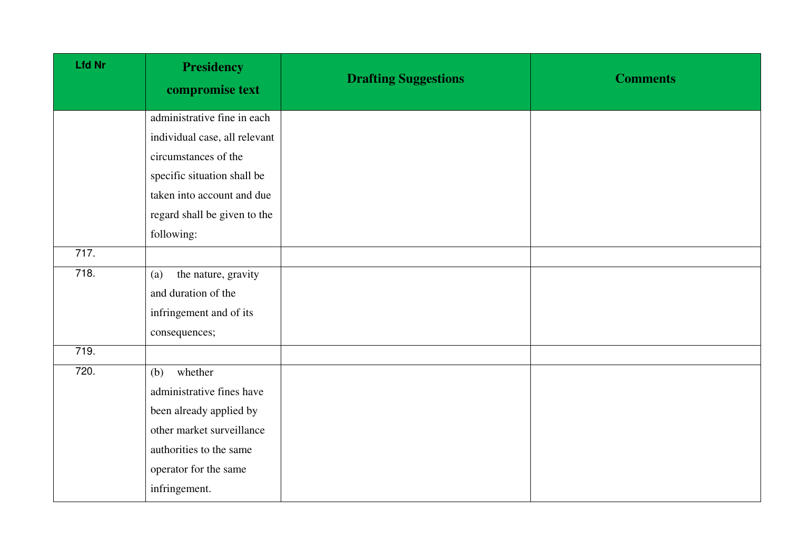| <b>Lfd Nr</b> | <b>Presidency</b><br>compromise text | <b>Drafting Suggestions</b> | <b>Comments</b> |
|---------------|--------------------------------------|-----------------------------|-----------------|
|               | administrative fine in each          |                             |                 |
|               | individual case, all relevant        |                             |                 |
|               | circumstances of the                 |                             |                 |
|               | specific situation shall be          |                             |                 |
|               | taken into account and due           |                             |                 |
|               | regard shall be given to the         |                             |                 |
|               | following:                           |                             |                 |
| 717.          |                                      |                             |                 |
| 718.          | the nature, gravity<br>(a)           |                             |                 |
|               | and duration of the                  |                             |                 |
|               | infringement and of its              |                             |                 |
|               | consequences;                        |                             |                 |
| 719.          |                                      |                             |                 |
| 720.          | whether<br>(b)                       |                             |                 |
|               | administrative fines have            |                             |                 |
|               | been already applied by              |                             |                 |
|               | other market surveillance            |                             |                 |
|               | authorities to the same              |                             |                 |
|               | operator for the same                |                             |                 |
|               | infringement.                        |                             |                 |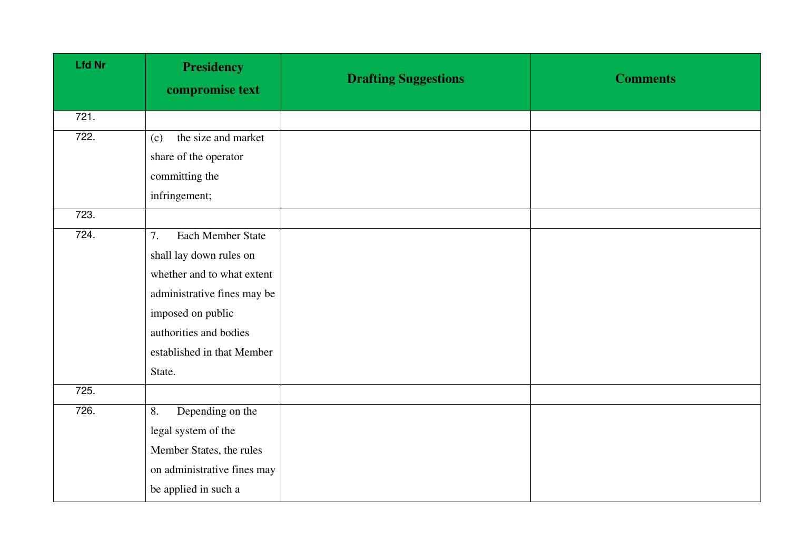| <b>Lfd Nr</b> | <b>Presidency</b><br>compromise text | <b>Drafting Suggestions</b> | <b>Comments</b> |
|---------------|--------------------------------------|-----------------------------|-----------------|
| 721.          |                                      |                             |                 |
| 722.          | the size and market<br>(c)           |                             |                 |
|               | share of the operator                |                             |                 |
|               | committing the                       |                             |                 |
|               | infringement;                        |                             |                 |
| 723.          |                                      |                             |                 |
| 724.          | Each Member State<br>7.              |                             |                 |
|               | shall lay down rules on              |                             |                 |
|               | whether and to what extent           |                             |                 |
|               | administrative fines may be          |                             |                 |
|               | imposed on public                    |                             |                 |
|               | authorities and bodies               |                             |                 |
|               | established in that Member           |                             |                 |
|               | State.                               |                             |                 |
| 725.          |                                      |                             |                 |
| 726.          | Depending on the<br>8.               |                             |                 |
|               | legal system of the                  |                             |                 |
|               | Member States, the rules             |                             |                 |
|               | on administrative fines may          |                             |                 |
|               | be applied in such a                 |                             |                 |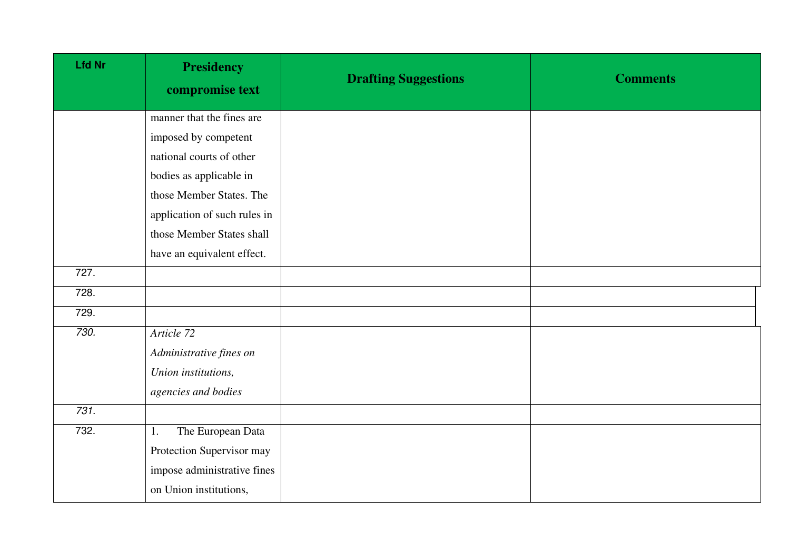| <b>Lfd Nr</b> | <b>Presidency</b><br>compromise text | <b>Drafting Suggestions</b> | <b>Comments</b> |
|---------------|--------------------------------------|-----------------------------|-----------------|
|               | manner that the fines are            |                             |                 |
|               | imposed by competent                 |                             |                 |
|               | national courts of other             |                             |                 |
|               | bodies as applicable in              |                             |                 |
|               | those Member States. The             |                             |                 |
|               | application of such rules in         |                             |                 |
|               | those Member States shall            |                             |                 |
|               | have an equivalent effect.           |                             |                 |
| 727.          |                                      |                             |                 |
| 728.          |                                      |                             |                 |
| 729.          |                                      |                             |                 |
| 730.          | Article 72                           |                             |                 |
|               | Administrative fines on              |                             |                 |
|               | Union institutions,                  |                             |                 |
|               | agencies and bodies                  |                             |                 |
| 731.          |                                      |                             |                 |
| 732.          | The European Data<br>1.              |                             |                 |
|               | Protection Supervisor may            |                             |                 |
|               | impose administrative fines          |                             |                 |
|               | on Union institutions,               |                             |                 |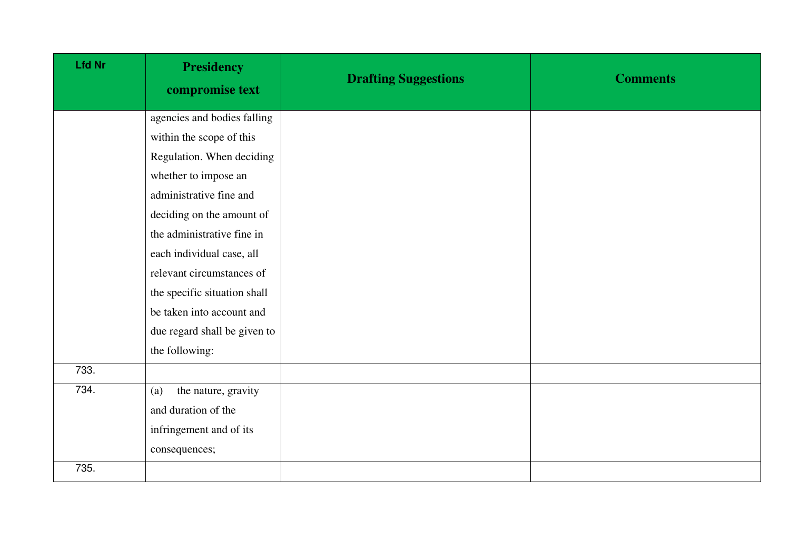| <b>Lfd Nr</b> | <b>Presidency</b><br>compromise text | <b>Drafting Suggestions</b> | <b>Comments</b> |
|---------------|--------------------------------------|-----------------------------|-----------------|
|               | agencies and bodies falling          |                             |                 |
|               | within the scope of this             |                             |                 |
|               | Regulation. When deciding            |                             |                 |
|               | whether to impose an                 |                             |                 |
|               | administrative fine and              |                             |                 |
|               | deciding on the amount of            |                             |                 |
|               | the administrative fine in           |                             |                 |
|               | each individual case, all            |                             |                 |
|               | relevant circumstances of            |                             |                 |
|               | the specific situation shall         |                             |                 |
|               | be taken into account and            |                             |                 |
|               | due regard shall be given to         |                             |                 |
|               | the following:                       |                             |                 |
| 733.          |                                      |                             |                 |
| 734.          | the nature, gravity<br>(a)           |                             |                 |
|               | and duration of the                  |                             |                 |
|               | infringement and of its              |                             |                 |
|               | consequences;                        |                             |                 |
| 735.          |                                      |                             |                 |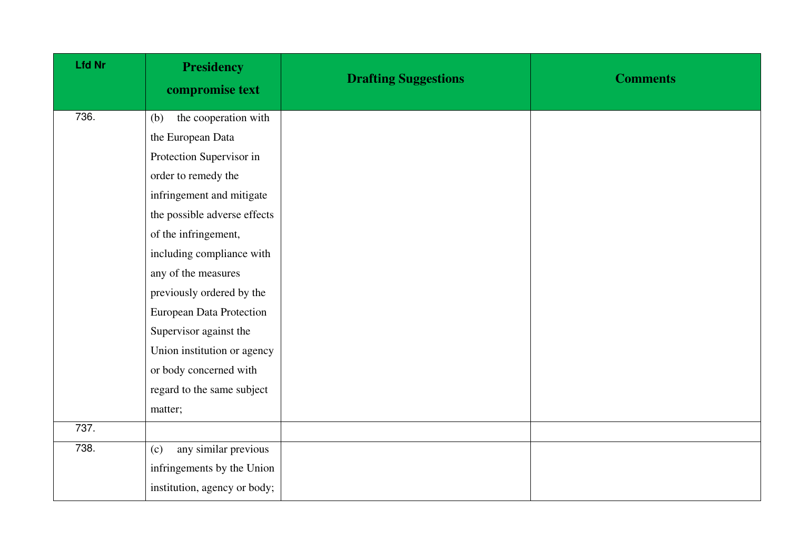| <b>Lfd Nr</b> | <b>Presidency</b><br>compromise text | <b>Drafting Suggestions</b> | <b>Comments</b> |
|---------------|--------------------------------------|-----------------------------|-----------------|
| 736.          | the cooperation with<br>(b)          |                             |                 |
|               | the European Data                    |                             |                 |
|               | Protection Supervisor in             |                             |                 |
|               | order to remedy the                  |                             |                 |
|               | infringement and mitigate            |                             |                 |
|               | the possible adverse effects         |                             |                 |
|               | of the infringement,                 |                             |                 |
|               | including compliance with            |                             |                 |
|               | any of the measures                  |                             |                 |
|               | previously ordered by the            |                             |                 |
|               | <b>European Data Protection</b>      |                             |                 |
|               | Supervisor against the               |                             |                 |
|               | Union institution or agency          |                             |                 |
|               | or body concerned with               |                             |                 |
|               | regard to the same subject           |                             |                 |
|               | matter;                              |                             |                 |
| 737.          |                                      |                             |                 |
| 738.          | any similar previous<br>(c)          |                             |                 |
|               | infringements by the Union           |                             |                 |
|               | institution, agency or body;         |                             |                 |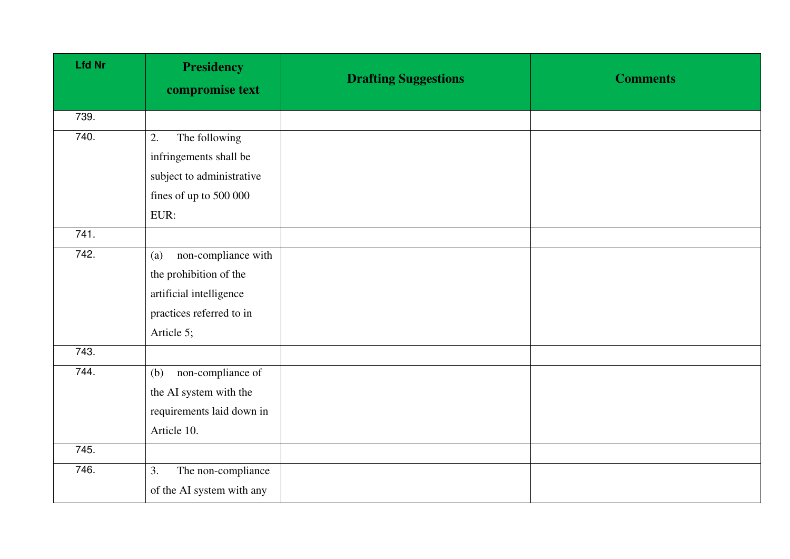| <b>Lfd Nr</b> | <b>Presidency</b><br>compromise text | <b>Drafting Suggestions</b> | <b>Comments</b> |
|---------------|--------------------------------------|-----------------------------|-----------------|
| 739.          |                                      |                             |                 |
| 740.          | The following<br>2.                  |                             |                 |
|               | infringements shall be               |                             |                 |
|               | subject to administrative            |                             |                 |
|               | fines of up to 500 000               |                             |                 |
|               | EUR:                                 |                             |                 |
| 741.          |                                      |                             |                 |
| 742.          | non-compliance with<br>(a)           |                             |                 |
|               | the prohibition of the               |                             |                 |
|               | artificial intelligence              |                             |                 |
|               | practices referred to in             |                             |                 |
|               | Article 5;                           |                             |                 |
| 743.          |                                      |                             |                 |
| 744.          | non-compliance of<br>(b)             |                             |                 |
|               | the AI system with the               |                             |                 |
|               | requirements laid down in            |                             |                 |
|               | Article 10.                          |                             |                 |
| 745.          |                                      |                             |                 |
| 746.          | The non-compliance<br>3.             |                             |                 |
|               | of the AI system with any            |                             |                 |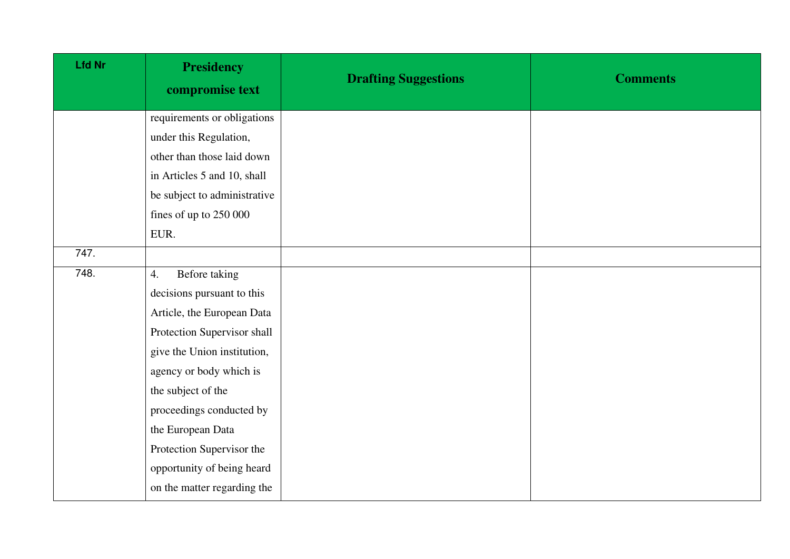| <b>Lfd Nr</b> | <b>Presidency</b><br>compromise text | <b>Drafting Suggestions</b> | <b>Comments</b> |
|---------------|--------------------------------------|-----------------------------|-----------------|
|               | requirements or obligations          |                             |                 |
|               | under this Regulation,               |                             |                 |
|               | other than those laid down           |                             |                 |
|               | in Articles 5 and 10, shall          |                             |                 |
|               | be subject to administrative         |                             |                 |
|               | fines of up to 250 000               |                             |                 |
|               | EUR.                                 |                             |                 |
| 747.          |                                      |                             |                 |
| 748.          | Before taking<br>4.                  |                             |                 |
|               | decisions pursuant to this           |                             |                 |
|               | Article, the European Data           |                             |                 |
|               | Protection Supervisor shall          |                             |                 |
|               | give the Union institution,          |                             |                 |
|               | agency or body which is              |                             |                 |
|               | the subject of the                   |                             |                 |
|               | proceedings conducted by             |                             |                 |
|               | the European Data                    |                             |                 |
|               | Protection Supervisor the            |                             |                 |
|               | opportunity of being heard           |                             |                 |
|               | on the matter regarding the          |                             |                 |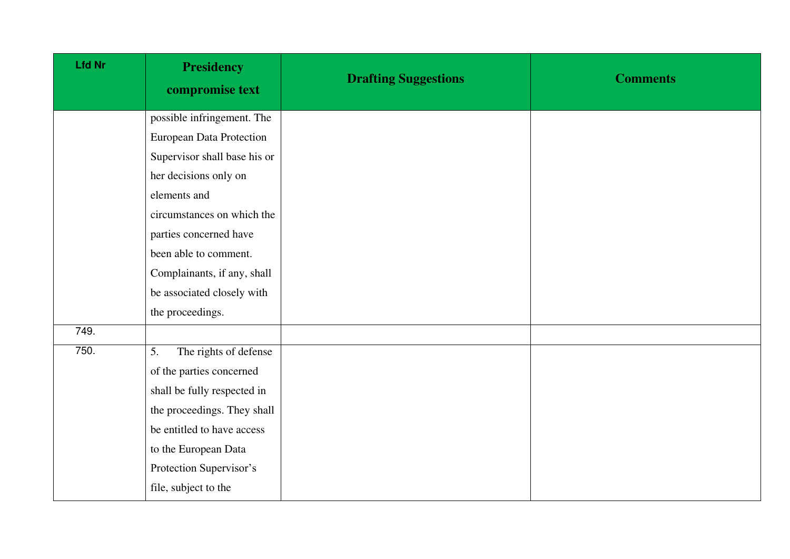| <b>Lfd Nr</b> | <b>Presidency</b><br>compromise text | <b>Drafting Suggestions</b> | <b>Comments</b> |
|---------------|--------------------------------------|-----------------------------|-----------------|
|               | possible infringement. The           |                             |                 |
|               | <b>European Data Protection</b>      |                             |                 |
|               | Supervisor shall base his or         |                             |                 |
|               | her decisions only on                |                             |                 |
|               | elements and                         |                             |                 |
|               | circumstances on which the           |                             |                 |
|               | parties concerned have               |                             |                 |
|               | been able to comment.                |                             |                 |
|               | Complainants, if any, shall          |                             |                 |
|               | be associated closely with           |                             |                 |
|               | the proceedings.                     |                             |                 |
| 749.          |                                      |                             |                 |
| 750.          | The rights of defense<br>5.          |                             |                 |
|               | of the parties concerned             |                             |                 |
|               | shall be fully respected in          |                             |                 |
|               | the proceedings. They shall          |                             |                 |
|               | be entitled to have access           |                             |                 |
|               | to the European Data                 |                             |                 |
|               | Protection Supervisor's              |                             |                 |
|               | file, subject to the                 |                             |                 |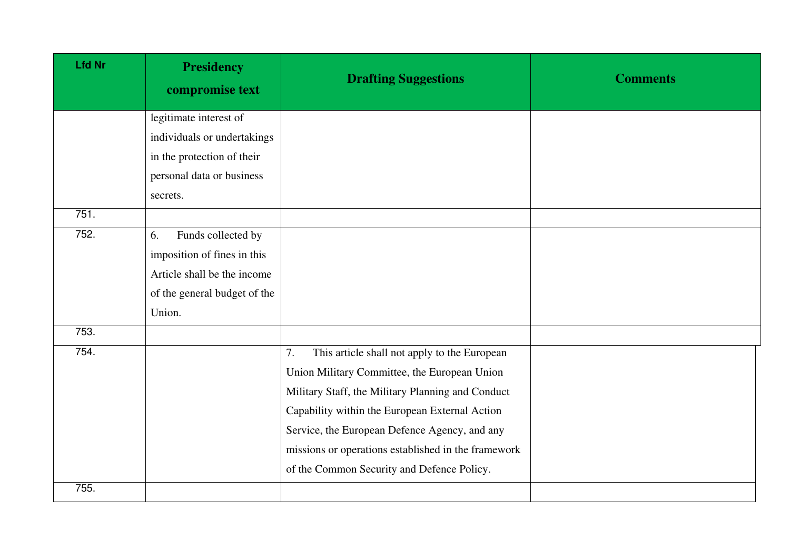| <b>Lfd Nr</b> | <b>Presidency</b><br>compromise text | <b>Drafting Suggestions</b>                         | <b>Comments</b> |
|---------------|--------------------------------------|-----------------------------------------------------|-----------------|
|               | legitimate interest of               |                                                     |                 |
|               | individuals or undertakings          |                                                     |                 |
|               | in the protection of their           |                                                     |                 |
|               | personal data or business            |                                                     |                 |
|               | secrets.                             |                                                     |                 |
| 751.          |                                      |                                                     |                 |
| 752.          | Funds collected by<br>6.             |                                                     |                 |
|               | imposition of fines in this          |                                                     |                 |
|               | Article shall be the income          |                                                     |                 |
|               | of the general budget of the         |                                                     |                 |
|               | Union.                               |                                                     |                 |
| 753.          |                                      |                                                     |                 |
| 754.          |                                      | This article shall not apply to the European<br>7.  |                 |
|               |                                      | Union Military Committee, the European Union        |                 |
|               |                                      | Military Staff, the Military Planning and Conduct   |                 |
|               |                                      | Capability within the European External Action      |                 |
|               |                                      | Service, the European Defence Agency, and any       |                 |
|               |                                      | missions or operations established in the framework |                 |
|               |                                      | of the Common Security and Defence Policy.          |                 |
| 755.          |                                      |                                                     |                 |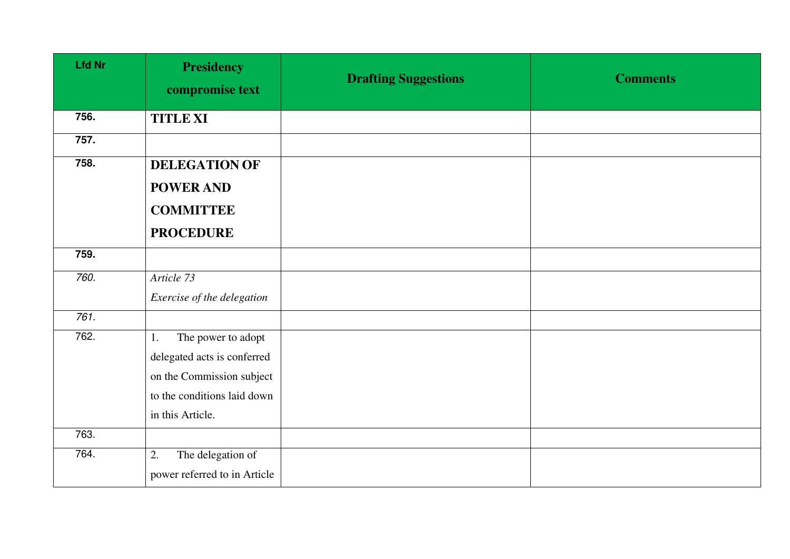| <b>Lfd Nr</b> | <b>Presidency</b><br>compromise text | <b>Drafting Suggestions</b> | <b>Comments</b> |
|---------------|--------------------------------------|-----------------------------|-----------------|
| 756.          | <b>TITLE XI</b>                      |                             |                 |
| 757.          |                                      |                             |                 |
| 758.          | <b>DELEGATION OF</b>                 |                             |                 |
|               | <b>POWER AND</b>                     |                             |                 |
|               | <b>COMMITTEE</b>                     |                             |                 |
|               | <b>PROCEDURE</b>                     |                             |                 |
| 759.          |                                      |                             |                 |
| 760.          | Article 73                           |                             |                 |
|               | Exercise of the delegation           |                             |                 |
| 761.          |                                      |                             |                 |
| 762.          | The power to adopt<br>1.             |                             |                 |
|               | delegated acts is conferred          |                             |                 |
|               | on the Commission subject            |                             |                 |
|               | to the conditions laid down          |                             |                 |
|               | in this Article.                     |                             |                 |
| 763.          |                                      |                             |                 |
| 764.          | The delegation of<br>2.              |                             |                 |
|               | power referred to in Article         |                             |                 |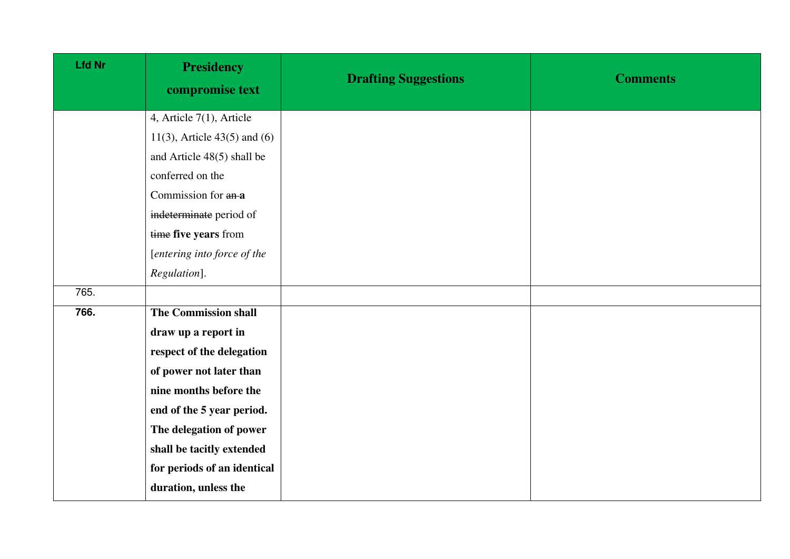| <b>Lfd Nr</b> | <b>Presidency</b><br>compromise text | <b>Drafting Suggestions</b> | <b>Comments</b> |
|---------------|--------------------------------------|-----------------------------|-----------------|
|               | 4, Article 7(1), Article             |                             |                 |
|               | 11(3), Article $43(5)$ and (6)       |                             |                 |
|               | and Article 48(5) shall be           |                             |                 |
|               | conferred on the                     |                             |                 |
|               | Commission for an-a                  |                             |                 |
|               | indeterminate period of              |                             |                 |
|               | time five years from                 |                             |                 |
|               | [entering into force of the          |                             |                 |
|               | Regulation].                         |                             |                 |
| 765.          |                                      |                             |                 |
| 766.          | <b>The Commission shall</b>          |                             |                 |
|               | draw up a report in                  |                             |                 |
|               | respect of the delegation            |                             |                 |
|               | of power not later than              |                             |                 |
|               | nine months before the               |                             |                 |
|               | end of the 5 year period.            |                             |                 |
|               | The delegation of power              |                             |                 |
|               | shall be tacitly extended            |                             |                 |
|               | for periods of an identical          |                             |                 |
|               | duration, unless the                 |                             |                 |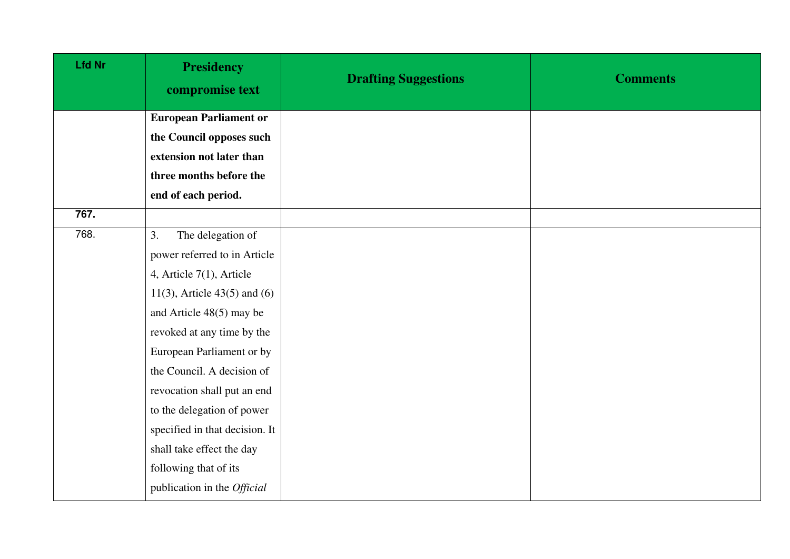| <b>Lfd Nr</b> | <b>Presidency</b><br>compromise text | <b>Drafting Suggestions</b> | <b>Comments</b> |
|---------------|--------------------------------------|-----------------------------|-----------------|
|               | <b>European Parliament or</b>        |                             |                 |
|               | the Council opposes such             |                             |                 |
|               | extension not later than             |                             |                 |
|               | three months before the              |                             |                 |
|               | end of each period.                  |                             |                 |
| 767.          |                                      |                             |                 |
| 768.          | The delegation of<br>3.              |                             |                 |
|               | power referred to in Article         |                             |                 |
|               | 4, Article $7(1)$ , Article          |                             |                 |
|               | 11(3), Article $43(5)$ and (6)       |                             |                 |
|               | and Article 48(5) may be             |                             |                 |
|               | revoked at any time by the           |                             |                 |
|               | European Parliament or by            |                             |                 |
|               | the Council. A decision of           |                             |                 |
|               | revocation shall put an end          |                             |                 |
|               | to the delegation of power           |                             |                 |
|               | specified in that decision. It       |                             |                 |
|               | shall take effect the day            |                             |                 |
|               | following that of its                |                             |                 |
|               | publication in the Official          |                             |                 |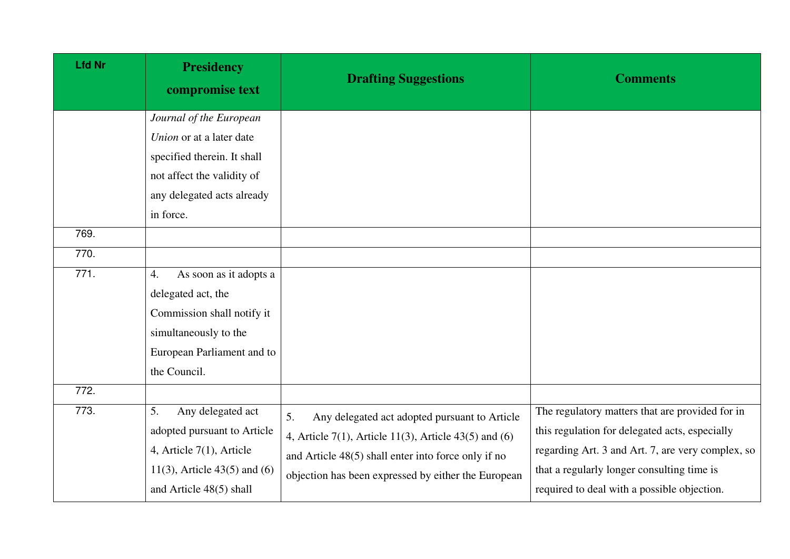| <b>Lfd Nr</b> | <b>Presidency</b><br>compromise text                                                                                                                        | <b>Drafting Suggestions</b>                                                                                                                                                                                                  | <b>Comments</b>                                                                                                                                                                                                                                     |
|---------------|-------------------------------------------------------------------------------------------------------------------------------------------------------------|------------------------------------------------------------------------------------------------------------------------------------------------------------------------------------------------------------------------------|-----------------------------------------------------------------------------------------------------------------------------------------------------------------------------------------------------------------------------------------------------|
|               | Journal of the European<br>Union or at a later date<br>specified therein. It shall<br>not affect the validity of<br>any delegated acts already<br>in force. |                                                                                                                                                                                                                              |                                                                                                                                                                                                                                                     |
| 769.<br>770.  |                                                                                                                                                             |                                                                                                                                                                                                                              |                                                                                                                                                                                                                                                     |
| 771.          | As soon as it adopts a<br>4.<br>delegated act, the<br>Commission shall notify it<br>simultaneously to the<br>European Parliament and to<br>the Council.     |                                                                                                                                                                                                                              |                                                                                                                                                                                                                                                     |
| 772.          |                                                                                                                                                             |                                                                                                                                                                                                                              |                                                                                                                                                                                                                                                     |
| 773.          | 5.<br>Any delegated act<br>adopted pursuant to Article<br>4, Article $7(1)$ , Article<br>11(3), Article $43(5)$ and (6)<br>and Article 48(5) shall          | 5.<br>Any delegated act adopted pursuant to Article<br>4, Article 7(1), Article 11(3), Article 43(5) and $(6)$<br>and Article 48(5) shall enter into force only if no<br>objection has been expressed by either the European | The regulatory matters that are provided for in<br>this regulation for delegated acts, especially<br>regarding Art. 3 and Art. 7, are very complex, so<br>that a regularly longer consulting time is<br>required to deal with a possible objection. |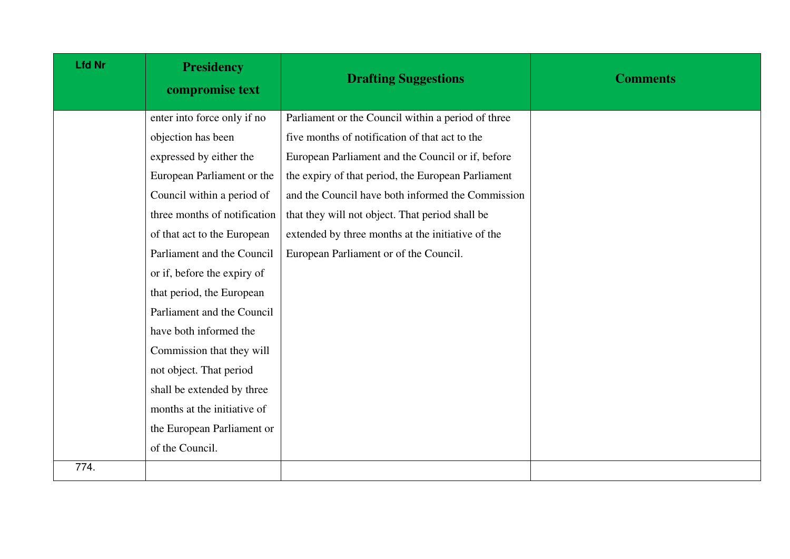| <b>Lfd Nr</b> | <b>Presidency</b><br>compromise text | <b>Drafting Suggestions</b>                        | <b>Comments</b> |
|---------------|--------------------------------------|----------------------------------------------------|-----------------|
|               | enter into force only if no          | Parliament or the Council within a period of three |                 |
|               | objection has been                   | five months of notification of that act to the     |                 |
|               | expressed by either the              | European Parliament and the Council or if, before  |                 |
|               | European Parliament or the           | the expiry of that period, the European Parliament |                 |
|               | Council within a period of           | and the Council have both informed the Commission  |                 |
|               | three months of notification         | that they will not object. That period shall be    |                 |
|               | of that act to the European          | extended by three months at the initiative of the  |                 |
|               | Parliament and the Council           | European Parliament or of the Council.             |                 |
|               | or if, before the expiry of          |                                                    |                 |
|               | that period, the European            |                                                    |                 |
|               | Parliament and the Council           |                                                    |                 |
|               | have both informed the               |                                                    |                 |
|               | Commission that they will            |                                                    |                 |
|               | not object. That period              |                                                    |                 |
|               | shall be extended by three           |                                                    |                 |
|               | months at the initiative of          |                                                    |                 |
|               | the European Parliament or           |                                                    |                 |
|               | of the Council.                      |                                                    |                 |
| 774.          |                                      |                                                    |                 |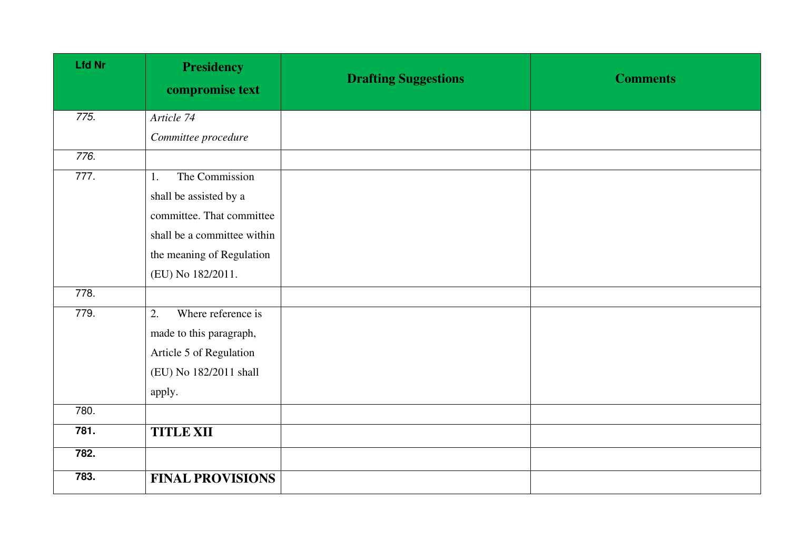| <b>Lfd Nr</b> | <b>Presidency</b><br>compromise text | <b>Drafting Suggestions</b> | <b>Comments</b> |
|---------------|--------------------------------------|-----------------------------|-----------------|
| 775.          | Article 74                           |                             |                 |
|               | Committee procedure                  |                             |                 |
| 776.          |                                      |                             |                 |
| 777.          | The Commission<br>1.                 |                             |                 |
|               | shall be assisted by a               |                             |                 |
|               | committee. That committee            |                             |                 |
|               | shall be a committee within          |                             |                 |
|               | the meaning of Regulation            |                             |                 |
|               | (EU) No 182/2011.                    |                             |                 |
| 778.          |                                      |                             |                 |
| 779.          | Where reference is<br>2.             |                             |                 |
|               | made to this paragraph,              |                             |                 |
|               | Article 5 of Regulation              |                             |                 |
|               | (EU) No 182/2011 shall               |                             |                 |
|               | apply.                               |                             |                 |
| 780.          |                                      |                             |                 |
| 781.          | <b>TITLE XII</b>                     |                             |                 |
| 782.          |                                      |                             |                 |
| 783.          | <b>FINAL PROVISIONS</b>              |                             |                 |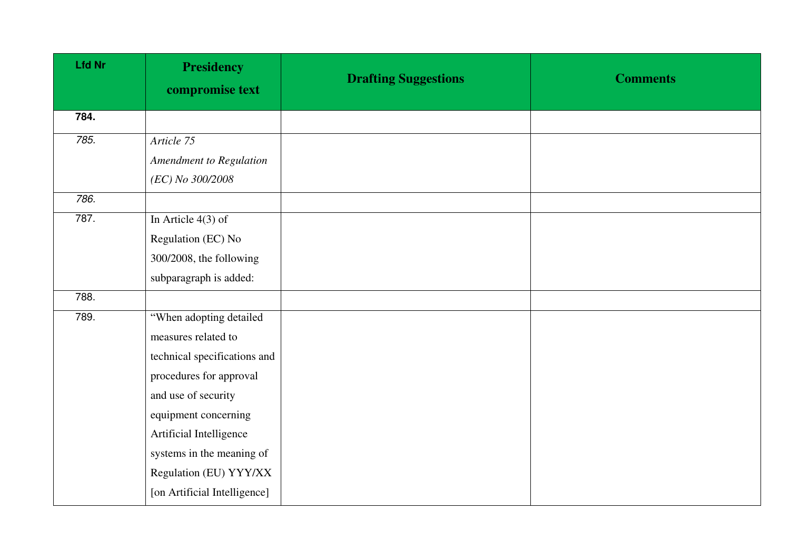| <b>Lfd Nr</b> | <b>Presidency</b><br>compromise text | <b>Drafting Suggestions</b> | <b>Comments</b> |
|---------------|--------------------------------------|-----------------------------|-----------------|
| 784.          |                                      |                             |                 |
| 785.          | Article 75                           |                             |                 |
|               | Amendment to Regulation              |                             |                 |
|               | (EC) No 300/2008                     |                             |                 |
| 786.          |                                      |                             |                 |
| 787.          | In Article $4(3)$ of                 |                             |                 |
|               | Regulation (EC) No                   |                             |                 |
|               | 300/2008, the following              |                             |                 |
|               | subparagraph is added:               |                             |                 |
| 788.          |                                      |                             |                 |
| 789.          | "When adopting detailed              |                             |                 |
|               | measures related to                  |                             |                 |
|               | technical specifications and         |                             |                 |
|               | procedures for approval              |                             |                 |
|               | and use of security                  |                             |                 |
|               | equipment concerning                 |                             |                 |
|               | Artificial Intelligence              |                             |                 |
|               | systems in the meaning of            |                             |                 |
|               | Regulation (EU) YYY/XX               |                             |                 |
|               | [on Artificial Intelligence]         |                             |                 |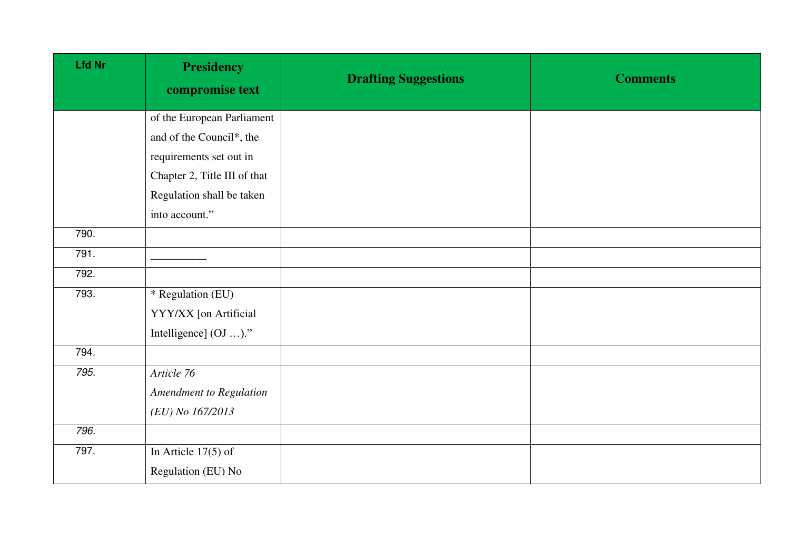| <b>Lfd Nr</b> | <b>Presidency</b><br>compromise text | <b>Drafting Suggestions</b> | <b>Comments</b> |
|---------------|--------------------------------------|-----------------------------|-----------------|
|               | of the European Parliament           |                             |                 |
|               | and of the Council*, the             |                             |                 |
|               | requirements set out in              |                             |                 |
|               | Chapter 2, Title III of that         |                             |                 |
|               | Regulation shall be taken            |                             |                 |
|               | into account."                       |                             |                 |
| 790.          |                                      |                             |                 |
| 791.          |                                      |                             |                 |
| 792.          |                                      |                             |                 |
| 793.          | $*$ Regulation (EU)                  |                             |                 |
|               | YYY/XX [on Artificial                |                             |                 |
|               | Intelligence] (OJ )."                |                             |                 |
| 794.          |                                      |                             |                 |
| 795.          | Article 76                           |                             |                 |
|               | Amendment to Regulation              |                             |                 |
|               | (EU) No 167/2013                     |                             |                 |
| 796.          |                                      |                             |                 |
| 797.          | In Article $17(5)$ of                |                             |                 |
|               | Regulation (EU) No                   |                             |                 |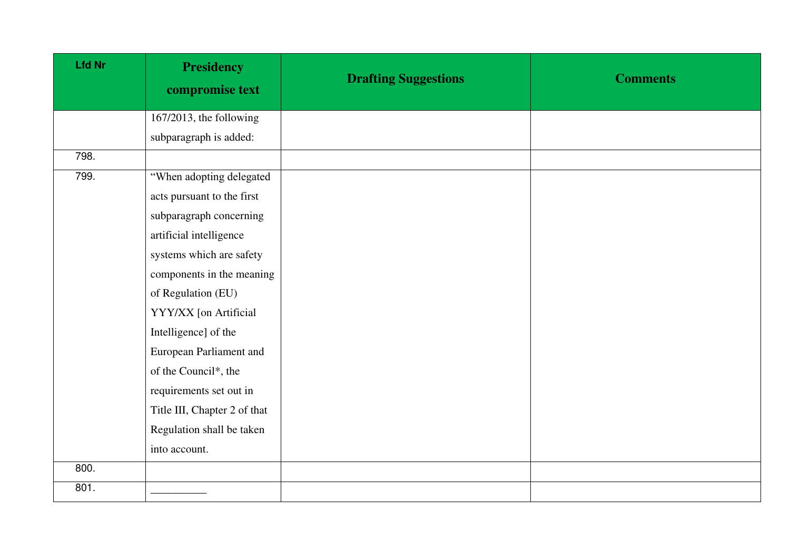| <b>Lfd Nr</b>      | <b>Presidency</b><br>compromise text | <b>Drafting Suggestions</b> | <b>Comments</b> |
|--------------------|--------------------------------------|-----------------------------|-----------------|
|                    | 167/2013, the following              |                             |                 |
|                    | subparagraph is added:               |                             |                 |
| $\overline{798}$ . |                                      |                             |                 |
| 799.               | "When adopting delegated             |                             |                 |
|                    | acts pursuant to the first           |                             |                 |
|                    | subparagraph concerning              |                             |                 |
|                    | artificial intelligence              |                             |                 |
|                    | systems which are safety             |                             |                 |
|                    | components in the meaning            |                             |                 |
|                    | of Regulation (EU)                   |                             |                 |
|                    | YYY/XX [on Artificial                |                             |                 |
|                    | Intelligence] of the                 |                             |                 |
|                    | European Parliament and              |                             |                 |
|                    | of the Council*, the                 |                             |                 |
|                    | requirements set out in              |                             |                 |
|                    | Title III, Chapter 2 of that         |                             |                 |
|                    | Regulation shall be taken            |                             |                 |
|                    | into account.                        |                             |                 |
| 800.               |                                      |                             |                 |
| 801.               |                                      |                             |                 |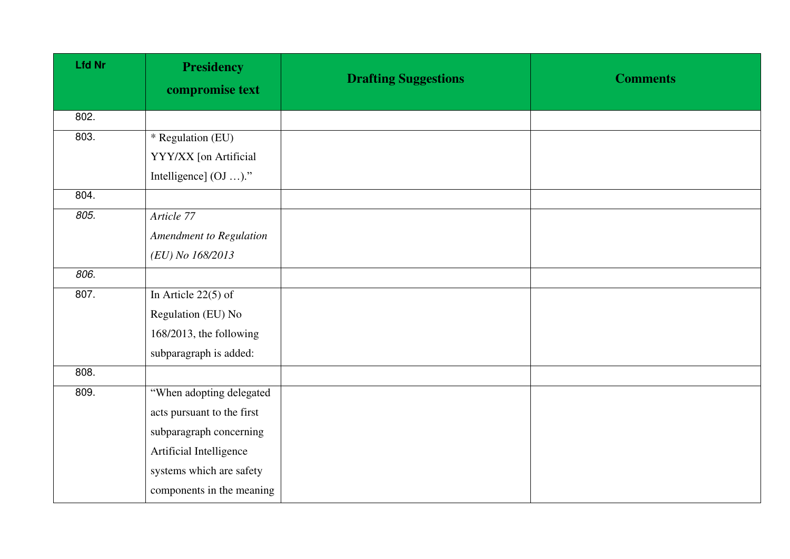| <b>Lfd Nr</b>      | <b>Presidency</b><br>compromise text | <b>Drafting Suggestions</b> | <b>Comments</b> |
|--------------------|--------------------------------------|-----------------------------|-----------------|
| 802.               |                                      |                             |                 |
| 803.               | * Regulation (EU)                    |                             |                 |
|                    | YYY/XX [on Artificial                |                             |                 |
|                    | Intelligence] (OJ )."                |                             |                 |
| 804.               |                                      |                             |                 |
| 805.               | Article 77                           |                             |                 |
|                    | Amendment to Regulation              |                             |                 |
|                    | (EU) No 168/2013                     |                             |                 |
| 806.               |                                      |                             |                 |
| 807.               | In Article $22(5)$ of                |                             |                 |
|                    | Regulation (EU) No                   |                             |                 |
|                    | 168/2013, the following              |                             |                 |
|                    | subparagraph is added:               |                             |                 |
| $\overline{808}$ . |                                      |                             |                 |
| 809.               | "When adopting delegated             |                             |                 |
|                    | acts pursuant to the first           |                             |                 |
|                    | subparagraph concerning              |                             |                 |
|                    | Artificial Intelligence              |                             |                 |
|                    | systems which are safety             |                             |                 |
|                    | components in the meaning            |                             |                 |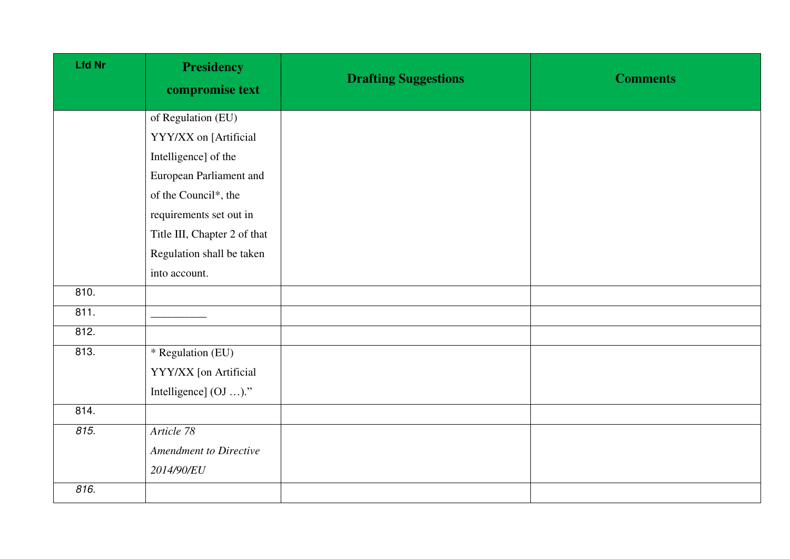| <b>Lfd Nr</b> | <b>Presidency</b><br>compromise text | <b>Drafting Suggestions</b> | <b>Comments</b> |
|---------------|--------------------------------------|-----------------------------|-----------------|
|               | of Regulation (EU)                   |                             |                 |
|               | YYY/XX on [Artificial                |                             |                 |
|               | Intelligence] of the                 |                             |                 |
|               | European Parliament and              |                             |                 |
|               | of the Council*, the                 |                             |                 |
|               | requirements set out in              |                             |                 |
|               | Title III, Chapter 2 of that         |                             |                 |
|               | Regulation shall be taken            |                             |                 |
|               | into account.                        |                             |                 |
| 810.          |                                      |                             |                 |
| 811.          |                                      |                             |                 |
| 812.          |                                      |                             |                 |
| 813.          | * Regulation (EU)                    |                             |                 |
|               | YYY/XX [on Artificial                |                             |                 |
|               | Intelligence] (OJ )."                |                             |                 |
| 814.          |                                      |                             |                 |
| 815.          | Article 78                           |                             |                 |
|               | <b>Amendment to Directive</b>        |                             |                 |
|               | 2014/90/EU                           |                             |                 |
| 816.          |                                      |                             |                 |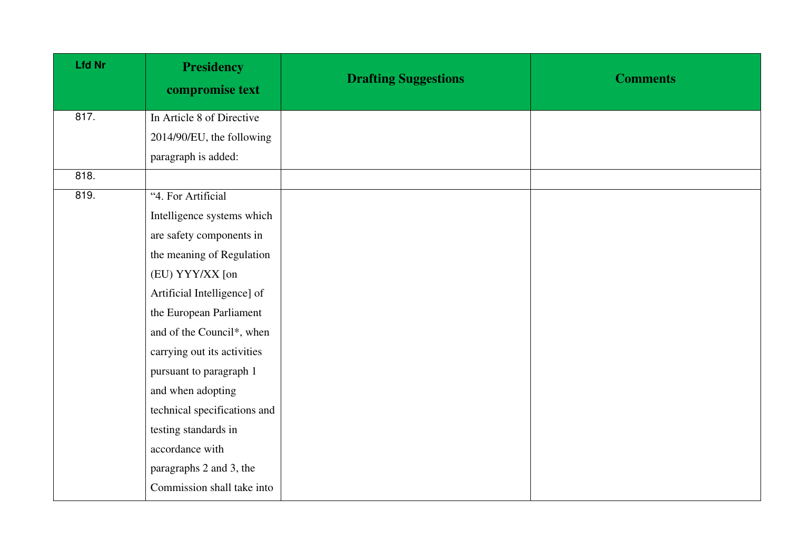| <b>Lfd Nr</b> | <b>Presidency</b><br>compromise text | <b>Drafting Suggestions</b> | <b>Comments</b> |
|---------------|--------------------------------------|-----------------------------|-----------------|
| 817.          | In Article 8 of Directive            |                             |                 |
|               | 2014/90/EU, the following            |                             |                 |
|               | paragraph is added:                  |                             |                 |
| 818.          |                                      |                             |                 |
| 819.          | "4. For Artificial                   |                             |                 |
|               | Intelligence systems which           |                             |                 |
|               | are safety components in             |                             |                 |
|               | the meaning of Regulation            |                             |                 |
|               | (EU) YYY/XX [on                      |                             |                 |
|               | Artificial Intelligence] of          |                             |                 |
|               | the European Parliament              |                             |                 |
|               | and of the Council*, when            |                             |                 |
|               | carrying out its activities          |                             |                 |
|               | pursuant to paragraph 1              |                             |                 |
|               | and when adopting                    |                             |                 |
|               | technical specifications and         |                             |                 |
|               | testing standards in                 |                             |                 |
|               | accordance with                      |                             |                 |
|               | paragraphs 2 and 3, the              |                             |                 |
|               | Commission shall take into           |                             |                 |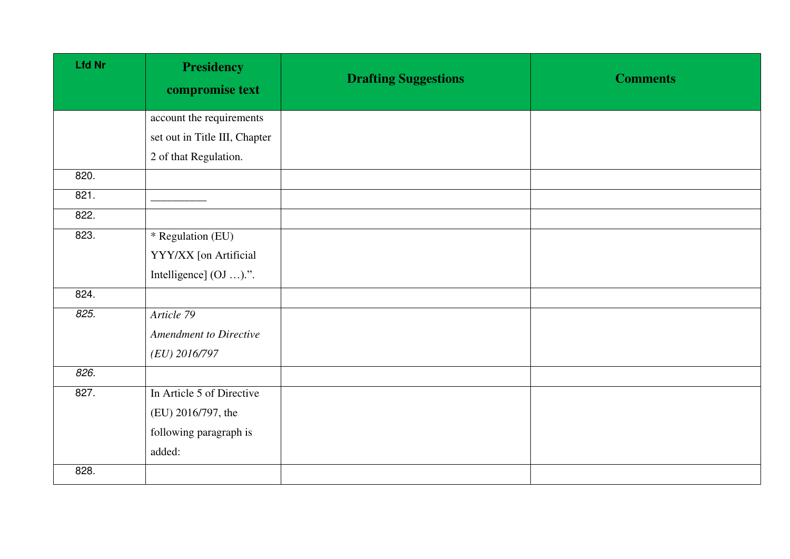| <b>Lfd Nr</b> | <b>Presidency</b><br>compromise text | <b>Drafting Suggestions</b> | <b>Comments</b> |
|---------------|--------------------------------------|-----------------------------|-----------------|
|               | account the requirements             |                             |                 |
|               | set out in Title III, Chapter        |                             |                 |
|               | 2 of that Regulation.                |                             |                 |
| 820.          |                                      |                             |                 |
| 821.          |                                      |                             |                 |
| 822.          |                                      |                             |                 |
| 823.          | * Regulation (EU)                    |                             |                 |
|               | YYY/XX [on Artificial                |                             |                 |
|               | Intelligence] (OJ ).".               |                             |                 |
| 824.          |                                      |                             |                 |
| 825.          | Article 79                           |                             |                 |
|               | <b>Amendment to Directive</b>        |                             |                 |
|               | $(EU)$ 2016/797                      |                             |                 |
| 826.          |                                      |                             |                 |
| 827.          | In Article 5 of Directive            |                             |                 |
|               | (EU) 2016/797, the                   |                             |                 |
|               | following paragraph is               |                             |                 |
|               | added:                               |                             |                 |
| 828.          |                                      |                             |                 |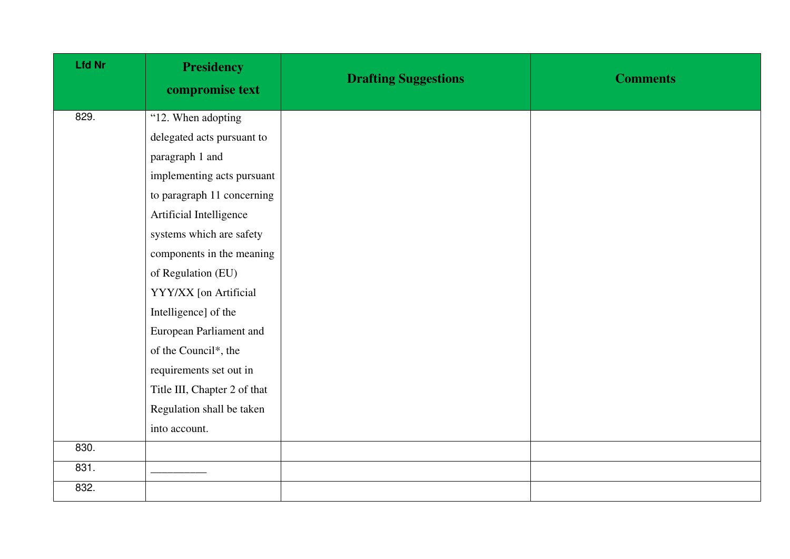| <b>Lfd Nr</b> | <b>Presidency</b><br>compromise text | <b>Drafting Suggestions</b> | <b>Comments</b> |
|---------------|--------------------------------------|-----------------------------|-----------------|
| 829.          | "12. When adopting                   |                             |                 |
|               | delegated acts pursuant to           |                             |                 |
|               | paragraph 1 and                      |                             |                 |
|               | implementing acts pursuant           |                             |                 |
|               | to paragraph 11 concerning           |                             |                 |
|               | Artificial Intelligence              |                             |                 |
|               | systems which are safety             |                             |                 |
|               | components in the meaning            |                             |                 |
|               | of Regulation (EU)                   |                             |                 |
|               | YYY/XX [on Artificial                |                             |                 |
|               | Intelligence] of the                 |                             |                 |
|               | European Parliament and              |                             |                 |
|               | of the Council*, the                 |                             |                 |
|               | requirements set out in              |                             |                 |
|               | Title III, Chapter 2 of that         |                             |                 |
|               | Regulation shall be taken            |                             |                 |
|               | into account.                        |                             |                 |
| 830.          |                                      |                             |                 |
| 831.          |                                      |                             |                 |
| 832.          |                                      |                             |                 |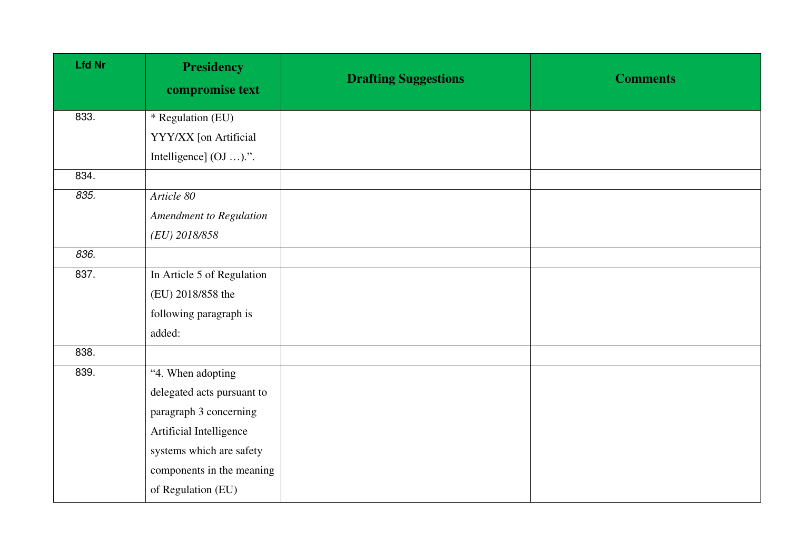| <b>Presidency</b><br>compromise text | <b>Drafting Suggestions</b> | <b>Comments</b> |
|--------------------------------------|-----------------------------|-----------------|
| * Regulation (EU)                    |                             |                 |
| YYY/XX [on Artificial                |                             |                 |
| Intelligence] (OJ ).".               |                             |                 |
|                                      |                             |                 |
| Article 80                           |                             |                 |
| Amendment to Regulation              |                             |                 |
| (EU) 2018/858                        |                             |                 |
|                                      |                             |                 |
| In Article 5 of Regulation           |                             |                 |
| (EU) 2018/858 the                    |                             |                 |
| following paragraph is               |                             |                 |
| added:                               |                             |                 |
|                                      |                             |                 |
| "4. When adopting                    |                             |                 |
| delegated acts pursuant to           |                             |                 |
| paragraph 3 concerning               |                             |                 |
| Artificial Intelligence              |                             |                 |
| systems which are safety             |                             |                 |
| components in the meaning            |                             |                 |
| of Regulation (EU)                   |                             |                 |
|                                      |                             |                 |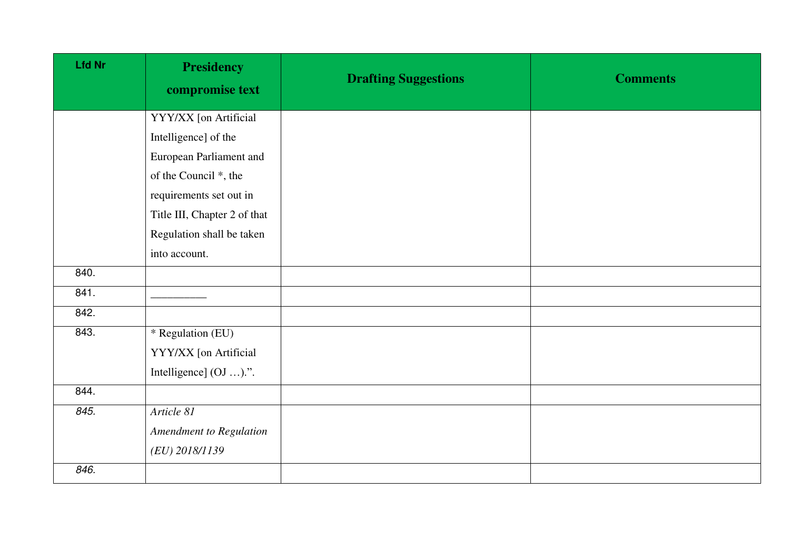| <b>Lfd Nr</b> | <b>Presidency</b><br>compromise text | <b>Drafting Suggestions</b> | <b>Comments</b> |
|---------------|--------------------------------------|-----------------------------|-----------------|
|               | YYY/XX [on Artificial                |                             |                 |
|               | Intelligence] of the                 |                             |                 |
|               | European Parliament and              |                             |                 |
|               | of the Council *, the                |                             |                 |
|               | requirements set out in              |                             |                 |
|               | Title III, Chapter 2 of that         |                             |                 |
|               | Regulation shall be taken            |                             |                 |
|               | into account.                        |                             |                 |
| 840.          |                                      |                             |                 |
| 841.          |                                      |                             |                 |
| 842.          |                                      |                             |                 |
| 843.          | * Regulation (EU)                    |                             |                 |
|               | YYY/XX [on Artificial                |                             |                 |
|               | Intelligence] (OJ ).".               |                             |                 |
| 844.          |                                      |                             |                 |
| 845.          | Article 81                           |                             |                 |
|               | Amendment to Regulation              |                             |                 |
|               | (EU) 2018/1139                       |                             |                 |
| 846.          |                                      |                             |                 |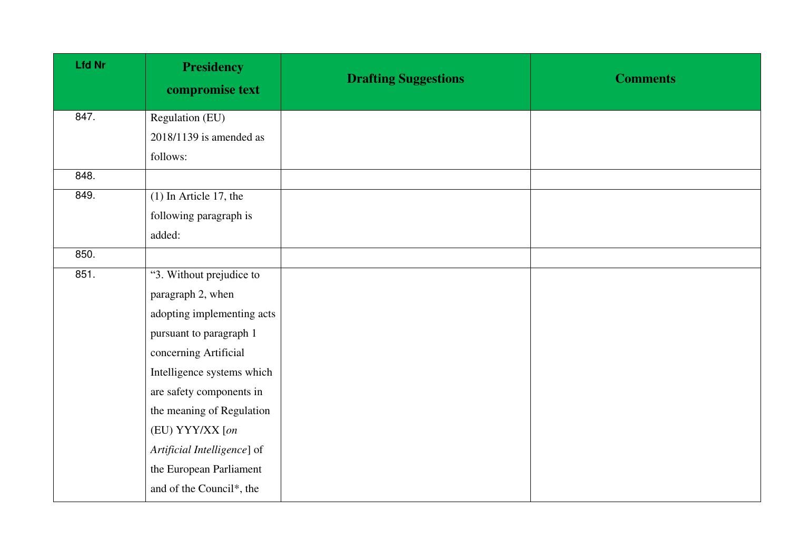| <b>Lfd Nr</b> | <b>Presidency</b><br>compromise text | <b>Drafting Suggestions</b> | <b>Comments</b> |
|---------------|--------------------------------------|-----------------------------|-----------------|
| 847.          | Regulation (EU)                      |                             |                 |
|               | $2018/1139$ is amended as            |                             |                 |
|               | follows:                             |                             |                 |
| 848.          |                                      |                             |                 |
| 849.          | $(1)$ In Article 17, the             |                             |                 |
|               | following paragraph is               |                             |                 |
|               | added:                               |                             |                 |
| 850.          |                                      |                             |                 |
| 851.          | "3. Without prejudice to             |                             |                 |
|               | paragraph 2, when                    |                             |                 |
|               | adopting implementing acts           |                             |                 |
|               | pursuant to paragraph 1              |                             |                 |
|               | concerning Artificial                |                             |                 |
|               | Intelligence systems which           |                             |                 |
|               | are safety components in             |                             |                 |
|               | the meaning of Regulation            |                             |                 |
|               | (EU) YYY/XX [on                      |                             |                 |
|               | Artificial Intelligence] of          |                             |                 |
|               | the European Parliament              |                             |                 |
|               | and of the Council*, the             |                             |                 |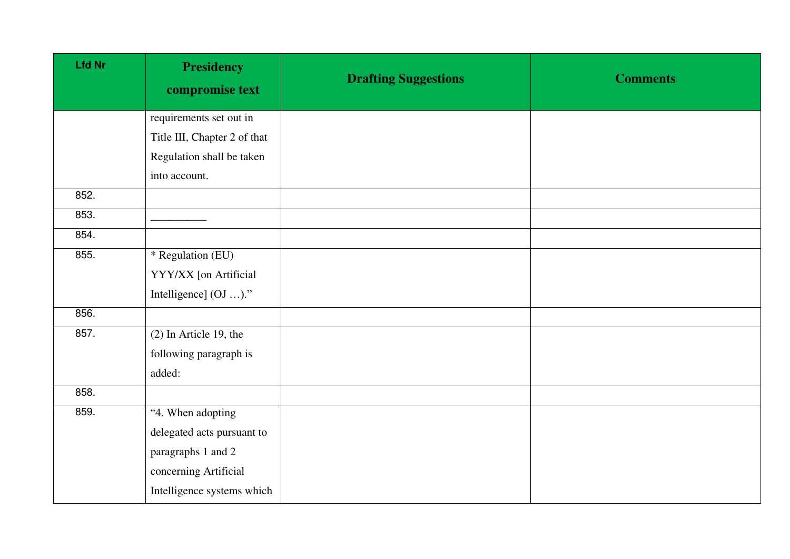| <b>Lfd Nr</b> | <b>Presidency</b><br>compromise text | <b>Drafting Suggestions</b> | <b>Comments</b> |
|---------------|--------------------------------------|-----------------------------|-----------------|
|               | requirements set out in              |                             |                 |
|               | Title III, Chapter 2 of that         |                             |                 |
|               | Regulation shall be taken            |                             |                 |
|               | into account.                        |                             |                 |
| 852.          |                                      |                             |                 |
| 853.          |                                      |                             |                 |
| 854.          |                                      |                             |                 |
| 855.          | * Regulation (EU)                    |                             |                 |
|               | YYY/XX [on Artificial                |                             |                 |
|               | Intelligence] (OJ )."                |                             |                 |
| 856.          |                                      |                             |                 |
| 857.          | $(2)$ In Article 19, the             |                             |                 |
|               | following paragraph is               |                             |                 |
|               | added:                               |                             |                 |
| 858.          |                                      |                             |                 |
| 859.          | "4. When adopting                    |                             |                 |
|               | delegated acts pursuant to           |                             |                 |
|               | paragraphs 1 and 2                   |                             |                 |
|               | concerning Artificial                |                             |                 |
|               | Intelligence systems which           |                             |                 |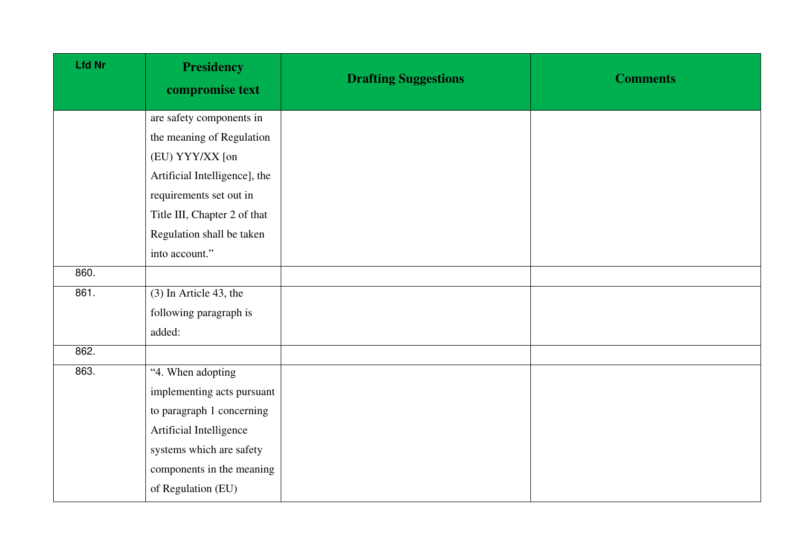| <b>Lfd Nr</b> | <b>Presidency</b><br>compromise text | <b>Drafting Suggestions</b> | <b>Comments</b> |
|---------------|--------------------------------------|-----------------------------|-----------------|
|               | are safety components in             |                             |                 |
|               | the meaning of Regulation            |                             |                 |
|               | (EU) YYY/XX [on                      |                             |                 |
|               | Artificial Intelligence], the        |                             |                 |
|               | requirements set out in              |                             |                 |
|               | Title III, Chapter 2 of that         |                             |                 |
|               | Regulation shall be taken            |                             |                 |
|               | into account."                       |                             |                 |
| 860.          |                                      |                             |                 |
| 861.          | $(3)$ In Article 43, the             |                             |                 |
|               | following paragraph is               |                             |                 |
|               | added:                               |                             |                 |
| 862.          |                                      |                             |                 |
| 863.          | "4. When adopting                    |                             |                 |
|               | implementing acts pursuant           |                             |                 |
|               | to paragraph 1 concerning            |                             |                 |
|               | Artificial Intelligence              |                             |                 |
|               | systems which are safety             |                             |                 |
|               | components in the meaning            |                             |                 |
|               | of Regulation (EU)                   |                             |                 |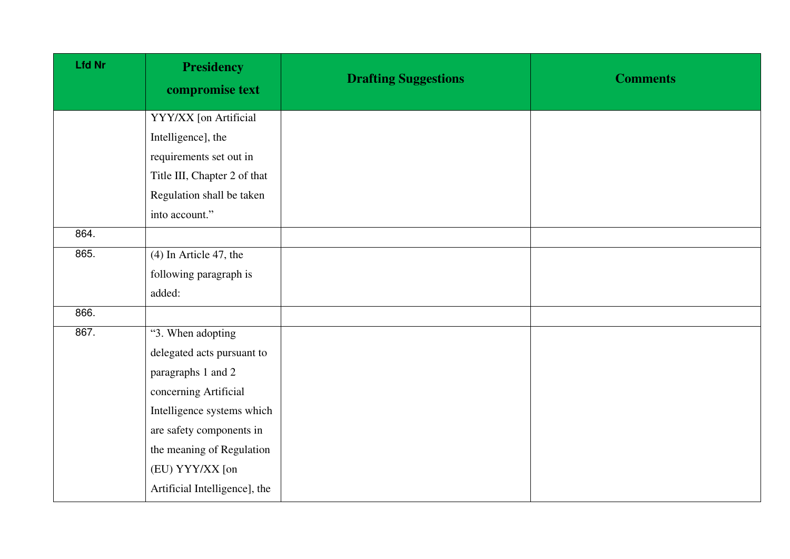| <b>Lfd Nr</b> | <b>Presidency</b><br>compromise text | <b>Drafting Suggestions</b> | <b>Comments</b> |
|---------------|--------------------------------------|-----------------------------|-----------------|
|               | YYY/XX [on Artificial                |                             |                 |
|               | Intelligence], the                   |                             |                 |
|               | requirements set out in              |                             |                 |
|               | Title III, Chapter 2 of that         |                             |                 |
|               | Regulation shall be taken            |                             |                 |
|               | into account."                       |                             |                 |
| 864.          |                                      |                             |                 |
| 865.          | $(4)$ In Article 47, the             |                             |                 |
|               | following paragraph is               |                             |                 |
|               | added:                               |                             |                 |
| 866.          |                                      |                             |                 |
| 867.          | "3. When adopting                    |                             |                 |
|               | delegated acts pursuant to           |                             |                 |
|               | paragraphs 1 and 2                   |                             |                 |
|               | concerning Artificial                |                             |                 |
|               | Intelligence systems which           |                             |                 |
|               | are safety components in             |                             |                 |
|               | the meaning of Regulation            |                             |                 |
|               | (EU) YYY/XX [on                      |                             |                 |
|               | Artificial Intelligence], the        |                             |                 |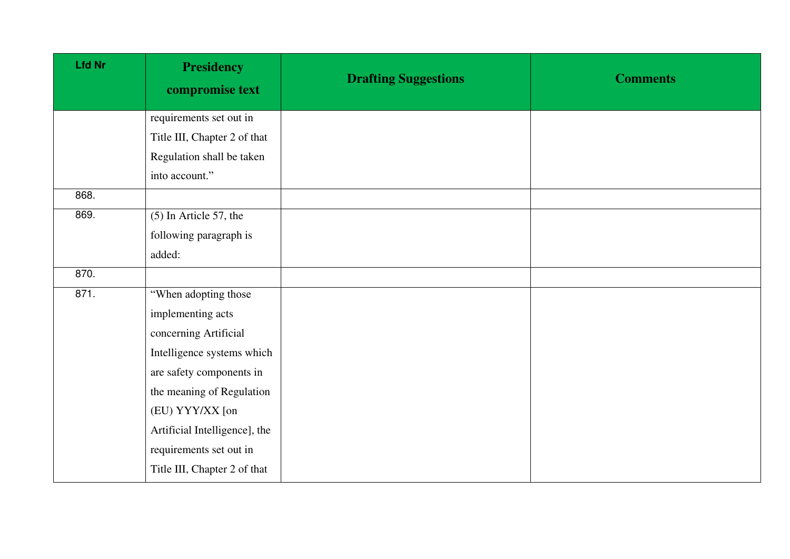| <b>Lfd Nr</b> | <b>Presidency</b><br>compromise text | <b>Drafting Suggestions</b> | <b>Comments</b> |
|---------------|--------------------------------------|-----------------------------|-----------------|
|               | requirements set out in              |                             |                 |
|               | Title III, Chapter 2 of that         |                             |                 |
|               | Regulation shall be taken            |                             |                 |
|               | into account."                       |                             |                 |
| 868.          |                                      |                             |                 |
| 869.          | $(5)$ In Article 57, the             |                             |                 |
|               | following paragraph is               |                             |                 |
|               | added:                               |                             |                 |
| 870.          |                                      |                             |                 |
| 871.          | "When adopting those                 |                             |                 |
|               | implementing acts                    |                             |                 |
|               | concerning Artificial                |                             |                 |
|               | Intelligence systems which           |                             |                 |
|               | are safety components in             |                             |                 |
|               | the meaning of Regulation            |                             |                 |
|               | (EU) YYY/XX [on                      |                             |                 |
|               | Artificial Intelligence], the        |                             |                 |
|               | requirements set out in              |                             |                 |
|               | Title III, Chapter 2 of that         |                             |                 |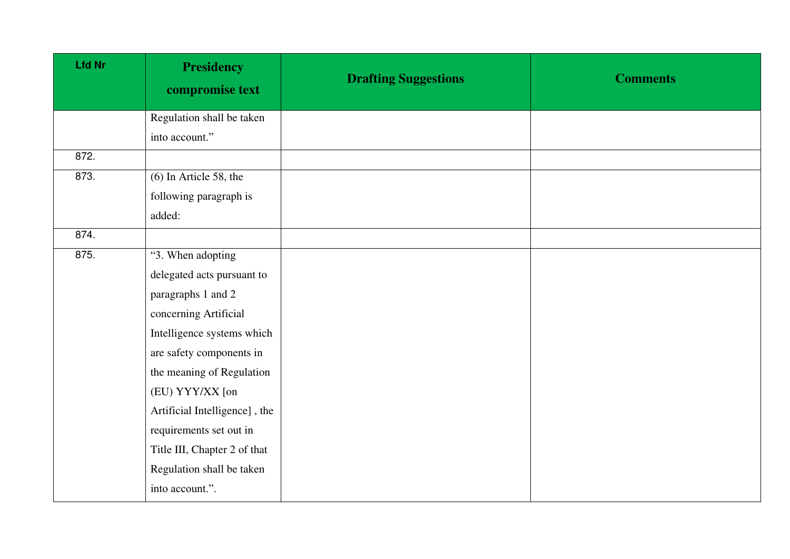| <b>Lfd Nr</b> | <b>Presidency</b><br>compromise text | <b>Drafting Suggestions</b> | <b>Comments</b> |
|---------------|--------------------------------------|-----------------------------|-----------------|
|               | Regulation shall be taken            |                             |                 |
|               | into account."                       |                             |                 |
| 872.          |                                      |                             |                 |
| 873.          | $(6)$ In Article 58, the             |                             |                 |
|               | following paragraph is               |                             |                 |
|               | added:                               |                             |                 |
| 874.          |                                      |                             |                 |
| 875.          | "3. When adopting                    |                             |                 |
|               | delegated acts pursuant to           |                             |                 |
|               | paragraphs 1 and 2                   |                             |                 |
|               | concerning Artificial                |                             |                 |
|               | Intelligence systems which           |                             |                 |
|               | are safety components in             |                             |                 |
|               | the meaning of Regulation            |                             |                 |
|               | (EU) YYY/XX [on                      |                             |                 |
|               | Artificial Intelligence], the        |                             |                 |
|               | requirements set out in              |                             |                 |
|               | Title III, Chapter 2 of that         |                             |                 |
|               | Regulation shall be taken            |                             |                 |
|               | into account.".                      |                             |                 |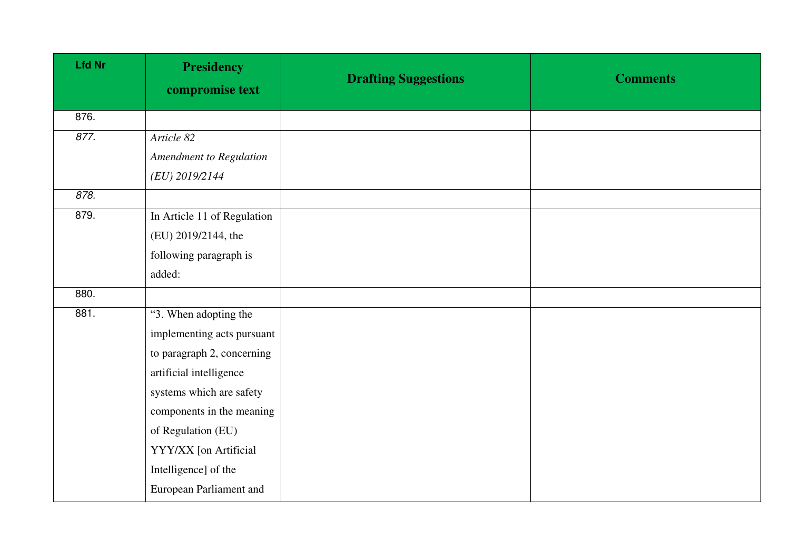| <b>Lfd Nr</b> | <b>Presidency</b><br>compromise text | <b>Drafting Suggestions</b> | <b>Comments</b> |
|---------------|--------------------------------------|-----------------------------|-----------------|
| 876.          |                                      |                             |                 |
| 877.          | Article 82                           |                             |                 |
|               | <b>Amendment to Regulation</b>       |                             |                 |
|               | (EU) 2019/2144                       |                             |                 |
| 878.          |                                      |                             |                 |
| 879.          | In Article 11 of Regulation          |                             |                 |
|               | (EU) 2019/2144, the                  |                             |                 |
|               | following paragraph is               |                             |                 |
|               | added:                               |                             |                 |
| 880.          |                                      |                             |                 |
| 881.          | "3. When adopting the                |                             |                 |
|               | implementing acts pursuant           |                             |                 |
|               | to paragraph 2, concerning           |                             |                 |
|               | artificial intelligence              |                             |                 |
|               | systems which are safety             |                             |                 |
|               | components in the meaning            |                             |                 |
|               | of Regulation (EU)                   |                             |                 |
|               | YYY/XX [on Artificial                |                             |                 |
|               | Intelligence] of the                 |                             |                 |
|               | European Parliament and              |                             |                 |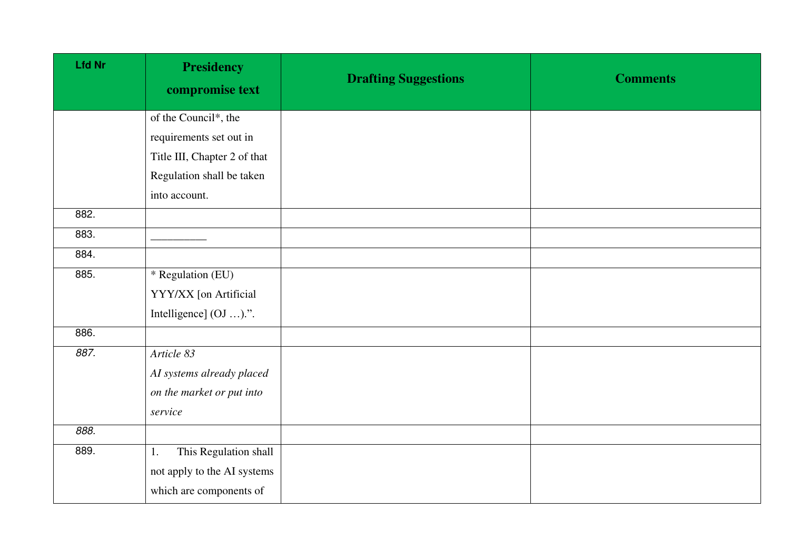| <b>Lfd Nr</b> | <b>Presidency</b><br>compromise text | <b>Drafting Suggestions</b> | <b>Comments</b> |
|---------------|--------------------------------------|-----------------------------|-----------------|
|               | of the Council*, the                 |                             |                 |
|               | requirements set out in              |                             |                 |
|               | Title III, Chapter 2 of that         |                             |                 |
|               | Regulation shall be taken            |                             |                 |
|               | into account.                        |                             |                 |
| 882.          |                                      |                             |                 |
| 883.          |                                      |                             |                 |
| 884.          |                                      |                             |                 |
| 885.          | * Regulation (EU)                    |                             |                 |
|               | YYY/XX [on Artificial                |                             |                 |
|               | Intelligence] (OJ ).".               |                             |                 |
| 886.          |                                      |                             |                 |
| 887.          | Article 83                           |                             |                 |
|               | AI systems already placed            |                             |                 |
|               | on the market or put into            |                             |                 |
|               | service                              |                             |                 |
| 888.          |                                      |                             |                 |
| 889.          | This Regulation shall<br>1.          |                             |                 |
|               | not apply to the AI systems          |                             |                 |
|               | which are components of              |                             |                 |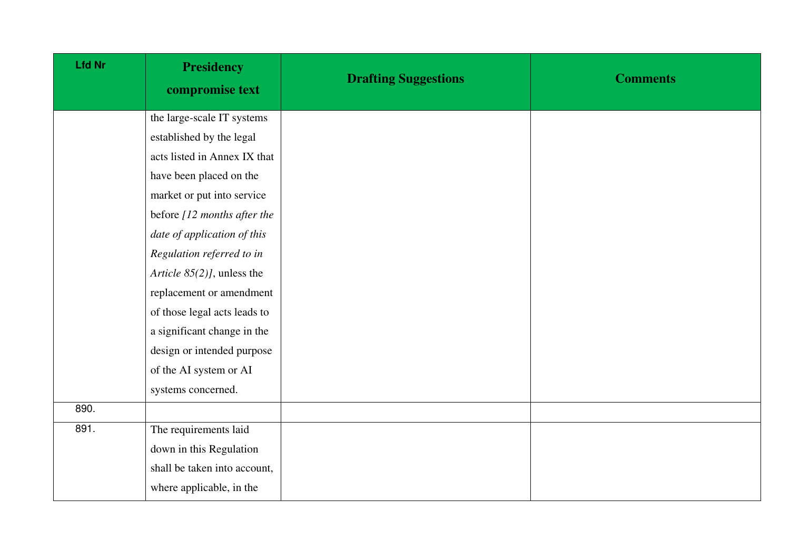| <b>Lfd Nr</b> | <b>Presidency</b><br>compromise text | <b>Drafting Suggestions</b> | <b>Comments</b> |
|---------------|--------------------------------------|-----------------------------|-----------------|
|               | the large-scale IT systems           |                             |                 |
|               | established by the legal             |                             |                 |
|               | acts listed in Annex IX that         |                             |                 |
|               | have been placed on the              |                             |                 |
|               | market or put into service           |                             |                 |
|               | before [12 months after the          |                             |                 |
|               | date of application of this          |                             |                 |
|               | Regulation referred to in            |                             |                 |
|               | Article 85(2)], unless the           |                             |                 |
|               | replacement or amendment             |                             |                 |
|               | of those legal acts leads to         |                             |                 |
|               | a significant change in the          |                             |                 |
|               | design or intended purpose           |                             |                 |
|               | of the AI system or AI               |                             |                 |
|               | systems concerned.                   |                             |                 |
| 890.          |                                      |                             |                 |
| 891.          | The requirements laid                |                             |                 |
|               | down in this Regulation              |                             |                 |
|               | shall be taken into account,         |                             |                 |
|               | where applicable, in the             |                             |                 |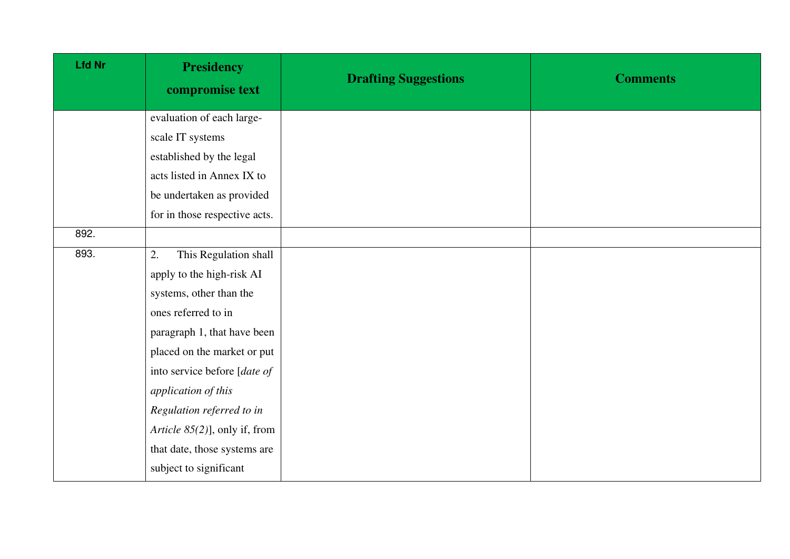| <b>Lfd Nr</b> | <b>Presidency</b><br>compromise text | <b>Drafting Suggestions</b> | <b>Comments</b> |
|---------------|--------------------------------------|-----------------------------|-----------------|
|               | evaluation of each large-            |                             |                 |
|               | scale IT systems                     |                             |                 |
|               | established by the legal             |                             |                 |
|               | acts listed in Annex IX to           |                             |                 |
|               | be undertaken as provided            |                             |                 |
|               | for in those respective acts.        |                             |                 |
| 892.          |                                      |                             |                 |
| 893.          | This Regulation shall<br>2.          |                             |                 |
|               | apply to the high-risk AI            |                             |                 |
|               | systems, other than the              |                             |                 |
|               | ones referred to in                  |                             |                 |
|               | paragraph 1, that have been          |                             |                 |
|               | placed on the market or put          |                             |                 |
|               | into service before [date of         |                             |                 |
|               | application of this                  |                             |                 |
|               | Regulation referred to in            |                             |                 |
|               | Article 85(2)], only if, from        |                             |                 |
|               | that date, those systems are         |                             |                 |
|               | subject to significant               |                             |                 |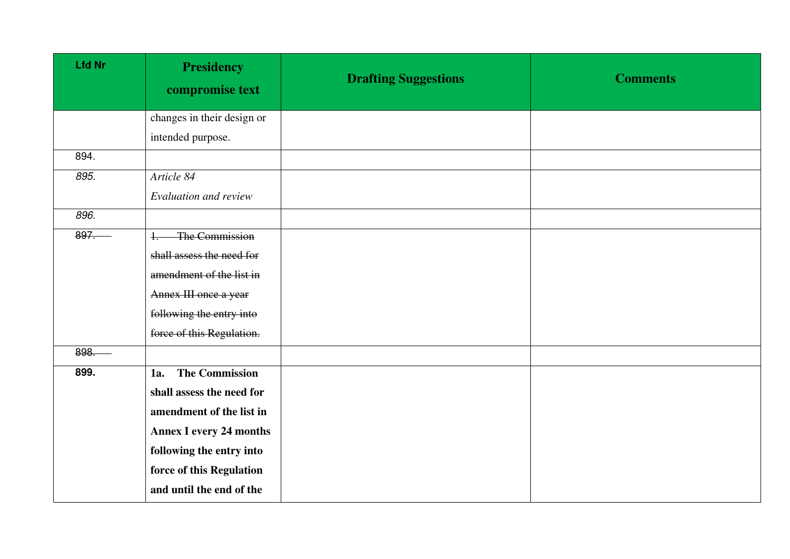| <b>Lfd Nr</b> | <b>Presidency</b><br>compromise text | <b>Drafting Suggestions</b> | <b>Comments</b> |
|---------------|--------------------------------------|-----------------------------|-----------------|
|               | changes in their design or           |                             |                 |
|               | intended purpose.                    |                             |                 |
| 894.          |                                      |                             |                 |
| 895.          | Article 84                           |                             |                 |
|               | Evaluation and review                |                             |                 |
| 896.          |                                      |                             |                 |
| 897.          | The Commission<br>$+$                |                             |                 |
|               | shall assess the need for            |                             |                 |
|               | amendment of the list in             |                             |                 |
|               | Annex III once a year                |                             |                 |
|               | following the entry into             |                             |                 |
|               | force of this Regulation.            |                             |                 |
| 898.          |                                      |                             |                 |
| 899.          | <b>The Commission</b><br>1a.         |                             |                 |
|               | shall assess the need for            |                             |                 |
|               | amendment of the list in             |                             |                 |
|               | <b>Annex I every 24 months</b>       |                             |                 |
|               | following the entry into             |                             |                 |
|               | force of this Regulation             |                             |                 |
|               | and until the end of the             |                             |                 |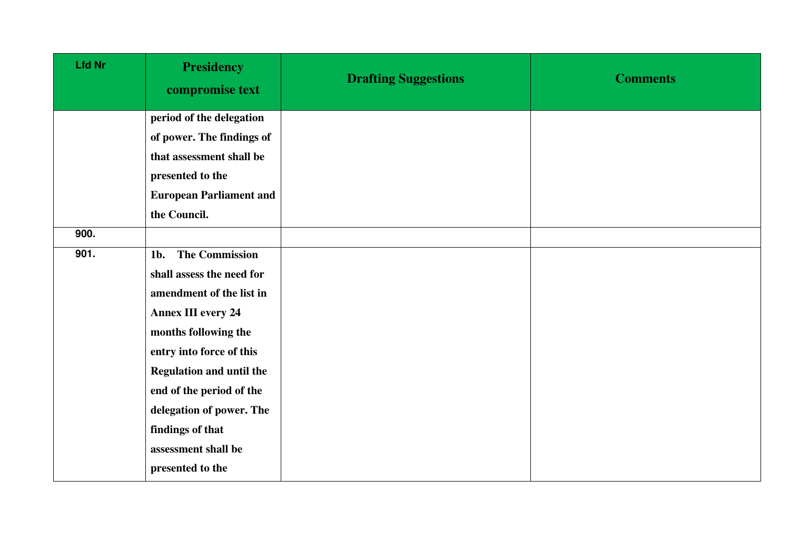| <b>Lfd Nr</b> | <b>Presidency</b><br>compromise text | <b>Drafting Suggestions</b> | <b>Comments</b> |
|---------------|--------------------------------------|-----------------------------|-----------------|
|               | period of the delegation             |                             |                 |
|               | of power. The findings of            |                             |                 |
|               | that assessment shall be             |                             |                 |
|               | presented to the                     |                             |                 |
|               | <b>European Parliament and</b>       |                             |                 |
|               | the Council.                         |                             |                 |
| 900.          |                                      |                             |                 |
| 901.          | 1b. The Commission                   |                             |                 |
|               | shall assess the need for            |                             |                 |
|               | amendment of the list in             |                             |                 |
|               | <b>Annex III every 24</b>            |                             |                 |
|               | months following the                 |                             |                 |
|               | entry into force of this             |                             |                 |
|               | <b>Regulation and until the</b>      |                             |                 |
|               | end of the period of the             |                             |                 |
|               | delegation of power. The             |                             |                 |
|               | findings of that                     |                             |                 |
|               | assessment shall be                  |                             |                 |
|               | presented to the                     |                             |                 |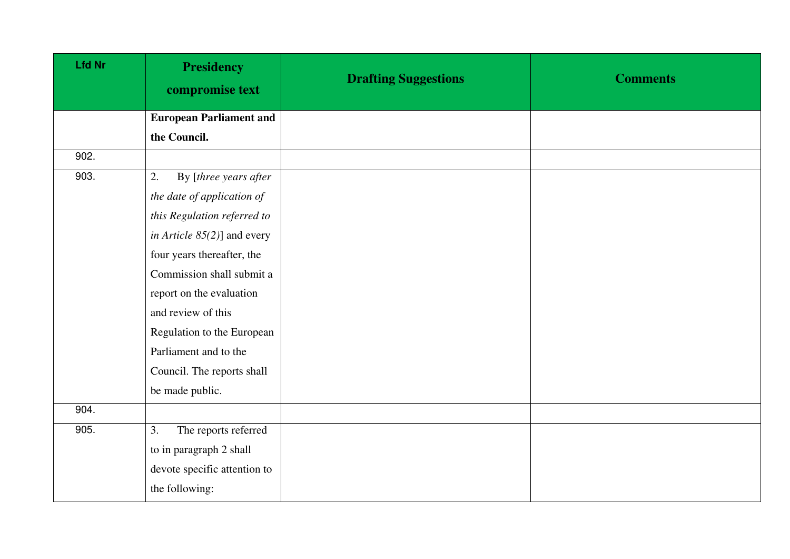| <b>Lfd Nr</b>                  | <b>Presidency</b><br>compromise text | <b>Drafting Suggestions</b> | <b>Comments</b> |
|--------------------------------|--------------------------------------|-----------------------------|-----------------|
|                                | <b>European Parliament and</b>       |                             |                 |
|                                | the Council.                         |                             |                 |
| $\overline{90}$ <sub>2</sub> . |                                      |                             |                 |
| 903.                           | 2.<br>By [three years after          |                             |                 |
|                                | the date of application of           |                             |                 |
|                                | this Regulation referred to          |                             |                 |
|                                | in Article $85(2)$ ] and every       |                             |                 |
|                                | four years thereafter, the           |                             |                 |
|                                | Commission shall submit a            |                             |                 |
|                                | report on the evaluation             |                             |                 |
|                                | and review of this                   |                             |                 |
|                                | Regulation to the European           |                             |                 |
|                                | Parliament and to the                |                             |                 |
|                                | Council. The reports shall           |                             |                 |
|                                | be made public.                      |                             |                 |
| 904.                           |                                      |                             |                 |
| 905.                           | The reports referred<br>3.           |                             |                 |
|                                | to in paragraph 2 shall              |                             |                 |
|                                | devote specific attention to         |                             |                 |
|                                | the following:                       |                             |                 |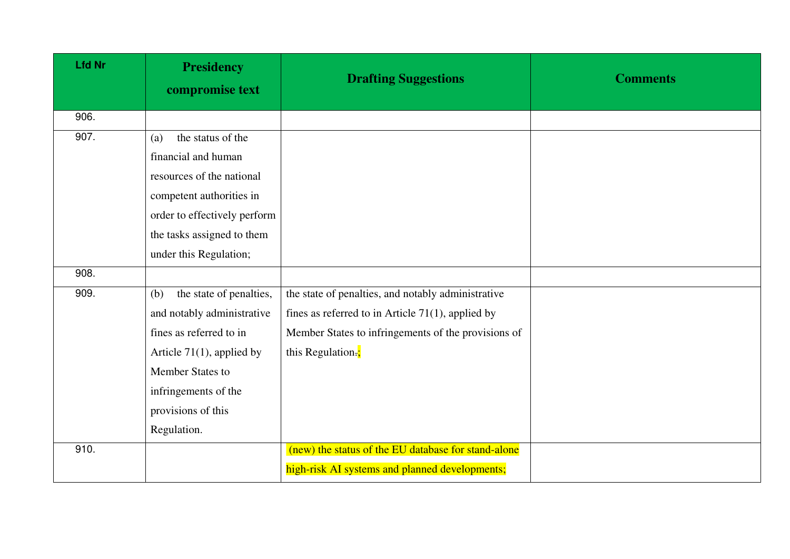| <b>Lfd Nr</b> | <b>Presidency</b><br>compromise text | <b>Drafting Suggestions</b>                          | <b>Comments</b> |
|---------------|--------------------------------------|------------------------------------------------------|-----------------|
| 906.          |                                      |                                                      |                 |
| 907.          | the status of the<br>(a)             |                                                      |                 |
|               | financial and human                  |                                                      |                 |
|               | resources of the national            |                                                      |                 |
|               | competent authorities in             |                                                      |                 |
|               | order to effectively perform         |                                                      |                 |
|               | the tasks assigned to them           |                                                      |                 |
|               | under this Regulation;               |                                                      |                 |
| 908.          |                                      |                                                      |                 |
| 909.          | the state of penalties,<br>(b)       | the state of penalties, and notably administrative   |                 |
|               | and notably administrative           | fines as referred to in Article $71(1)$ , applied by |                 |
|               | fines as referred to in              | Member States to infringements of the provisions of  |                 |
|               | Article $71(1)$ , applied by         | this Regulation.;                                    |                 |
|               | Member States to                     |                                                      |                 |
|               | infringements of the                 |                                                      |                 |
|               | provisions of this                   |                                                      |                 |
|               | Regulation.                          |                                                      |                 |
| 910.          |                                      | (new) the status of the EU database for stand-alone  |                 |
|               |                                      | high-risk AI systems and planned developments;       |                 |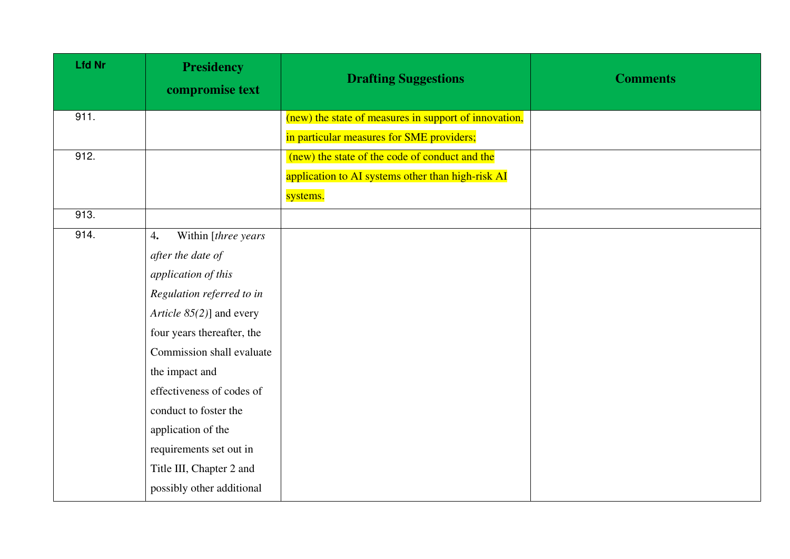| <b>Lfd Nr</b> | <b>Presidency</b><br>compromise text | <b>Drafting Suggestions</b>                           | <b>Comments</b> |
|---------------|--------------------------------------|-------------------------------------------------------|-----------------|
| 911.          |                                      | (new) the state of measures in support of innovation, |                 |
|               |                                      | in particular measures for SME providers;             |                 |
| 912.          |                                      | (new) the state of the code of conduct and the        |                 |
|               |                                      | application to AI systems other than high-risk AI     |                 |
|               |                                      | systems.                                              |                 |
| 913.          |                                      |                                                       |                 |
| 914.          | Within [three years]<br>4.           |                                                       |                 |
|               | after the date of                    |                                                       |                 |
|               | application of this                  |                                                       |                 |
|               | Regulation referred to in            |                                                       |                 |
|               | Article $85(2)$ ] and every          |                                                       |                 |
|               | four years thereafter, the           |                                                       |                 |
|               | Commission shall evaluate            |                                                       |                 |
|               | the impact and                       |                                                       |                 |
|               | effectiveness of codes of            |                                                       |                 |
|               | conduct to foster the                |                                                       |                 |
|               | application of the                   |                                                       |                 |
|               | requirements set out in              |                                                       |                 |
|               | Title III, Chapter 2 and             |                                                       |                 |
|               | possibly other additional            |                                                       |                 |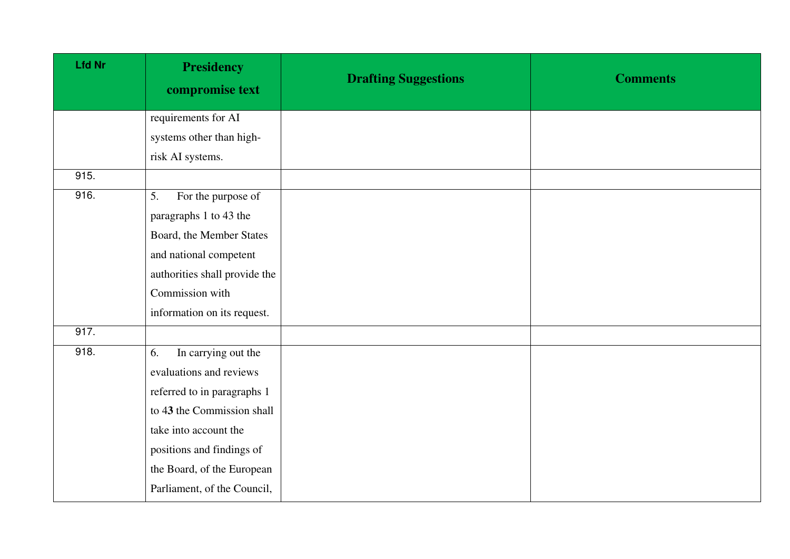| <b>Lfd Nr</b> | <b>Presidency</b><br>compromise text | <b>Drafting Suggestions</b> | <b>Comments</b> |
|---------------|--------------------------------------|-----------------------------|-----------------|
|               | requirements for AI                  |                             |                 |
|               | systems other than high-             |                             |                 |
|               | risk AI systems.                     |                             |                 |
| 915.          |                                      |                             |                 |
| 916.          | For the purpose of<br>5.             |                             |                 |
|               | paragraphs 1 to 43 the               |                             |                 |
|               | Board, the Member States             |                             |                 |
|               | and national competent               |                             |                 |
|               | authorities shall provide the        |                             |                 |
|               | Commission with                      |                             |                 |
|               | information on its request.          |                             |                 |
| 917.          |                                      |                             |                 |
| 918.          | In carrying out the<br>6.            |                             |                 |
|               | evaluations and reviews              |                             |                 |
|               | referred to in paragraphs 1          |                             |                 |
|               | to 43 the Commission shall           |                             |                 |
|               | take into account the                |                             |                 |
|               | positions and findings of            |                             |                 |
|               | the Board, of the European           |                             |                 |
|               | Parliament, of the Council,          |                             |                 |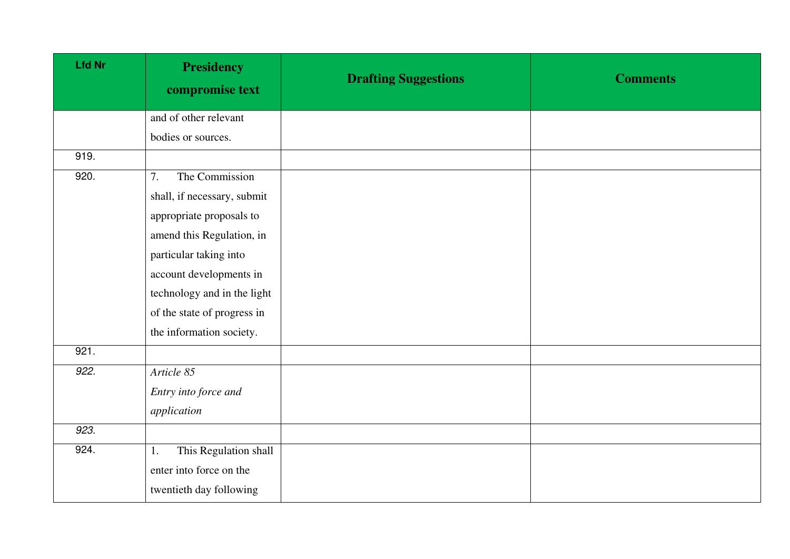| <b>Lfd Nr</b> | <b>Presidency</b><br>compromise text | <b>Drafting Suggestions</b> | <b>Comments</b> |
|---------------|--------------------------------------|-----------------------------|-----------------|
|               | and of other relevant                |                             |                 |
|               | bodies or sources.                   |                             |                 |
| 919.          |                                      |                             |                 |
| 920.          | The Commission<br>7.                 |                             |                 |
|               | shall, if necessary, submit          |                             |                 |
|               | appropriate proposals to             |                             |                 |
|               | amend this Regulation, in            |                             |                 |
|               | particular taking into               |                             |                 |
|               | account developments in              |                             |                 |
|               | technology and in the light          |                             |                 |
|               | of the state of progress in          |                             |                 |
|               | the information society.             |                             |                 |
| 921.          |                                      |                             |                 |
| 922.          | Article 85                           |                             |                 |
|               | Entry into force and                 |                             |                 |
|               | application                          |                             |                 |
| 923.          |                                      |                             |                 |
| 924.          | This Regulation shall<br>1.          |                             |                 |
|               | enter into force on the              |                             |                 |
|               | twentieth day following              |                             |                 |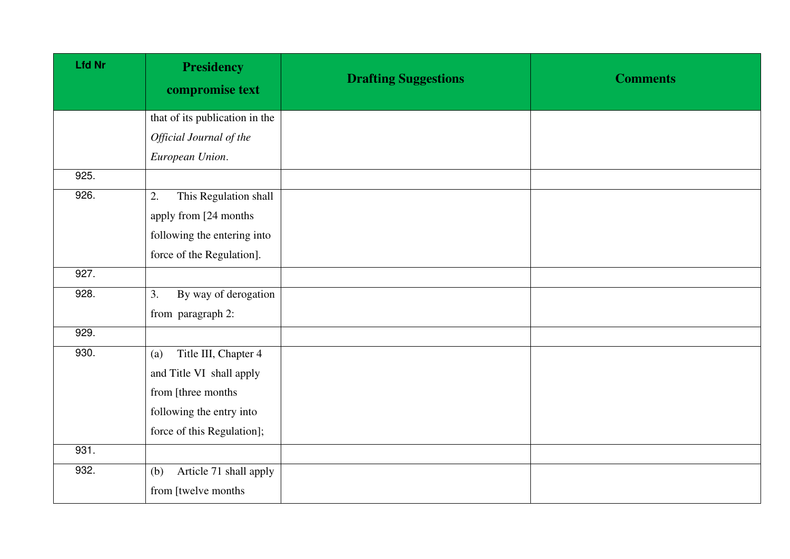| <b>Lfd Nr</b> | <b>Presidency</b><br>compromise text | <b>Drafting Suggestions</b> | <b>Comments</b> |
|---------------|--------------------------------------|-----------------------------|-----------------|
|               | that of its publication in the       |                             |                 |
|               | Official Journal of the              |                             |                 |
|               | European Union.                      |                             |                 |
| 925.          |                                      |                             |                 |
| 926.          | This Regulation shall<br>2.          |                             |                 |
|               | apply from [24 months]               |                             |                 |
|               | following the entering into          |                             |                 |
|               | force of the Regulation].            |                             |                 |
| 927.          |                                      |                             |                 |
| 928.          | 3.<br>By way of derogation           |                             |                 |
|               | from paragraph 2:                    |                             |                 |
| 929.          |                                      |                             |                 |
| 930.          | Title III, Chapter 4<br>(a)          |                             |                 |
|               | and Title VI shall apply             |                             |                 |
|               | from [three months]                  |                             |                 |
|               | following the entry into             |                             |                 |
|               | force of this Regulation];           |                             |                 |
| 931.          |                                      |                             |                 |
| 932.          | Article 71 shall apply<br>(b)        |                             |                 |
|               | from [twelve months                  |                             |                 |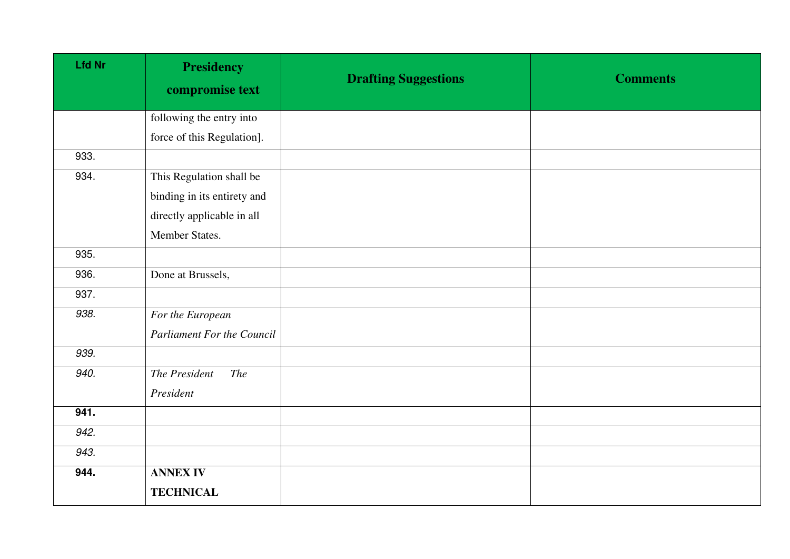| <b>Lfd Nr</b> | <b>Presidency</b><br>compromise text | <b>Drafting Suggestions</b> | <b>Comments</b> |
|---------------|--------------------------------------|-----------------------------|-----------------|
|               | following the entry into             |                             |                 |
|               | force of this Regulation].           |                             |                 |
| 933.          |                                      |                             |                 |
| 934.          | This Regulation shall be             |                             |                 |
|               | binding in its entirety and          |                             |                 |
|               | directly applicable in all           |                             |                 |
|               | Member States.                       |                             |                 |
| 935.          |                                      |                             |                 |
| 936.          | Done at Brussels,                    |                             |                 |
| 937.          |                                      |                             |                 |
| 938.          | For the European                     |                             |                 |
|               | <b>Parliament For the Council</b>    |                             |                 |
| 939.          |                                      |                             |                 |
| 940.          | The President<br><b>The</b>          |                             |                 |
|               | President                            |                             |                 |
| 941.          |                                      |                             |                 |
| 942.          |                                      |                             |                 |
| 943.          |                                      |                             |                 |
| 944.          | <b>ANNEX IV</b>                      |                             |                 |
|               | <b>TECHNICAL</b>                     |                             |                 |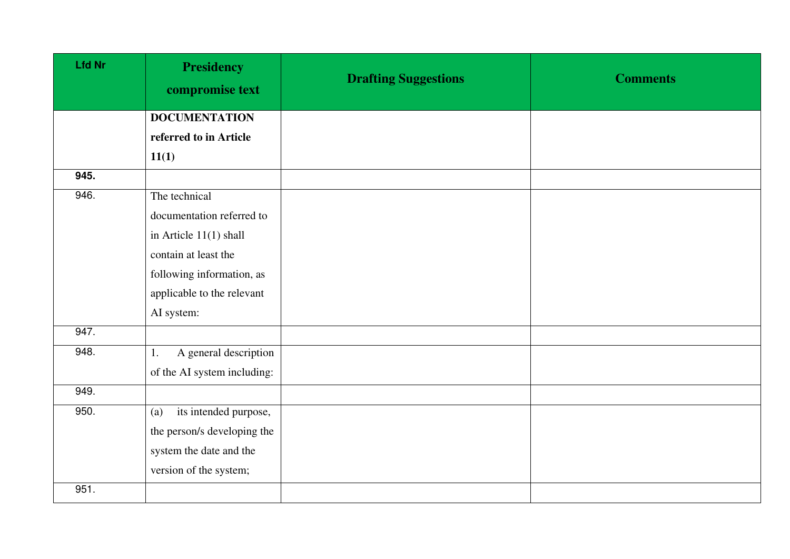| <b>Lfd Nr</b> | <b>Presidency</b><br>compromise text | <b>Drafting Suggestions</b> | <b>Comments</b> |
|---------------|--------------------------------------|-----------------------------|-----------------|
|               | <b>DOCUMENTATION</b>                 |                             |                 |
|               | referred to in Article               |                             |                 |
|               | 11(1)                                |                             |                 |
| 945.          |                                      |                             |                 |
| 946.          | The technical                        |                             |                 |
|               | documentation referred to            |                             |                 |
|               | in Article $11(1)$ shall             |                             |                 |
|               | contain at least the                 |                             |                 |
|               | following information, as            |                             |                 |
|               | applicable to the relevant           |                             |                 |
|               | AI system:                           |                             |                 |
| 947.          |                                      |                             |                 |
| 948.          | A general description<br>1.          |                             |                 |
|               | of the AI system including:          |                             |                 |
| 949.          |                                      |                             |                 |
| 950.          | its intended purpose,<br>(a)         |                             |                 |
|               | the person/s developing the          |                             |                 |
|               | system the date and the              |                             |                 |
|               | version of the system;               |                             |                 |
| 951.          |                                      |                             |                 |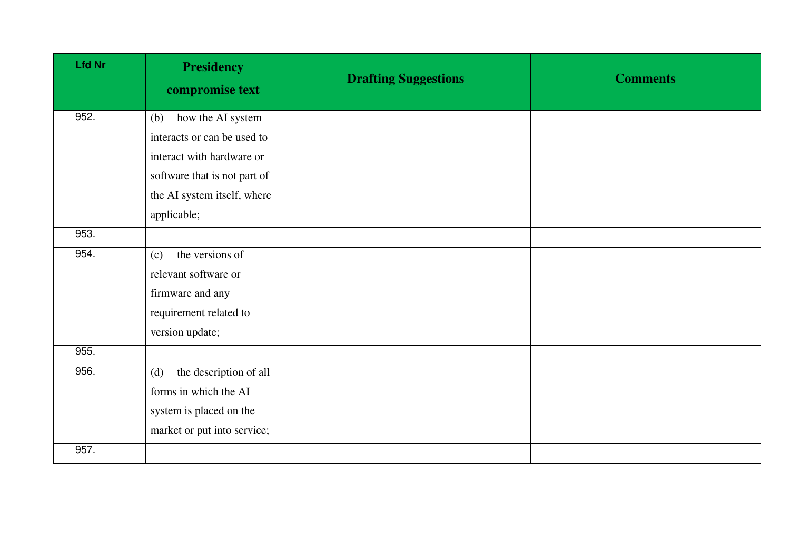| <b>Lfd Nr</b> | <b>Presidency</b><br>compromise text | <b>Drafting Suggestions</b> | <b>Comments</b> |
|---------------|--------------------------------------|-----------------------------|-----------------|
| 952.          | how the AI system<br>(b)             |                             |                 |
|               | interacts or can be used to          |                             |                 |
|               | interact with hardware or            |                             |                 |
|               | software that is not part of         |                             |                 |
|               | the AI system itself, where          |                             |                 |
|               | applicable;                          |                             |                 |
| 953.          |                                      |                             |                 |
| 954.          | the versions of<br>(c)               |                             |                 |
|               | relevant software or                 |                             |                 |
|               | firmware and any                     |                             |                 |
|               | requirement related to               |                             |                 |
|               | version update;                      |                             |                 |
| 955.          |                                      |                             |                 |
| 956.          | the description of all<br>(d)        |                             |                 |
|               | forms in which the AI                |                             |                 |
|               | system is placed on the              |                             |                 |
|               | market or put into service;          |                             |                 |
| 957.          |                                      |                             |                 |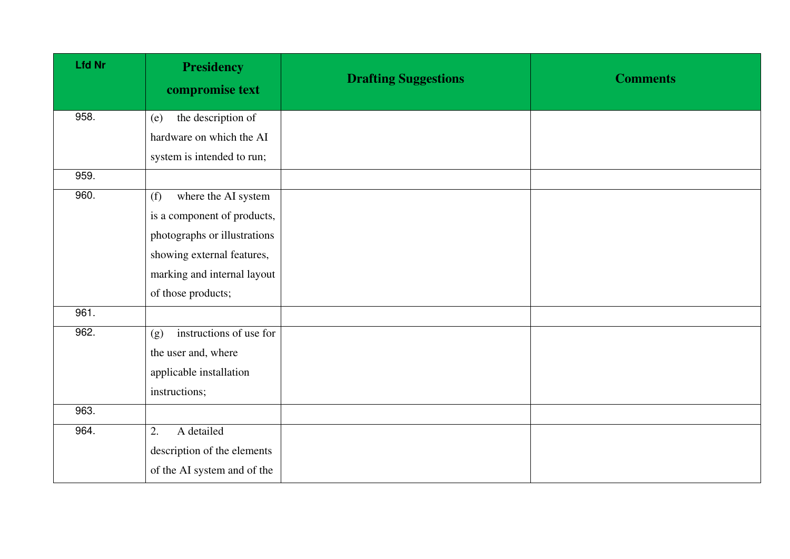| <b>Lfd Nr</b> | <b>Presidency</b><br>compromise text | <b>Drafting Suggestions</b> | <b>Comments</b> |
|---------------|--------------------------------------|-----------------------------|-----------------|
| 958.          | the description of<br>(e)            |                             |                 |
|               | hardware on which the AI             |                             |                 |
|               | system is intended to run;           |                             |                 |
| 959.          |                                      |                             |                 |
| 960.          | where the AI system<br>(f)           |                             |                 |
|               | is a component of products,          |                             |                 |
|               | photographs or illustrations         |                             |                 |
|               | showing external features,           |                             |                 |
|               | marking and internal layout          |                             |                 |
|               | of those products;                   |                             |                 |
| 961.          |                                      |                             |                 |
| 962.          | instructions of use for<br>(g)       |                             |                 |
|               | the user and, where                  |                             |                 |
|               | applicable installation              |                             |                 |
|               | instructions;                        |                             |                 |
| 963.          |                                      |                             |                 |
| 964.          | A detailed<br>2.                     |                             |                 |
|               | description of the elements          |                             |                 |
|               | of the AI system and of the          |                             |                 |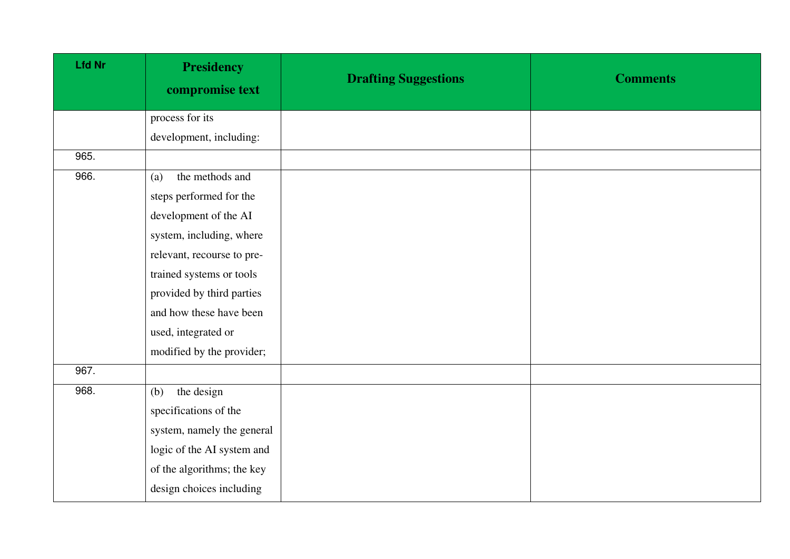| <b>Lfd Nr</b> | <b>Presidency</b><br>compromise text | <b>Drafting Suggestions</b> | <b>Comments</b> |
|---------------|--------------------------------------|-----------------------------|-----------------|
|               | process for its                      |                             |                 |
|               | development, including:              |                             |                 |
| 965.          |                                      |                             |                 |
| 966.          | the methods and<br>(a)               |                             |                 |
|               | steps performed for the              |                             |                 |
|               | development of the AI                |                             |                 |
|               | system, including, where             |                             |                 |
|               | relevant, recourse to pre-           |                             |                 |
|               | trained systems or tools             |                             |                 |
|               | provided by third parties            |                             |                 |
|               | and how these have been              |                             |                 |
|               | used, integrated or                  |                             |                 |
|               | modified by the provider;            |                             |                 |
| 967.          |                                      |                             |                 |
| 968.          | the design<br>(b)                    |                             |                 |
|               | specifications of the                |                             |                 |
|               | system, namely the general           |                             |                 |
|               | logic of the AI system and           |                             |                 |
|               | of the algorithms; the key           |                             |                 |
|               | design choices including             |                             |                 |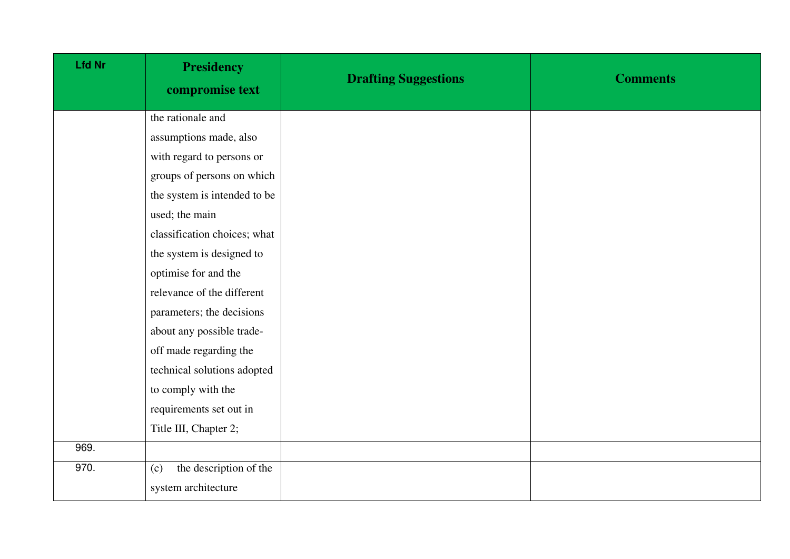| <b>Lfd Nr</b> | <b>Presidency</b><br>compromise text | <b>Drafting Suggestions</b> | <b>Comments</b> |
|---------------|--------------------------------------|-----------------------------|-----------------|
|               | the rationale and                    |                             |                 |
|               | assumptions made, also               |                             |                 |
|               | with regard to persons or            |                             |                 |
|               | groups of persons on which           |                             |                 |
|               | the system is intended to be         |                             |                 |
|               | used; the main                       |                             |                 |
|               | classification choices; what         |                             |                 |
|               | the system is designed to            |                             |                 |
|               | optimise for and the                 |                             |                 |
|               | relevance of the different           |                             |                 |
|               | parameters; the decisions            |                             |                 |
|               | about any possible trade-            |                             |                 |
|               | off made regarding the               |                             |                 |
|               | technical solutions adopted          |                             |                 |
|               | to comply with the                   |                             |                 |
|               | requirements set out in              |                             |                 |
|               | Title III, Chapter 2;                |                             |                 |
| 969.          |                                      |                             |                 |
| 970.          | the description of the<br>(c)        |                             |                 |
|               | system architecture                  |                             |                 |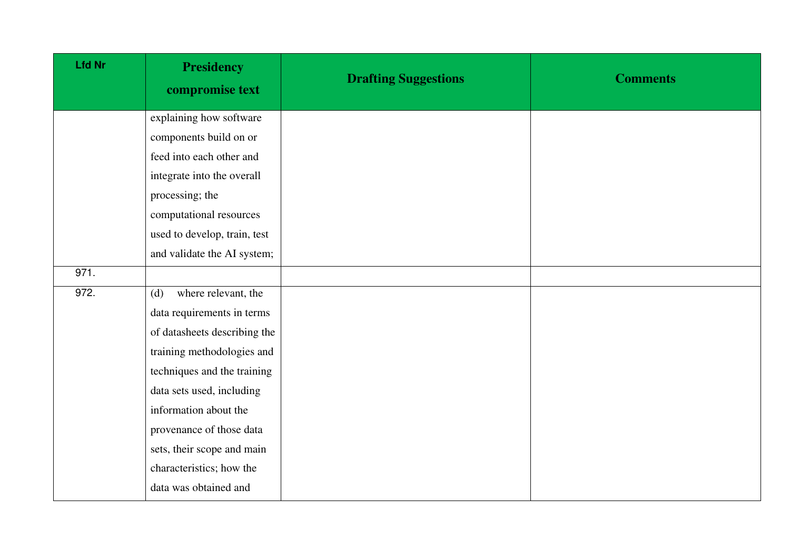| <b>Lfd Nr</b> | <b>Presidency</b><br>compromise text | <b>Drafting Suggestions</b> | <b>Comments</b> |
|---------------|--------------------------------------|-----------------------------|-----------------|
|               | explaining how software              |                             |                 |
|               | components build on or               |                             |                 |
|               | feed into each other and             |                             |                 |
|               | integrate into the overall           |                             |                 |
|               | processing; the                      |                             |                 |
|               | computational resources              |                             |                 |
|               | used to develop, train, test         |                             |                 |
|               | and validate the AI system;          |                             |                 |
| 971.          |                                      |                             |                 |
| 972.          | where relevant, the<br>(d)           |                             |                 |
|               | data requirements in terms           |                             |                 |
|               | of datasheets describing the         |                             |                 |
|               | training methodologies and           |                             |                 |
|               | techniques and the training          |                             |                 |
|               | data sets used, including            |                             |                 |
|               | information about the                |                             |                 |
|               | provenance of those data             |                             |                 |
|               | sets, their scope and main           |                             |                 |
|               | characteristics; how the             |                             |                 |
|               | data was obtained and                |                             |                 |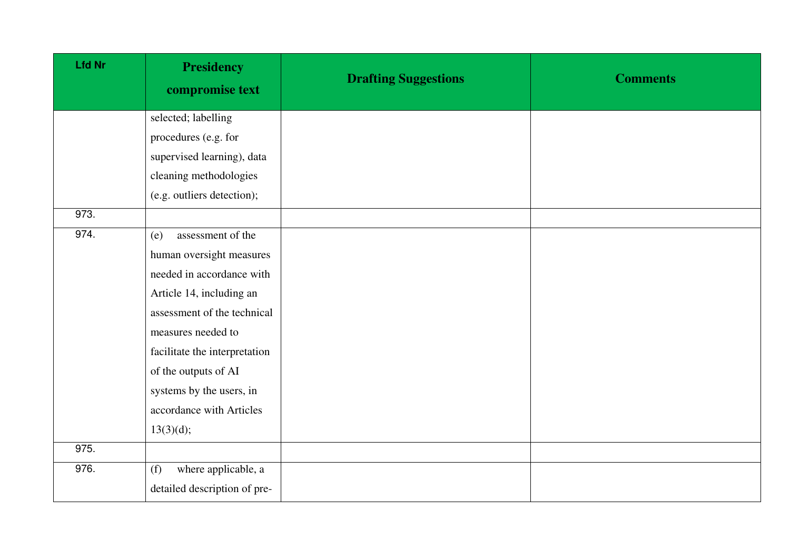| <b>Lfd Nr</b> | <b>Presidency</b><br>compromise text | <b>Drafting Suggestions</b> | <b>Comments</b> |
|---------------|--------------------------------------|-----------------------------|-----------------|
|               | selected; labelling                  |                             |                 |
|               | procedures (e.g. for                 |                             |                 |
|               | supervised learning), data           |                             |                 |
|               | cleaning methodologies               |                             |                 |
|               | (e.g. outliers detection);           |                             |                 |
| 973.          |                                      |                             |                 |
| 974.          | assessment of the<br>(e)             |                             |                 |
|               | human oversight measures             |                             |                 |
|               | needed in accordance with            |                             |                 |
|               | Article 14, including an             |                             |                 |
|               | assessment of the technical          |                             |                 |
|               | measures needed to                   |                             |                 |
|               | facilitate the interpretation        |                             |                 |
|               | of the outputs of AI                 |                             |                 |
|               | systems by the users, in             |                             |                 |
|               | accordance with Articles             |                             |                 |
|               | 13(3)(d);                            |                             |                 |
| 975.          |                                      |                             |                 |
| 976.          | where applicable, a<br>(f)           |                             |                 |
|               | detailed description of pre-         |                             |                 |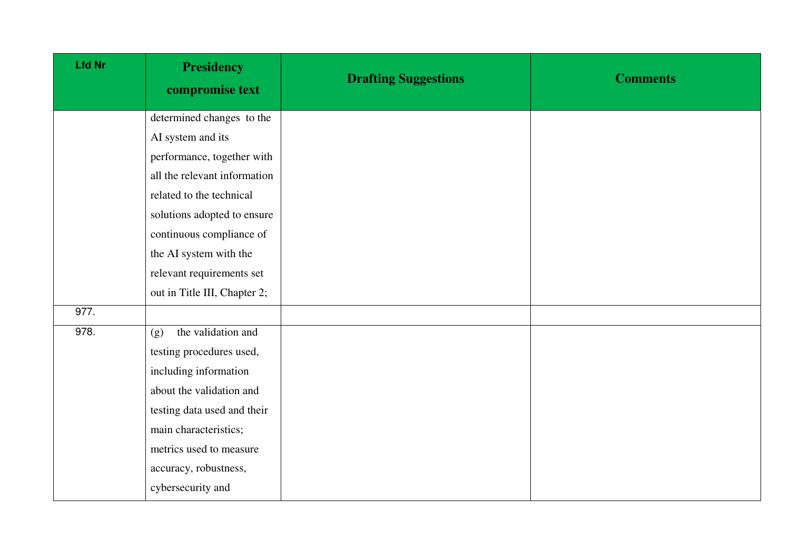| <b>Lfd Nr</b> | <b>Presidency</b><br>compromise text | <b>Drafting Suggestions</b> | <b>Comments</b> |
|---------------|--------------------------------------|-----------------------------|-----------------|
|               | determined changes to the            |                             |                 |
|               | AI system and its                    |                             |                 |
|               | performance, together with           |                             |                 |
|               | all the relevant information         |                             |                 |
|               | related to the technical             |                             |                 |
|               | solutions adopted to ensure          |                             |                 |
|               | continuous compliance of             |                             |                 |
|               | the AI system with the               |                             |                 |
|               | relevant requirements set            |                             |                 |
|               | out in Title III, Chapter 2;         |                             |                 |
| 977.          |                                      |                             |                 |
| 978.          | the validation and<br>(g)            |                             |                 |
|               | testing procedures used,             |                             |                 |
|               | including information                |                             |                 |
|               | about the validation and             |                             |                 |
|               | testing data used and their          |                             |                 |
|               | main characteristics;                |                             |                 |
|               | metrics used to measure              |                             |                 |
|               | accuracy, robustness,                |                             |                 |
|               | cybersecurity and                    |                             |                 |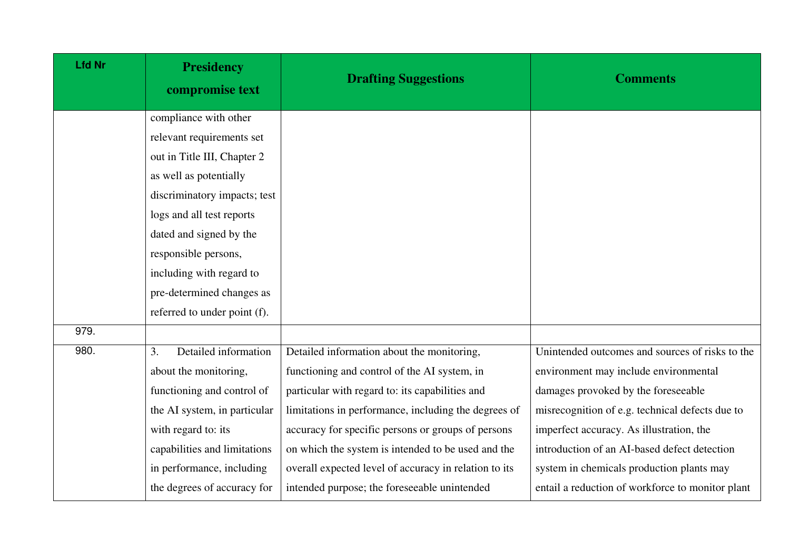| <b>Lfd Nr</b> | <b>Presidency</b><br>compromise text | <b>Drafting Suggestions</b>                           | <b>Comments</b>                                  |
|---------------|--------------------------------------|-------------------------------------------------------|--------------------------------------------------|
|               | compliance with other                |                                                       |                                                  |
|               | relevant requirements set            |                                                       |                                                  |
|               | out in Title III, Chapter 2          |                                                       |                                                  |
|               | as well as potentially               |                                                       |                                                  |
|               | discriminatory impacts; test         |                                                       |                                                  |
|               | logs and all test reports            |                                                       |                                                  |
|               | dated and signed by the              |                                                       |                                                  |
|               | responsible persons,                 |                                                       |                                                  |
|               | including with regard to             |                                                       |                                                  |
|               | pre-determined changes as            |                                                       |                                                  |
|               | referred to under point (f).         |                                                       |                                                  |
| 979.          |                                      |                                                       |                                                  |
| 980.          | Detailed information<br>3.           | Detailed information about the monitoring,            | Unintended outcomes and sources of risks to the  |
|               | about the monitoring,                | functioning and control of the AI system, in          | environment may include environmental            |
|               | functioning and control of           | particular with regard to: its capabilities and       | damages provoked by the foreseeable              |
|               | the AI system, in particular         | limitations in performance, including the degrees of  | misrecognition of e.g. technical defects due to  |
|               | with regard to: its                  | accuracy for specific persons or groups of persons    | imperfect accuracy. As illustration, the         |
|               | capabilities and limitations         | on which the system is intended to be used and the    | introduction of an AI-based defect detection     |
|               | in performance, including            | overall expected level of accuracy in relation to its | system in chemicals production plants may        |
|               | the degrees of accuracy for          | intended purpose; the foreseeable unintended          | entail a reduction of workforce to monitor plant |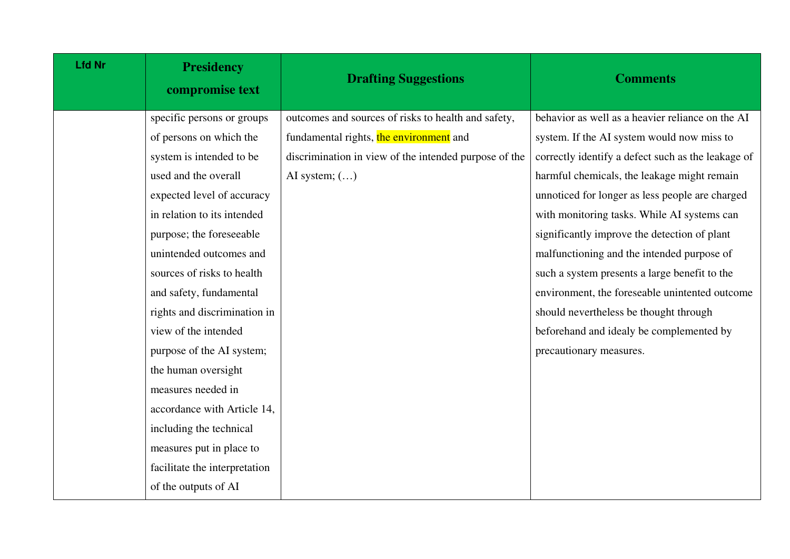| <b>Lfd Nr</b> | <b>Presidency</b><br>compromise text | <b>Drafting Suggestions</b>                           | <b>Comments</b>                                    |
|---------------|--------------------------------------|-------------------------------------------------------|----------------------------------------------------|
|               | specific persons or groups           | outcomes and sources of risks to health and safety,   | behavior as well as a heavier reliance on the AI   |
|               | of persons on which the              | fundamental rights, the environment and               | system. If the AI system would now miss to         |
|               | system is intended to be             | discrimination in view of the intended purpose of the | correctly identify a defect such as the leakage of |
|               | used and the overall                 | AI system; $()$                                       | harmful chemicals, the leakage might remain        |
|               | expected level of accuracy           |                                                       | unnoticed for longer as less people are charged    |
|               | in relation to its intended          |                                                       | with monitoring tasks. While AI systems can        |
|               | purpose; the foreseeable             |                                                       | significantly improve the detection of plant       |
|               | unintended outcomes and              |                                                       | malfunctioning and the intended purpose of         |
|               | sources of risks to health           |                                                       | such a system presents a large benefit to the      |
|               | and safety, fundamental              |                                                       | environment, the foreseable unintented outcome     |
|               | rights and discrimination in         |                                                       | should nevertheless be thought through             |
|               | view of the intended                 |                                                       | beforehand and idealy be complemented by           |
|               | purpose of the AI system;            |                                                       | precautionary measures.                            |
|               | the human oversight                  |                                                       |                                                    |
|               | measures needed in                   |                                                       |                                                    |
|               | accordance with Article 14,          |                                                       |                                                    |
|               | including the technical              |                                                       |                                                    |
|               | measures put in place to             |                                                       |                                                    |
|               | facilitate the interpretation        |                                                       |                                                    |
|               | of the outputs of AI                 |                                                       |                                                    |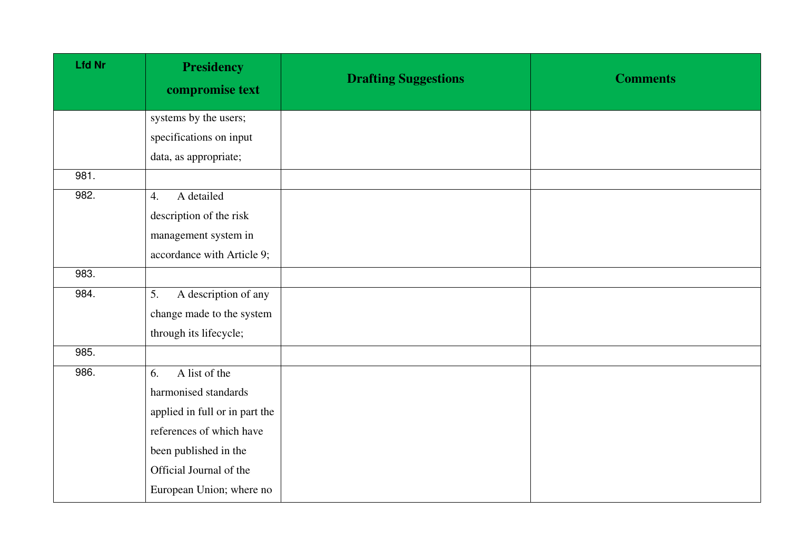| <b>Lfd Nr</b> | <b>Presidency</b><br>compromise text | <b>Drafting Suggestions</b> | <b>Comments</b> |
|---------------|--------------------------------------|-----------------------------|-----------------|
|               | systems by the users;                |                             |                 |
|               | specifications on input              |                             |                 |
|               | data, as appropriate;                |                             |                 |
| 981.          |                                      |                             |                 |
| 982.          | A detailed<br>4.                     |                             |                 |
|               | description of the risk              |                             |                 |
|               | management system in                 |                             |                 |
|               | accordance with Article 9;           |                             |                 |
| 983.          |                                      |                             |                 |
| 984.          | A description of any<br>5.           |                             |                 |
|               | change made to the system            |                             |                 |
|               | through its lifecycle;               |                             |                 |
| 985.          |                                      |                             |                 |
| 986.          | A list of the<br>6.                  |                             |                 |
|               | harmonised standards                 |                             |                 |
|               | applied in full or in part the       |                             |                 |
|               | references of which have             |                             |                 |
|               | been published in the                |                             |                 |
|               | Official Journal of the              |                             |                 |
|               | European Union; where no             |                             |                 |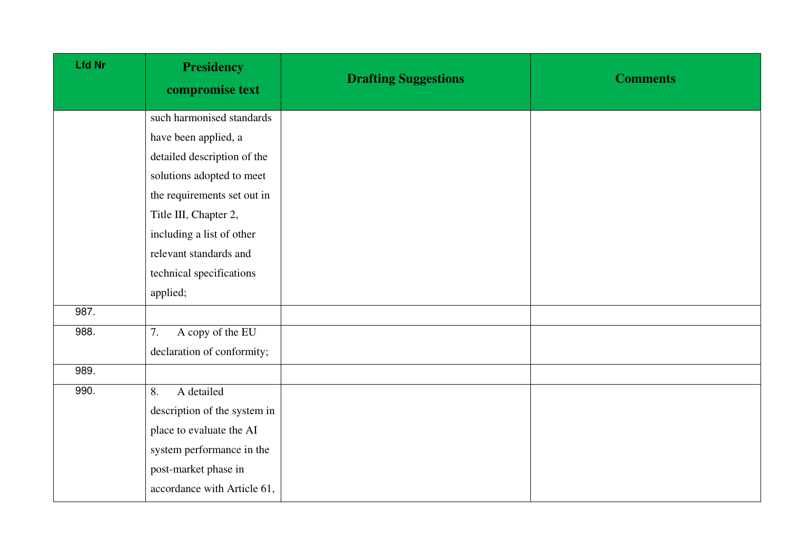| <b>Lfd Nr</b> | <b>Presidency</b><br>compromise text | <b>Drafting Suggestions</b> | <b>Comments</b> |
|---------------|--------------------------------------|-----------------------------|-----------------|
|               | such harmonised standards            |                             |                 |
|               | have been applied, a                 |                             |                 |
|               | detailed description of the          |                             |                 |
|               | solutions adopted to meet            |                             |                 |
|               | the requirements set out in          |                             |                 |
|               | Title III, Chapter 2,                |                             |                 |
|               | including a list of other            |                             |                 |
|               | relevant standards and               |                             |                 |
|               | technical specifications             |                             |                 |
|               | applied;                             |                             |                 |
| 987.          |                                      |                             |                 |
| 988.          | A copy of the EU<br>7.               |                             |                 |
|               | declaration of conformity;           |                             |                 |
| 989.          |                                      |                             |                 |
| 990.          | A detailed<br>8.                     |                             |                 |
|               | description of the system in         |                             |                 |
|               | place to evaluate the AI             |                             |                 |
|               | system performance in the            |                             |                 |
|               | post-market phase in                 |                             |                 |
|               | accordance with Article 61,          |                             |                 |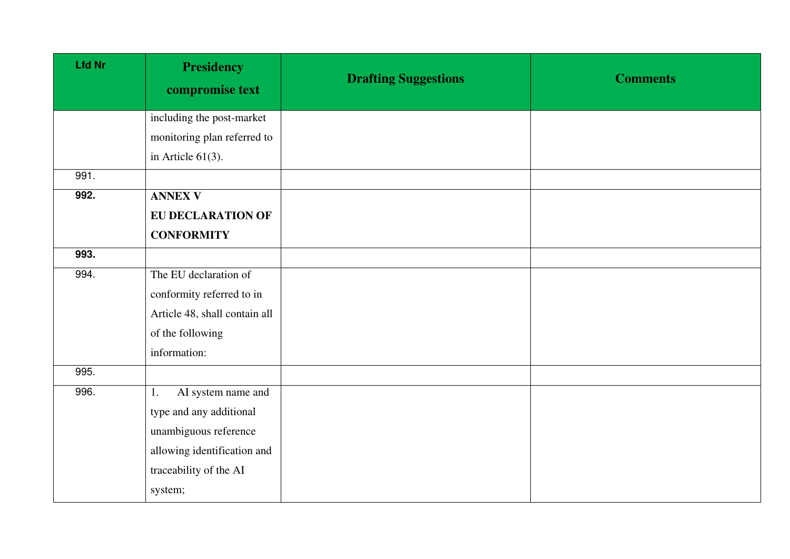| <b>Lfd Nr</b> | <b>Presidency</b><br>compromise text | <b>Drafting Suggestions</b> | <b>Comments</b> |
|---------------|--------------------------------------|-----------------------------|-----------------|
|               | including the post-market            |                             |                 |
|               | monitoring plan referred to          |                             |                 |
|               | in Article $61(3)$ .                 |                             |                 |
| 991.          |                                      |                             |                 |
| 992.          | <b>ANNEX V</b>                       |                             |                 |
|               | <b>EU DECLARATION OF</b>             |                             |                 |
|               | <b>CONFORMITY</b>                    |                             |                 |
| 993.          |                                      |                             |                 |
| 994.          | The EU declaration of                |                             |                 |
|               | conformity referred to in            |                             |                 |
|               | Article 48, shall contain all        |                             |                 |
|               | of the following                     |                             |                 |
|               | information:                         |                             |                 |
| 995.          |                                      |                             |                 |
| 996.          | AI system name and<br>1.             |                             |                 |
|               | type and any additional              |                             |                 |
|               | unambiguous reference                |                             |                 |
|               | allowing identification and          |                             |                 |
|               | traceability of the AI               |                             |                 |
|               | system;                              |                             |                 |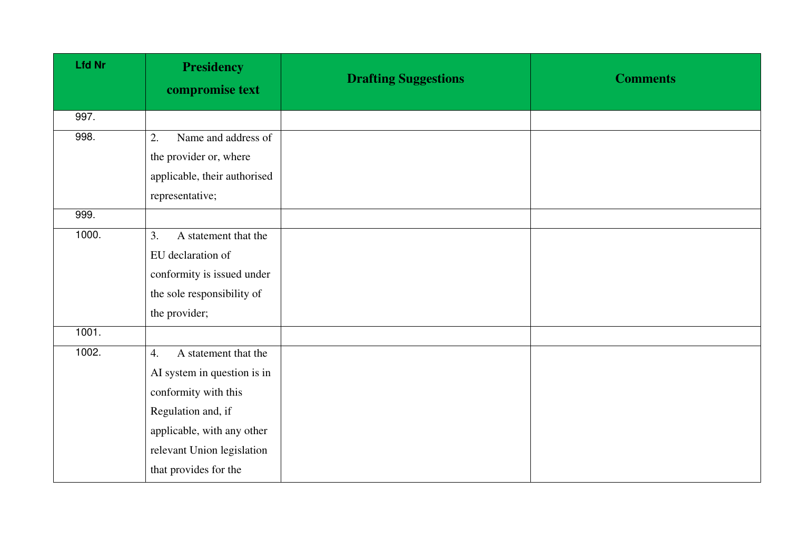| <b>Lfd Nr</b> | <b>Presidency</b><br>compromise text | <b>Drafting Suggestions</b> | <b>Comments</b> |
|---------------|--------------------------------------|-----------------------------|-----------------|
| 997.          |                                      |                             |                 |
| 998.          | Name and address of<br>2.            |                             |                 |
|               | the provider or, where               |                             |                 |
|               | applicable, their authorised         |                             |                 |
|               | representative;                      |                             |                 |
| 999.          |                                      |                             |                 |
| 1000.         | 3.<br>A statement that the           |                             |                 |
|               | EU declaration of                    |                             |                 |
|               | conformity is issued under           |                             |                 |
|               | the sole responsibility of           |                             |                 |
|               | the provider;                        |                             |                 |
| 1001.         |                                      |                             |                 |
| 1002.         | A statement that the<br>4.           |                             |                 |
|               | AI system in question is in          |                             |                 |
|               | conformity with this                 |                             |                 |
|               | Regulation and, if                   |                             |                 |
|               | applicable, with any other           |                             |                 |
|               | relevant Union legislation           |                             |                 |
|               | that provides for the                |                             |                 |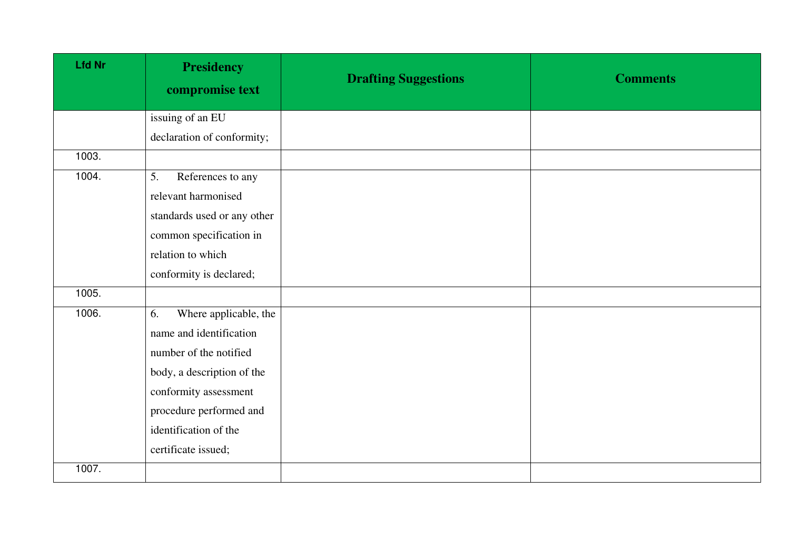| <b>Lfd Nr</b> | <b>Presidency</b><br>compromise text | <b>Drafting Suggestions</b> | <b>Comments</b> |
|---------------|--------------------------------------|-----------------------------|-----------------|
|               | issuing of an EU                     |                             |                 |
|               | declaration of conformity;           |                             |                 |
| 1003.         |                                      |                             |                 |
| 1004.         | References to any<br>5.              |                             |                 |
|               | relevant harmonised                  |                             |                 |
|               | standards used or any other          |                             |                 |
|               | common specification in              |                             |                 |
|               | relation to which                    |                             |                 |
|               | conformity is declared;              |                             |                 |
| 1005.         |                                      |                             |                 |
| 1006.         | Where applicable, the<br>6.          |                             |                 |
|               | name and identification              |                             |                 |
|               | number of the notified               |                             |                 |
|               | body, a description of the           |                             |                 |
|               | conformity assessment                |                             |                 |
|               | procedure performed and              |                             |                 |
|               | identification of the                |                             |                 |
|               | certificate issued;                  |                             |                 |
| 1007.         |                                      |                             |                 |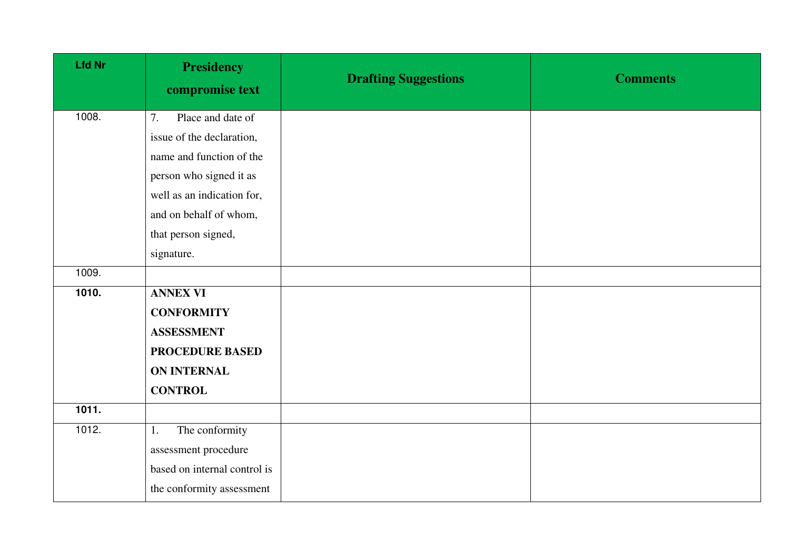| <b>Lfd Nr</b> | <b>Presidency</b><br>compromise text | <b>Drafting Suggestions</b> | <b>Comments</b> |
|---------------|--------------------------------------|-----------------------------|-----------------|
| 1008.         | Place and date of<br>7.              |                             |                 |
|               | issue of the declaration,            |                             |                 |
|               | name and function of the             |                             |                 |
|               | person who signed it as              |                             |                 |
|               | well as an indication for,           |                             |                 |
|               | and on behalf of whom,               |                             |                 |
|               | that person signed,                  |                             |                 |
|               | signature.                           |                             |                 |
| 1009.         |                                      |                             |                 |
| 1010.         | <b>ANNEX VI</b>                      |                             |                 |
|               | <b>CONFORMITY</b>                    |                             |                 |
|               | <b>ASSESSMENT</b>                    |                             |                 |
|               | <b>PROCEDURE BASED</b>               |                             |                 |
|               | <b>ON INTERNAL</b>                   |                             |                 |
|               | <b>CONTROL</b>                       |                             |                 |
| 1011.         |                                      |                             |                 |
| 1012.         | The conformity<br>1.                 |                             |                 |
|               | assessment procedure                 |                             |                 |
|               | based on internal control is         |                             |                 |
|               | the conformity assessment            |                             |                 |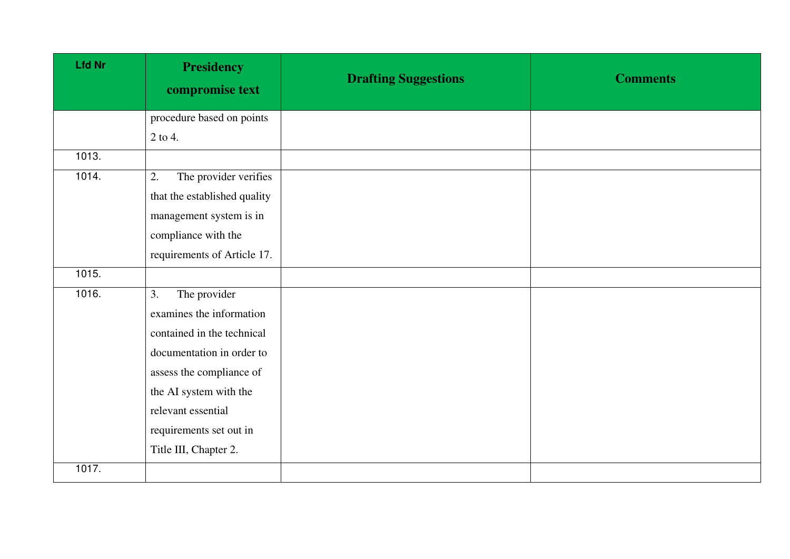| <b>Lfd Nr</b> | <b>Presidency</b><br>compromise text | <b>Drafting Suggestions</b> | <b>Comments</b> |
|---------------|--------------------------------------|-----------------------------|-----------------|
|               | procedure based on points            |                             |                 |
|               | 2 to 4.                              |                             |                 |
| 1013.         |                                      |                             |                 |
| 1014.         | The provider verifies<br>2.          |                             |                 |
|               | that the established quality         |                             |                 |
|               | management system is in              |                             |                 |
|               | compliance with the                  |                             |                 |
|               | requirements of Article 17.          |                             |                 |
| 1015.         |                                      |                             |                 |
| 1016.         | The provider<br>3.                   |                             |                 |
|               | examines the information             |                             |                 |
|               | contained in the technical           |                             |                 |
|               | documentation in order to            |                             |                 |
|               | assess the compliance of             |                             |                 |
|               | the AI system with the               |                             |                 |
|               | relevant essential                   |                             |                 |
|               | requirements set out in              |                             |                 |
|               | Title III, Chapter 2.                |                             |                 |
| 1017.         |                                      |                             |                 |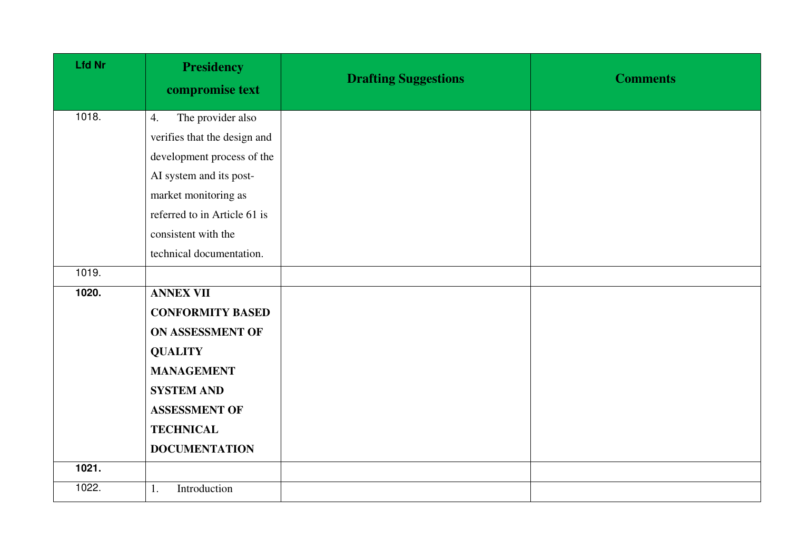| <b>Lfd Nr</b> | <b>Presidency</b><br>compromise text | <b>Drafting Suggestions</b> | <b>Comments</b> |
|---------------|--------------------------------------|-----------------------------|-----------------|
| 1018.         | The provider also<br>4.              |                             |                 |
|               | verifies that the design and         |                             |                 |
|               | development process of the           |                             |                 |
|               | AI system and its post-              |                             |                 |
|               | market monitoring as                 |                             |                 |
|               | referred to in Article 61 is         |                             |                 |
|               | consistent with the                  |                             |                 |
|               | technical documentation.             |                             |                 |
| 1019.         |                                      |                             |                 |
| 1020.         | <b>ANNEX VII</b>                     |                             |                 |
|               | <b>CONFORMITY BASED</b>              |                             |                 |
|               | ON ASSESSMENT OF                     |                             |                 |
|               | <b>QUALITY</b>                       |                             |                 |
|               | <b>MANAGEMENT</b>                    |                             |                 |
|               | <b>SYSTEM AND</b>                    |                             |                 |
|               | <b>ASSESSMENT OF</b>                 |                             |                 |
|               | <b>TECHNICAL</b>                     |                             |                 |
|               | <b>DOCUMENTATION</b>                 |                             |                 |
| 1021.         |                                      |                             |                 |
| 1022.         | Introduction<br>1.                   |                             |                 |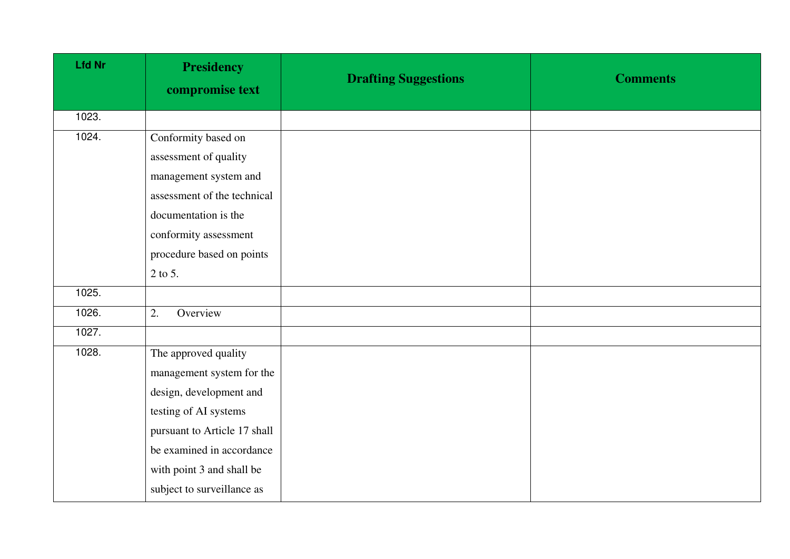| <b>Lfd Nr</b> | <b>Presidency</b><br>compromise text | <b>Drafting Suggestions</b> | <b>Comments</b> |
|---------------|--------------------------------------|-----------------------------|-----------------|
| 1023.         |                                      |                             |                 |
| 1024.         | Conformity based on                  |                             |                 |
|               | assessment of quality                |                             |                 |
|               | management system and                |                             |                 |
|               | assessment of the technical          |                             |                 |
|               | documentation is the                 |                             |                 |
|               | conformity assessment                |                             |                 |
|               | procedure based on points            |                             |                 |
|               | 2 to 5.                              |                             |                 |
| 1025.         |                                      |                             |                 |
| 1026.         | 2.<br>Overview                       |                             |                 |
| 1027.         |                                      |                             |                 |
| 1028.         | The approved quality                 |                             |                 |
|               | management system for the            |                             |                 |
|               | design, development and              |                             |                 |
|               | testing of AI systems                |                             |                 |
|               | pursuant to Article 17 shall         |                             |                 |
|               | be examined in accordance            |                             |                 |
|               | with point 3 and shall be            |                             |                 |
|               | subject to surveillance as           |                             |                 |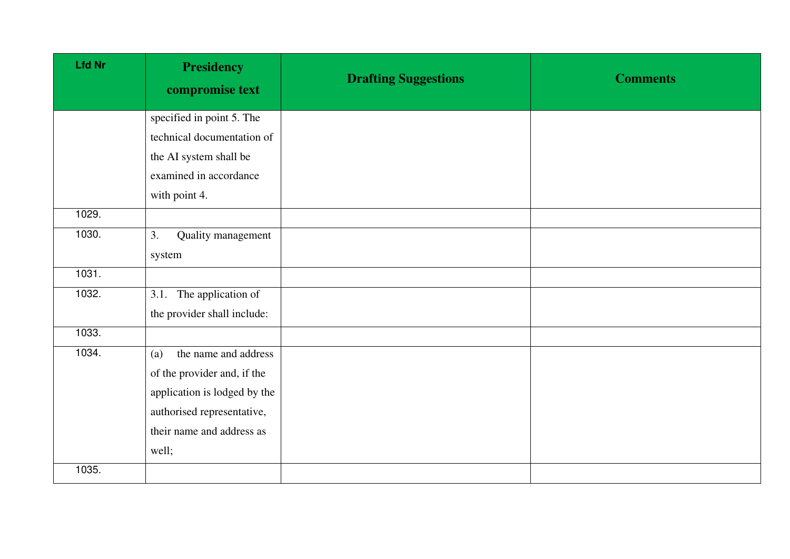| <b>Lfd Nr</b> | <b>Presidency</b><br>compromise text | <b>Drafting Suggestions</b> | <b>Comments</b> |
|---------------|--------------------------------------|-----------------------------|-----------------|
|               | specified in point 5. The            |                             |                 |
|               | technical documentation of           |                             |                 |
|               | the AI system shall be               |                             |                 |
|               | examined in accordance               |                             |                 |
|               | with point 4.                        |                             |                 |
| 1029.         |                                      |                             |                 |
| 1030.         | 3.<br>Quality management             |                             |                 |
|               | system                               |                             |                 |
| 1031.         |                                      |                             |                 |
| 1032.         | 3.1. The application of              |                             |                 |
|               | the provider shall include:          |                             |                 |
| 1033.         |                                      |                             |                 |
| 1034.         | the name and address<br>(a)          |                             |                 |
|               | of the provider and, if the          |                             |                 |
|               | application is lodged by the         |                             |                 |
|               | authorised representative,           |                             |                 |
|               | their name and address as            |                             |                 |
|               | well;                                |                             |                 |
| 1035.         |                                      |                             |                 |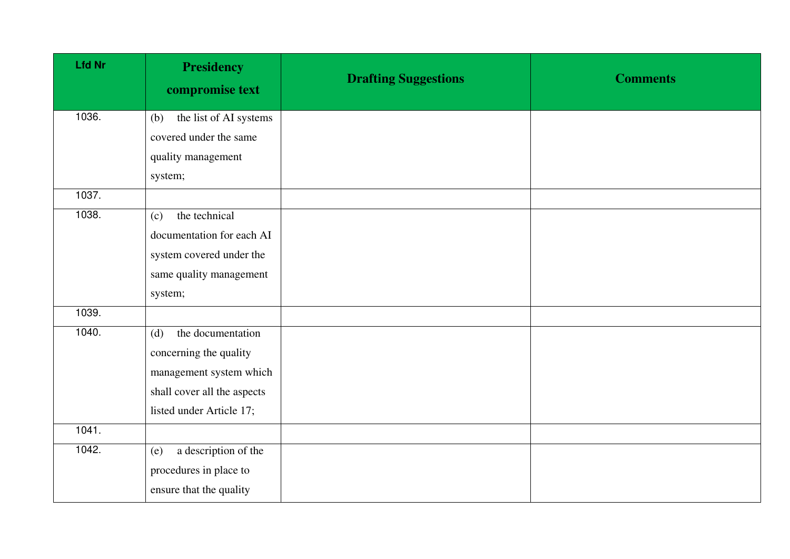| <b>Lfd Nr</b> | <b>Presidency</b><br>compromise text | <b>Drafting Suggestions</b> | <b>Comments</b> |
|---------------|--------------------------------------|-----------------------------|-----------------|
| 1036.         | the list of AI systems<br>(b)        |                             |                 |
|               | covered under the same               |                             |                 |
|               | quality management                   |                             |                 |
|               | system;                              |                             |                 |
| 1037.         |                                      |                             |                 |
| 1038.         | the technical<br>(c)                 |                             |                 |
|               | documentation for each AI            |                             |                 |
|               | system covered under the             |                             |                 |
|               | same quality management              |                             |                 |
|               | system;                              |                             |                 |
| 1039.         |                                      |                             |                 |
| 1040.         | the documentation<br>(d)             |                             |                 |
|               | concerning the quality               |                             |                 |
|               | management system which              |                             |                 |
|               | shall cover all the aspects          |                             |                 |
|               | listed under Article 17;             |                             |                 |
| 1041.         |                                      |                             |                 |
| 1042.         | a description of the<br>(e)          |                             |                 |
|               | procedures in place to               |                             |                 |
|               | ensure that the quality              |                             |                 |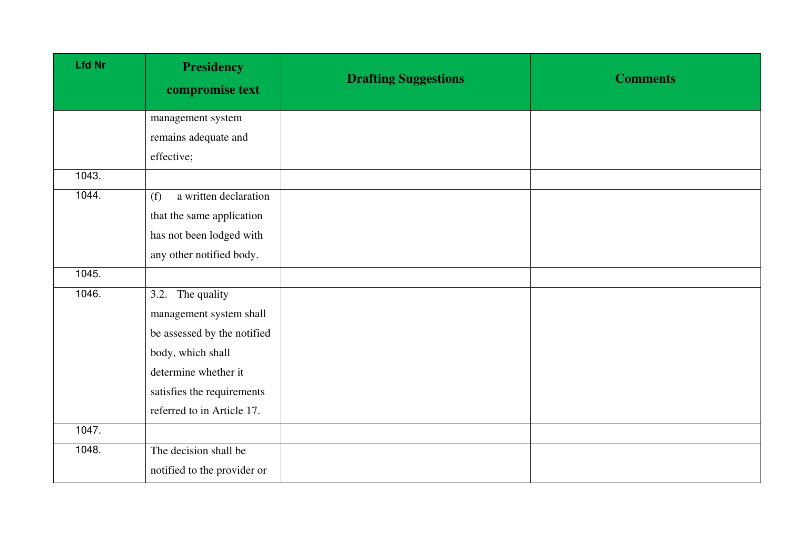| <b>Lfd Nr</b> | <b>Presidency</b><br>compromise text | <b>Drafting Suggestions</b> | <b>Comments</b> |
|---------------|--------------------------------------|-----------------------------|-----------------|
|               | management system                    |                             |                 |
|               | remains adequate and                 |                             |                 |
|               | effective;                           |                             |                 |
| 1043.         |                                      |                             |                 |
| 1044.         | a written declaration<br>(f)         |                             |                 |
|               | that the same application            |                             |                 |
|               | has not been lodged with             |                             |                 |
|               | any other notified body.             |                             |                 |
| 1045.         |                                      |                             |                 |
| 1046.         | 3.2. The quality                     |                             |                 |
|               | management system shall              |                             |                 |
|               | be assessed by the notified          |                             |                 |
|               | body, which shall                    |                             |                 |
|               | determine whether it                 |                             |                 |
|               | satisfies the requirements           |                             |                 |
|               | referred to in Article 17.           |                             |                 |
| 1047.         |                                      |                             |                 |
| 1048.         | The decision shall be                |                             |                 |
|               | notified to the provider or          |                             |                 |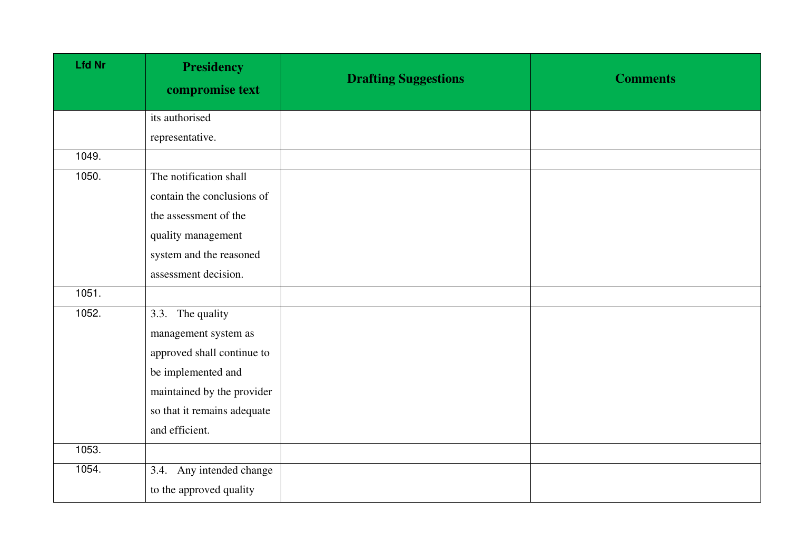| <b>Lfd Nr</b> | <b>Presidency</b><br>compromise text | <b>Drafting Suggestions</b> | <b>Comments</b> |
|---------------|--------------------------------------|-----------------------------|-----------------|
|               | its authorised                       |                             |                 |
|               | representative.                      |                             |                 |
| 1049.         |                                      |                             |                 |
| 1050.         | The notification shall               |                             |                 |
|               | contain the conclusions of           |                             |                 |
|               | the assessment of the                |                             |                 |
|               | quality management                   |                             |                 |
|               | system and the reasoned              |                             |                 |
|               | assessment decision.                 |                             |                 |
| 1051.         |                                      |                             |                 |
| 1052.         | 3.3. The quality                     |                             |                 |
|               | management system as                 |                             |                 |
|               | approved shall continue to           |                             |                 |
|               | be implemented and                   |                             |                 |
|               | maintained by the provider           |                             |                 |
|               | so that it remains adequate          |                             |                 |
|               | and efficient.                       |                             |                 |
| 1053.         |                                      |                             |                 |
| 1054.         | 3.4. Any intended change             |                             |                 |
|               | to the approved quality              |                             |                 |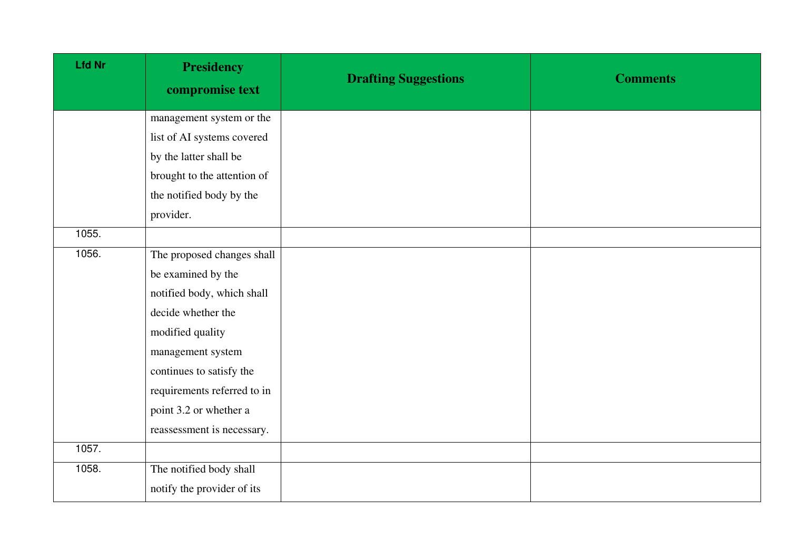| <b>Lfd Nr</b> | <b>Presidency</b><br>compromise text | <b>Drafting Suggestions</b> | <b>Comments</b> |
|---------------|--------------------------------------|-----------------------------|-----------------|
|               | management system or the             |                             |                 |
|               | list of AI systems covered           |                             |                 |
|               | by the latter shall be               |                             |                 |
|               | brought to the attention of          |                             |                 |
|               | the notified body by the             |                             |                 |
|               | provider.                            |                             |                 |
| 1055.         |                                      |                             |                 |
| 1056.         | The proposed changes shall           |                             |                 |
|               | be examined by the                   |                             |                 |
|               | notified body, which shall           |                             |                 |
|               | decide whether the                   |                             |                 |
|               | modified quality                     |                             |                 |
|               | management system                    |                             |                 |
|               | continues to satisfy the             |                             |                 |
|               | requirements referred to in          |                             |                 |
|               | point 3.2 or whether a               |                             |                 |
|               | reassessment is necessary.           |                             |                 |
| 1057.         |                                      |                             |                 |
| 1058.         | The notified body shall              |                             |                 |
|               | notify the provider of its           |                             |                 |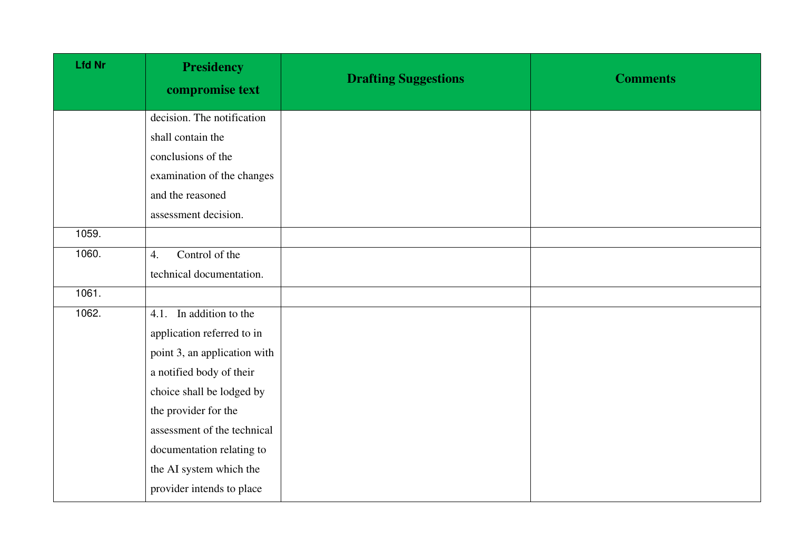| <b>Lfd Nr</b> | <b>Presidency</b><br>compromise text | <b>Drafting Suggestions</b> | <b>Comments</b> |
|---------------|--------------------------------------|-----------------------------|-----------------|
|               | decision. The notification           |                             |                 |
|               | shall contain the                    |                             |                 |
|               | conclusions of the                   |                             |                 |
|               | examination of the changes           |                             |                 |
|               | and the reasoned                     |                             |                 |
|               | assessment decision.                 |                             |                 |
| 1059.         |                                      |                             |                 |
| 1060.         | Control of the<br>4.                 |                             |                 |
|               | technical documentation.             |                             |                 |
| 1061.         |                                      |                             |                 |
| 1062.         | 4.1. In addition to the              |                             |                 |
|               | application referred to in           |                             |                 |
|               | point 3, an application with         |                             |                 |
|               | a notified body of their             |                             |                 |
|               | choice shall be lodged by            |                             |                 |
|               | the provider for the                 |                             |                 |
|               | assessment of the technical          |                             |                 |
|               | documentation relating to            |                             |                 |
|               | the AI system which the              |                             |                 |
|               | provider intends to place            |                             |                 |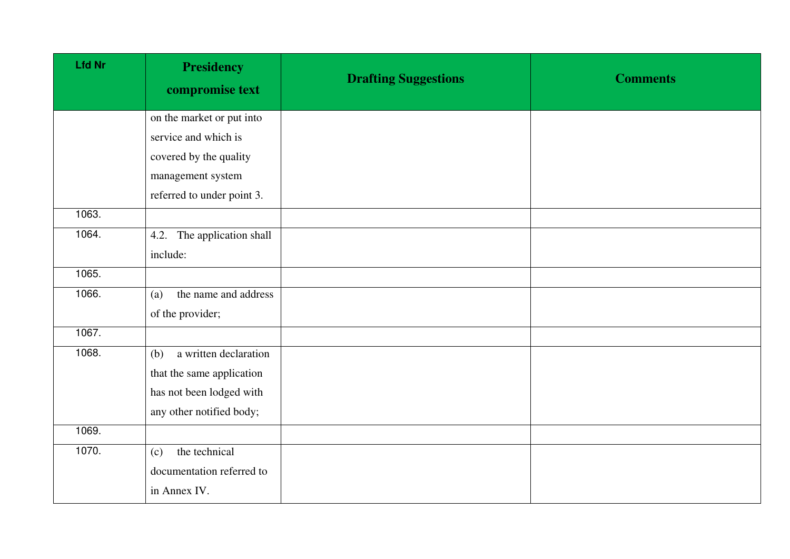| <b>Lfd Nr</b> | <b>Presidency</b><br>compromise text | <b>Drafting Suggestions</b> | <b>Comments</b> |
|---------------|--------------------------------------|-----------------------------|-----------------|
|               | on the market or put into            |                             |                 |
|               | service and which is                 |                             |                 |
|               | covered by the quality               |                             |                 |
|               | management system                    |                             |                 |
|               | referred to under point 3.           |                             |                 |
| 1063.         |                                      |                             |                 |
| 1064.         | 4.2. The application shall           |                             |                 |
|               | include:                             |                             |                 |
| 1065.         |                                      |                             |                 |
| 1066.         | the name and address<br>(a)          |                             |                 |
|               | of the provider;                     |                             |                 |
| 1067.         |                                      |                             |                 |
| 1068.         | a written declaration<br>(b)         |                             |                 |
|               | that the same application            |                             |                 |
|               | has not been lodged with             |                             |                 |
|               | any other notified body;             |                             |                 |
| 1069.         |                                      |                             |                 |
| 1070.         | the technical<br>(c)                 |                             |                 |
|               | documentation referred to            |                             |                 |
|               | in Annex IV.                         |                             |                 |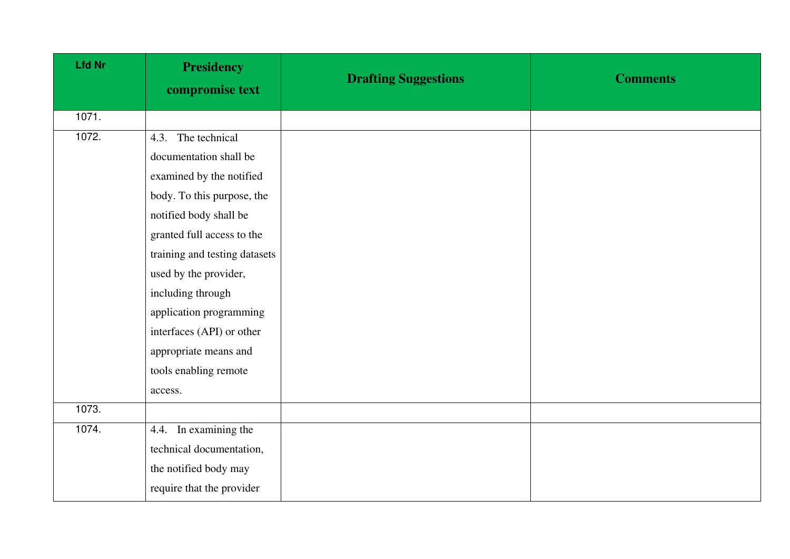| <b>Lfd Nr</b> | <b>Presidency</b><br>compromise text | <b>Drafting Suggestions</b> | <b>Comments</b> |
|---------------|--------------------------------------|-----------------------------|-----------------|
| 1071.         |                                      |                             |                 |
| 1072.         | The technical<br>4.3.                |                             |                 |
|               | documentation shall be               |                             |                 |
|               | examined by the notified             |                             |                 |
|               | body. To this purpose, the           |                             |                 |
|               | notified body shall be               |                             |                 |
|               | granted full access to the           |                             |                 |
|               | training and testing datasets        |                             |                 |
|               | used by the provider,                |                             |                 |
|               | including through                    |                             |                 |
|               | application programming              |                             |                 |
|               | interfaces (API) or other            |                             |                 |
|               | appropriate means and                |                             |                 |
|               | tools enabling remote                |                             |                 |
|               | access.                              |                             |                 |
| 1073.         |                                      |                             |                 |
| 1074.         | 4.4. In examining the                |                             |                 |
|               | technical documentation,             |                             |                 |
|               | the notified body may                |                             |                 |
|               | require that the provider            |                             |                 |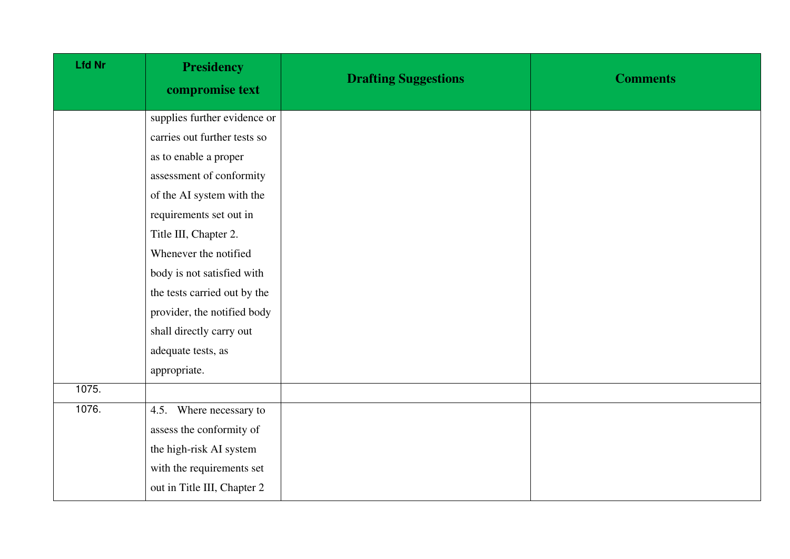| <b>Lfd Nr</b> | <b>Presidency</b><br>compromise text | <b>Drafting Suggestions</b> | <b>Comments</b> |
|---------------|--------------------------------------|-----------------------------|-----------------|
|               | supplies further evidence or         |                             |                 |
|               | carries out further tests so         |                             |                 |
|               | as to enable a proper                |                             |                 |
|               | assessment of conformity             |                             |                 |
|               | of the AI system with the            |                             |                 |
|               | requirements set out in              |                             |                 |
|               | Title III, Chapter 2.                |                             |                 |
|               | Whenever the notified                |                             |                 |
|               | body is not satisfied with           |                             |                 |
|               | the tests carried out by the         |                             |                 |
|               | provider, the notified body          |                             |                 |
|               | shall directly carry out             |                             |                 |
|               | adequate tests, as                   |                             |                 |
|               | appropriate.                         |                             |                 |
| 1075.         |                                      |                             |                 |
| 1076.         | 4.5. Where necessary to              |                             |                 |
|               | assess the conformity of             |                             |                 |
|               | the high-risk AI system              |                             |                 |
|               | with the requirements set            |                             |                 |
|               | out in Title III, Chapter 2          |                             |                 |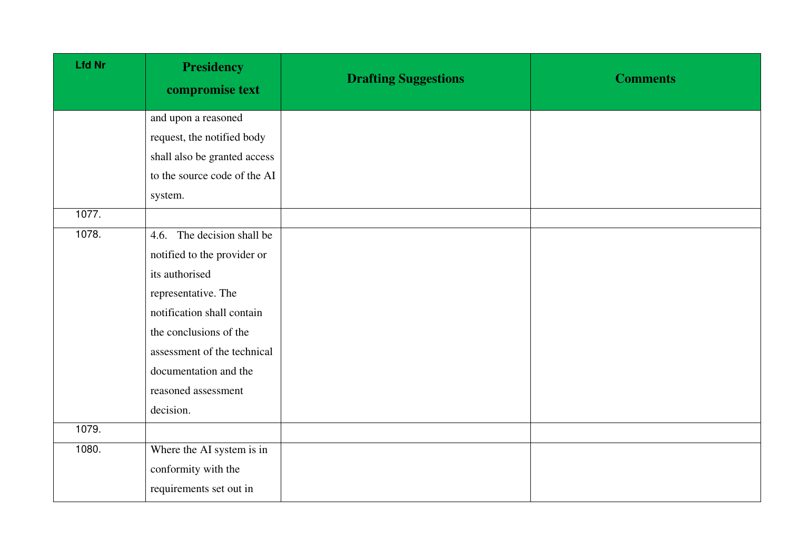| <b>Lfd Nr</b> | <b>Presidency</b><br>compromise text | <b>Drafting Suggestions</b> | <b>Comments</b> |
|---------------|--------------------------------------|-----------------------------|-----------------|
|               | and upon a reasoned                  |                             |                 |
|               | request, the notified body           |                             |                 |
|               | shall also be granted access         |                             |                 |
|               | to the source code of the AI         |                             |                 |
|               | system.                              |                             |                 |
| 1077.         |                                      |                             |                 |
| 1078.         | 4.6. The decision shall be           |                             |                 |
|               | notified to the provider or          |                             |                 |
|               | its authorised                       |                             |                 |
|               | representative. The                  |                             |                 |
|               | notification shall contain           |                             |                 |
|               | the conclusions of the               |                             |                 |
|               | assessment of the technical          |                             |                 |
|               | documentation and the                |                             |                 |
|               | reasoned assessment                  |                             |                 |
|               | decision.                            |                             |                 |
| 1079.         |                                      |                             |                 |
| 1080.         | Where the AI system is in            |                             |                 |
|               | conformity with the                  |                             |                 |
|               | requirements set out in              |                             |                 |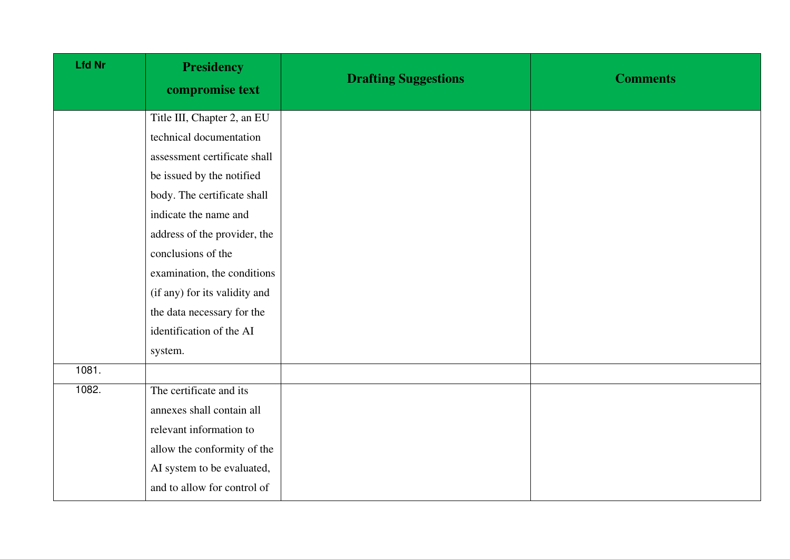| <b>Lfd Nr</b> | <b>Presidency</b><br>compromise text | <b>Drafting Suggestions</b> | <b>Comments</b> |
|---------------|--------------------------------------|-----------------------------|-----------------|
|               | Title III, Chapter 2, an EU          |                             |                 |
|               | technical documentation              |                             |                 |
|               | assessment certificate shall         |                             |                 |
|               | be issued by the notified            |                             |                 |
|               | body. The certificate shall          |                             |                 |
|               | indicate the name and                |                             |                 |
|               | address of the provider, the         |                             |                 |
|               | conclusions of the                   |                             |                 |
|               | examination, the conditions          |                             |                 |
|               | (if any) for its validity and        |                             |                 |
|               | the data necessary for the           |                             |                 |
|               | identification of the AI             |                             |                 |
|               | system.                              |                             |                 |
| 1081.         |                                      |                             |                 |
| 1082.         | The certificate and its              |                             |                 |
|               | annexes shall contain all            |                             |                 |
|               | relevant information to              |                             |                 |
|               | allow the conformity of the          |                             |                 |
|               | AI system to be evaluated,           |                             |                 |
|               | and to allow for control of          |                             |                 |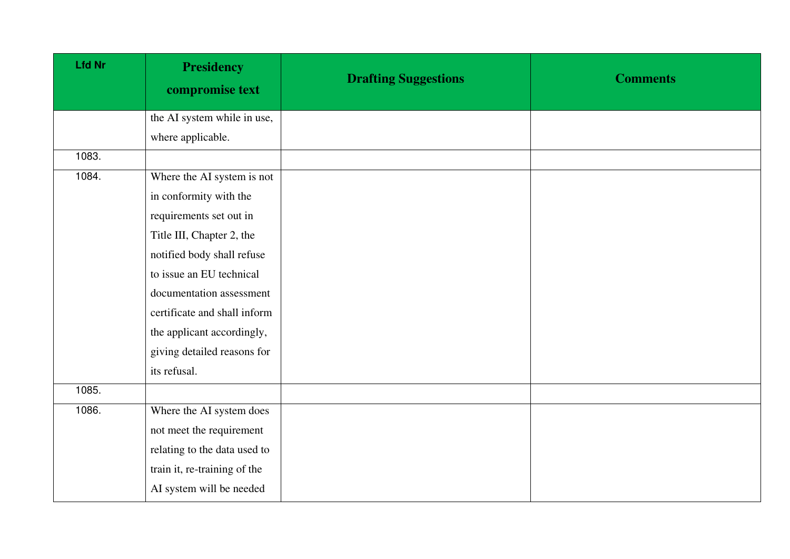| <b>Lfd Nr</b> | <b>Presidency</b><br>compromise text | <b>Drafting Suggestions</b> | <b>Comments</b> |
|---------------|--------------------------------------|-----------------------------|-----------------|
|               | the AI system while in use,          |                             |                 |
|               | where applicable.                    |                             |                 |
| 1083.         |                                      |                             |                 |
| 1084.         | Where the AI system is not           |                             |                 |
|               | in conformity with the               |                             |                 |
|               | requirements set out in              |                             |                 |
|               | Title III, Chapter 2, the            |                             |                 |
|               | notified body shall refuse           |                             |                 |
|               | to issue an EU technical             |                             |                 |
|               | documentation assessment             |                             |                 |
|               | certificate and shall inform         |                             |                 |
|               | the applicant accordingly,           |                             |                 |
|               | giving detailed reasons for          |                             |                 |
|               | its refusal.                         |                             |                 |
| 1085.         |                                      |                             |                 |
| 1086.         | Where the AI system does             |                             |                 |
|               | not meet the requirement             |                             |                 |
|               | relating to the data used to         |                             |                 |
|               | train it, re-training of the         |                             |                 |
|               | AI system will be needed             |                             |                 |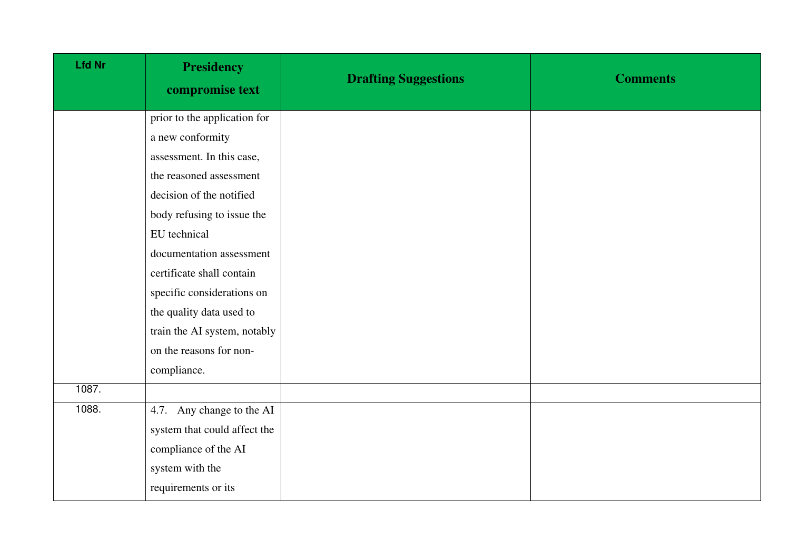| <b>Lfd Nr</b> | <b>Presidency</b><br>compromise text | <b>Drafting Suggestions</b> | <b>Comments</b> |
|---------------|--------------------------------------|-----------------------------|-----------------|
|               | prior to the application for         |                             |                 |
|               | a new conformity                     |                             |                 |
|               | assessment. In this case,            |                             |                 |
|               | the reasoned assessment              |                             |                 |
|               | decision of the notified             |                             |                 |
|               | body refusing to issue the           |                             |                 |
|               | EU technical                         |                             |                 |
|               | documentation assessment             |                             |                 |
|               | certificate shall contain            |                             |                 |
|               | specific considerations on           |                             |                 |
|               | the quality data used to             |                             |                 |
|               | train the AI system, notably         |                             |                 |
|               | on the reasons for non-              |                             |                 |
|               | compliance.                          |                             |                 |
| 1087.         |                                      |                             |                 |
| 1088.         | 4.7. Any change to the AI            |                             |                 |
|               | system that could affect the         |                             |                 |
|               | compliance of the AI                 |                             |                 |
|               | system with the                      |                             |                 |
|               | requirements or its                  |                             |                 |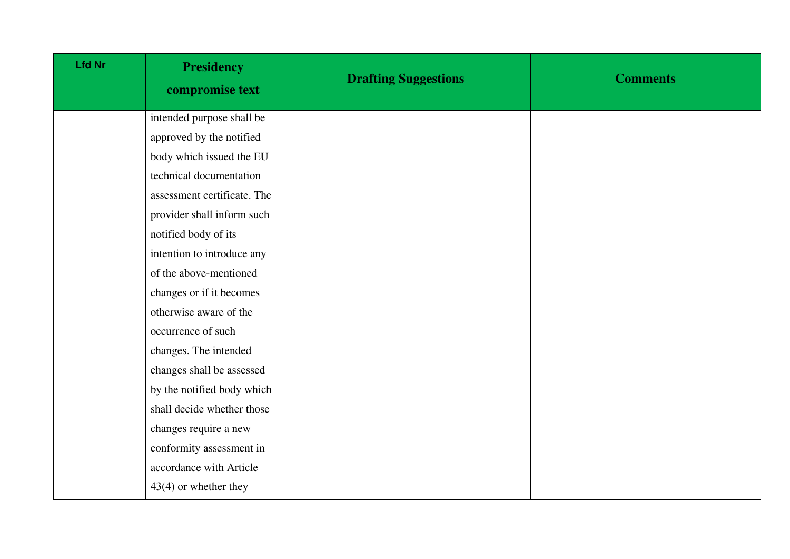| <b>Lfd Nr</b> | <b>Presidency</b><br>compromise text | <b>Drafting Suggestions</b> | <b>Comments</b> |
|---------------|--------------------------------------|-----------------------------|-----------------|
|               | intended purpose shall be            |                             |                 |
|               | approved by the notified             |                             |                 |
|               | body which issued the EU             |                             |                 |
|               | technical documentation              |                             |                 |
|               | assessment certificate. The          |                             |                 |
|               | provider shall inform such           |                             |                 |
|               | notified body of its                 |                             |                 |
|               | intention to introduce any           |                             |                 |
|               | of the above-mentioned               |                             |                 |
|               | changes or if it becomes             |                             |                 |
|               | otherwise aware of the               |                             |                 |
|               | occurrence of such                   |                             |                 |
|               | changes. The intended                |                             |                 |
|               | changes shall be assessed            |                             |                 |
|               | by the notified body which           |                             |                 |
|               | shall decide whether those           |                             |                 |
|               | changes require a new                |                             |                 |
|               | conformity assessment in             |                             |                 |
|               | accordance with Article              |                             |                 |
|               | $43(4)$ or whether they              |                             |                 |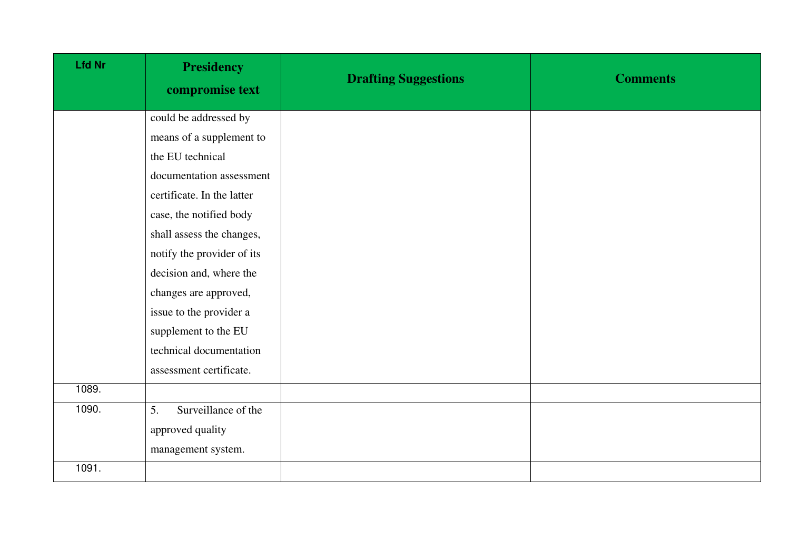| Lfd Nr | <b>Presidency</b><br>compromise text | <b>Drafting Suggestions</b> | <b>Comments</b> |
|--------|--------------------------------------|-----------------------------|-----------------|
|        | could be addressed by                |                             |                 |
|        | means of a supplement to             |                             |                 |
|        | the EU technical                     |                             |                 |
|        | documentation assessment             |                             |                 |
|        | certificate. In the latter           |                             |                 |
|        | case, the notified body              |                             |                 |
|        | shall assess the changes,            |                             |                 |
|        | notify the provider of its           |                             |                 |
|        | decision and, where the              |                             |                 |
|        | changes are approved,                |                             |                 |
|        | issue to the provider a              |                             |                 |
|        | supplement to the EU                 |                             |                 |
|        | technical documentation              |                             |                 |
|        | assessment certificate.              |                             |                 |
| 1089.  |                                      |                             |                 |
| 1090.  | Surveillance of the<br>5.            |                             |                 |
|        | approved quality                     |                             |                 |
|        | management system.                   |                             |                 |
| 1091.  |                                      |                             |                 |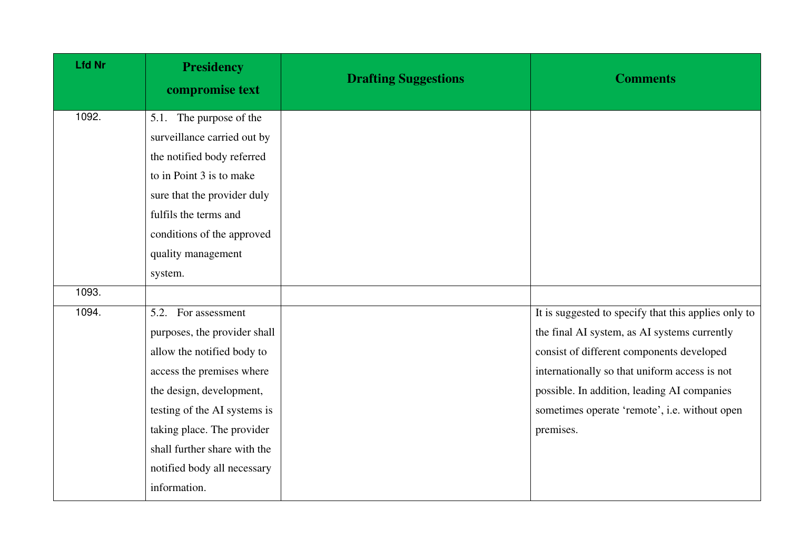| <b>Lfd Nr</b> | <b>Presidency</b><br>compromise text | <b>Drafting Suggestions</b> | <b>Comments</b>                                      |
|---------------|--------------------------------------|-----------------------------|------------------------------------------------------|
| 1092.         | 5.1. The purpose of the              |                             |                                                      |
|               | surveillance carried out by          |                             |                                                      |
|               | the notified body referred           |                             |                                                      |
|               | to in Point 3 is to make             |                             |                                                      |
|               | sure that the provider duly          |                             |                                                      |
|               | fulfils the terms and                |                             |                                                      |
|               | conditions of the approved           |                             |                                                      |
|               | quality management                   |                             |                                                      |
|               | system.                              |                             |                                                      |
| 1093.         |                                      |                             |                                                      |
| 1094.         | 5.2. For assessment                  |                             | It is suggested to specify that this applies only to |
|               | purposes, the provider shall         |                             | the final AI system, as AI systems currently         |
|               | allow the notified body to           |                             | consist of different components developed            |
|               | access the premises where            |                             | internationally so that uniform access is not        |
|               | the design, development,             |                             | possible. In addition, leading AI companies          |
|               | testing of the AI systems is         |                             | sometimes operate 'remote', i.e. without open        |
|               | taking place. The provider           |                             | premises.                                            |
|               | shall further share with the         |                             |                                                      |
|               | notified body all necessary          |                             |                                                      |
|               | information.                         |                             |                                                      |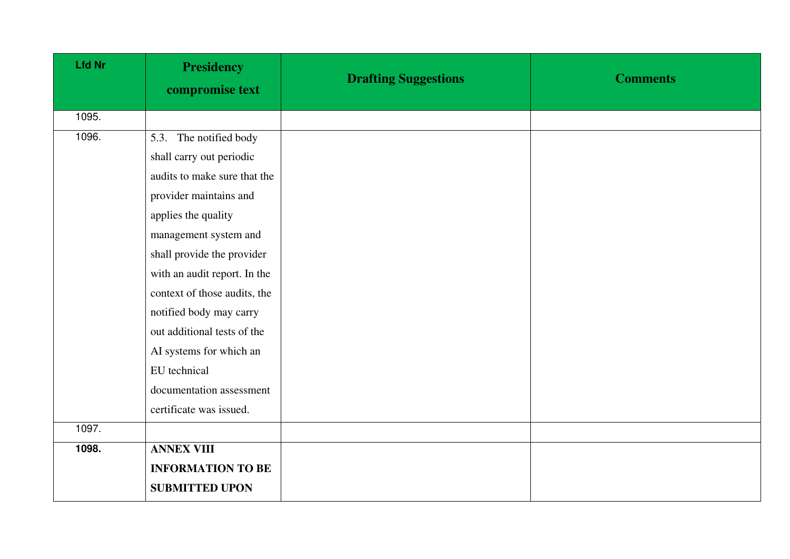| <b>Lfd Nr</b> | <b>Presidency</b><br>compromise text | <b>Drafting Suggestions</b> | <b>Comments</b> |
|---------------|--------------------------------------|-----------------------------|-----------------|
| 1095.         |                                      |                             |                 |
| 1096.         | 5.3. The notified body               |                             |                 |
|               | shall carry out periodic             |                             |                 |
|               | audits to make sure that the         |                             |                 |
|               | provider maintains and               |                             |                 |
|               | applies the quality                  |                             |                 |
|               | management system and                |                             |                 |
|               | shall provide the provider           |                             |                 |
|               | with an audit report. In the         |                             |                 |
|               | context of those audits, the         |                             |                 |
|               | notified body may carry              |                             |                 |
|               | out additional tests of the          |                             |                 |
|               | AI systems for which an              |                             |                 |
|               | EU technical                         |                             |                 |
|               | documentation assessment             |                             |                 |
|               | certificate was issued.              |                             |                 |
| 1097.         |                                      |                             |                 |
| 1098.         | <b>ANNEX VIII</b>                    |                             |                 |
|               | <b>INFORMATION TO BE</b>             |                             |                 |
|               | <b>SUBMITTED UPON</b>                |                             |                 |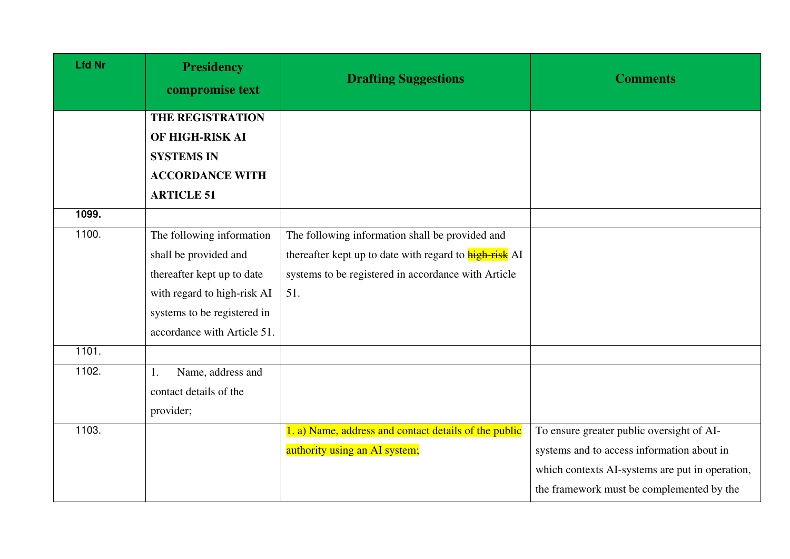| <b>Lfd Nr</b> | <b>Presidency</b><br>compromise text | <b>Drafting Suggestions</b>                                   | <b>Comments</b>                                 |
|---------------|--------------------------------------|---------------------------------------------------------------|-------------------------------------------------|
|               | <b>THE REGISTRATION</b>              |                                                               |                                                 |
|               | OF HIGH-RISK AI                      |                                                               |                                                 |
|               | <b>SYSTEMS IN</b>                    |                                                               |                                                 |
|               | <b>ACCORDANCE WITH</b>               |                                                               |                                                 |
|               | <b>ARTICLE 51</b>                    |                                                               |                                                 |
| 1099.         |                                      |                                                               |                                                 |
| 1100.         | The following information            | The following information shall be provided and               |                                                 |
|               | shall be provided and                | thereafter kept up to date with regard to <b>high-risk</b> AI |                                                 |
|               | thereafter kept up to date           | systems to be registered in accordance with Article           |                                                 |
|               | with regard to high-risk AI          | 51.                                                           |                                                 |
|               | systems to be registered in          |                                                               |                                                 |
|               | accordance with Article 51.          |                                                               |                                                 |
| 1101.         |                                      |                                                               |                                                 |
| 1102.         | Name, address and<br>1.              |                                                               |                                                 |
|               | contact details of the               |                                                               |                                                 |
|               | provider;                            |                                                               |                                                 |
| 1103.         |                                      | 1. a) Name, address and contact details of the public         | To ensure greater public oversight of AI-       |
|               |                                      | authority using an AI system;                                 | systems and to access information about in      |
|               |                                      |                                                               | which contexts AI-systems are put in operation, |
|               |                                      |                                                               | the framework must be complemented by the       |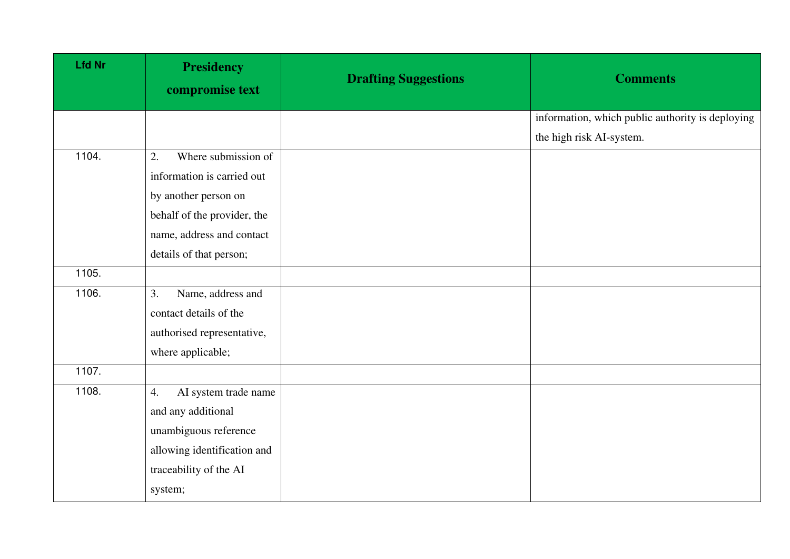| <b>Lfd Nr</b> | <b>Presidency</b><br>compromise text | <b>Drafting Suggestions</b> | <b>Comments</b>                                  |
|---------------|--------------------------------------|-----------------------------|--------------------------------------------------|
|               |                                      |                             | information, which public authority is deploying |
|               |                                      |                             | the high risk AI-system.                         |
| 1104.         | Where submission of<br>2.            |                             |                                                  |
|               | information is carried out           |                             |                                                  |
|               | by another person on                 |                             |                                                  |
|               | behalf of the provider, the          |                             |                                                  |
|               | name, address and contact            |                             |                                                  |
|               | details of that person;              |                             |                                                  |
| 1105.         |                                      |                             |                                                  |
| 1106.         | 3.<br>Name, address and              |                             |                                                  |
|               | contact details of the               |                             |                                                  |
|               | authorised representative,           |                             |                                                  |
|               | where applicable;                    |                             |                                                  |
| 1107.         |                                      |                             |                                                  |
| 1108.         | AI system trade name<br>4.           |                             |                                                  |
|               | and any additional                   |                             |                                                  |
|               | unambiguous reference                |                             |                                                  |
|               | allowing identification and          |                             |                                                  |
|               | traceability of the AI               |                             |                                                  |
|               | system;                              |                             |                                                  |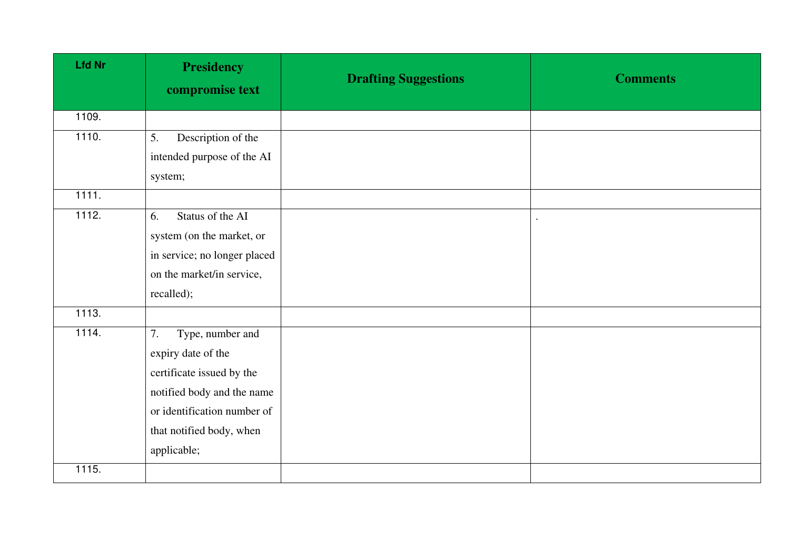| <b>Lfd Nr</b> | <b>Presidency</b><br>compromise text | <b>Drafting Suggestions</b> | <b>Comments</b> |
|---------------|--------------------------------------|-----------------------------|-----------------|
| 1109.         |                                      |                             |                 |
| 1110.         | Description of the<br>5.             |                             |                 |
|               | intended purpose of the AI           |                             |                 |
|               | system;                              |                             |                 |
| 1111.         |                                      |                             |                 |
| 1112.         | Status of the AI<br>6.               |                             |                 |
|               | system (on the market, or            |                             |                 |
|               | in service; no longer placed         |                             |                 |
|               | on the market/in service,            |                             |                 |
|               | recalled);                           |                             |                 |
| 1113.         |                                      |                             |                 |
| 1114.         | Type, number and<br>7.               |                             |                 |
|               | expiry date of the                   |                             |                 |
|               | certificate issued by the            |                             |                 |
|               | notified body and the name           |                             |                 |
|               | or identification number of          |                             |                 |
|               | that notified body, when             |                             |                 |
|               | applicable;                          |                             |                 |
| 1115.         |                                      |                             |                 |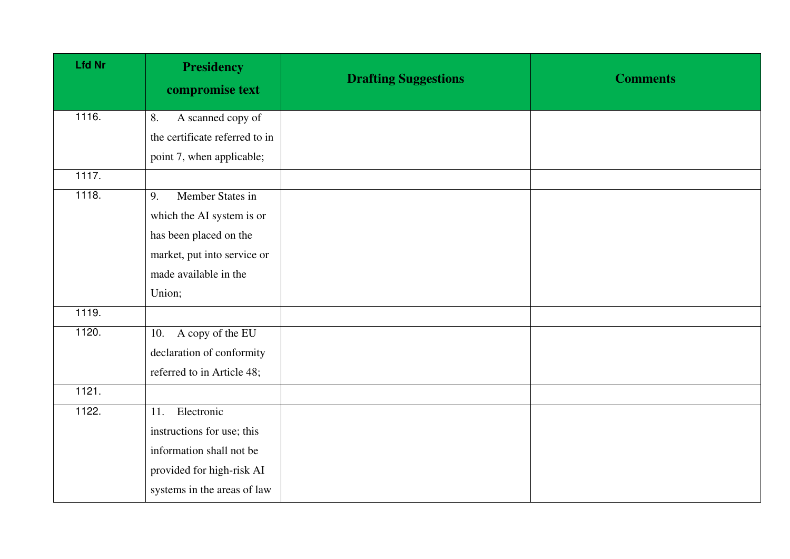| <b>Lfd Nr</b> | <b>Presidency</b><br>compromise text | <b>Drafting Suggestions</b> | <b>Comments</b> |
|---------------|--------------------------------------|-----------------------------|-----------------|
| 1116.         | A scanned copy of<br>8.              |                             |                 |
|               | the certificate referred to in       |                             |                 |
|               | point 7, when applicable;            |                             |                 |
| 1117.         |                                      |                             |                 |
| 1118.         | Member States in<br>9.               |                             |                 |
|               | which the AI system is or            |                             |                 |
|               | has been placed on the               |                             |                 |
|               | market, put into service or          |                             |                 |
|               | made available in the                |                             |                 |
|               | Union;                               |                             |                 |
| 1119.         |                                      |                             |                 |
| 1120.         | A copy of the EU<br>10.              |                             |                 |
|               | declaration of conformity            |                             |                 |
|               | referred to in Article 48;           |                             |                 |
| 1121.         |                                      |                             |                 |
| 1122.         | Electronic<br>11.                    |                             |                 |
|               | instructions for use; this           |                             |                 |
|               | information shall not be             |                             |                 |
|               | provided for high-risk AI            |                             |                 |
|               | systems in the areas of law          |                             |                 |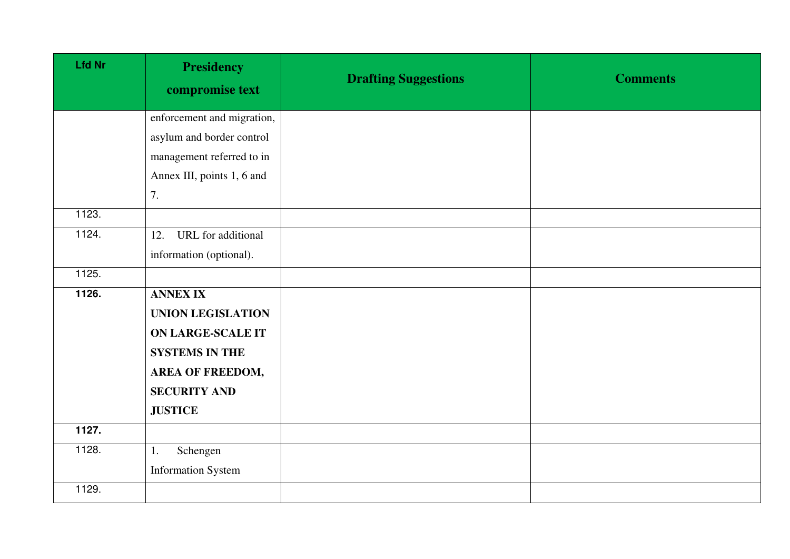| <b>Lfd Nr</b> | <b>Presidency</b><br>compromise text | <b>Drafting Suggestions</b> | <b>Comments</b> |
|---------------|--------------------------------------|-----------------------------|-----------------|
|               | enforcement and migration,           |                             |                 |
|               | asylum and border control            |                             |                 |
|               | management referred to in            |                             |                 |
|               | Annex III, points 1, 6 and           |                             |                 |
|               | 7.                                   |                             |                 |
| 1123.         |                                      |                             |                 |
| 1124.         | URL for additional<br>12.            |                             |                 |
|               | information (optional).              |                             |                 |
| 1125.         |                                      |                             |                 |
| 1126.         | <b>ANNEX IX</b>                      |                             |                 |
|               | <b>UNION LEGISLATION</b>             |                             |                 |
|               | <b>ON LARGE-SCALE IT</b>             |                             |                 |
|               | <b>SYSTEMS IN THE</b>                |                             |                 |
|               | AREA OF FREEDOM,                     |                             |                 |
|               | <b>SECURITY AND</b>                  |                             |                 |
|               | <b>JUSTICE</b>                       |                             |                 |
| 1127.         |                                      |                             |                 |
| 1128.         | Schengen<br>1.                       |                             |                 |
|               | <b>Information System</b>            |                             |                 |
| 1129.         |                                      |                             |                 |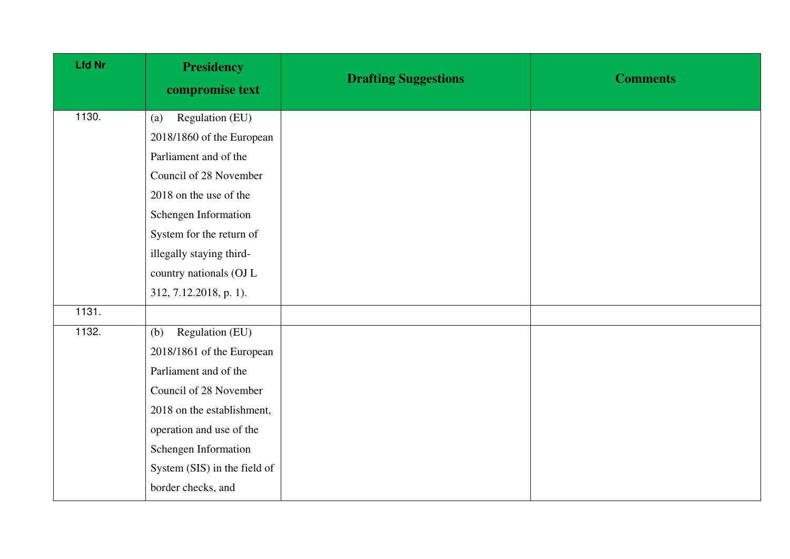| <b>Lfd Nr</b> | <b>Presidency</b><br>compromise text | <b>Drafting Suggestions</b> | <b>Comments</b> |
|---------------|--------------------------------------|-----------------------------|-----------------|
| 1130.         | Regulation (EU)<br>(a)               |                             |                 |
|               | 2018/1860 of the European            |                             |                 |
|               | Parliament and of the                |                             |                 |
|               | Council of 28 November               |                             |                 |
|               | 2018 on the use of the               |                             |                 |
|               | Schengen Information                 |                             |                 |
|               | System for the return of             |                             |                 |
|               | illegally staying third-             |                             |                 |
|               | country nationals (OJ L              |                             |                 |
|               | 312, 7.12.2018, p. 1).               |                             |                 |
| 1131.         |                                      |                             |                 |
| 1132.         | Regulation (EU)<br>(b)               |                             |                 |
|               | 2018/1861 of the European            |                             |                 |
|               | Parliament and of the                |                             |                 |
|               | Council of 28 November               |                             |                 |
|               | 2018 on the establishment,           |                             |                 |
|               | operation and use of the             |                             |                 |
|               | Schengen Information                 |                             |                 |
|               | System (SIS) in the field of         |                             |                 |
|               | border checks, and                   |                             |                 |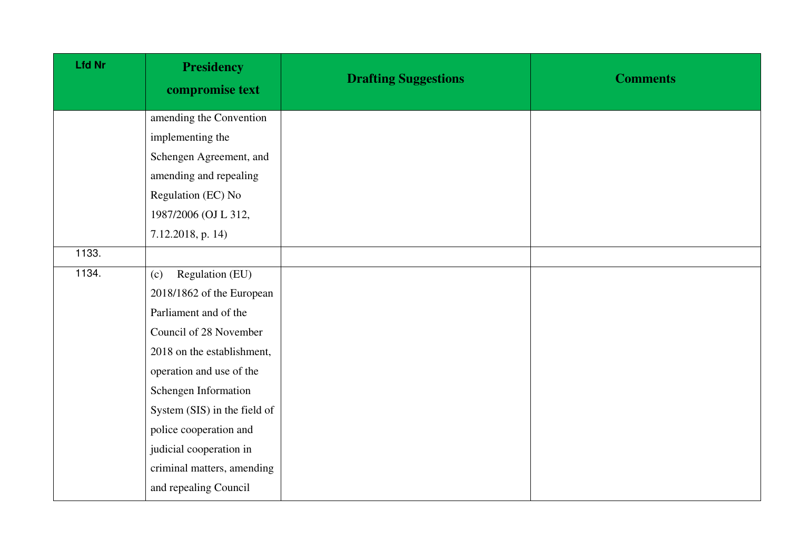| <b>Lfd Nr</b> | <b>Presidency</b><br>compromise text | <b>Drafting Suggestions</b> | <b>Comments</b> |
|---------------|--------------------------------------|-----------------------------|-----------------|
|               | amending the Convention              |                             |                 |
|               | implementing the                     |                             |                 |
|               | Schengen Agreement, and              |                             |                 |
|               | amending and repealing               |                             |                 |
|               | Regulation (EC) No                   |                             |                 |
|               | 1987/2006 (OJ L 312,                 |                             |                 |
|               | 7.12.2018, p. 14)                    |                             |                 |
| 1133.         |                                      |                             |                 |
| 1134.         | Regulation (EU)<br>(c)               |                             |                 |
|               | 2018/1862 of the European            |                             |                 |
|               | Parliament and of the                |                             |                 |
|               | Council of 28 November               |                             |                 |
|               | 2018 on the establishment,           |                             |                 |
|               | operation and use of the             |                             |                 |
|               | Schengen Information                 |                             |                 |
|               | System (SIS) in the field of         |                             |                 |
|               | police cooperation and               |                             |                 |
|               | judicial cooperation in              |                             |                 |
|               | criminal matters, amending           |                             |                 |
|               | and repealing Council                |                             |                 |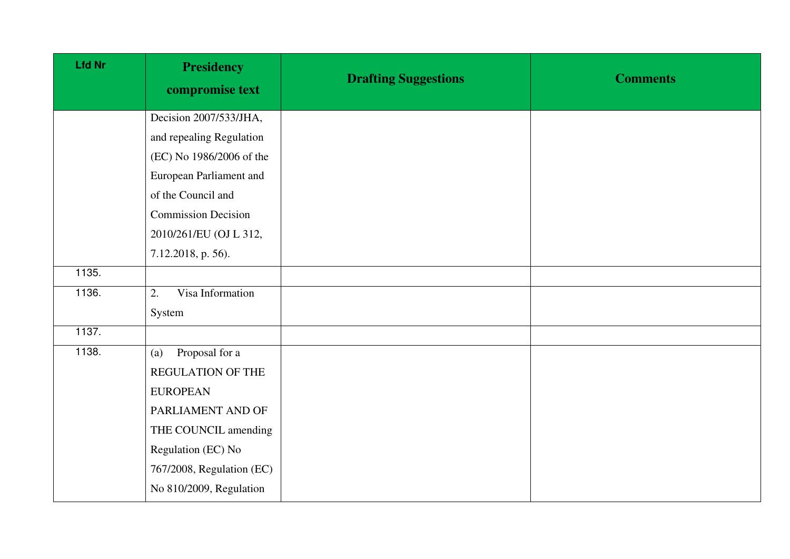| <b>Lfd Nr</b>       | <b>Presidency</b><br>compromise text | <b>Drafting Suggestions</b> | <b>Comments</b> |
|---------------------|--------------------------------------|-----------------------------|-----------------|
|                     | Decision 2007/533/JHA,               |                             |                 |
|                     | and repealing Regulation             |                             |                 |
|                     | (EC) No 1986/2006 of the             |                             |                 |
|                     | European Parliament and              |                             |                 |
|                     | of the Council and                   |                             |                 |
|                     | <b>Commission Decision</b>           |                             |                 |
|                     | 2010/261/EU (OJ L 312,               |                             |                 |
|                     | 7.12.2018, p. 56).                   |                             |                 |
| 1135.               |                                      |                             |                 |
| 1136.               | Visa Information<br>2.               |                             |                 |
|                     | System                               |                             |                 |
| $\overline{1137}$ . |                                      |                             |                 |
| 1138.               | Proposal for a<br>(a)                |                             |                 |
|                     | REGULATION OF THE                    |                             |                 |
|                     | <b>EUROPEAN</b>                      |                             |                 |
|                     | PARLIAMENT AND OF                    |                             |                 |
|                     | THE COUNCIL amending                 |                             |                 |
|                     | Regulation (EC) No                   |                             |                 |
|                     | 767/2008, Regulation (EC)            |                             |                 |
|                     | No 810/2009, Regulation              |                             |                 |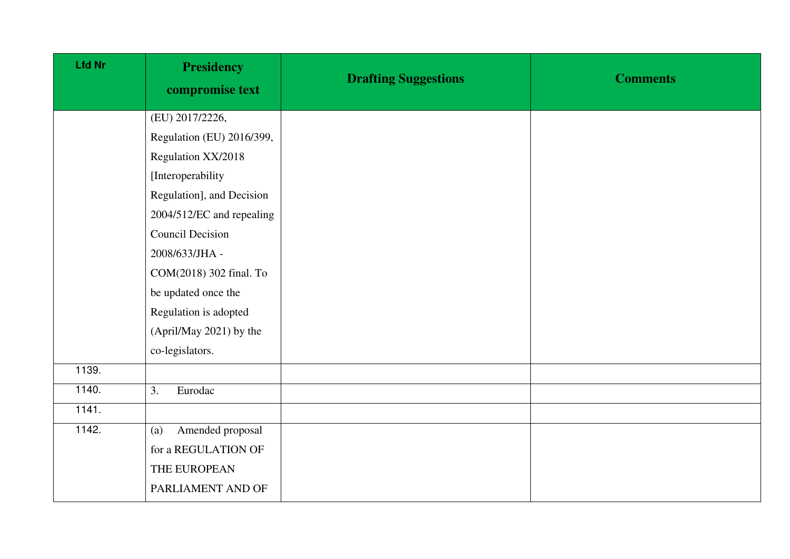| <b>Lfd Nr</b> | <b>Presidency</b><br>compromise text | <b>Drafting Suggestions</b> | <b>Comments</b> |
|---------------|--------------------------------------|-----------------------------|-----------------|
|               | (EU) 2017/2226,                      |                             |                 |
|               | Regulation (EU) 2016/399,            |                             |                 |
|               | Regulation XX/2018                   |                             |                 |
|               | [Interoperability                    |                             |                 |
|               | Regulation], and Decision            |                             |                 |
|               | 2004/512/EC and repealing            |                             |                 |
|               | <b>Council Decision</b>              |                             |                 |
|               | 2008/633/JHA -                       |                             |                 |
|               | COM(2018) 302 final. To              |                             |                 |
|               | be updated once the                  |                             |                 |
|               | Regulation is adopted                |                             |                 |
|               | (April/May 2021) by the              |                             |                 |
|               | co-legislators.                      |                             |                 |
| 1139.         |                                      |                             |                 |
| 1140.         | 3.<br>Eurodac                        |                             |                 |
| 1141.         |                                      |                             |                 |
| 1142.         | Amended proposal<br>(a)              |                             |                 |
|               | for a REGULATION OF                  |                             |                 |
|               | THE EUROPEAN                         |                             |                 |
|               | PARLIAMENT AND OF                    |                             |                 |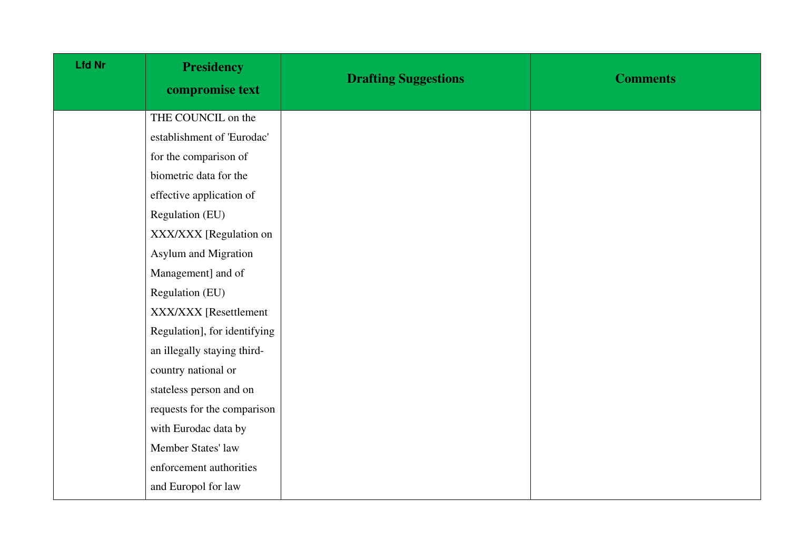| <b>Lfd Nr</b> | <b>Presidency</b><br>compromise text | <b>Drafting Suggestions</b> | <b>Comments</b> |
|---------------|--------------------------------------|-----------------------------|-----------------|
|               | THE COUNCIL on the                   |                             |                 |
|               | establishment of 'Eurodac'           |                             |                 |
|               | for the comparison of                |                             |                 |
|               | biometric data for the               |                             |                 |
|               | effective application of             |                             |                 |
|               | Regulation (EU)                      |                             |                 |
|               | XXX/XXX [Regulation on               |                             |                 |
|               | Asylum and Migration                 |                             |                 |
|               | Management] and of                   |                             |                 |
|               | Regulation (EU)                      |                             |                 |
|               | XXX/XXX [Resettlement                |                             |                 |
|               | Regulation], for identifying         |                             |                 |
|               | an illegally staying third-          |                             |                 |
|               | country national or                  |                             |                 |
|               | stateless person and on              |                             |                 |
|               | requests for the comparison          |                             |                 |
|               | with Eurodac data by                 |                             |                 |
|               | Member States' law                   |                             |                 |
|               | enforcement authorities              |                             |                 |
|               | and Europol for law                  |                             |                 |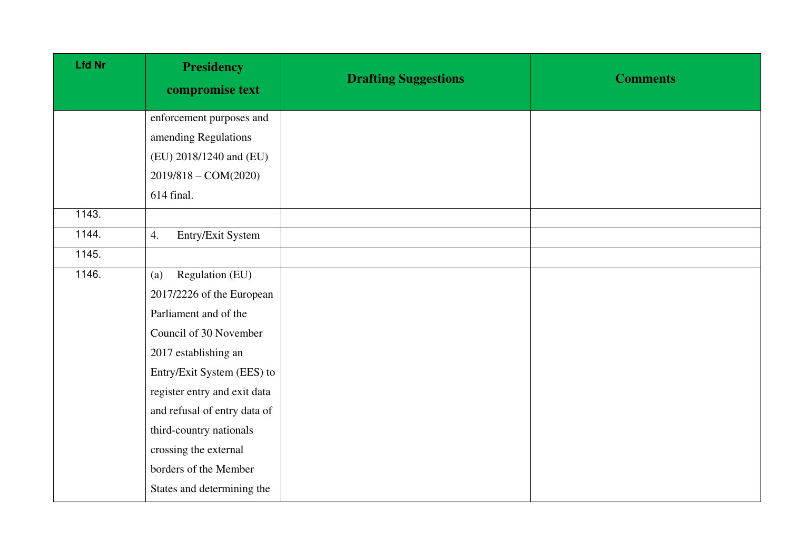| <b>Lfd Nr</b> | <b>Presidency</b><br>compromise text | <b>Drafting Suggestions</b> | <b>Comments</b> |
|---------------|--------------------------------------|-----------------------------|-----------------|
|               | enforcement purposes and             |                             |                 |
|               | amending Regulations                 |                             |                 |
|               | (EU) 2018/1240 and (EU)              |                             |                 |
|               | 2019/818 - COM(2020)                 |                             |                 |
|               | 614 final.                           |                             |                 |
| 1143.         |                                      |                             |                 |
| 1144.         | Entry/Exit System<br>4.              |                             |                 |
| 1145.         |                                      |                             |                 |
| 1146.         | Regulation (EU)<br>(a)               |                             |                 |
|               | 2017/2226 of the European            |                             |                 |
|               | Parliament and of the                |                             |                 |
|               | Council of 30 November               |                             |                 |
|               | 2017 establishing an                 |                             |                 |
|               | Entry/Exit System (EES) to           |                             |                 |
|               | register entry and exit data         |                             |                 |
|               | and refusal of entry data of         |                             |                 |
|               | third-country nationals              |                             |                 |
|               | crossing the external                |                             |                 |
|               | borders of the Member                |                             |                 |
|               | States and determining the           |                             |                 |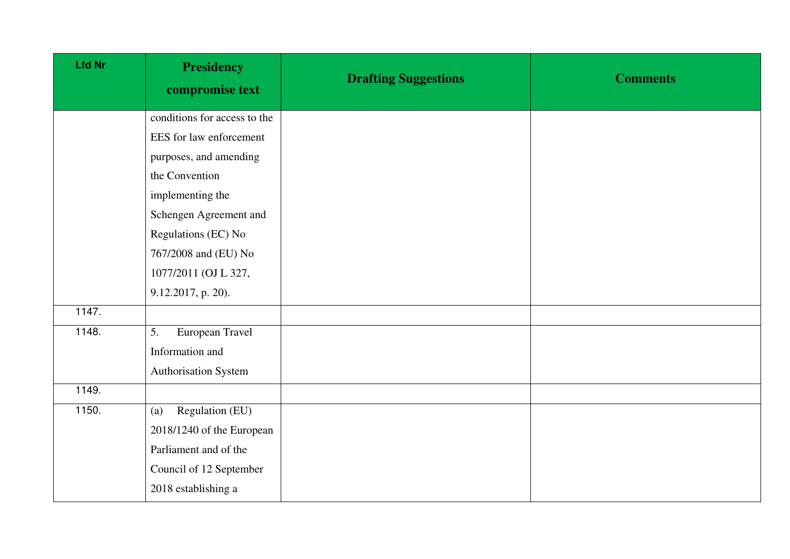| <b>Lfd Nr</b> | <b>Presidency</b><br>compromise text | <b>Drafting Suggestions</b> | <b>Comments</b> |
|---------------|--------------------------------------|-----------------------------|-----------------|
|               | conditions for access to the         |                             |                 |
|               | EES for law enforcement              |                             |                 |
|               | purposes, and amending               |                             |                 |
|               | the Convention                       |                             |                 |
|               | implementing the                     |                             |                 |
|               | Schengen Agreement and               |                             |                 |
|               | Regulations (EC) No                  |                             |                 |
|               | 767/2008 and (EU) No                 |                             |                 |
|               | 1077/2011 (OJ L 327,                 |                             |                 |
|               | 9.12.2017, p. 20).                   |                             |                 |
| 1147.         |                                      |                             |                 |
| 1148.         | 5.<br>European Travel                |                             |                 |
|               | Information and                      |                             |                 |
|               | Authorisation System                 |                             |                 |
| 1149.         |                                      |                             |                 |
| 1150.         | Regulation (EU)<br>(a)               |                             |                 |
|               | 2018/1240 of the European            |                             |                 |
|               | Parliament and of the                |                             |                 |
|               | Council of 12 September              |                             |                 |
|               | 2018 establishing a                  |                             |                 |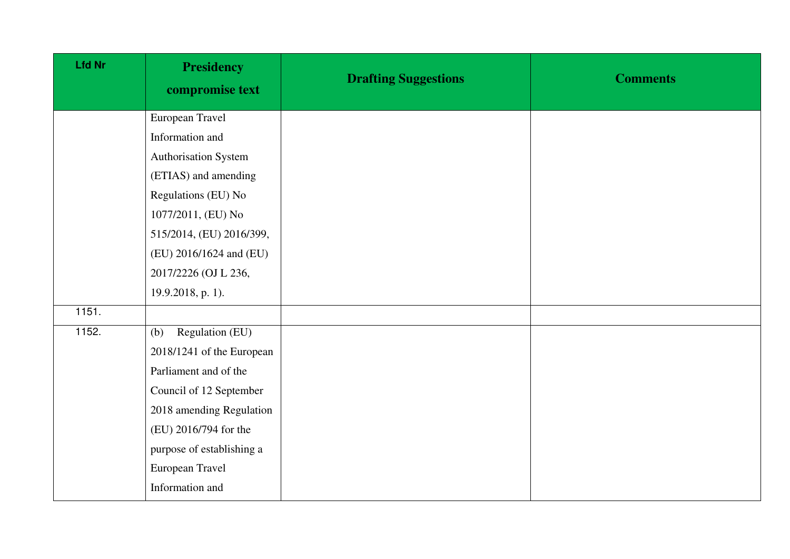| <b>Lfd Nr</b> | <b>Presidency</b><br>compromise text | <b>Drafting Suggestions</b> | <b>Comments</b> |
|---------------|--------------------------------------|-----------------------------|-----------------|
|               | European Travel                      |                             |                 |
|               | Information and                      |                             |                 |
|               | Authorisation System                 |                             |                 |
|               | (ETIAS) and amending                 |                             |                 |
|               | Regulations (EU) No                  |                             |                 |
|               | 1077/2011, (EU) No                   |                             |                 |
|               | 515/2014, (EU) 2016/399,             |                             |                 |
|               | (EU) 2016/1624 and (EU)              |                             |                 |
|               | 2017/2226 (OJ L 236,                 |                             |                 |
|               | 19.9.2018, p. 1).                    |                             |                 |
| 1151.         |                                      |                             |                 |
| 1152.         | Regulation (EU)<br>(b)               |                             |                 |
|               | 2018/1241 of the European            |                             |                 |
|               | Parliament and of the                |                             |                 |
|               | Council of 12 September              |                             |                 |
|               | 2018 amending Regulation             |                             |                 |
|               | (EU) 2016/794 for the                |                             |                 |
|               | purpose of establishing a            |                             |                 |
|               | European Travel                      |                             |                 |
|               | Information and                      |                             |                 |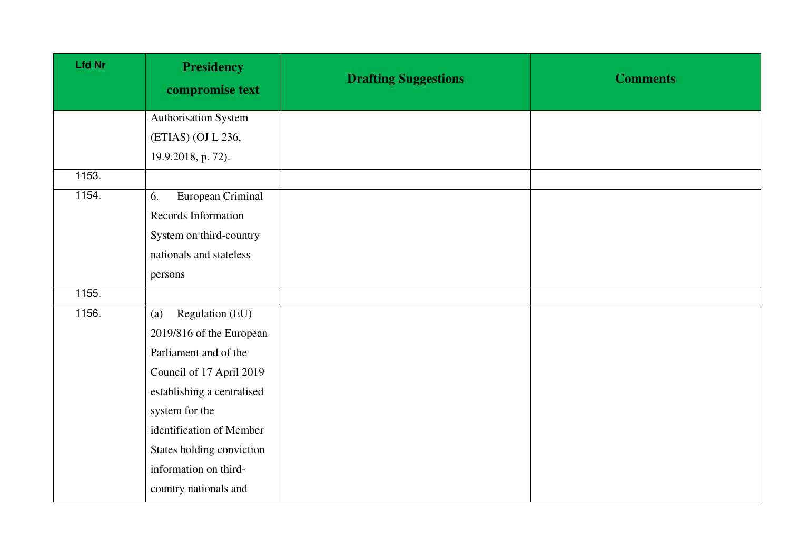| <b>Lfd Nr</b> | <b>Presidency</b><br>compromise text | <b>Drafting Suggestions</b> | <b>Comments</b> |
|---------------|--------------------------------------|-----------------------------|-----------------|
|               | Authorisation System                 |                             |                 |
|               | (ETIAS) (OJ L 236,                   |                             |                 |
|               | 19.9.2018, p. 72).                   |                             |                 |
| 1153.         |                                      |                             |                 |
| 1154.         | European Criminal<br>6.              |                             |                 |
|               | Records Information                  |                             |                 |
|               | System on third-country              |                             |                 |
|               | nationals and stateless              |                             |                 |
|               | persons                              |                             |                 |
| 1155.         |                                      |                             |                 |
| 1156.         | Regulation (EU)<br>(a)               |                             |                 |
|               | 2019/816 of the European             |                             |                 |
|               | Parliament and of the                |                             |                 |
|               | Council of 17 April 2019             |                             |                 |
|               | establishing a centralised           |                             |                 |
|               | system for the                       |                             |                 |
|               | identification of Member             |                             |                 |
|               | States holding conviction            |                             |                 |
|               | information on third-                |                             |                 |
|               | country nationals and                |                             |                 |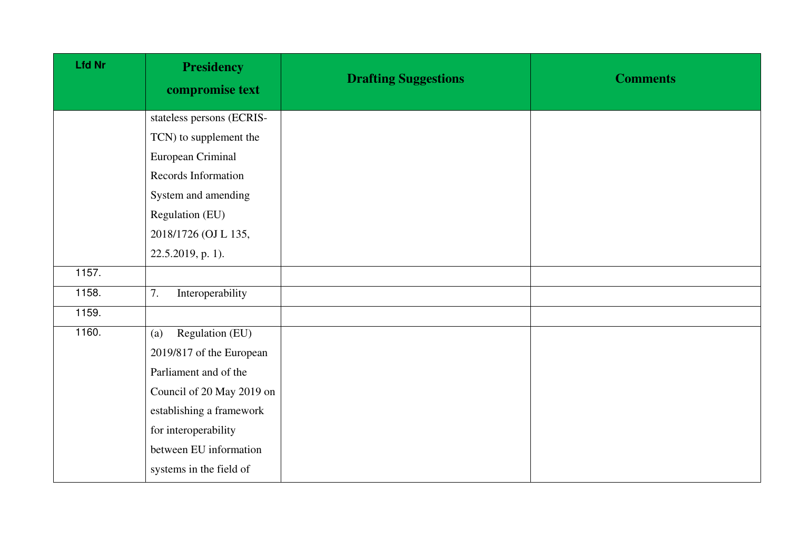| <b>Lfd Nr</b> | <b>Presidency</b><br>compromise text | <b>Drafting Suggestions</b> | <b>Comments</b> |
|---------------|--------------------------------------|-----------------------------|-----------------|
|               | stateless persons (ECRIS-            |                             |                 |
|               | TCN) to supplement the               |                             |                 |
|               | European Criminal                    |                             |                 |
|               | Records Information                  |                             |                 |
|               | System and amending                  |                             |                 |
|               | Regulation (EU)                      |                             |                 |
|               | 2018/1726 (OJ L 135,                 |                             |                 |
|               | 22.5.2019, p. 1).                    |                             |                 |
| 1157.         |                                      |                             |                 |
| 1158.         | 7.<br>Interoperability               |                             |                 |
| 1159.         |                                      |                             |                 |
| 1160.         | Regulation (EU)<br>(a)               |                             |                 |
|               | 2019/817 of the European             |                             |                 |
|               | Parliament and of the                |                             |                 |
|               | Council of 20 May 2019 on            |                             |                 |
|               | establishing a framework             |                             |                 |
|               | for interoperability                 |                             |                 |
|               | between EU information               |                             |                 |
|               | systems in the field of              |                             |                 |